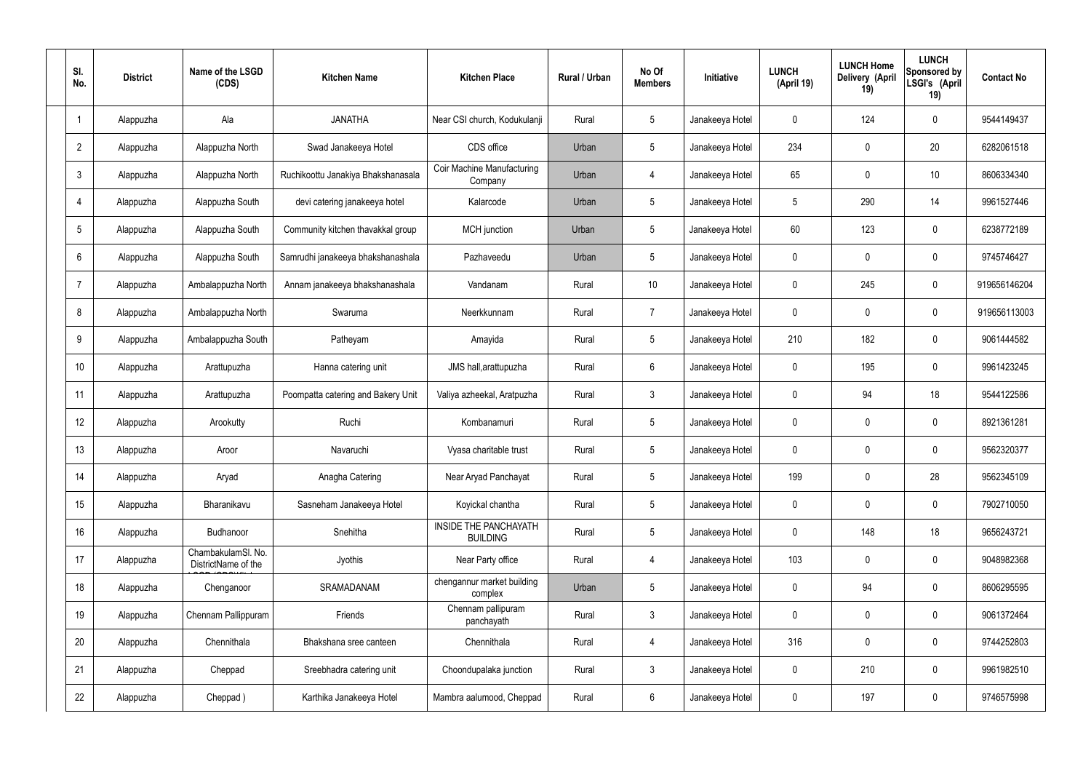| SI.<br>No.      | <b>District</b> | Name of the LSGD<br>(CDS)                 | <b>Kitchen Name</b>                | <b>Kitchen Place</b>                            | Rural / Urban | No Of<br><b>Members</b> | Initiative      | <b>LUNCH</b><br>(April 19) | <b>LUNCH Home</b><br>Delivery (April<br>19) | <b>LUNCH</b><br>Sponsored by<br>LSGI's (April<br>19) | <b>Contact No</b> |
|-----------------|-----------------|-------------------------------------------|------------------------------------|-------------------------------------------------|---------------|-------------------------|-----------------|----------------------------|---------------------------------------------|------------------------------------------------------|-------------------|
| -1              | Alappuzha       | Ala                                       | <b>JANATHA</b>                     | Near CSI church, Kodukulanji                    | Rural         | 5                       | Janakeeya Hotel | 0                          | 124                                         | $\mathbf 0$                                          | 9544149437        |
| $\overline{2}$  | Alappuzha       | Alappuzha North                           | Swad Janakeeya Hotel               | CDS office                                      | Urban         | $5\phantom{.0}$         | Janakeeya Hotel | 234                        | $\mathbf 0$                                 | 20                                                   | 6282061518        |
| 3               | Alappuzha       | Alappuzha North                           | Ruchikoottu Janakiya Bhakshanasala | <b>Coir Machine Manufacturing</b><br>Company    | Urban         | 4                       | Janakeeya Hotel | 65                         | $\mathbf 0$                                 | 10                                                   | 8606334340        |
| 4               | Alappuzha       | Alappuzha South                           | devi catering janakeeya hotel      | Kalarcode                                       | Urban         | $5\phantom{.0}$         | Janakeeya Hotel | 5                          | 290                                         | 14                                                   | 9961527446        |
| $5\phantom{.0}$ | Alappuzha       | Alappuzha South                           | Community kitchen thavakkal group  | <b>MCH</b> junction                             | Urban         | $5\overline{)}$         | Janakeeya Hotel | 60                         | 123                                         | $\mathbf 0$                                          | 6238772189        |
| 6               | Alappuzha       | Alappuzha South                           | Samrudhi janakeeya bhakshanashala  | Pazhaveedu                                      | Urban         | $5\phantom{.0}$         | Janakeeya Hotel | $\mathbf 0$                | $\mathbf 0$                                 | $\mathbf 0$                                          | 9745746427        |
| 7               | Alappuzha       | Ambalappuzha North                        | Annam janakeeya bhakshanashala     | Vandanam                                        | Rural         | 10                      | Janakeeya Hotel | $\mathbf 0$                | 245                                         | $\mathbf 0$                                          | 919656146204      |
| 8               | Alappuzha       | Ambalappuzha North                        | Swaruma                            | Neerkkunnam                                     | Rural         | $\overline{7}$          | Janakeeya Hotel | $\mathbf 0$                | $\mathbf 0$                                 | $\mathbf 0$                                          | 919656113003      |
| 9               | Alappuzha       | Ambalappuzha South                        | Patheyam                           | Amayida                                         | Rural         | $5\phantom{.0}$         | Janakeeya Hotel | 210                        | 182                                         | $\mathbf 0$                                          | 9061444582        |
| 10              | Alappuzha       | Arattupuzha                               | Hanna catering unit                | JMS hall, arattupuzha                           | Rural         | 6                       | Janakeeya Hotel | $\mathbf 0$                | 195                                         | $\mathbf 0$                                          | 9961423245        |
| 11              | Alappuzha       | Arattupuzha                               | Poompatta catering and Bakery Unit | Valiya azheekal, Aratpuzha                      | Rural         | $\mathbf{3}$            | Janakeeya Hotel | $\mathbf 0$                | 94                                          | 18                                                   | 9544122586        |
| 12              | Alappuzha       | Arookutty                                 | Ruchi                              | Kombanamuri                                     | Rural         | $5\phantom{.0}$         | Janakeeya Hotel | $\mathbf 0$                | 0                                           | $\mathbf 0$                                          | 8921361281        |
| 13              | Alappuzha       | Aroor                                     | Navaruchi                          | Vyasa charitable trust                          | Rural         | $5\phantom{.0}$         | Janakeeya Hotel | 0                          | 0                                           | 0                                                    | 9562320377        |
| 14              | Alappuzha       | Aryad                                     | Anagha Catering                    | Near Aryad Panchayat                            | Rural         | $5\phantom{.0}$         | Janakeeya Hotel | 199                        | $\mathbf 0$                                 | 28                                                   | 9562345109        |
| 15              | Alappuzha       | Bharanikavu                               | Sasneham Janakeeya Hotel           | Koyickal chantha                                | Rural         | $5\phantom{.0}$         | Janakeeya Hotel | $\mathbf 0$                | $\mathbf 0$                                 | $\mathbf 0$                                          | 7902710050        |
| 16              | Alappuzha       | Budhanoor                                 | Snehitha                           | <b>INSIDE THE PANCHAYATH</b><br><b>BUILDING</b> | Rural         | $5\phantom{.0}$         | Janakeeya Hotel | $\mathbf 0$                | 148                                         | 18                                                   | 9656243721        |
| 17              | Alappuzha       | ChambakulamSl. No.<br>DistrictName of the | Jyothis                            | Near Party office                               | Rural         | 4                       | Janakeeya Hotel | 103                        | $\mathbf 0$                                 | $\mathbf 0$                                          | 9048982368        |
| 18              | Alappuzha       | Chenganoor                                | SRAMADANAM                         | chengannur market building<br>complex           | Urban         | $5\phantom{.0}$         | Janakeeya Hotel | $\mathbf 0$                | 94                                          | $\mathbf 0$                                          | 8606295595        |
| 19              | Alappuzha       | Chennam Pallippuram                       | Friends                            | Chennam pallipuram<br>panchayath                | Rural         | $3\phantom{a}$          | Janakeeya Hotel | $\mathbf 0$                | 0                                           | $\mathbf 0$                                          | 9061372464        |
| 20              | Alappuzha       | Chennithala                               | Bhakshana sree canteen             | Chennithala                                     | Rural         | 4                       | Janakeeya Hotel | 316                        | 0                                           | $\mathbf 0$                                          | 9744252803        |
| 21              | Alappuzha       | Cheppad                                   | Sreebhadra catering unit           | Choondupalaka junction                          | Rural         | $3\phantom{a}$          | Janakeeya Hotel | $\mathbf 0$                | 210                                         | $\mathbf 0$                                          | 9961982510        |
| 22              | Alappuzha       | Cheppad)                                  | Karthika Janakeeya Hotel           | Mambra aalumood, Cheppad                        | Rural         | $6\,$                   | Janakeeya Hotel | 0                          | 197                                         | $\boldsymbol{0}$                                     | 9746575998        |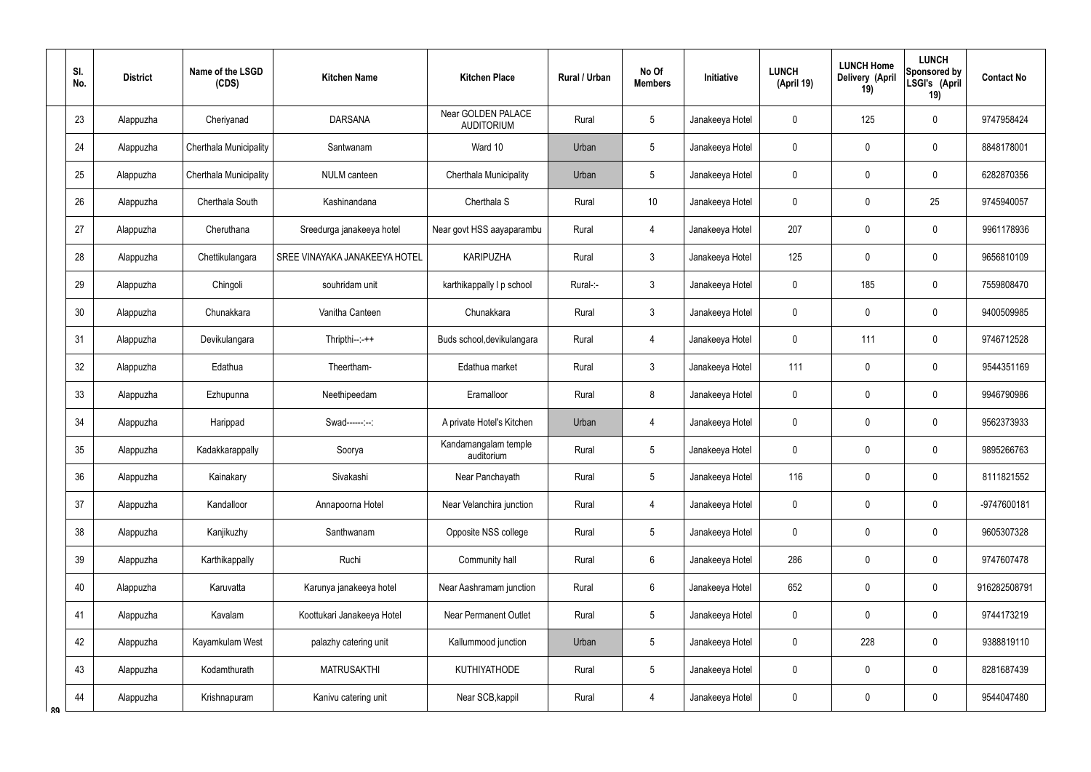|    | SI.<br>No. | <b>District</b> | Name of the LSGD<br>(CDS) | <b>Kitchen Name</b>           | <b>Kitchen Place</b>                    | <b>Rural / Urban</b> | No Of<br><b>Members</b> | Initiative      | <b>LUNCH</b><br>(April 19) | <b>LUNCH Home</b><br><b>Delivery (April</b><br>19) | <b>LUNCH</b><br>Sponsored by<br>LSGI's (April<br>19) | <b>Contact No</b> |
|----|------------|-----------------|---------------------------|-------------------------------|-----------------------------------------|----------------------|-------------------------|-----------------|----------------------------|----------------------------------------------------|------------------------------------------------------|-------------------|
|    | 23         | Alappuzha       | Cheriyanad                | <b>DARSANA</b>                | Near GOLDEN PALACE<br><b>AUDITORIUM</b> | Rural                | 5                       | Janakeeya Hotel | 0                          | 125                                                | $\mathbf 0$                                          | 9747958424        |
|    | 24         | Alappuzha       | Cherthala Municipality    | Santwanam                     | Ward 10                                 | Urban                | 5                       | Janakeeya Hotel | 0                          | 0                                                  | $\boldsymbol{0}$                                     | 8848178001        |
|    | 25         | Alappuzha       | Cherthala Municipality    | NULM canteen                  | Cherthala Municipality                  | Urban                | 5                       | Janakeeya Hotel | 0                          | 0                                                  | $\mathbf 0$                                          | 6282870356        |
|    | 26         | Alappuzha       | Cherthala South           | Kashinandana                  | Cherthala S                             | Rural                | 10                      | Janakeeya Hotel | 0                          | $\mathbf 0$                                        | 25                                                   | 9745940057        |
|    | 27         | Alappuzha       | Cheruthana                | Sreedurga janakeeya hotel     | Near govt HSS aayaparambu               | Rural                | 4                       | Janakeeya Hotel | 207                        | 0                                                  | $\mathbf 0$                                          | 9961178936        |
|    | 28         | Alappuzha       | Chettikulangara           | SREE VINAYAKA JANAKEEYA HOTEL | <b>KARIPUZHA</b>                        | Rural                | $\mathbf{3}$            | Janakeeya Hotel | 125                        | 0                                                  | $\mathbf 0$                                          | 9656810109        |
|    | 29         | Alappuzha       | Chingoli                  | souhridam unit                | karthikappally I p school               | Rural-:-             | $\mathbf{3}$            | Janakeeya Hotel | 0                          | 185                                                | $\mathbf 0$                                          | 7559808470        |
|    | 30         | Alappuzha       | Chunakkara                | Vanitha Canteen               | Chunakkara                              | Rural                | $\mathfrak{Z}$          | Janakeeya Hotel | 0                          | $\mathbf 0$                                        | $\mathbf 0$                                          | 9400509985        |
|    | 31         | Alappuzha       | Devikulangara             | $Thripthi--++$                | Buds school, devikulangara              | Rural                | $\overline{4}$          | Janakeeya Hotel | 0                          | 111                                                | $\mathbf 0$                                          | 9746712528        |
|    | 32         | Alappuzha       | Edathua                   | Theertham-                    | Edathua market                          | Rural                | 3                       | Janakeeya Hotel | 111                        | $\mathbf 0$                                        | $\mathbf 0$                                          | 9544351169        |
|    | 33         | Alappuzha       | Ezhupunna                 | Neethipeedam                  | Eramalloor                              | Rural                | 8                       | Janakeeya Hotel | 0                          | 0                                                  | $\mathbf 0$                                          | 9946790986        |
|    | 34         | Alappuzha       | Harippad                  | Swad------:--:                | A private Hotel's Kitchen               | Urban                | $\overline{4}$          | Janakeeya Hotel | 0                          | $\mathbf 0$                                        | $\mathbf 0$                                          | 9562373933        |
|    | 35         | Alappuzha       | Kadakkarappally           | Soorya                        | Kandamangalam temple<br>auditorium      | Rural                | 5                       | Janakeeya Hotel | 0                          | $\mathbf 0$                                        | $\mathbf 0$                                          | 9895266763        |
|    | 36         | Alappuzha       | Kainakary                 | Sivakashi                     | Near Panchayath                         | Rural                | 5                       | Janakeeya Hotel | 116                        | $\mathbf 0$                                        | $\mathbf 0$                                          | 8111821552        |
|    | 37         | Alappuzha       | Kandalloor                | Annapoorna Hotel              | Near Velanchira junction                | Rural                | $\overline{4}$          | Janakeeya Hotel | 0                          | $\pmb{0}$                                          | $\pmb{0}$                                            | -9747600181       |
|    | 38         | Alappuzha       | Kanjikuzhy                | Santhwanam                    | Opposite NSS college                    | Rural                | 5                       | Janakeeya Hotel | 0                          | $\pmb{0}$                                          | $\pmb{0}$                                            | 9605307328        |
|    | 39         | Alappuzha       | Karthikappally            | Ruchi                         | Community hall                          | Rural                | $6\overline{6}$         | Janakeeya Hotel | 286                        | $\mathbf 0$                                        | $\mathbf 0$                                          | 9747607478        |
|    | 40         | Alappuzha       | Karuvatta                 | Karunya janakeeya hotel       | Near Aashramam junction                 | Rural                | $6\overline{6}$         | Janakeeya Hotel | 652                        | $\pmb{0}$                                          | $\pmb{0}$                                            | 916282508791      |
|    | 41         | Alappuzha       | Kavalam                   | Koottukari Janakeeya Hotel    | <b>Near Permanent Outlet</b>            | Rural                | 5                       | Janakeeya Hotel | 0                          | $\pmb{0}$                                          | $\pmb{0}$                                            | 9744173219        |
|    | 42         | Alappuzha       | Kayamkulam West           | palazhy catering unit         | Kallummood junction                     | Urban                | $5\phantom{.0}$         | Janakeeya Hotel | 0                          | 228                                                | $\pmb{0}$                                            | 9388819110        |
|    | 43         | Alappuzha       | Kodamthurath              | <b>MATRUSAKTHI</b>            | <b>KUTHIYATHODE</b>                     | Rural                | 5                       | Janakeeya Hotel | 0                          | $\overline{0}$                                     | $\pmb{0}$                                            | 8281687439        |
| ՋQ | 44         | Alappuzha       | Krishnapuram              | Kanivu catering unit          | Near SCB, kappil                        | Rural                | $\overline{4}$          | Janakeeya Hotel | 0                          | $\mathbf 0$                                        | $\pmb{0}$                                            | 9544047480        |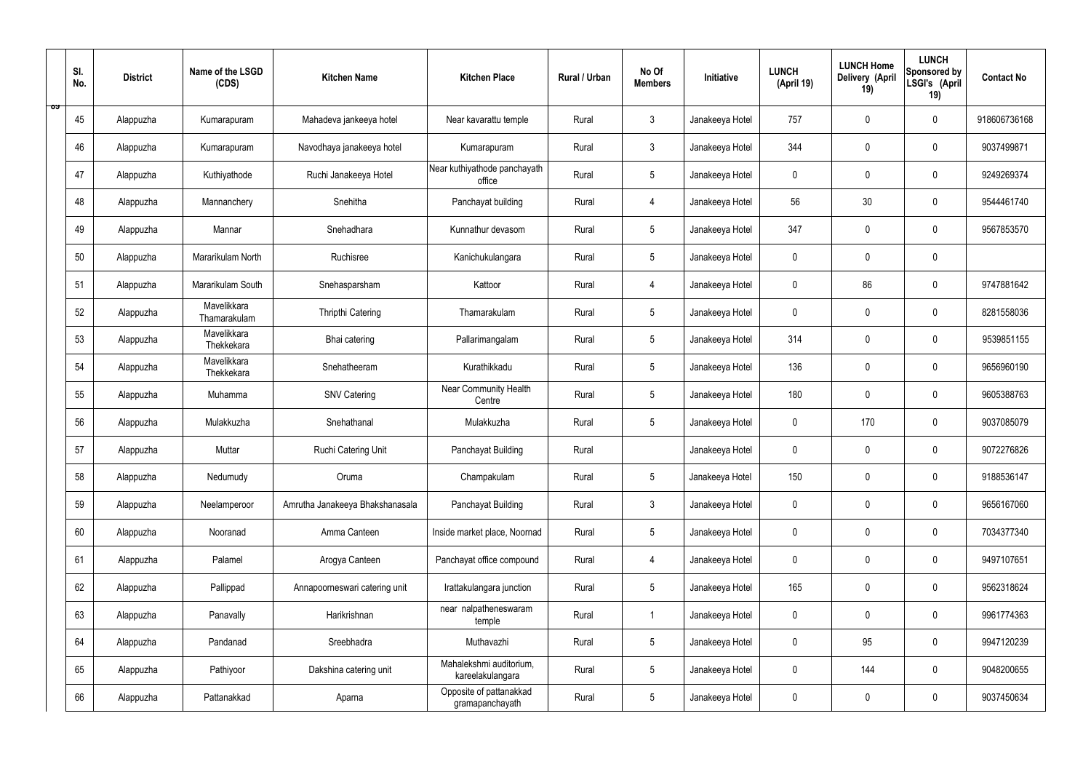|   | SI.<br>No. | <b>District</b> | Name of the LSGD<br>(CDS)   | <b>Kitchen Name</b>             | <b>Kitchen Place</b>                        | Rural / Urban | No Of<br><b>Members</b> | Initiative      | <b>LUNCH</b><br>(April 19) | <b>LUNCH Home</b><br>Delivery (April<br>19) | <b>LUNCH</b><br>Sponsored by<br>LSGI's (April<br>19) | <b>Contact No</b> |
|---|------------|-----------------|-----------------------------|---------------------------------|---------------------------------------------|---------------|-------------------------|-----------------|----------------------------|---------------------------------------------|------------------------------------------------------|-------------------|
| ಾ | 45         | Alappuzha       | Kumarapuram                 | Mahadeva jankeeya hotel         | Near kavarattu temple                       | Rural         | $\mathbf{3}$            | Janakeeya Hotel | 757                        | $\mathbf 0$                                 | $\mathbf 0$                                          | 918606736168      |
|   | 46         | Alappuzha       | Kumarapuram                 | Navodhaya janakeeya hotel       | Kumarapuram                                 | Rural         | $\mathbf{3}$            | Janakeeya Hotel | 344                        | $\mathbf 0$                                 | $\mathbf 0$                                          | 9037499871        |
|   | 47         | Alappuzha       | Kuthiyathode                | Ruchi Janakeeya Hotel           | Near kuthiyathode panchayath<br>office      | Rural         | $5\overline{)}$         | Janakeeya Hotel | $\mathbf 0$                | $\mathbf 0$                                 | $\mathbf 0$                                          | 9249269374        |
|   | 48         | Alappuzha       | Mannanchery                 | Snehitha                        | Panchayat building                          | Rural         | 4                       | Janakeeya Hotel | 56                         | 30                                          | $\mathbf 0$                                          | 9544461740        |
|   | 49         | Alappuzha       | Mannar                      | Snehadhara                      | Kunnathur devasom                           | Rural         | $5\phantom{.0}$         | Janakeeya Hotel | 347                        | $\mathbf 0$                                 | $\mathbf 0$                                          | 9567853570        |
|   | 50         | Alappuzha       | Mararikulam North           | Ruchisree                       | Kanichukulangara                            | Rural         | $5\phantom{.0}$         | Janakeeya Hotel | $\mathbf 0$                | $\mathbf 0$                                 | $\mathbf 0$                                          |                   |
|   | 51         | Alappuzha       | Mararikulam South           | Snehasparsham                   | Kattoor                                     | Rural         | $\overline{4}$          | Janakeeya Hotel | $\mathbf 0$                | 86                                          | $\mathbf 0$                                          | 9747881642        |
|   | 52         | Alappuzha       | Mavelikkara<br>Thamarakulam | Thripthi Catering               | Thamarakulam                                | Rural         | $5\phantom{.0}$         | Janakeeya Hotel | $\mathbf 0$                | $\mathbf 0$                                 | $\mathbf 0$                                          | 8281558036        |
|   | 53         | Alappuzha       | Mavelikkara<br>Thekkekara   | Bhai catering                   | Pallarimangalam                             | Rural         | $5\phantom{.0}$         | Janakeeya Hotel | 314                        | $\mathbf 0$                                 | $\mathbf 0$                                          | 9539851155        |
|   | 54         | Alappuzha       | Mavelikkara<br>Thekkekara   | Snehatheeram                    | Kurathikkadu                                | Rural         | $5\phantom{.0}$         | Janakeeya Hotel | 136                        | $\mathbf 0$                                 | $\mathbf 0$                                          | 9656960190        |
|   | 55         | Alappuzha       | Muhamma                     | <b>SNV Catering</b>             | Near Community Health<br>Centre             | Rural         | $5\phantom{.0}$         | Janakeeya Hotel | 180                        | $\mathbf 0$                                 | $\mathbf 0$                                          | 9605388763        |
|   | 56         | Alappuzha       | Mulakkuzha                  | Snehathanal                     | Mulakkuzha                                  | Rural         | $5\phantom{.0}$         | Janakeeya Hotel | $\mathbf 0$                | 170                                         | $\mathbf 0$                                          | 9037085079        |
|   | 57         | Alappuzha       | Muttar                      | Ruchi Catering Unit             | Panchayat Building                          | Rural         |                         | Janakeeya Hotel | $\mathbf 0$                | 0                                           | $\mathbf 0$                                          | 9072276826        |
|   | 58         | Alappuzha       | Nedumudy                    | Oruma                           | Champakulam                                 | Rural         | $5\phantom{.0}$         | Janakeeya Hotel | 150                        | $\mathbf 0$                                 | $\mathbf 0$                                          | 9188536147        |
|   | 59         | Alappuzha       | Neelamperoor                | Amrutha Janakeeya Bhakshanasala | Panchayat Building                          | Rural         | $\mathbf{3}$            | Janakeeya Hotel | $\mathbf 0$                | $\mathbf 0$                                 | $\mathbf 0$                                          | 9656167060        |
|   | 60         | Alappuzha       | Nooranad                    | Amma Canteen                    | Inside market place, Noornad                | Rural         | $5\overline{)}$         | Janakeeya Hotel | $\pmb{0}$                  | $\pmb{0}$                                   | $\mathbf 0$                                          | 7034377340        |
|   | 61         | Alappuzha       | Palamel                     | Arogya Canteen                  | Panchayat office compound                   | Rural         | $\overline{4}$          | Janakeeya Hotel | $\pmb{0}$                  | $\pmb{0}$                                   | $\mathbf 0$                                          | 9497107651        |
|   | 62         | Alappuzha       | Pallippad                   | Annapoorneswari catering unit   | Irattakulangara junction                    | Rural         | $5\phantom{.0}$         | Janakeeya Hotel | 165                        | $\pmb{0}$                                   | $\mathbf 0$                                          | 9562318624        |
|   | 63         | Alappuzha       | Panavally                   | Harikrishnan                    | near nalpatheneswaram<br>temple             | Rural         | $\mathbf{1}$            | Janakeeya Hotel | $\pmb{0}$                  | $\pmb{0}$                                   | $\mathbf 0$                                          | 9961774363        |
|   | 64         | Alappuzha       | Pandanad                    | Sreebhadra                      | Muthavazhi                                  | Rural         | $5\phantom{.0}$         | Janakeeya Hotel | $\pmb{0}$                  | 95                                          | $\mathbf 0$                                          | 9947120239        |
|   | 65         | Alappuzha       | Pathiyoor                   | Dakshina catering unit          | Mahalekshmi auditorium,<br>kareelakulangara | Rural         | $5\phantom{.0}$         | Janakeeya Hotel | $\pmb{0}$                  | 144                                         | $\mathbf 0$                                          | 9048200655        |
|   | 66         | Alappuzha       | Pattanakkad                 | Aparna                          | Opposite of pattanakkad<br>gramapanchayath  | Rural         | $5\phantom{.0}$         | Janakeeya Hotel | 0                          | $\pmb{0}$                                   | $\boldsymbol{0}$                                     | 9037450634        |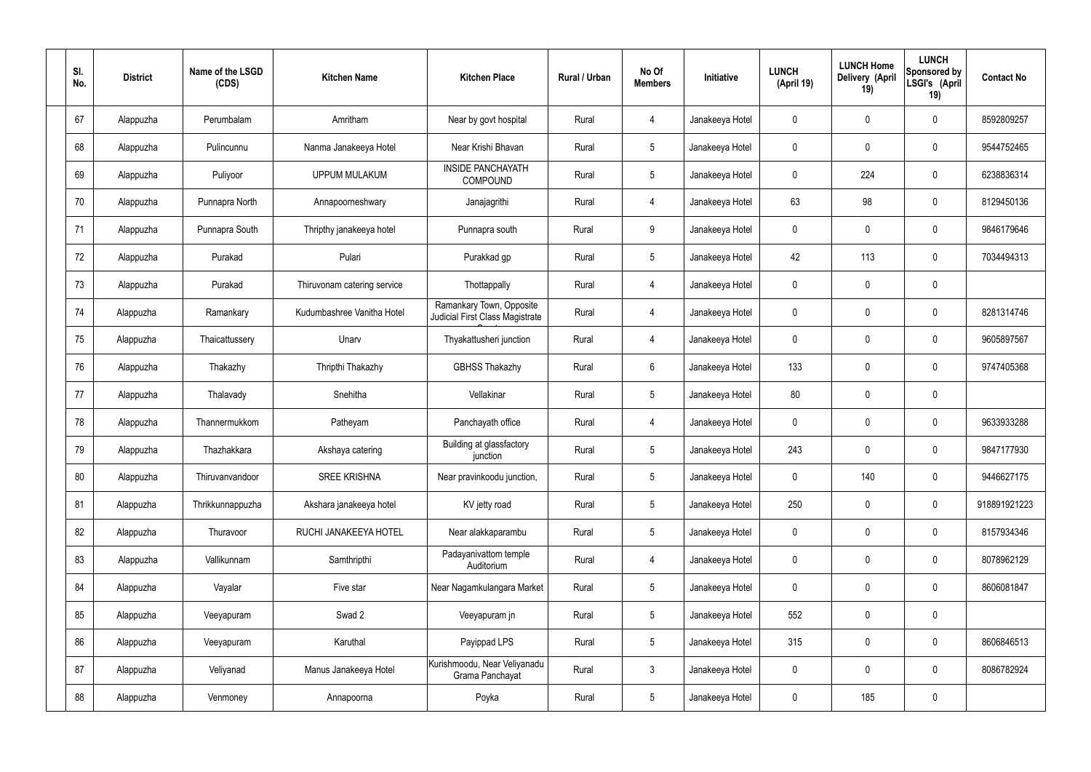| SI.<br>No. | <b>District</b> | Name of the LSGD<br>(CDS) | <b>Kitchen Name</b>         | <b>Kitchen Place</b>                                        | Rural / Urban | No Of<br><b>Members</b> | Initiative      | <b>LUNCH</b><br>(April 19) | <b>LUNCH Home</b><br>Delivery (April<br>19) | <b>LUNCH</b><br>Sponsored by<br>LSGI's (April<br>19) | <b>Contact No</b> |
|------------|-----------------|---------------------------|-----------------------------|-------------------------------------------------------------|---------------|-------------------------|-----------------|----------------------------|---------------------------------------------|------------------------------------------------------|-------------------|
| 67         | Alappuzha       | Perumbalam                | Amritham                    | Near by govt hospital                                       | Rural         | $\overline{4}$          | Janakeeya Hotel | $\mathbf 0$                | $\mathbf 0$                                 | $\pmb{0}$                                            | 8592809257        |
| 68         | Alappuzha       | Pulincunnu                | Nanma Janakeeya Hotel       | Near Krishi Bhavan                                          | Rural         | $5\phantom{.0}$         | Janakeeya Hotel | $\mathbf 0$                | $\mathbf 0$                                 | $\pmb{0}$                                            | 9544752465        |
| 69         | Alappuzha       | Puliyoor                  | <b>UPPUM MULAKUM</b>        | <b>INSIDE PANCHAYATH</b><br>COMPOUND                        | Rural         | $5\phantom{.0}$         | Janakeeya Hotel | $\mathbf 0$                | 224                                         | $\pmb{0}$                                            | 6238836314        |
| 70         | Alappuzha       | Punnapra North            | Annapoorneshwary            | Janajagrithi                                                | Rural         | $\overline{4}$          | Janakeeya Hotel | 63                         | 98                                          | $\pmb{0}$                                            | 8129450136        |
| 71         | Alappuzha       | Punnapra South            | Thripthy janakeeya hotel    | Punnapra south                                              | Rural         | 9                       | Janakeeya Hotel | $\mathbf 0$                | $\mathbf 0$                                 | $\pmb{0}$                                            | 9846179646        |
| 72         | Alappuzha       | Purakad                   | Pulari                      | Purakkad gp                                                 | Rural         | $5\phantom{.0}$         | Janakeeya Hotel | 42                         | 113                                         | $\pmb{0}$                                            | 7034494313        |
| 73         | Alappuzha       | Purakad                   | Thiruvonam catering service | Thottappally                                                | Rural         | $\overline{4}$          | Janakeeya Hotel | $\mathbf 0$                | $\mathbf 0$                                 | $\pmb{0}$                                            |                   |
| 74         | Alappuzha       | Ramankary                 | Kudumbashree Vanitha Hotel  | Ramankary Town, Opposite<br>Judicial First Class Magistrate | Rural         | 4                       | Janakeeya Hotel | $\mathbf 0$                | $\mathbf 0$                                 | $\pmb{0}$                                            | 8281314746        |
| 75         | Alappuzha       | Thaicattussery            | Unarv                       | Thyakattusheri junction                                     | Rural         | 4                       | Janakeeya Hotel | $\mathbf 0$                | $\mathbf 0$                                 | $\pmb{0}$                                            | 9605897567        |
| 76         | Alappuzha       | Thakazhy                  | Thripthi Thakazhy           | <b>GBHSS Thakazhy</b>                                       | Rural         | $6\phantom{.}6$         | Janakeeya Hotel | 133                        | $\mathbf 0$                                 | $\pmb{0}$                                            | 9747405368        |
| 77         | Alappuzha       | Thalavady                 | Snehitha                    | Vellakinar                                                  | Rural         | $5\phantom{.0}$         | Janakeeya Hotel | 80                         | $\pmb{0}$                                   | $\pmb{0}$                                            |                   |
| 78         | Alappuzha       | Thannermukkom             | Patheyam                    | Panchayath office                                           | Rural         | 4                       | Janakeeya Hotel | $\mathbf 0$                | $\mathbf 0$                                 | $\pmb{0}$                                            | 9633933288        |
| 79         | Alappuzha       | Thazhakkara               | Akshaya catering            | Building at glassfactory<br>junction                        | Rural         | 5                       | Janakeeya Hotel | 243                        | $\mathbf 0$                                 | $\mathbf 0$                                          | 9847177930        |
| 80         | Alappuzha       | Thiruvanvandoor           | <b>SREE KRISHNA</b>         | Near pravinkoodu junction,                                  | Rural         | 5 <sub>5</sub>          | Janakeeya Hotel | $\pmb{0}$                  | 140                                         | $\pmb{0}$                                            | 9446627175        |
| 81         | Alappuzha       | Thrikkunnappuzha          | Akshara janakeeya hotel     | KV jetty road                                               | Rural         | 5 <sup>5</sup>          | Janakeeya Hotel | 250                        | $\pmb{0}$                                   | $\mathbf 0$                                          | 918891921223      |
| 82         | Alappuzha       | Thuravoor                 | RUCHI JANAKEEYA HOTEL       | Near alakkaparambu                                          | Rural         | 5 <sup>5</sup>          | Janakeeya Hotel | $\pmb{0}$                  | $\pmb{0}$                                   | $\mathbf 0$                                          | 8157934346        |
| 83         | Alappuzha       | Vallikunnam               | Samthripthi                 | Padayanivattom temple<br>Auditorium                         | Rural         | $\overline{4}$          | Janakeeya Hotel | $\mathbf 0$                | $\pmb{0}$                                   | $\mathbf 0$                                          | 8078962129        |
| 84         | Alappuzha       | Vayalar                   | Five star                   | Near Nagamkulangara Market                                  | Rural         | 5 <sup>5</sup>          | Janakeeya Hotel | $\pmb{0}$                  | $\pmb{0}$                                   | $\mathbf 0$                                          | 8606081847        |
| 85         | Alappuzha       | Veeyapuram                | Swad 2                      | Veeyapuram jn                                               | Rural         | 5 <sup>5</sup>          | Janakeeya Hotel | 552                        | $\pmb{0}$                                   | $\mathbf 0$                                          |                   |
| 86         | Alappuzha       | Veeyapuram                | Karuthal                    | Payippad LPS                                                | Rural         | 5 <sub>5</sub>          | Janakeeya Hotel | 315                        | $\pmb{0}$                                   | $\mathbf 0$                                          | 8606846513        |
| 87         | Alappuzha       | Veliyanad                 | Manus Janakeeya Hotel       | Kurishmoodu, Near Veliyanadu<br>Grama Panchayat             | Rural         | $\mathbf{3}$            | Janakeeya Hotel | $\mathbf 0$                | $\pmb{0}$                                   | $\mathbf 0$                                          | 8086782924        |
| 88         | Alappuzha       | Venmoney                  | Annapoorna                  | Poyka                                                       | Rural         | 5 <sub>5</sub>          | Janakeeya Hotel | 0                          | 185                                         | $\pmb{0}$                                            |                   |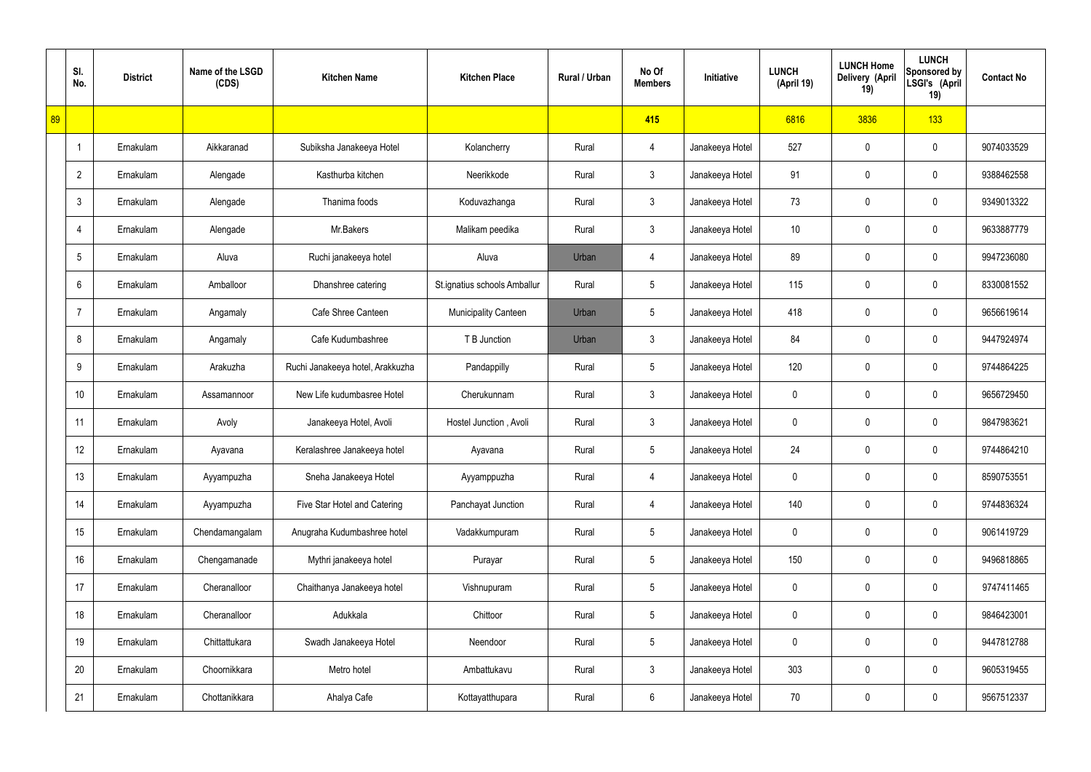|    | SI.<br>No.      | <b>District</b> | Name of the LSGD<br>(CDS) | <b>Kitchen Name</b>              | <b>Kitchen Place</b>         | Rural / Urban | No Of<br><b>Members</b> | Initiative      | <b>LUNCH</b><br>(April 19) | <b>LUNCH Home</b><br>Delivery (April<br>19) | <b>LUNCH</b><br>Sponsored by<br>LSGI's (April<br>19) | <b>Contact No</b> |
|----|-----------------|-----------------|---------------------------|----------------------------------|------------------------------|---------------|-------------------------|-----------------|----------------------------|---------------------------------------------|------------------------------------------------------|-------------------|
| 89 |                 |                 |                           |                                  |                              |               | 415                     |                 | 6816                       | 3836                                        | 133                                                  |                   |
|    | $\overline{1}$  | Ernakulam       | Aikkaranad                | Subiksha Janakeeya Hotel         | Kolancherry                  | Rural         | 4                       | Janakeeya Hotel | 527                        | 0                                           | $\boldsymbol{0}$                                     | 9074033529        |
|    | $\overline{2}$  | Ernakulam       | Alengade                  | Kasthurba kitchen                | Neerikkode                   | Rural         | $\mathbf{3}$            | Janakeeya Hotel | 91                         | 0                                           | $\boldsymbol{0}$                                     | 9388462558        |
|    | $\mathbf{3}$    | Ernakulam       | Alengade                  | Thanima foods                    | Koduvazhanga                 | Rural         | $\mathfrak{Z}$          | Janakeeya Hotel | 73                         | 0                                           | $\boldsymbol{0}$                                     | 9349013322        |
|    | $\overline{4}$  | Ernakulam       | Alengade                  | Mr.Bakers                        | Malikam peedika              | Rural         | $\mathbf{3}$            | Janakeeya Hotel | 10 <sup>°</sup>            | 0                                           | $\boldsymbol{0}$                                     | 9633887779        |
|    | $5\phantom{.0}$ | Ernakulam       | Aluva                     | Ruchi janakeeya hotel            | Aluva                        | Urban         | 4                       | Janakeeya Hotel | 89                         | 0                                           | $\boldsymbol{0}$                                     | 9947236080        |
|    | 6               | Ernakulam       | Amballoor                 | Dhanshree catering               | St.ignatius schools Amballur | Rural         | $5\phantom{.0}$         | Janakeeya Hotel | 115                        | 0                                           | $\boldsymbol{0}$                                     | 8330081552        |
|    | $\overline{7}$  | Ernakulam       | Angamaly                  | Cafe Shree Canteen               | <b>Municipality Canteen</b>  | Urban         | $5\phantom{.0}$         | Janakeeya Hotel | 418                        | 0                                           | $\boldsymbol{0}$                                     | 9656619614        |
|    | 8               | Ernakulam       | Angamaly                  | Cafe Kudumbashree                | T B Junction                 | Urban         | $\mathfrak{Z}$          | Janakeeya Hotel | 84                         | 0                                           | $\boldsymbol{0}$                                     | 9447924974        |
|    | 9               | Ernakulam       | Arakuzha                  | Ruchi Janakeeya hotel, Arakkuzha | Pandappilly                  | Rural         | $5\phantom{.0}$         | Janakeeya Hotel | 120                        | 0                                           | $\mathbf 0$                                          | 9744864225        |
|    | 10              | Ernakulam       | Assamannoor               | New Life kudumbasree Hotel       | Cherukunnam                  | Rural         | $\mathfrak{Z}$          | Janakeeya Hotel | 0                          | 0                                           | $\boldsymbol{0}$                                     | 9656729450        |
|    | 11              | Ernakulam       | Avoly                     | Janakeeya Hotel, Avoli           | Hostel Junction, Avoli       | Rural         | $\mathfrak{Z}$          | Janakeeya Hotel | 0                          | 0                                           | $\mathbf 0$                                          | 9847983621        |
|    | 12              | Ernakulam       | Ayavana                   | Keralashree Janakeeya hotel      | Ayavana                      | Rural         | $5\phantom{.0}$         | Janakeeya Hotel | 24                         | 0                                           | $\mathbf 0$                                          | 9744864210        |
|    | 13              | Ernakulam       | Ayyampuzha                | Sneha Janakeeya Hotel            | Ayyamppuzha                  | Rural         | $\overline{4}$          | Janakeeya Hotel | 0                          | 0                                           | $\mathbf 0$                                          | 8590753551        |
|    | 14              | Ernakulam       | Ayyampuzha                | Five Star Hotel and Catering     | Panchayat Junction           | Rural         | 4                       | Janakeeya Hotel | 140                        | 0                                           | $\mathbf 0$                                          | 9744836324        |
|    | 15              | Ernakulam       | Chendamangalam            | Anugraha Kudumbashree hotel      | Vadakkumpuram                | Rural         | $5\,$                   | Janakeeya Hotel | 0                          | 0                                           | $\mathbf 0$                                          | 9061419729        |
|    | 16              | Ernakulam       | Chengamanade              | Mythri janakeeya hotel           | Purayar                      | Rural         | $5\,$                   | Janakeeya Hotel | 150                        | 0                                           | $\mathbf 0$                                          | 9496818865        |
|    | 17              | Ernakulam       | Cheranalloor              | Chaithanya Janakeeya hotel       | Vishnupuram                  | Rural         | $5\,$                   | Janakeeya Hotel | 0                          | 0                                           | $\mathbf 0$                                          | 9747411465        |
|    | 18              | Ernakulam       | Cheranalloor              | Adukkala                         | Chittoor                     | Rural         | $5\,$                   | Janakeeya Hotel | 0                          | 0                                           | $\mathbf 0$                                          | 9846423001        |
|    | 19              | Ernakulam       | Chittattukara             | Swadh Janakeeya Hotel            | Neendoor                     | Rural         | $5\,$                   | Janakeeya Hotel | 0                          | 0                                           | $\mathbf 0$                                          | 9447812788        |
|    | 20              | Ernakulam       | Choornikkara              | Metro hotel                      | Ambattukavu                  | Rural         | $\mathfrak{Z}$          | Janakeeya Hotel | 303                        | 0                                           | $\mathbf 0$                                          | 9605319455        |
|    | 21              | Ernakulam       | Chottanikkara             | Ahalya Cafe                      | Kottayatthupara              | Rural         | $6\overline{6}$         | Janakeeya Hotel | 70                         | 0                                           | $\boldsymbol{0}$                                     | 9567512337        |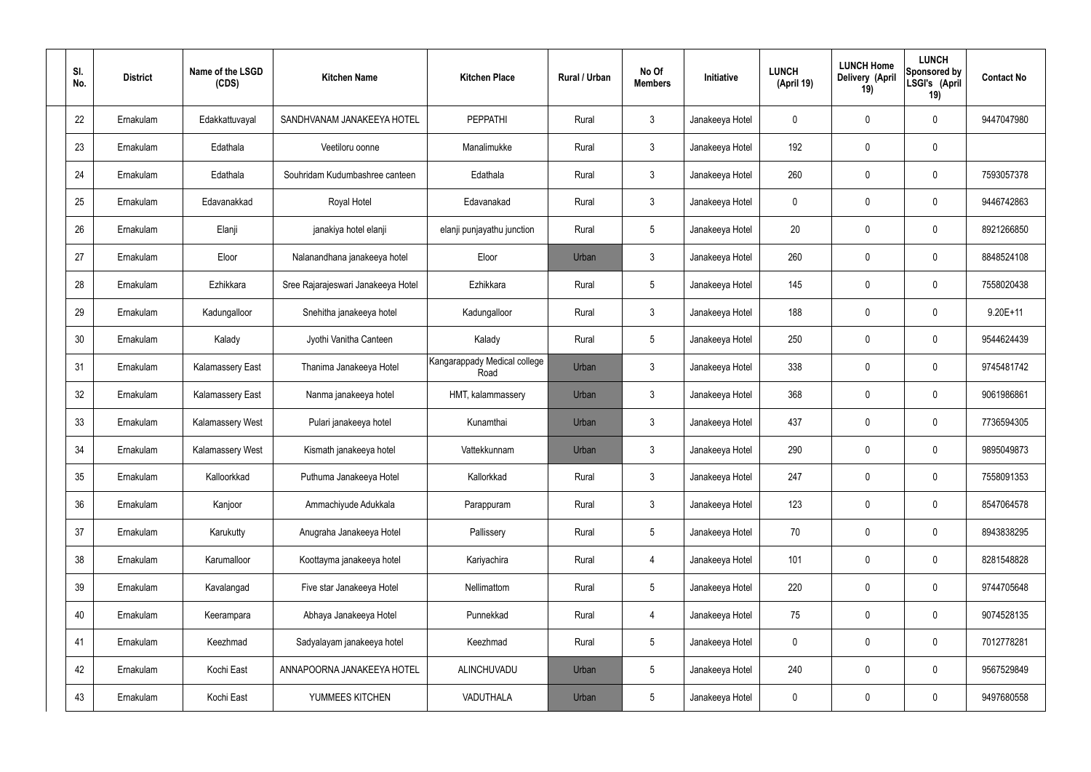| SI.<br>No. | <b>District</b> | Name of the LSGD<br>(CDS) | <b>Kitchen Name</b>                | <b>Kitchen Place</b>                 | Rural / Urban | No Of<br><b>Members</b> | Initiative      | <b>LUNCH</b><br>(April 19) | <b>LUNCH Home</b><br>Delivery (April<br>19) | <b>LUNCH</b><br>Sponsored by<br>LSGI's (April<br>19) | <b>Contact No</b> |
|------------|-----------------|---------------------------|------------------------------------|--------------------------------------|---------------|-------------------------|-----------------|----------------------------|---------------------------------------------|------------------------------------------------------|-------------------|
| 22         | Ernakulam       | Edakkattuvayal            | SANDHVANAM JANAKEEYA HOTEL         | <b>PEPPATHI</b>                      | Rural         | $\mathbf{3}$            | Janakeeya Hotel | 0                          | 0                                           | 0                                                    | 9447047980        |
| 23         | Ernakulam       | Edathala                  | Veetiloru oonne                    | Manalimukke                          | Rural         | $\mathbf{3}$            | Janakeeya Hotel | 192                        | 0                                           | $\mathbf 0$                                          |                   |
| 24         | Ernakulam       | Edathala                  | Souhridam Kudumbashree canteen     | Edathala                             | Rural         | $\mathbf{3}$            | Janakeeya Hotel | 260                        | 0                                           | $\mathbf 0$                                          | 7593057378        |
| 25         | Ernakulam       | Edavanakkad               | Royal Hotel                        | Edavanakad                           | Rural         | $\mathbf{3}$            | Janakeeya Hotel | $\mathbf 0$                | 0                                           | $\boldsymbol{0}$                                     | 9446742863        |
| 26         | Ernakulam       | Elanji                    | janakiya hotel elanji              | elanji punjayathu junction           | Rural         | $5\phantom{.0}$         | Janakeeya Hotel | 20                         | 0                                           | $\mathbf 0$                                          | 8921266850        |
| 27         | Ernakulam       | Eloor                     | Nalanandhana janakeeya hotel       | Eloor                                | Urban         | $\mathbf{3}$            | Janakeeya Hotel | 260                        | 0                                           | $\mathbf 0$                                          | 8848524108        |
| 28         | Ernakulam       | Ezhikkara                 | Sree Rajarajeswari Janakeeya Hotel | Ezhikkara                            | Rural         | $5\phantom{.0}$         | Janakeeya Hotel | 145                        | 0                                           | $\mathbf 0$                                          | 7558020438        |
| 29         | Ernakulam       | Kadungalloor              | Snehitha janakeeya hotel           | Kadungalloor                         | Rural         | $\mathbf{3}$            | Janakeeya Hotel | 188                        | 0                                           | $\boldsymbol{0}$                                     | $9.20E+11$        |
| 30         | Ernakulam       | Kalady                    | Jyothi Vanitha Canteen             | Kalady                               | Rural         | $5\phantom{.0}$         | Janakeeya Hotel | 250                        | 0                                           | $\mathbf 0$                                          | 9544624439        |
| 31         | Ernakulam       | <b>Kalamassery East</b>   | Thanima Janakeeya Hotel            | Kangarappady Medical college<br>Road | Urban         | $\mathbf{3}$            | Janakeeya Hotel | 338                        | 0                                           | $\mathbf 0$                                          | 9745481742        |
| 32         | Ernakulam       | <b>Kalamassery East</b>   | Nanma janakeeya hotel              | HMT, kalammassery                    | Urban         | $\mathbf{3}$            | Janakeeya Hotel | 368                        | $\boldsymbol{0}$                            | $\mathbf 0$                                          | 9061986861        |
| 33         | Ernakulam       | <b>Kalamassery West</b>   | Pulari janakeeya hotel             | Kunamthai                            | Urban         | $\mathbf{3}$            | Janakeeya Hotel | 437                        | 0                                           | $\mathbf 0$                                          | 7736594305        |
| 34         | Ernakulam       | <b>Kalamassery West</b>   | Kismath janakeeya hotel            | Vattekkunnam                         | Urban         | $\mathbf{3}$            | Janakeeya Hotel | 290                        | $\boldsymbol{0}$                            | 0                                                    | 9895049873        |
| 35         | Ernakulam       | Kalloorkkad               | Puthuma Janakeeya Hotel            | Kallorkkad                           | Rural         | $\mathbf{3}$            | Janakeeya Hotel | 247                        | $\mathbf 0$                                 | $\pmb{0}$                                            | 7558091353        |
| 36         | Ernakulam       | Kanjoor                   | Ammachiyude Adukkala               | Parappuram                           | Rural         | 3 <sup>1</sup>          | Janakeeya Hotel | 123                        | 0                                           | $\mathbf 0$                                          | 8547064578        |
| 37         | Ernakulam       | Karukutty                 | Anugraha Janakeeya Hotel           | Pallissery                           | Rural         | $5\phantom{.0}$         | Janakeeya Hotel | 70                         | 0                                           | $\mathbf 0$                                          | 8943838295        |
| 38         | Ernakulam       | Karumalloor               | Koottayma janakeeya hotel          | Kariyachira                          | Rural         | $\overline{4}$          | Janakeeya Hotel | 101                        | 0                                           | $\mathbf 0$                                          | 8281548828        |
| 39         | Ernakulam       | Kavalangad                | Five star Janakeeya Hotel          | Nellimattom                          | Rural         | $5\phantom{.0}$         | Janakeeya Hotel | 220                        | 0                                           | $\mathbf 0$                                          | 9744705648        |
| 40         | Ernakulam       | Keerampara                | Abhaya Janakeeya Hotel             | Punnekkad                            | Rural         | $\overline{4}$          | Janakeeya Hotel | 75                         | 0                                           | $\mathbf 0$                                          | 9074528135        |
| 41         | Ernakulam       | Keezhmad                  | Sadyalayam janakeeya hotel         | Keezhmad                             | Rural         | $5\phantom{.0}$         | Janakeeya Hotel | 0                          | 0                                           | $\mathbf 0$                                          | 7012778281        |
| 42         | Ernakulam       | Kochi East                | ANNAPOORNA JANAKEEYA HOTEL         | ALINCHUVADU                          | Urban         | $5\phantom{.0}$         | Janakeeya Hotel | 240                        | 0                                           | $\mathbf 0$                                          | 9567529849        |
| 43         | Ernakulam       | Kochi East                | YUMMEES KITCHEN                    | VADUTHALA                            | Urban         | $5\phantom{.0}$         | Janakeeya Hotel | 0                          | 0                                           | $\boldsymbol{0}$                                     | 9497680558        |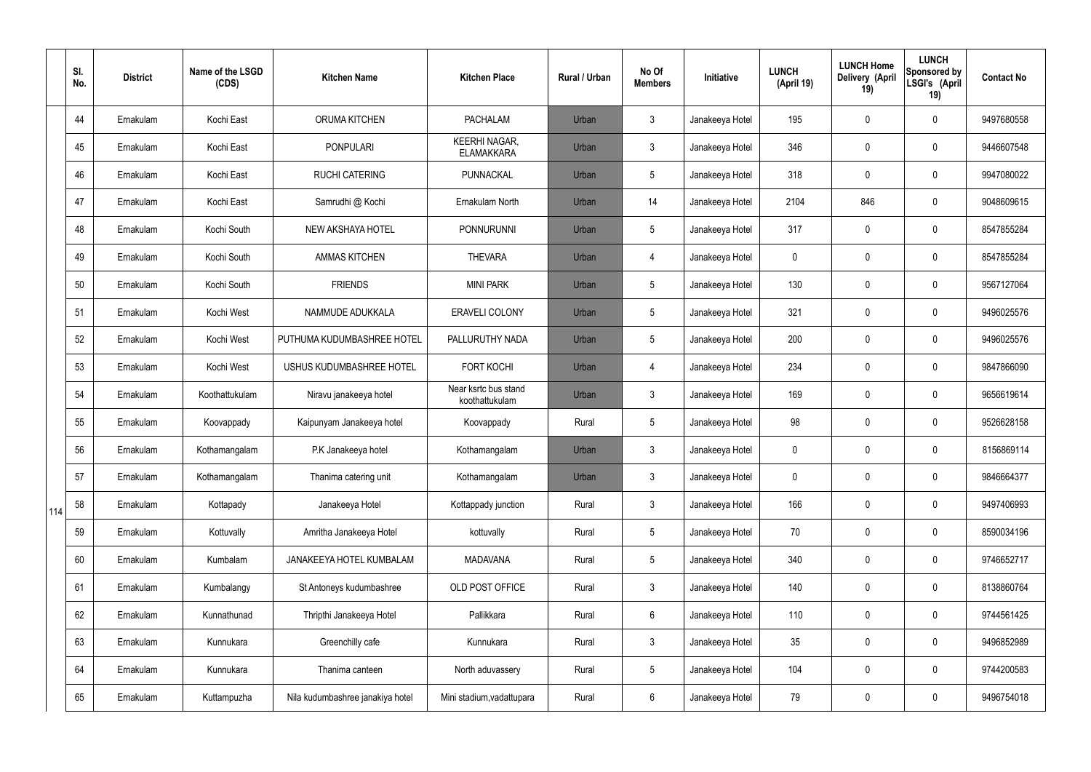|     | SI.<br>No. | <b>District</b> | Name of the LSGD<br>(CDS) | <b>Kitchen Name</b>              | <b>Kitchen Place</b>                      | <b>Rural / Urban</b> | No Of<br><b>Members</b> | Initiative      | <b>LUNCH</b><br>(April 19) | <b>LUNCH Home</b><br>Delivery (April<br>19) | <b>LUNCH</b><br><b>Sponsored by</b><br>LSGI's (April<br>19) | <b>Contact No</b> |
|-----|------------|-----------------|---------------------------|----------------------------------|-------------------------------------------|----------------------|-------------------------|-----------------|----------------------------|---------------------------------------------|-------------------------------------------------------------|-------------------|
|     | 44         | Ernakulam       | Kochi East                | ORUMA KITCHEN                    | <b>PACHALAM</b>                           | Urban                | $\mathbf{3}$            | Janakeeya Hotel | 195                        | 0                                           | $\mathbf 0$                                                 | 9497680558        |
|     | 45         | Ernakulam       | Kochi East                | <b>PONPULARI</b>                 | <b>KEERHI NAGAR,</b><br><b>ELAMAKKARA</b> | Urban                | $\mathfrak{Z}$          | Janakeeya Hotel | 346                        | 0                                           | $\boldsymbol{0}$                                            | 9446607548        |
|     | 46         | Ernakulam       | Kochi East                | <b>RUCHI CATERING</b>            | PUNNACKAL                                 | Urban                | 5                       | Janakeeya Hotel | 318                        | 0                                           | $\mathbf 0$                                                 | 9947080022        |
|     | 47         | Ernakulam       | Kochi East                | Samrudhi @ Kochi                 | Ernakulam North                           | Urban                | 14                      | Janakeeya Hotel | 2104                       | 846                                         | $\pmb{0}$                                                   | 9048609615        |
|     | 48         | Ernakulam       | Kochi South               | NEW AKSHAYA HOTEL                | <b>PONNURUNNI</b>                         | Urban                | 5                       | Janakeeya Hotel | 317                        | 0                                           | $\mathbf 0$                                                 | 8547855284        |
|     | 49         | Ernakulam       | Kochi South               | <b>AMMAS KITCHEN</b>             | <b>THEVARA</b>                            | Urban                | $\overline{4}$          | Janakeeya Hotel | 0                          | 0                                           | $\mathbf 0$                                                 | 8547855284        |
|     | 50         | Ernakulam       | Kochi South               | <b>FRIENDS</b>                   | <b>MINI PARK</b>                          | Urban                | 5                       | Janakeeya Hotel | 130                        | 0                                           | $\mathbf 0$                                                 | 9567127064        |
|     | 51         | Ernakulam       | Kochi West                | NAMMUDE ADUKKALA                 | <b>ERAVELI COLONY</b>                     | Urban                | 5                       | Janakeeya Hotel | 321                        | 0                                           | $\mathbf 0$                                                 | 9496025576        |
|     | 52         | Ernakulam       | Kochi West                | PUTHUMA KUDUMBASHREE HOTEL       | PALLURUTHY NADA                           | Urban                | 5                       | Janakeeya Hotel | 200                        | 0                                           | $\mathbf 0$                                                 | 9496025576        |
|     | 53         | Ernakulam       | Kochi West                | USHUS KUDUMBASHREE HOTEL         | <b>FORT KOCHI</b>                         | Urban                | $\overline{4}$          | Janakeeya Hotel | 234                        | 0                                           | $\pmb{0}$                                                   | 9847866090        |
|     | 54         | Ernakulam       | Koothattukulam            | Niravu janakeeya hotel           | Near ksrtc bus stand<br>koothattukulam    | Urban                | $\mathfrak{Z}$          | Janakeeya Hotel | 169                        | 0                                           | $\pmb{0}$                                                   | 9656619614        |
|     | 55         | Ernakulam       | Koovappady                | Kaipunyam Janakeeya hotel        | Koovappady                                | Rural                | 5                       | Janakeeya Hotel | 98                         | 0                                           | $\boldsymbol{0}$                                            | 9526628158        |
|     | 56         | Ernakulam       | Kothamangalam             | P.K Janakeeya hotel              | Kothamangalam                             | Urban                | $\mathbf{3}$            | Janakeeya Hotel | 0                          | 0                                           | $\mathbf 0$                                                 | 8156869114        |
|     | 57         | Ernakulam       | Kothamangalam             | Thanima catering unit            | Kothamangalam                             | Urban                | $\mathbf{3}$            | Janakeeya Hotel | 0                          | 0                                           | $\mathbf 0$                                                 | 9846664377        |
| 114 | 58         | Ernakulam       | Kottapady                 | Janakeeya Hotel                  | Kottappady junction                       | Rural                | $\mathbf{3}$            | Janakeeya Hotel | 166                        | 0                                           | $\mathbf 0$                                                 | 9497406993        |
|     | 59         | Ernakulam       | Kottuvally                | Amritha Janakeeya Hotel          | kottuvally                                | Rural                | 5                       | Janakeeya Hotel | 70                         | 0                                           | $\mathbf 0$                                                 | 8590034196        |
|     | 60         | Ernakulam       | Kumbalam                  | JANAKEEYA HOTEL KUMBALAM         | <b>MADAVANA</b>                           | Rural                | 5                       | Janakeeya Hotel | 340                        | 0                                           | $\pmb{0}$                                                   | 9746652717        |
|     | 61         | Ernakulam       | Kumbalangy                | St Antoneys kudumbashree         | OLD POST OFFICE                           | Rural                | $\mathbf{3}$            | Janakeeya Hotel | 140                        | 0                                           | $\pmb{0}$                                                   | 8138860764        |
|     | 62         | Ernakulam       | Kunnathunad               | Thripthi Janakeeya Hotel         | Pallikkara                                | Rural                | 6                       | Janakeeya Hotel | 110                        | 0                                           | $\pmb{0}$                                                   | 9744561425        |
|     | 63         | Ernakulam       | Kunnukara                 | Greenchilly cafe                 | Kunnukara                                 | Rural                | $\mathfrak{Z}$          | Janakeeya Hotel | 35 <sub>5</sub>            | 0                                           | $\pmb{0}$                                                   | 9496852989        |
|     | 64         | Ernakulam       | Kunnukara                 | Thanima canteen                  | North aduvassery                          | Rural                | $5\phantom{.0}$         | Janakeeya Hotel | 104                        | 0                                           | $\pmb{0}$                                                   | 9744200583        |
|     | 65         | Ernakulam       | Kuttampuzha               | Nila kudumbashree janakiya hotel | Mini stadium, vadattupara                 | Rural                | $6\phantom{.}$          | Janakeeya Hotel | 79                         | 0                                           | $\pmb{0}$                                                   | 9496754018        |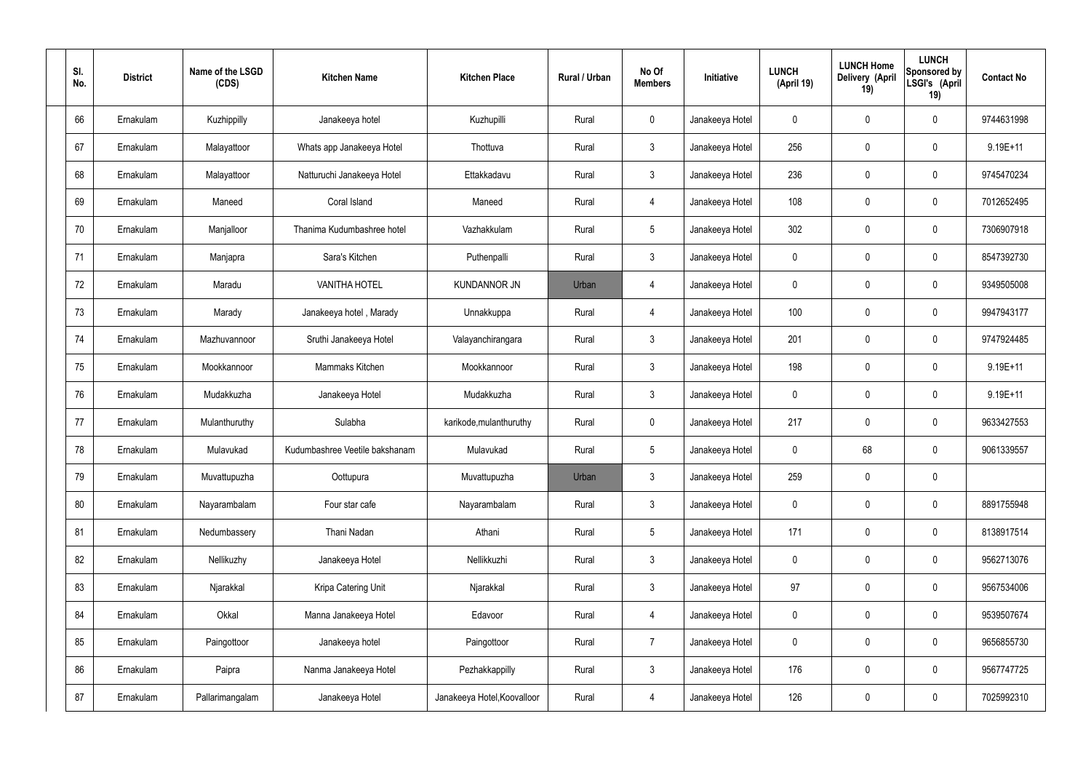| SI.<br>No. | <b>District</b> | Name of the LSGD<br>(CDS) | <b>Kitchen Name</b>            | <b>Kitchen Place</b>        | Rural / Urban | No Of<br><b>Members</b> | Initiative      | <b>LUNCH</b><br>(April 19) | <b>LUNCH Home</b><br>Delivery (April<br>19) | <b>LUNCH</b><br>Sponsored by<br>LSGI's (April<br>19) | <b>Contact No</b> |
|------------|-----------------|---------------------------|--------------------------------|-----------------------------|---------------|-------------------------|-----------------|----------------------------|---------------------------------------------|------------------------------------------------------|-------------------|
| 66         | Ernakulam       | Kuzhippilly               | Janakeeya hotel                | Kuzhupilli                  | Rural         | $\mathbf 0$             | Janakeeya Hotel | 0                          | 0                                           | $\mathbf 0$                                          | 9744631998        |
| 67         | Ernakulam       | Malayattoor               | Whats app Janakeeya Hotel      | Thottuva                    | Rural         | $\mathbf{3}$            | Janakeeya Hotel | 256                        | 0                                           | $\mathbf 0$                                          | 9.19E+11          |
| 68         | Ernakulam       | Malayattoor               | Natturuchi Janakeeya Hotel     | Ettakkadavu                 | Rural         | $\mathbf{3}$            | Janakeeya Hotel | 236                        | 0                                           | $\mathbf 0$                                          | 9745470234        |
| 69         | Ernakulam       | Maneed                    | Coral Island                   | Maneed                      | Rural         | $\overline{4}$          | Janakeeya Hotel | 108                        | 0                                           | $\mathbf 0$                                          | 7012652495        |
| 70         | Ernakulam       | Manjalloor                | Thanima Kudumbashree hotel     | Vazhakkulam                 | Rural         | $5\phantom{.0}$         | Janakeeya Hotel | 302                        | $\boldsymbol{0}$                            | $\mathbf 0$                                          | 7306907918        |
| 71         | Ernakulam       | Manjapra                  | Sara's Kitchen                 | Puthenpalli                 | Rural         | $\mathbf{3}$            | Janakeeya Hotel | $\mathbf 0$                | 0                                           | $\mathbf 0$                                          | 8547392730        |
| 72         | Ernakulam       | Maradu                    | <b>VANITHA HOTEL</b>           | <b>KUNDANNOR JN</b>         | Urban         | $\overline{4}$          | Janakeeya Hotel | $\mathbf 0$                | 0                                           | $\mathbf 0$                                          | 9349505008        |
| 73         | Ernakulam       | Marady                    | Janakeeya hotel, Marady        | Unnakkuppa                  | Rural         | $\overline{4}$          | Janakeeya Hotel | 100                        | 0                                           | $\mathbf 0$                                          | 9947943177        |
| 74         | Ernakulam       | Mazhuvannoor              | Sruthi Janakeeya Hotel         | Valayanchirangara           | Rural         | $\mathbf{3}$            | Janakeeya Hotel | 201                        | $\boldsymbol{0}$                            | $\mathbf 0$                                          | 9747924485        |
| 75         | Ernakulam       | Mookkannoor               | Mammaks Kitchen                | Mookkannoor                 | Rural         | $\mathfrak{Z}$          | Janakeeya Hotel | 198                        | 0                                           | $\mathbf 0$                                          | $9.19E + 11$      |
| 76         | Ernakulam       | Mudakkuzha                | Janakeeya Hotel                | Mudakkuzha                  | Rural         | $\mathbf{3}$            | Janakeeya Hotel | $\mathbf 0$                | 0                                           | $\boldsymbol{0}$                                     | $9.19E + 11$      |
| 77         | Ernakulam       | Mulanthuruthy             | Sulabha                        | karikode, mulanthuruthy     | Rural         | $\mathbf 0$             | Janakeeya Hotel | 217                        | 0                                           | $\boldsymbol{0}$                                     | 9633427553        |
| 78         | Ernakulam       | Mulavukad                 | Kudumbashree Veetile bakshanam | Mulavukad                   | Rural         | $5\phantom{.0}$         | Janakeeya Hotel | 0                          | 68                                          | $\boldsymbol{0}$                                     | 9061339557        |
| 79         | Ernakulam       | Muvattupuzha              | Oottupura                      | Muvattupuzha                | Urban         | 3                       | Janakeeya Hotel | 259                        | $\mathsf{0}$                                | $\pmb{0}$                                            |                   |
| 80         | Ernakulam       | Nayarambalam              | Four star cafe                 | Nayarambalam                | Rural         | $\mathbf{3}$            | Janakeeya Hotel | $\mathbf 0$                | $\mathsf{0}$                                | $\mathbf 0$                                          | 8891755948        |
| 81         | Ernakulam       | Nedumbassery              | Thani Nadan                    | Athani                      | Rural         | $5\phantom{.0}$         | Janakeeya Hotel | 171                        | $\mathbf 0$                                 | $\mathbf 0$                                          | 8138917514        |
| 82         | Ernakulam       | Nellikuzhy                | Janakeeya Hotel                | Nellikkuzhi                 | Rural         | $\mathbf{3}$            | Janakeeya Hotel | $\mathbf 0$                | $\mathsf{0}$                                | $\mathbf 0$                                          | 9562713076        |
| 83         | Ernakulam       | Njarakkal                 | Kripa Catering Unit            | Njarakkal                   | Rural         | $\mathbf{3}$            | Janakeeya Hotel | 97                         | $\mathbf 0$                                 | $\mathbf 0$                                          | 9567534006        |
| 84         | Ernakulam       | Okkal                     | Manna Janakeeya Hotel          | Edavoor                     | Rural         | $\overline{4}$          | Janakeeya Hotel | $\mathbf 0$                | $\mathsf{0}$                                | $\mathbf 0$                                          | 9539507674        |
| 85         | Ernakulam       | Paingottoor               | Janakeeya hotel                | Paingottoor                 | Rural         | $\overline{7}$          | Janakeeya Hotel | $\mathbf 0$                | $\mathbf 0$                                 | $\mathbf 0$                                          | 9656855730        |
| 86         | Ernakulam       | Paipra                    | Nanma Janakeeya Hotel          | Pezhakkappilly              | Rural         | $\mathfrak{Z}$          | Janakeeya Hotel | 176                        | 0                                           | $\mathbf 0$                                          | 9567747725        |
| 87         | Ernakulam       | Pallarimangalam           | Janakeeya Hotel                | Janakeeya Hotel, Koovalloor | Rural         | 4                       | Janakeeya Hotel | 126                        | $\pmb{0}$                                   | $\boldsymbol{0}$                                     | 7025992310        |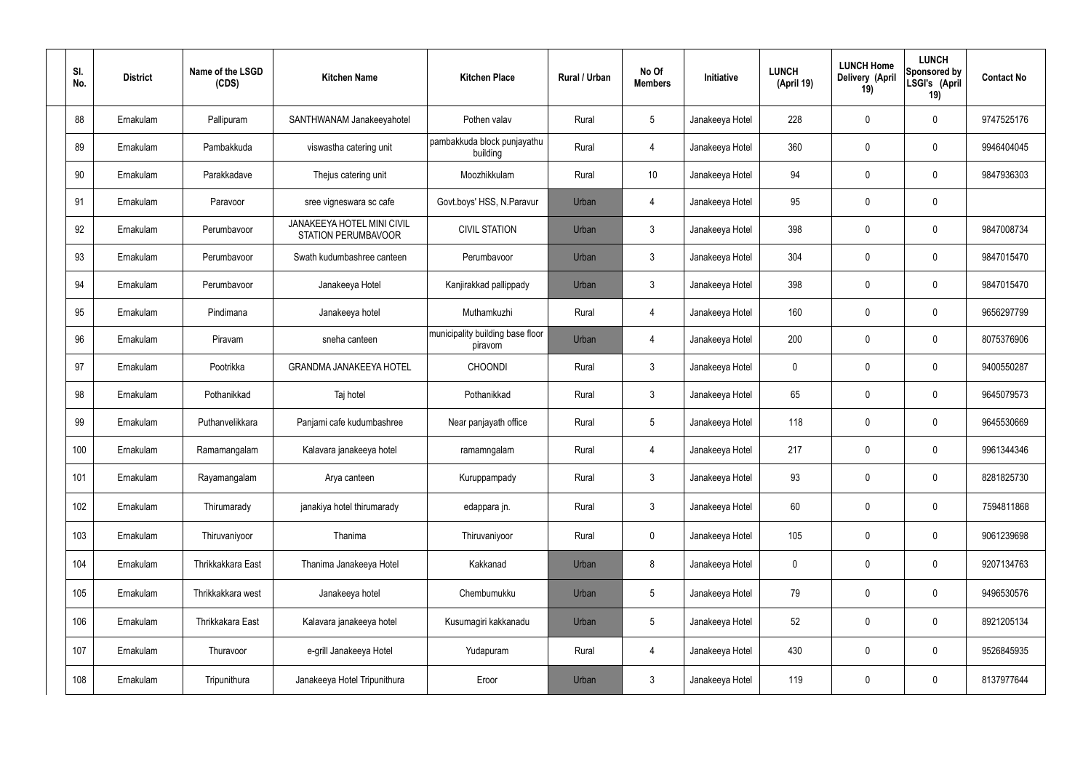| SI.<br>No. | <b>District</b> | Name of the LSGD<br>(CDS) | <b>Kitchen Name</b>                                      | <b>Kitchen Place</b>                        | Rural / Urban | No Of<br><b>Members</b> | Initiative      | <b>LUNCH</b><br>(April 19) | <b>LUNCH Home</b><br><b>Delivery (April</b><br>19) | <b>LUNCH</b><br>Sponsored by<br>LSGI's (April<br>19) | <b>Contact No</b> |
|------------|-----------------|---------------------------|----------------------------------------------------------|---------------------------------------------|---------------|-------------------------|-----------------|----------------------------|----------------------------------------------------|------------------------------------------------------|-------------------|
| 88         | Ernakulam       | Pallipuram                | SANTHWANAM Janakeeyahotel                                | Pothen valav                                | Rural         | $5\phantom{.0}$         | Janakeeya Hotel | 228                        | 0                                                  | $\mathbf 0$                                          | 9747525176        |
| 89         | Ernakulam       | Pambakkuda                | viswastha catering unit                                  | pambakkuda block punjayathu<br>building     | Rural         | $\overline{4}$          | Janakeeya Hotel | 360                        | 0                                                  | $\pmb{0}$                                            | 9946404045        |
| 90         | Ernakulam       | Parakkadave               | Thejus catering unit                                     | Moozhikkulam                                | Rural         | 10                      | Janakeeya Hotel | 94                         | 0                                                  | $\mathbf 0$                                          | 9847936303        |
| 91         | Ernakulam       | Paravoor                  | sree vigneswara sc cafe                                  | Govt.boys' HSS, N.Paravur                   | Urban         | 4                       | Janakeeya Hotel | 95                         | 0                                                  | $\pmb{0}$                                            |                   |
| 92         | Ernakulam       | Perumbavoor               | <b>JANAKEEYA HOTEL MINI CIVIL</b><br>STATION PERUMBAVOOR | <b>CIVIL STATION</b>                        | Urban         | $\mathfrak{Z}$          | Janakeeya Hotel | 398                        | 0                                                  | $\mathbf 0$                                          | 9847008734        |
| 93         | Ernakulam       | Perumbayoor               | Swath kudumbashree canteen                               | Perumbavoor                                 | Urban         | $\mathbf{3}$            | Janakeeya Hotel | 304                        | 0                                                  | $\pmb{0}$                                            | 9847015470        |
| 94         | Ernakulam       | Perumbavoor               | Janakeeya Hotel                                          | Kanjirakkad pallippady                      | Urban         | $\mathfrak{Z}$          | Janakeeya Hotel | 398                        | 0                                                  | $\mathbf 0$                                          | 9847015470        |
| 95         | Ernakulam       | Pindimana                 | Janakeeya hotel                                          | Muthamkuzhi                                 | Rural         | $\overline{4}$          | Janakeeya Hotel | 160                        | 0                                                  | $\pmb{0}$                                            | 9656297799        |
| 96         | Ernakulam       | Piravam                   | sneha canteen                                            | municipality building base floor<br>piravom | Urban         | 4                       | Janakeeya Hotel | 200                        | 0                                                  | $\mathbf 0$                                          | 8075376906        |
| 97         | Ernakulam       | Pootrikka                 | <b>GRANDMA JANAKEEYA HOTEL</b>                           | <b>CHOONDI</b>                              | Rural         | $\mathfrak{Z}$          | Janakeeya Hotel | 0                          | 0                                                  | $\mathbf 0$                                          | 9400550287        |
| 98         | Ernakulam       | Pothanikkad               | Taj hotel                                                | Pothanikkad                                 | Rural         | $\mathbf{3}$            | Janakeeya Hotel | 65                         | 0                                                  | $\mathbf 0$                                          | 9645079573        |
| 99         | Ernakulam       | Puthanvelikkara           | Panjami cafe kudumbashree                                | Near panjayath office                       | Rural         | $5\phantom{.0}$         | Janakeeya Hotel | 118                        | 0                                                  | $\mathbf 0$                                          | 9645530669        |
| 100        | Ernakulam       | Ramamangalam              | Kalavara janakeeya hotel                                 | ramamngalam                                 | Rural         | 4                       | Janakeeya Hotel | 217                        | 0                                                  | $\mathbf 0$                                          | 9961344346        |
| 101        | Ernakulam       | Rayamangalam              | Arya canteen                                             | Kuruppampady                                | Rural         | $\mathfrak{Z}$          | Janakeeya Hotel | 93                         | $\mathbf 0$                                        | $\pmb{0}$                                            | 8281825730        |
| 102        | Ernakulam       | Thirumarady               | janakiya hotel thirumarady                               | edappara jn.                                | Rural         | $\mathbf{3}$            | Janakeeya Hotel | 60                         | $\mathbf 0$                                        | $\pmb{0}$                                            | 7594811868        |
| 103        | Ernakulam       | Thiruvaniyoor             | Thanima                                                  | Thiruvaniyoor                               | Rural         | $\mathbf 0$             | Janakeeya Hotel | 105                        | 0                                                  | $\pmb{0}$                                            | 9061239698        |
| 104        | Ernakulam       | Thrikkakkara East         | Thanima Janakeeya Hotel                                  | Kakkanad                                    | Urban         | 8                       | Janakeeya Hotel | 0                          | 0                                                  | $\pmb{0}$                                            | 9207134763        |
| 105        | Ernakulam       | Thrikkakkara west         | Janakeeya hotel                                          | Chembumukku                                 | Urban         | $5\phantom{.0}$         | Janakeeya Hotel | 79                         | 0                                                  | $\pmb{0}$                                            | 9496530576        |
| 106        | Ernakulam       | Thrikkakara East          | Kalavara janakeeya hotel                                 | Kusumagiri kakkanadu                        | Urban         | $5\phantom{.0}$         | Janakeeya Hotel | 52                         | $\mathbf 0$                                        | $\pmb{0}$                                            | 8921205134        |
| 107        | Ernakulam       | Thuravoor                 | e-grill Janakeeya Hotel                                  | Yudapuram                                   | Rural         | $\overline{4}$          | Janakeeya Hotel | 430                        | $\pmb{0}$                                          | $\pmb{0}$                                            | 9526845935        |
| 108        | Ernakulam       | Tripunithura              | Janakeeya Hotel Tripunithura                             | Eroor                                       | Urban         | $\mathfrak{Z}$          | Janakeeya Hotel | 119                        | 0                                                  | $\pmb{0}$                                            | 8137977644        |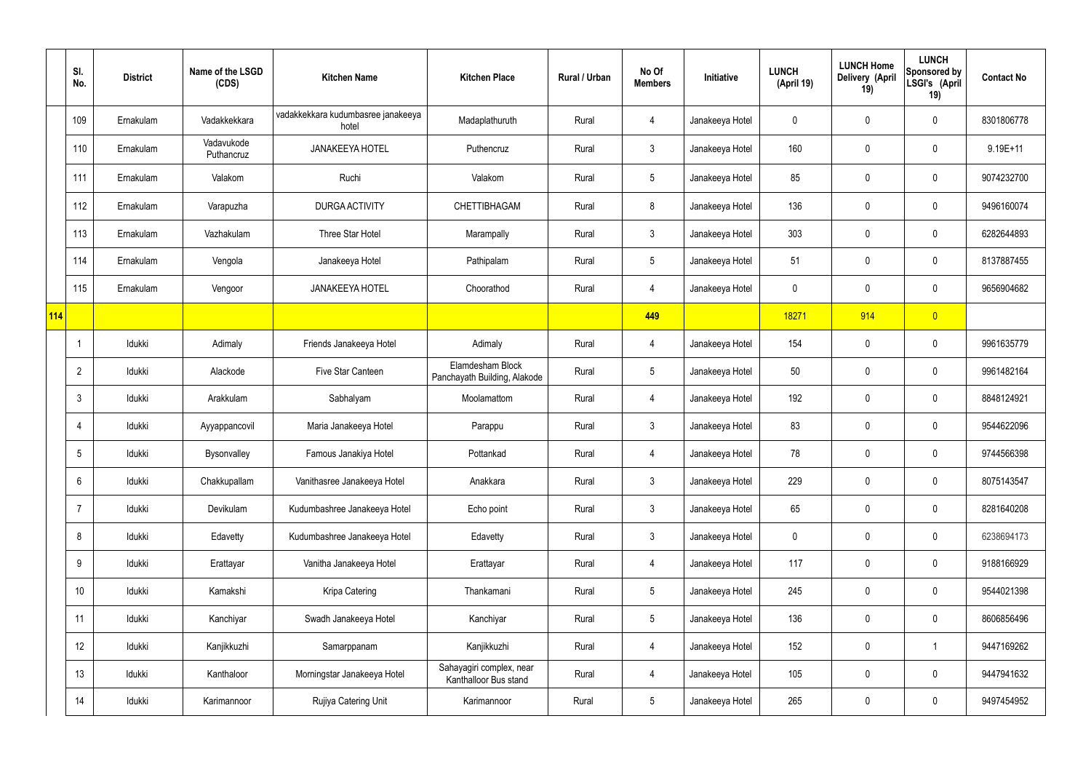|            | SI.<br>No.      | <b>District</b> | Name of the LSGD<br>(CDS) | <b>Kitchen Name</b>                         | <b>Kitchen Place</b>                              | Rural / Urban | No Of<br><b>Members</b> | Initiative      | <b>LUNCH</b><br>(April 19) | <b>LUNCH Home</b><br>Delivery (April<br>19) | <b>LUNCH</b><br>Sponsored by<br>LSGI's (April<br>19) | <b>Contact No</b> |
|------------|-----------------|-----------------|---------------------------|---------------------------------------------|---------------------------------------------------|---------------|-------------------------|-----------------|----------------------------|---------------------------------------------|------------------------------------------------------|-------------------|
|            | 109             | Ernakulam       | Vadakkekkara              | vadakkekkara kudumbasree janakeeya<br>hotel | Madaplathuruth                                    | Rural         | 4                       | Janakeeya Hotel | 0                          | 0                                           | 0                                                    | 8301806778        |
|            | 110             | Ernakulam       | Vadavukode<br>Puthancruz  | <b>JANAKEEYA HOTEL</b>                      | Puthencruz                                        | Rural         | 3                       | Janakeeya Hotel | 160                        | 0                                           | 0                                                    | $9.19E + 11$      |
|            | 111             | Ernakulam       | Valakom                   | Ruchi                                       | Valakom                                           | Rural         | $5\phantom{.0}$         | Janakeeya Hotel | 85                         | 0                                           | $\pmb{0}$                                            | 9074232700        |
|            | 112             | Ernakulam       | Varapuzha                 | <b>DURGA ACTIVITY</b>                       | <b>CHETTIBHAGAM</b>                               | Rural         | 8                       | Janakeeya Hotel | 136                        | 0                                           | $\pmb{0}$                                            | 9496160074        |
|            | 113             | Ernakulam       | Vazhakulam                | Three Star Hotel                            | Marampally                                        | Rural         | $\mathfrak{Z}$          | Janakeeya Hotel | 303                        | $\mathbf 0$                                 | $\pmb{0}$                                            | 6282644893        |
|            | 114             | Ernakulam       | Vengola                   | Janakeeya Hotel                             | Pathipalam                                        | Rural         | $5\phantom{.0}$         | Janakeeya Hotel | 51                         | $\mathbf 0$                                 | $\pmb{0}$                                            | 8137887455        |
|            | 115             | Ernakulam       | Vengoor                   | <b>JANAKEEYA HOTEL</b>                      | Choorathod                                        | Rural         | 4                       | Janakeeya Hotel | $\mathbf 0$                | $\mathbf 0$                                 | $\pmb{0}$                                            | 9656904682        |
| <b>114</b> |                 |                 |                           |                                             |                                                   |               | 449                     |                 | 18271                      | 914                                         | $\overline{0}$                                       |                   |
|            | $\overline{1}$  | Idukki          | Adimaly                   | Friends Janakeeya Hotel                     | Adimaly                                           | Rural         | 4                       | Janakeeya Hotel | 154                        | $\mathbf 0$                                 | $\pmb{0}$                                            | 9961635779        |
|            | $\overline{2}$  | Idukki          | Alackode                  | Five Star Canteen                           | Elamdesham Block<br>Panchayath Building, Alakode  | Rural         | $5\phantom{.0}$         | Janakeeya Hotel | 50                         | $\mathbf 0$                                 | $\pmb{0}$                                            | 9961482164        |
|            | $\mathbf{3}$    | Idukki          | Arakkulam                 | Sabhalyam                                   | Moolamattom                                       | Rural         | 4                       | Janakeeya Hotel | 192                        | $\mathbf 0$                                 | $\pmb{0}$                                            | 8848124921        |
|            | $\overline{4}$  | Idukki          | Ayyappancovil             | Maria Janakeeya Hotel                       | Parappu                                           | Rural         | $\mathfrak{Z}$          | Janakeeya Hotel | 83                         | 0                                           | $\pmb{0}$                                            | 9544622096        |
|            | 5               | Idukki          | Bysonvalley               | Famous Janakiya Hotel                       | Pottankad                                         | Rural         | 4                       | Janakeeya Hotel | 78                         | $\mathbf 0$                                 | $\pmb{0}$                                            | 9744566398        |
|            | $6\,$           | Idukki          | Chakkupallam              | Vanithasree Janakeeya Hotel                 | Anakkara                                          | Rural         | $\mathbf{3}$            | Janakeeya Hotel | 229                        | $\pmb{0}$                                   | $\pmb{0}$                                            | 8075143547        |
|            | $\overline{7}$  | Idukki          | Devikulam                 | Kudumbashree Janakeeya Hotel                | Echo point                                        | Rural         | $\mathfrak{Z}$          | Janakeeya Hotel | 65                         | $\mathbf 0$                                 | $\mathbf 0$                                          | 8281640208        |
|            | 8               | Idukki          | Edavetty                  | Kudumbashree Janakeeya Hotel                | Edavetty                                          | Rural         | $\mathbf{3}$            | Janakeeya Hotel | $\mathbf 0$                | $\pmb{0}$                                   | $\mathbf 0$                                          | 6238694173        |
|            | 9               | Idukki          | Erattayar                 | Vanitha Janakeeya Hotel                     | Erattayar                                         | Rural         | 4                       | Janakeeya Hotel | 117                        | $\mathbf 0$                                 | $\mathbf 0$                                          | 9188166929        |
|            | 10 <sup>°</sup> | Idukki          | Kamakshi                  | Kripa Catering                              | Thankamani                                        | Rural         | $5\phantom{.0}$         | Janakeeya Hotel | 245                        | $\pmb{0}$                                   | $\mathbf 0$                                          | 9544021398        |
|            | 11              | Idukki          | Kanchiyar                 | Swadh Janakeeya Hotel                       | Kanchiyar                                         | Rural         | $5\phantom{.0}$         | Janakeeya Hotel | 136                        | $\mathbf 0$                                 | $\mathbf 0$                                          | 8606856496        |
|            | 12              | Idukki          | Kanjikkuzhi               | Samarppanam                                 | Kanjikkuzhi                                       | Rural         | 4                       | Janakeeya Hotel | 152                        | $\pmb{0}$                                   | $\mathbf{1}$                                         | 9447169262        |
|            | 13              | Idukki          | Kanthaloor                | Morningstar Janakeeya Hotel                 | Sahayagiri complex, near<br>Kanthalloor Bus stand | Rural         | 4                       | Janakeeya Hotel | 105                        | $\mathbf 0$                                 | $\mathbf 0$                                          | 9447941632        |
|            | 14              | Idukki          | Karimannoor               | Rujiya Catering Unit                        | Karimannoor                                       | Rural         | $\overline{5}$          | Janakeeya Hotel | 265                        | 0                                           | $\pmb{0}$                                            | 9497454952        |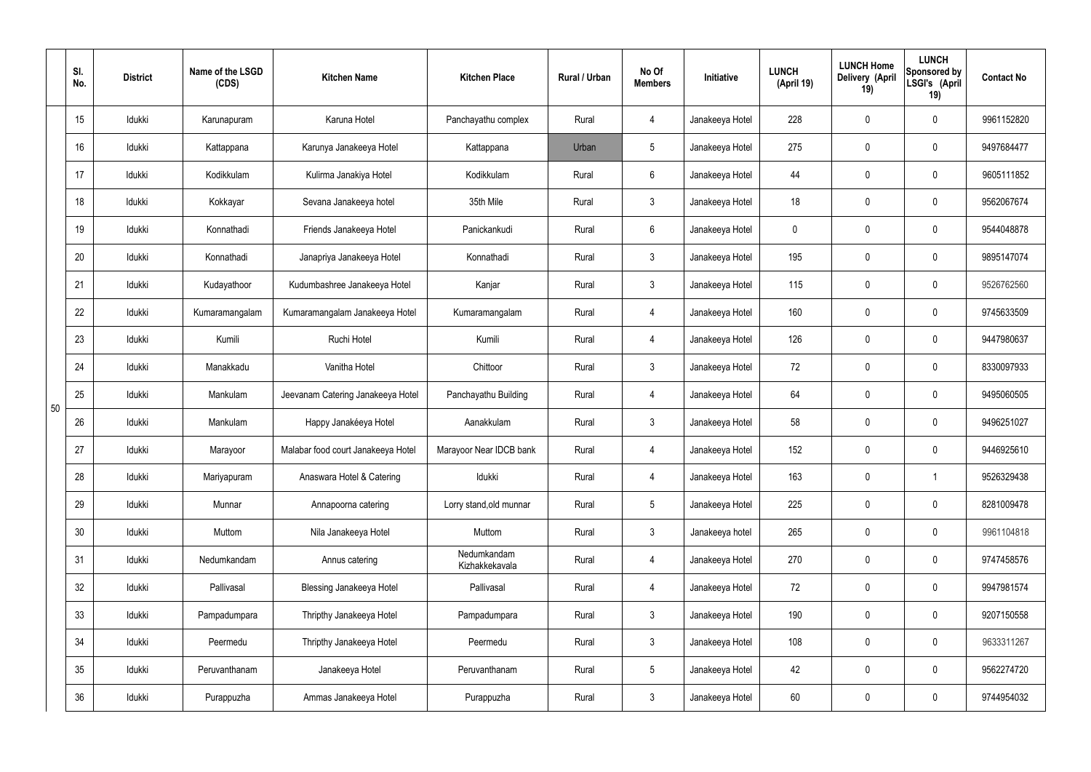|    | SI.<br>No. | <b>District</b> | Name of the LSGD<br>(CDS) | <b>Kitchen Name</b>                | <b>Kitchen Place</b>          | <b>Rural / Urban</b> | No Of<br><b>Members</b> | Initiative      | <b>LUNCH</b><br>(April 19) | <b>LUNCH Home</b><br>Delivery (April<br>19) | <b>LUNCH</b><br>Sponsored by<br>LSGI's (April<br>19) | <b>Contact No</b> |
|----|------------|-----------------|---------------------------|------------------------------------|-------------------------------|----------------------|-------------------------|-----------------|----------------------------|---------------------------------------------|------------------------------------------------------|-------------------|
|    | 15         | Idukki          | Karunapuram               | Karuna Hotel                       | Panchayathu complex           | Rural                | 4                       | Janakeeya Hotel | 228                        | $\mathbf 0$                                 | $\mathbf 0$                                          | 9961152820        |
|    | 16         | Idukki          | Kattappana                | Karunya Janakeeya Hotel            | Kattappana                    | Urban                | 5                       | Janakeeya Hotel | 275                        | $\pmb{0}$                                   | $\pmb{0}$                                            | 9497684477        |
|    | 17         | Idukki          | Kodikkulam                | Kulirma Janakiya Hotel             | Kodikkulam                    | Rural                | $6\phantom{.}$          | Janakeeya Hotel | 44                         | 0                                           | $\pmb{0}$                                            | 9605111852        |
|    | 18         | Idukki          | Kokkayar                  | Sevana Janakeeya hotel             | 35th Mile                     | Rural                | $\mathfrak{Z}$          | Janakeeya Hotel | 18                         | $\pmb{0}$                                   | $\pmb{0}$                                            | 9562067674        |
|    | 19         | Idukki          | Konnathadi                | Friends Janakeeya Hotel            | Panickankudi                  | Rural                | $6\overline{6}$         | Janakeeya Hotel | 0                          | 0                                           | $\pmb{0}$                                            | 9544048878        |
|    | 20         | Idukki          | Konnathadi                | Janapriya Janakeeya Hotel          | Konnathadi                    | Rural                | $\mathbf{3}$            | Janakeeya Hotel | 195                        | $\pmb{0}$                                   | $\pmb{0}$                                            | 9895147074        |
|    | 21         | Idukki          | Kudayathoor               | Kudumbashree Janakeeya Hotel       | Kanjar                        | Rural                | $\mathbf{3}$            | Janakeeya Hotel | 115                        | $\mathbf 0$                                 | $\pmb{0}$                                            | 9526762560        |
|    | 22         | Idukki          | Kumaramangalam            | Kumaramangalam Janakeeya Hotel     | Kumaramangalam                | Rural                | 4                       | Janakeeya Hotel | 160                        | $\mathbf 0$                                 | $\pmb{0}$                                            | 9745633509        |
|    | 23         | Idukki          | Kumili                    | Ruchi Hotel                        | Kumili                        | Rural                | 4                       | Janakeeya Hotel | 126                        | $\mathbf 0$                                 | $\mathbf 0$                                          | 9447980637        |
|    | 24         | Idukki          | Manakkadu                 | Vanitha Hotel                      | Chittoor                      | Rural                | $\mathbf{3}$            | Janakeeya Hotel | 72                         | $\pmb{0}$                                   | $\pmb{0}$                                            | 8330097933        |
| 50 | 25         | Idukki          | Mankulam                  | Jeevanam Catering Janakeeya Hotel  | Panchayathu Building          | Rural                | 4                       | Janakeeya Hotel | 64                         | 0                                           | $\pmb{0}$                                            | 9495060505        |
|    | 26         | Idukki          | Mankulam                  | Happy Janakéeya Hotel              | Aanakkulam                    | Rural                | 3                       | Janakeeya Hotel | 58                         | $\mathbf 0$                                 | $\pmb{0}$                                            | 9496251027        |
|    | 27         | Idukki          | Marayoor                  | Malabar food court Janakeeya Hotel | Marayoor Near IDCB bank       | Rural                | 4                       | Janakeeya Hotel | 152                        | $\mathbf 0$                                 | $\mathbf 0$                                          | 9446925610        |
|    | 28         | Idukki          | Mariyapuram               | Anaswara Hotel & Catering          | Idukki                        | Rural                | 4                       | Janakeeya Hotel | 163                        | $\mathbf 0$                                 | $\overline{1}$                                       | 9526329438        |
|    | 29         | Idukki          | Munnar                    | Annapoorna catering                | Lorry stand, old munnar       | Rural                | 5 <sub>5</sub>          | Janakeeya Hotel | 225                        | $\mathbf 0$                                 | $\mathbf 0$                                          | 8281009478        |
|    | 30         | Idukki          | Muttom                    | Nila Janakeeya Hotel               | Muttom                        | Rural                | $\mathbf{3}$            | Janakeeya hotel | 265                        | $\mathbf 0$                                 | $\mathbf 0$                                          | 9961104818        |
|    | 31         | Idukki          | Nedumkandam               | Annus catering                     | Nedumkandam<br>Kizhakkekavala | Rural                | 4                       | Janakeeya Hotel | 270                        | $\mathbf 0$                                 | $\mathbf 0$                                          | 9747458576        |
|    | 32         | Idukki          | Pallivasal                | <b>Blessing Janakeeya Hotel</b>    | Pallivasal                    | Rural                | 4                       | Janakeeya Hotel | 72                         | $\mathbf 0$                                 | $\mathbf 0$                                          | 9947981574        |
|    | 33         | Idukki          | Pampadumpara              | Thripthy Janakeeya Hotel           | Pampadumpara                  | Rural                | $\mathbf{3}$            | Janakeeya Hotel | 190                        | $\mathbf 0$                                 | $\mathbf 0$                                          | 9207150558        |
|    | 34         | Idukki          | Peermedu                  | Thripthy Janakeeya Hotel           | Peermedu                      | Rural                | $3\phantom{.0}$         | Janakeeya Hotel | 108                        | $\mathbf 0$                                 | $\mathbf 0$                                          | 9633311267        |
|    | 35         | Idukki          | Peruvanthanam             | Janakeeya Hotel                    | Peruvanthanam                 | Rural                | $5\phantom{.0}$         | Janakeeya Hotel | 42                         | $\mathbf 0$                                 | $\pmb{0}$                                            | 9562274720        |
|    | 36         | Idukki          | Purappuzha                | Ammas Janakeeya Hotel              | Purappuzha                    | Rural                | $\mathfrak{Z}$          | Janakeeya Hotel | 60                         | 0                                           | $\pmb{0}$                                            | 9744954032        |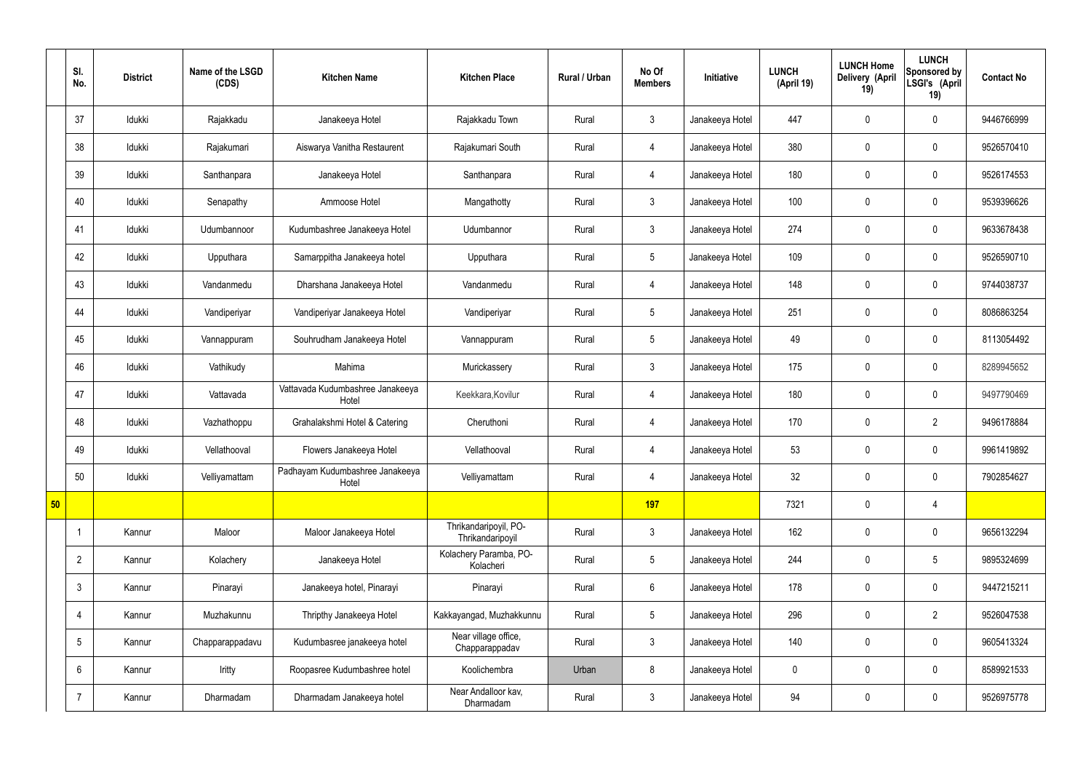|    | SI.<br>No.      | <b>District</b> | Name of the LSGD<br>(CDS) | <b>Kitchen Name</b>                       | <b>Kitchen Place</b>                      | Rural / Urban | No Of<br><b>Members</b> | Initiative      | <b>LUNCH</b><br>(April 19) | <b>LUNCH Home</b><br>Delivery (April<br>19) | <b>LUNCH</b><br>Sponsored by<br>LSGI's (April<br>19) | <b>Contact No</b> |
|----|-----------------|-----------------|---------------------------|-------------------------------------------|-------------------------------------------|---------------|-------------------------|-----------------|----------------------------|---------------------------------------------|------------------------------------------------------|-------------------|
|    | 37              | Idukki          | Rajakkadu                 | Janakeeya Hotel                           | Rajakkadu Town                            | Rural         | $\mathbf{3}$            | Janakeeya Hotel | 447                        | $\mathbf 0$                                 | $\mathbf 0$                                          | 9446766999        |
|    | 38              | Idukki          | Rajakumari                | Aiswarya Vanitha Restaurent               | Rajakumari South                          | Rural         | $\overline{4}$          | Janakeeya Hotel | 380                        | $\mathbf 0$                                 | $\mathbf 0$                                          | 9526570410        |
|    | 39              | Idukki          | Santhanpara               | Janakeeya Hotel                           | Santhanpara                               | Rural         | $\overline{4}$          | Janakeeya Hotel | 180                        | $\mathbf 0$                                 | $\mathbf 0$                                          | 9526174553        |
|    | 40              | Idukki          | Senapathy                 | Ammoose Hotel                             | Mangathotty                               | Rural         | $\mathbf{3}$            | Janakeeya Hotel | 100                        | $\mathbf 0$                                 | $\mathbf 0$                                          | 9539396626        |
|    | 41              | Idukki          | Udumbannoor               | Kudumbashree Janakeeya Hotel              | Udumbannor                                | Rural         | $\mathbf{3}$            | Janakeeya Hotel | 274                        | $\mathbf 0$                                 | $\mathbf 0$                                          | 9633678438        |
|    | 42              | Idukki          | Upputhara                 | Samarppitha Janakeeya hotel               | Upputhara                                 | Rural         | $5\phantom{.0}$         | Janakeeya Hotel | 109                        | $\mathbf 0$                                 | $\mathbf 0$                                          | 9526590710        |
|    | 43              | Idukki          | Vandanmedu                | Dharshana Janakeeya Hotel                 | Vandanmedu                                | Rural         | $\overline{4}$          | Janakeeya Hotel | 148                        | $\mathbf 0$                                 | $\mathbf 0$                                          | 9744038737        |
|    | 44              | Idukki          | Vandiperiyar              | Vandiperiyar Janakeeya Hotel              | Vandiperiyar                              | Rural         | $5\overline{)}$         | Janakeeya Hotel | 251                        | $\mathbf 0$                                 | $\mathbf 0$                                          | 8086863254        |
|    | 45              | Idukki          | Vannappuram               | Souhrudham Janakeeya Hotel                | Vannappuram                               | Rural         | $5\overline{)}$         | Janakeeya Hotel | 49                         | $\mathbf 0$                                 | $\mathbf 0$                                          | 8113054492        |
|    | 46              | Idukki          | Vathikudy                 | Mahima                                    | Murickassery                              | Rural         | $\mathbf{3}$            | Janakeeya Hotel | 175                        | $\mathbf 0$                                 | $\mathbf 0$                                          | 8289945652        |
|    | 47              | Idukki          | Vattavada                 | Vattavada Kudumbashree Janakeeya<br>Hotel | Keekkara, Kovilur                         | Rural         | $\overline{4}$          | Janakeeya Hotel | 180                        | $\pmb{0}$                                   | $\mathbf 0$                                          | 9497790469        |
|    | 48              | Idukki          | Vazhathoppu               | Grahalakshmi Hotel & Catering             | Cheruthoni                                | Rural         | $\overline{4}$          | Janakeeya Hotel | 170                        | $\mathbf 0$                                 | $\overline{2}$                                       | 9496178884        |
|    | 49              | Idukki          | Vellathooval              | Flowers Janakeeya Hotel                   | Vellathooval                              | Rural         | $\overline{4}$          | Janakeeya Hotel | 53                         | $\mathbf 0$                                 | $\mathbf 0$                                          | 9961419892        |
|    | 50              | Idukki          | Velliyamattam             | Padhayam Kudumbashree Janakeeya<br>Hotel  | Velliyamattam                             | Rural         | $\overline{4}$          | Janakeeya Hotel | 32 <sub>2</sub>            | $\pmb{0}$                                   | $\mathbf 0$                                          | 7902854627        |
| 50 |                 |                 |                           |                                           |                                           |               | 197                     |                 | 7321                       | $\pmb{0}$                                   | $\overline{4}$                                       |                   |
|    |                 | Kannur          | Maloor                    | Maloor Janakeeya Hotel                    | Thrikandaripoyil, PO-<br>Thrikandaripoyil | Rural         | $\mathbf{3}$            | Janakeeya Hotel | 162                        | $\pmb{0}$                                   | $\mathbf 0$                                          | 9656132294        |
|    | $\overline{2}$  | Kannur          | Kolachery                 | Janakeeya Hotel                           | Kolachery Paramba, PO-<br>Kolacheri       | Rural         | $5\overline{)}$         | Janakeeya Hotel | 244                        | $\pmb{0}$                                   | $5\phantom{.0}$                                      | 9895324699        |
|    | $\mathfrak{Z}$  | Kannur          | Pinarayi                  | Janakeeya hotel, Pinarayi                 | Pinarayi                                  | Rural         | $6\overline{6}$         | Janakeeya Hotel | 178                        | $\pmb{0}$                                   | $\mathbf 0$                                          | 9447215211        |
|    | 4               | Kannur          | Muzhakunnu                | Thripthy Janakeeya Hotel                  | Kakkayangad, Muzhakkunnu                  | Rural         | $5\phantom{.0}$         | Janakeeya Hotel | 296                        | $\pmb{0}$                                   | $\overline{2}$                                       | 9526047538        |
|    | $5\phantom{.0}$ | Kannur          | Chapparappadavu           | Kudumbasree janakeeya hotel               | Near village office,<br>Chapparappadav    | Rural         | $\mathbf{3}$            | Janakeeya Hotel | 140                        | $\pmb{0}$                                   | $\mathbf 0$                                          | 9605413324        |
|    | $6\phantom{.}$  | Kannur          | Iritty                    | Roopasree Kudumbashree hotel              | Koolichembra                              | Urban         | 8                       | Janakeeya Hotel | $\mathbf 0$                | $\pmb{0}$                                   | $\mathbf 0$                                          | 8589921533        |
|    | $\overline{7}$  | Kannur          | Dharmadam                 | Dharmadam Janakeeya hotel                 | Near Andalloor kav,<br>Dharmadam          | Rural         | $3\overline{3}$         | Janakeeya Hotel | 94                         | $\pmb{0}$                                   | $\boldsymbol{0}$                                     | 9526975778        |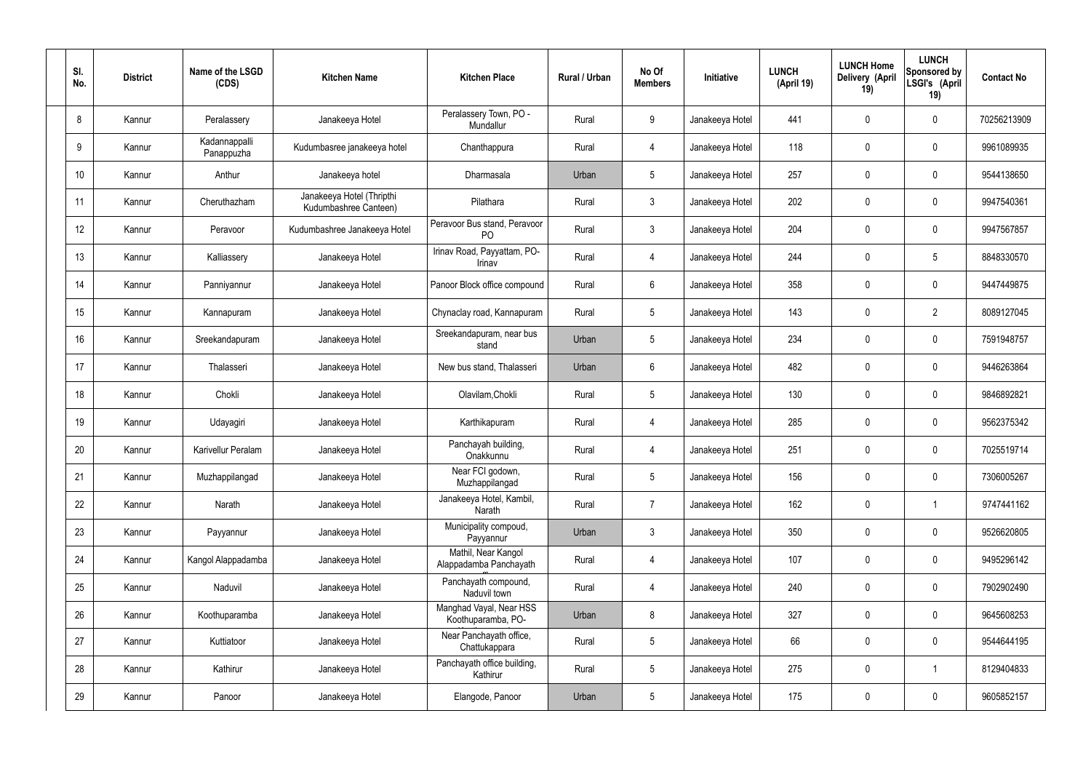| SI.<br>No. | <b>District</b> | Name of the LSGD<br>(CDS)   | <b>Kitchen Name</b>                                | <b>Kitchen Place</b>                           | Rural / Urban | No Of<br><b>Members</b> | Initiative      | <b>LUNCH</b><br>(April 19) | <b>LUNCH Home</b><br>Delivery (April<br>19) | <b>LUNCH</b><br>Sponsored by<br>LSGI's (April<br>19) | <b>Contact No</b> |
|------------|-----------------|-----------------------------|----------------------------------------------------|------------------------------------------------|---------------|-------------------------|-----------------|----------------------------|---------------------------------------------|------------------------------------------------------|-------------------|
| 8          | Kannur          | Peralassery                 | Janakeeya Hotel                                    | Peralassery Town, PO -<br>Mundallur            | Rural         | 9                       | Janakeeya Hotel | 441                        | 0                                           | $\mathbf 0$                                          | 70256213909       |
| 9          | Kannur          | Kadannappalli<br>Panappuzha | Kudumbasree janakeeya hotel                        | Chanthappura                                   | Rural         | $\overline{4}$          | Janakeeya Hotel | 118                        | 0                                           | $\mathbf 0$                                          | 9961089935        |
| 10         | Kannur          | Anthur                      | Janakeeya hotel                                    | Dharmasala                                     | Urban         | $5\phantom{.0}$         | Janakeeya Hotel | 257                        | 0                                           | $\mathbf 0$                                          | 9544138650        |
| 11         | Kannur          | Cheruthazham                | Janakeeya Hotel (Thripthi<br>Kudumbashree Canteen) | Pilathara                                      | Rural         | $\mathbf{3}$            | Janakeeya Hotel | 202                        | 0                                           | $\mathbf 0$                                          | 9947540361        |
| 12         | Kannur          | Peravoor                    | Kudumbashree Janakeeya Hotel                       | Peravoor Bus stand, Peravoor<br>P <sub>O</sub> | Rural         | $\mathbf{3}$            | Janakeeya Hotel | 204                        | 0                                           | $\mathbf 0$                                          | 9947567857        |
| 13         | Kannur          | Kalliassery                 | Janakeeya Hotel                                    | Irinav Road, Payyattam, PO-<br>Irinav          | Rural         | $\overline{4}$          | Janakeeya Hotel | 244                        | 0                                           | $5\phantom{.0}$                                      | 8848330570        |
| 14         | Kannur          | Panniyannur                 | Janakeeya Hotel                                    | Panoor Block office compound                   | Rural         | $6\phantom{.}6$         | Janakeeya Hotel | 358                        | 0                                           | $\mathbf 0$                                          | 9447449875        |
| 15         | Kannur          | Kannapuram                  | Janakeeya Hotel                                    | Chynaclay road, Kannapuram                     | Rural         | $5\phantom{.0}$         | Janakeeya Hotel | 143                        | 0                                           | $\overline{2}$                                       | 8089127045        |
| 16         | Kannur          | Sreekandapuram              | Janakeeya Hotel                                    | Sreekandapuram, near bus<br>stand              | Urban         | $5\phantom{.0}$         | Janakeeya Hotel | 234                        | 0                                           | $\mathbf 0$                                          | 7591948757        |
| 17         | Kannur          | Thalasseri                  | Janakeeya Hotel                                    | New bus stand, Thalasseri                      | Urban         | $6\phantom{.}6$         | Janakeeya Hotel | 482                        | 0                                           | $\mathbf 0$                                          | 9446263864        |
| 18         | Kannur          | Chokli                      | Janakeeya Hotel                                    | Olavilam, Chokli                               | Rural         | $5\,$                   | Janakeeya Hotel | 130                        | $\boldsymbol{0}$                            | $\mathbf 0$                                          | 9846892821        |
| 19         | Kannur          | Udayagiri                   | Janakeeya Hotel                                    | Karthikapuram                                  | Rural         | 4                       | Janakeeya Hotel | 285                        | 0                                           | $\mathbf 0$                                          | 9562375342        |
| 20         | Kannur          | Karivellur Peralam          | Janakeeya Hotel                                    | Panchayah building,<br>Onakkunnu               | Rural         | 4                       | Janakeeya Hotel | 251                        | 0                                           | 0                                                    | 7025519714        |
| 21         | Kannur          | Muzhappilangad              | Janakeeya Hotel                                    | Near FCI godown,<br>Muzhappilangad             | Rural         | $5\phantom{.0}$         | Janakeeya Hotel | 156                        | 0                                           | $\mathbf 0$                                          | 7306005267        |
| 22         | Kannur          | Narath                      | Janakeeya Hotel                                    | Janakeeya Hotel, Kambil,<br>Narath             | Rural         | $\overline{7}$          | Janakeeya Hotel | 162                        | $\pmb{0}$                                   | $\mathbf{1}$                                         | 9747441162        |
| 23         | Kannur          | Payyannur                   | Janakeeya Hotel                                    | Municipality compoud,<br>Payyannur             | Urban         | $\mathbf{3}$            | Janakeeya Hotel | 350                        | 0                                           | $\mathbf 0$                                          | 9526620805        |
| 24         | Kannur          | Kangol Alappadamba          | Janakeeya Hotel                                    | Mathil, Near Kangol<br>Alappadamba Panchayath  | Rural         | $\overline{4}$          | Janakeeya Hotel | 107                        | 0                                           | $\mathbf 0$                                          | 9495296142        |
| 25         | Kannur          | Naduvil                     | Janakeeya Hotel                                    | Panchayath compound,<br>Naduvil town           | Rural         | $\overline{4}$          | Janakeeya Hotel | 240                        | 0                                           | $\mathbf 0$                                          | 7902902490        |
| 26         | Kannur          | Koothuparamba               | Janakeeya Hotel                                    | Manghad Vayal, Near HSS<br>Koothuparamba, PO-  | Urban         | 8                       | Janakeeya Hotel | 327                        | 0                                           | $\mathbf 0$                                          | 9645608253        |
| 27         | Kannur          | Kuttiatoor                  | Janakeeya Hotel                                    | Near Panchayath office,<br>Chattukappara       | Rural         | $5\phantom{.0}$         | Janakeeya Hotel | 66                         | 0                                           | $\mathbf 0$                                          | 9544644195        |
| 28         | Kannur          | Kathirur                    | Janakeeya Hotel                                    | Panchayath office building,<br>Kathirur        | Rural         | $5\phantom{.0}$         | Janakeeya Hotel | 275                        | 0                                           | $\overline{1}$                                       | 8129404833        |
| 29         | Kannur          | Panoor                      | Janakeeya Hotel                                    | Elangode, Panoor                               | Urban         | $5\phantom{.0}$         | Janakeeya Hotel | 175                        | $\pmb{0}$                                   | $\bm{0}$                                             | 9605852157        |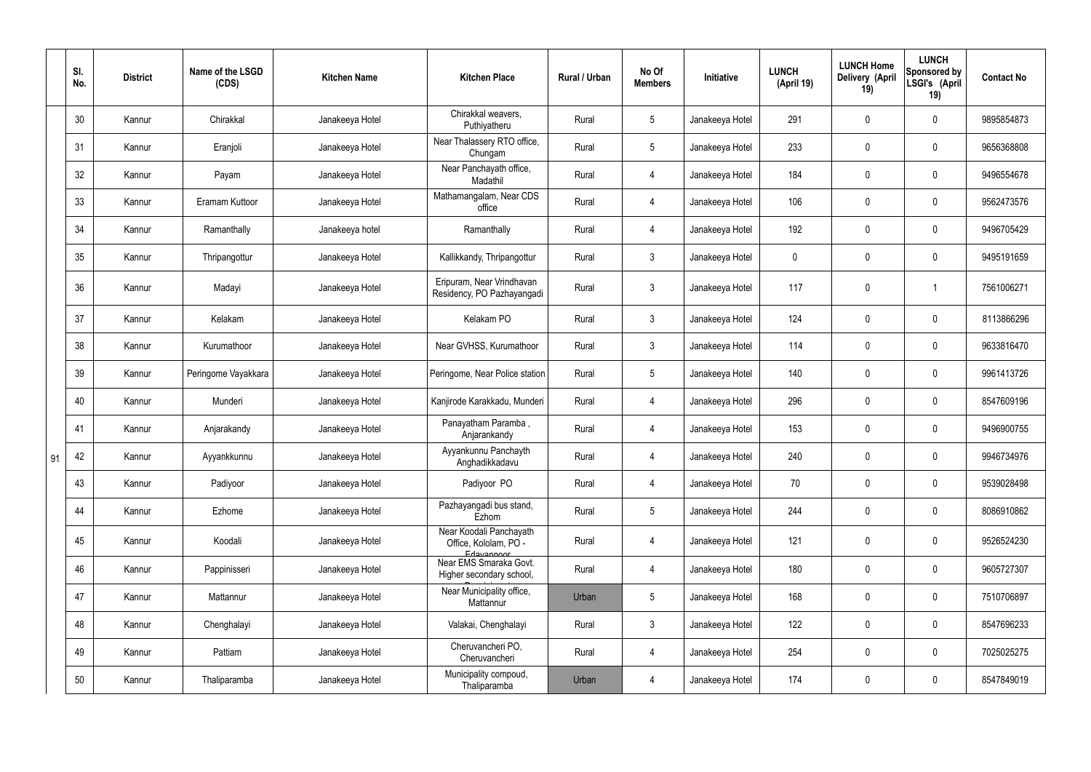|    | SI.<br>No. | <b>District</b> | Name of the LSGD<br>(CDS) | <b>Kitchen Name</b> | <b>Kitchen Place</b>                                           | Rural / Urban | No Of<br><b>Members</b> | Initiative      | <b>LUNCH</b><br>(April 19) | <b>LUNCH Home</b><br>Delivery (April<br>19) | <b>LUNCH</b><br>Sponsored by<br>LSGI's (April<br>19) | <b>Contact No</b> |
|----|------------|-----------------|---------------------------|---------------------|----------------------------------------------------------------|---------------|-------------------------|-----------------|----------------------------|---------------------------------------------|------------------------------------------------------|-------------------|
|    | 30         | Kannur          | Chirakkal                 | Janakeeya Hotel     | Chirakkal weavers,<br>Puthiyatheru                             | Rural         | $5\overline{)}$         | Janakeeya Hotel | 291                        | 0                                           | $\mathbf 0$                                          | 9895854873        |
|    | 31         | Kannur          | Eranjoli                  | Janakeeya Hotel     | Near Thalassery RTO office,<br>Chungam                         | Rural         | $5\overline{)}$         | Janakeeya Hotel | 233                        | $\mathbf 0$                                 | $\mathbf 0$                                          | 9656368808        |
|    | 32         | Kannur          | Payam                     | Janakeeya Hotel     | Near Panchayath office,<br>Madathil                            | Rural         | 4                       | Janakeeya Hotel | 184                        | 0                                           | $\mathbf 0$                                          | 9496554678        |
|    | 33         | Kannur          | Eramam Kuttoor            | Janakeeya Hotel     | Mathamangalam, Near CDS<br>office                              | Rural         | 4                       | Janakeeya Hotel | 106                        | 0                                           | $\mathbf 0$                                          | 9562473576        |
|    | 34         | Kannur          | Ramanthally               | Janakeeya hotel     | Ramanthally                                                    | Rural         | 4                       | Janakeeya Hotel | 192                        | 0                                           | $\mathbf 0$                                          | 9496705429        |
|    | 35         | Kannur          | Thripangottur             | Janakeeya Hotel     | Kallikkandy, Thripangottur                                     | Rural         | $\mathbf{3}$            | Janakeeya Hotel | $\mathbf 0$                | 0                                           | $\mathbf 0$                                          | 9495191659        |
|    | 36         | Kannur          | Madayi                    | Janakeeya Hotel     | Eripuram, Near Vrindhavan<br>Residency, PO Pazhayangadi        | Rural         | $\mathfrak{Z}$          | Janakeeya Hotel | 117                        | $\pmb{0}$                                   |                                                      | 7561006271        |
|    | 37         | Kannur          | Kelakam                   | Janakeeya Hotel     | Kelakam PO                                                     | Rural         | $\mathbf{3}$            | Janakeeya Hotel | 124                        | 0                                           | $\mathbf 0$                                          | 8113866296        |
|    | 38         | Kannur          | Kurumathoor               | Janakeeya Hotel     | Near GVHSS, Kurumathoor                                        | Rural         | $\mathbf{3}$            | Janakeeya Hotel | 114                        | 0                                           | $\mathbf 0$                                          | 9633816470        |
|    | 39         | Kannur          | Peringome Vayakkara       | Janakeeya Hotel     | Peringome, Near Police station                                 | Rural         | $5\phantom{.0}$         | Janakeeya Hotel | 140                        | 0                                           | $\mathbf 0$                                          | 9961413726        |
|    | 40         | Kannur          | Munderi                   | Janakeeya Hotel     | Kanjirode Karakkadu, Munderi                                   | Rural         | 4                       | Janakeeya Hotel | 296                        | 0                                           | $\mathbf 0$                                          | 8547609196        |
|    | 41         | Kannur          | Anjarakandy               | Janakeeya Hotel     | Panayatham Paramba,<br>Anjarankandy                            | Rural         | 4                       | Janakeeya Hotel | 153                        | 0                                           | $\mathbf 0$                                          | 9496900755        |
| 91 | 42         | Kannur          | Ayyankkunnu               | Janakeeya Hotel     | Ayyankunnu Panchayth<br>Anghadikkadavu                         | Rural         | 4                       | Janakeeya Hotel | 240                        | 0                                           | $\Omega$                                             | 9946734976        |
|    | 43         | Kannur          | Padiyoor                  | Janakeeya Hotel     | Padiyoor PO                                                    | Rural         | $\overline{4}$          | Janakeeya Hotel | 70                         | 0                                           | $\mathbf 0$                                          | 9539028498        |
|    | 44         | Kannur          | Ezhome                    | Janakeeya Hotel     | Pazhayangadi bus stand,<br>Ezhom                               | Rural         | $5\phantom{.0}$         | Janakeeya Hotel | 244                        | 0                                           | $\mathbf 0$                                          | 8086910862        |
|    | 45         | Kannur          | Koodali                   | Janakeeya Hotel     | Near Koodali Panchayath<br>Office, Kololam, PO -<br>Edavannoor | Rural         | $\overline{4}$          | Janakeeya Hotel | 121                        | $\pmb{0}$                                   | $\mathbf 0$                                          | 9526524230        |
|    | 46         | Kannur          | Pappinisseri              | Janakeeya Hotel     | Near EMS Smaraka Govt.<br>Higher secondary school,             | Rural         | $\overline{4}$          | Janakeeya Hotel | 180                        | $\pmb{0}$                                   | $\mathbf 0$                                          | 9605727307        |
|    | 47         | Kannur          | Mattannur                 | Janakeeya Hotel     | Near Municipality office,<br>Mattannur                         | Urban         | $5\phantom{.0}$         | Janakeeya Hotel | 168                        | 0                                           | $\mathbf 0$                                          | 7510706897        |
|    | 48         | Kannur          | Chenghalayi               | Janakeeya Hotel     | Valakai, Chenghalayi                                           | Rural         | $\mathbf{3}$            | Janakeeya Hotel | 122                        | $\pmb{0}$                                   | $\mathbf 0$                                          | 8547696233        |
|    | 49         | Kannur          | Pattiam                   | Janakeeya Hotel     | Cheruvancheri PO,<br>Cheruvancheri                             | Rural         | $\overline{4}$          | Janakeeya Hotel | 254                        | 0                                           | $\mathbf 0$                                          | 7025025275        |
|    | 50         | Kannur          | Thaliparamba              | Janakeeya Hotel     | Municipality compoud,<br>Thaliparamba                          | Urban         | 4                       | Janakeeya Hotel | 174                        | 0                                           | $\boldsymbol{0}$                                     | 8547849019        |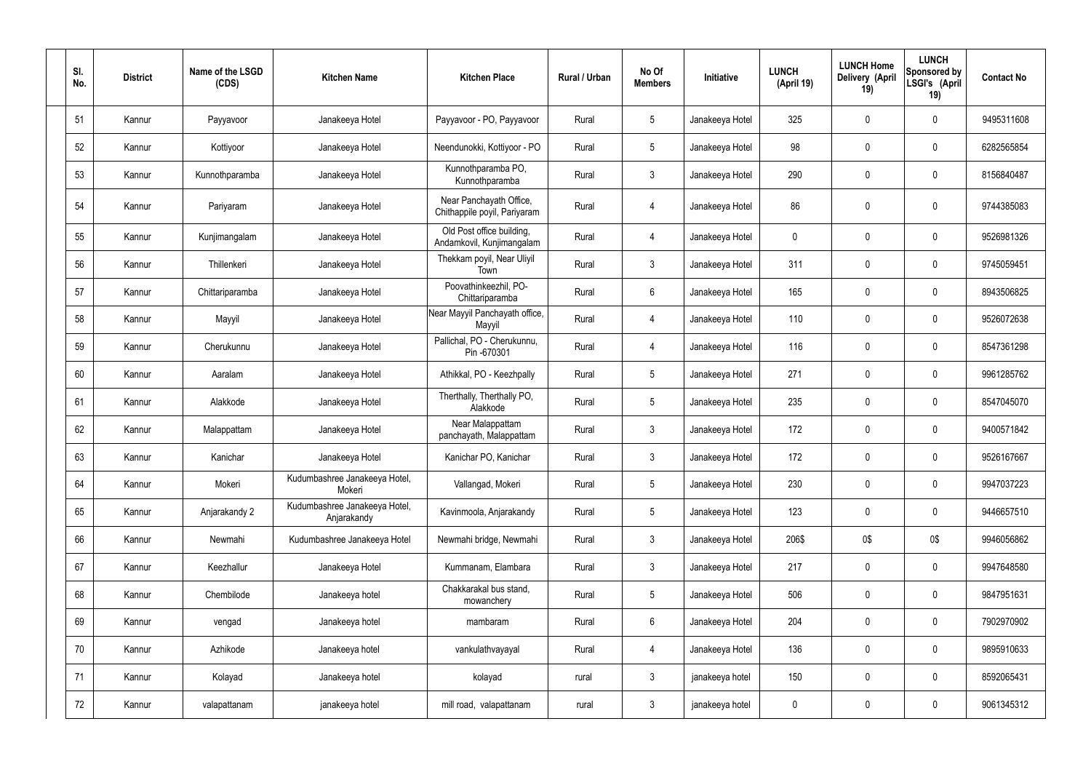| SI.<br>No. | <b>District</b> | Name of the LSGD<br>(CDS) | <b>Kitchen Name</b>                          | <b>Kitchen Place</b>                                    | Rural / Urban | No Of<br><b>Members</b> | Initiative      | <b>LUNCH</b><br>(April 19) | <b>LUNCH Home</b><br>Delivery (April<br>19) | <b>LUNCH</b><br>Sponsored by<br>LSGI's (April<br>19) | <b>Contact No</b> |
|------------|-----------------|---------------------------|----------------------------------------------|---------------------------------------------------------|---------------|-------------------------|-----------------|----------------------------|---------------------------------------------|------------------------------------------------------|-------------------|
| 51         | Kannur          | Payyavoor                 | Janakeeya Hotel                              | Payyavoor - PO, Payyavoor                               | Rural         | $5\phantom{.0}$         | Janakeeya Hotel | 325                        | $\mathbf 0$                                 | $\mathbf 0$                                          | 9495311608        |
| 52         | Kannur          | Kottiyoor                 | Janakeeya Hotel                              | Neendunokki, Kottiyoor - PO                             | Rural         | $5\overline{)}$         | Janakeeya Hotel | 98                         | $\mathbf 0$                                 | $\mathbf 0$                                          | 6282565854        |
| 53         | Kannur          | Kunnothparamba            | Janakeeya Hotel                              | Kunnothparamba PO,<br>Kunnothparamba                    | Rural         | $\mathbf{3}$            | Janakeeya Hotel | 290                        | $\mathbf 0$                                 | $\mathbf 0$                                          | 8156840487        |
| 54         | Kannur          | Pariyaram                 | Janakeeya Hotel                              | Near Panchayath Office,<br>Chithappile poyil, Pariyaram | Rural         | 4                       | Janakeeya Hotel | 86                         | 0                                           | $\mathbf 0$                                          | 9744385083        |
| 55         | Kannur          | Kunjimangalam             | Janakeeya Hotel                              | Old Post office building,<br>Andamkovil, Kunjimangalam  | Rural         | $\overline{4}$          | Janakeeya Hotel | $\mathbf 0$                | 0                                           | $\mathbf 0$                                          | 9526981326        |
| 56         | Kannur          | Thillenkeri               | Janakeeya Hotel                              | Thekkam poyil, Near Uliyil<br>Town                      | Rural         | $\mathbf{3}$            | Janakeeya Hotel | 311                        | $\pmb{0}$                                   | $\mathbf 0$                                          | 9745059451        |
| 57         | Kannur          | Chittariparamba           | Janakeeya Hotel                              | Poovathinkeezhil, PO-<br>Chittariparamba                | Rural         | $6\overline{6}$         | Janakeeya Hotel | 165                        | 0                                           | $\mathbf 0$                                          | 8943506825        |
| 58         | Kannur          | Mayyil                    | Janakeeya Hotel                              | Near Mayyil Panchayath office,<br>Mayyil                | Rural         | $\overline{4}$          | Janakeeya Hotel | 110                        | 0                                           | $\mathbf 0$                                          | 9526072638        |
| 59         | Kannur          | Cherukunnu                | Janakeeya Hotel                              | Pallichal, PO - Cherukunnu,<br>Pin -670301              | Rural         | 4                       | Janakeeya Hotel | 116                        | 0                                           | $\mathbf 0$                                          | 8547361298        |
| 60         | Kannur          | Aaralam                   | Janakeeya Hotel                              | Athikkal, PO - Keezhpally                               | Rural         | $5\phantom{.0}$         | Janakeeya Hotel | 271                        | 0                                           | $\mathbf 0$                                          | 9961285762        |
| 61         | Kannur          | Alakkode                  | Janakeeya Hotel                              | Therthally, Therthally PO,<br>Alakkode                  | Rural         | $5\overline{)}$         | Janakeeya Hotel | 235                        | 0                                           | $\mathbf 0$                                          | 8547045070        |
| 62         | Kannur          | Malappattam               | Janakeeya Hotel                              | Near Malappattam<br>panchayath, Malappattam             | Rural         | $\mathbf{3}$            | Janakeeya Hotel | 172                        | 0                                           | $\mathbf 0$                                          | 9400571842        |
| 63         | Kannur          | Kanichar                  | Janakeeya Hotel                              | Kanichar PO, Kanichar                                   | Rural         | 3                       | Janakeeya Hotel | 172                        | 0                                           | 0                                                    | 9526167667        |
| 64         | Kannur          | Mokeri                    | Kudumbashree Janakeeya Hotel,<br>Mokeri      | Vallangad, Mokeri                                       | Rural         | $5\phantom{.0}$         | Janakeeya Hotel | 230                        | 0                                           | $\mathbf 0$                                          | 9947037223        |
| 65         | Kannur          | Anjarakandy 2             | Kudumbashree Janakeeya Hotel,<br>Anjarakandy | Kavinmoola, Anjarakandy                                 | Rural         | $5\phantom{.0}$         | Janakeeya Hotel | 123                        | 0                                           | $\mathbf 0$                                          | 9446657510        |
| 66         | Kannur          | Newmahi                   | Kudumbashree Janakeeya Hotel                 | Newmahi bridge, Newmahi                                 | Rural         | $\mathbf{3}$            | Janakeeya Hotel | 206\$                      | 0\$                                         | 0\$                                                  | 9946056862        |
| 67         | Kannur          | Keezhallur                | Janakeeya Hotel                              | Kummanam, Elambara                                      | Rural         | $\mathbf{3}$            | Janakeeya Hotel | 217                        | 0                                           | $\overline{0}$                                       | 9947648580        |
| 68         | Kannur          | Chembilode                | Janakeeya hotel                              | Chakkarakal bus stand,<br>mowanchery                    | Rural         | $5\overline{)}$         | Janakeeya Hotel | 506                        | 0                                           | $\overline{0}$                                       | 9847951631        |
| 69         | Kannur          | vengad                    | Janakeeya hotel                              | mambaram                                                | Rural         | 6                       | Janakeeya Hotel | 204                        | 0                                           | $\overline{0}$                                       | 7902970902        |
| 70         | Kannur          | Azhikode                  | Janakeeya hotel                              | vankulathvayayal                                        | Rural         | 4                       | Janakeeya Hotel | 136                        | 0                                           | $\overline{0}$                                       | 9895910633        |
| 71         | Kannur          | Kolayad                   | Janakeeya hotel                              | kolayad                                                 | rural         | $\mathbf{3}$            | janakeeya hotel | 150                        | 0                                           | $\overline{0}$                                       | 8592065431        |
| 72         | Kannur          | valapattanam              | janakeeya hotel                              | mill road, valapattanam                                 | rural         | $\mathbf{3}$            | janakeeya hotel | $\mathbf 0$                | 0                                           | $\overline{0}$                                       | 9061345312        |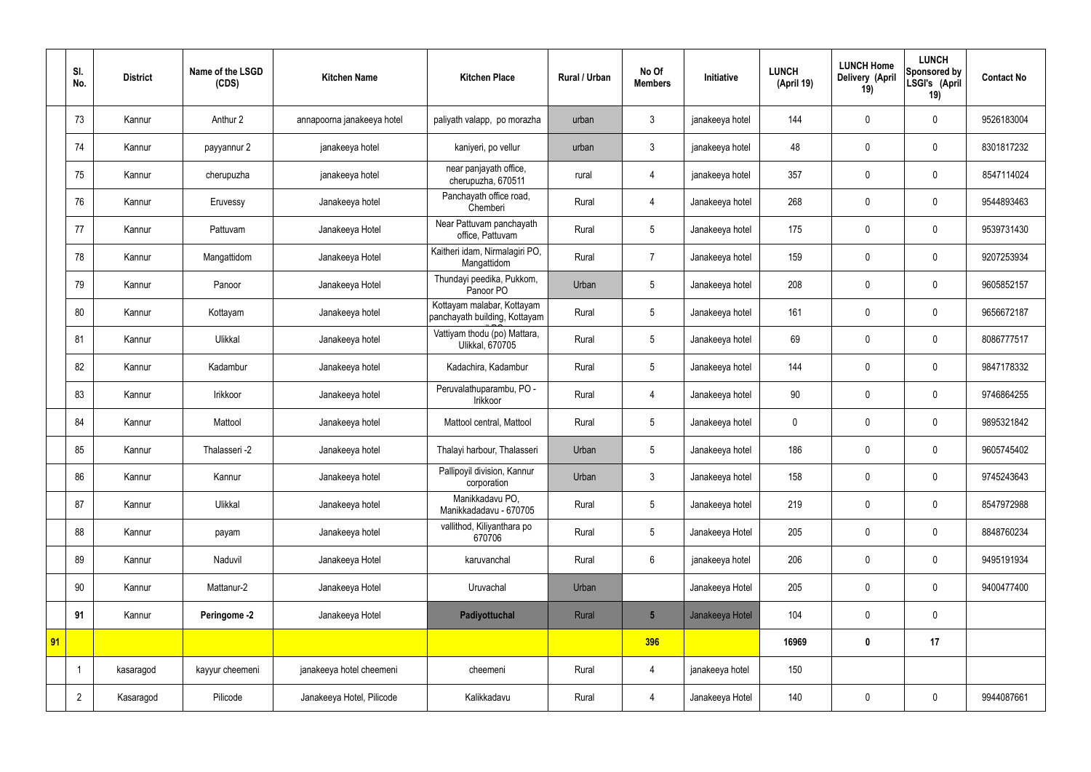|    | SI.<br>No.     | <b>District</b> | Name of the LSGD<br>(CDS) | <b>Kitchen Name</b>        | <b>Kitchen Place</b>                                        | <b>Rural / Urban</b> | No Of<br><b>Members</b> | Initiative      | <b>LUNCH</b><br>(April 19) | <b>LUNCH Home</b><br>Delivery (April<br>19) | <b>LUNCH</b><br>Sponsored by<br>LSGI's (April<br>19) | <b>Contact No</b> |
|----|----------------|-----------------|---------------------------|----------------------------|-------------------------------------------------------------|----------------------|-------------------------|-----------------|----------------------------|---------------------------------------------|------------------------------------------------------|-------------------|
|    | 73             | Kannur          | Anthur 2                  | annapoorna janakeeya hotel | paliyath valapp, po morazha                                 | urban                | 3                       | janakeeya hotel | 144                        | $\mathbf 0$                                 | $\mathbf 0$                                          | 9526183004        |
|    | 74             | Kannur          | payyannur 2               | janakeeya hotel            | kaniyeri, po vellur                                         | urban                | $\mathbf{3}$            | janakeeya hotel | 48                         | $\mathbf 0$                                 | $\mathbf 0$                                          | 8301817232        |
|    | 75             | Kannur          | cherupuzha                | janakeeya hotel            | near panjayath office,<br>cherupuzha, 670511                | rural                | 4                       | janakeeya hotel | 357                        | $\mathbf 0$                                 | $\mathbf 0$                                          | 8547114024        |
|    | 76             | Kannur          | Eruvessy                  | Janakeeya hotel            | Panchayath office road,<br>Chemberi                         | Rural                | 4                       | Janakeeya hotel | 268                        | $\mathbf 0$                                 | $\mathbf 0$                                          | 9544893463        |
|    | 77             | Kannur          | Pattuvam                  | Janakeeya Hotel            | Near Pattuvam panchayath<br>office, Pattuvam                | Rural                | 5                       | Janakeeya hotel | 175                        | $\mathbf 0$                                 | $\mathbf 0$                                          | 9539731430        |
|    | 78             | Kannur          | Mangattidom               | Janakeeya Hotel            | Kaitheri idam, Nirmalagiri PO,<br>Mangattidom               | Rural                | $\overline{7}$          | Janakeeya hotel | 159                        | $\mathbf 0$                                 | $\mathbf 0$                                          | 9207253934        |
|    | 79             | Kannur          | Panoor                    | Janakeeya Hotel            | Thundayi peedika, Pukkom,<br>Panoor PO                      | Urban                | 5                       | Janakeeya hotel | 208                        | $\mathbf 0$                                 | $\mathbf 0$                                          | 9605852157        |
|    | 80             | Kannur          | Kottayam                  | Janakeeya hotel            | Kottayam malabar, Kottayam<br>panchayath building, Kottayam | Rural                | 5                       | Janakeeya hotel | 161                        | $\mathbf 0$                                 | $\mathbf 0$                                          | 9656672187        |
|    | 81             | Kannur          | Ulikkal                   | Janakeeya hotel            | Vattiyam thodu (po) Mattara,<br>Ulikkal, 670705             | Rural                | 5                       | Janakeeya hotel | 69                         | $\mathbf 0$                                 | $\mathbf 0$                                          | 8086777517        |
|    | 82             | Kannur          | Kadambur                  | Janakeeya hotel            | Kadachira, Kadambur                                         | Rural                | 5                       | Janakeeya hotel | 144                        | $\mathbf 0$                                 | $\mathbf 0$                                          | 9847178332        |
|    | 83             | Kannur          | Irikkoor                  | Janakeeya hotel            | Peruvalathuparambu, PO -<br>Irikkoor                        | Rural                | $\overline{4}$          | Janakeeya hotel | 90                         | $\mathbf 0$                                 | $\mathbf 0$                                          | 9746864255        |
|    | 84             | Kannur          | Mattool                   | Janakeeya hotel            | Mattool central, Mattool                                    | Rural                | 5                       | Janakeeya hotel | $\boldsymbol{0}$           | $\mathbf 0$                                 | $\mathbf 0$                                          | 9895321842        |
|    | 85             | Kannur          | Thalasseri -2             | Janakeeya hotel            | Thalayi harbour, Thalasseri                                 | Urban                | 5                       | Janakeeya hotel | 186                        | $\mathbf 0$                                 | $\mathbf 0$                                          | 9605745402        |
|    | 86             | Kannur          | Kannur                    | Janakeeya hotel            | Pallipoyil division, Kannur<br>corporation                  | Urban                | $\mathfrak{Z}$          | Janakeeya hotel | 158                        | $\pmb{0}$                                   | $\mathbf 0$                                          | 9745243643        |
|    | 87             | Kannur          | Ulikkal                   | Janakeeya hotel            | Manikkadavu PO,<br>Manikkadadavu - 670705                   | Rural                | 5                       | Janakeeya hotel | 219                        | $\pmb{0}$                                   | $\mathbf 0$                                          | 8547972988        |
|    | 88             | Kannur          | payam                     | Janakeeya hotel            | vallithod, Kiliyanthara po<br>670706                        | Rural                | 5                       | Janakeeya Hotel | 205                        | $\pmb{0}$                                   | $\mathbf 0$                                          | 8848760234        |
|    | 89             | Kannur          | Naduvil                   | Janakeeya Hotel            | karuvanchal                                                 | Rural                | $6\overline{6}$         | janakeeya hotel | 206                        | $\pmb{0}$                                   | $\mathbf 0$                                          | 9495191934        |
|    | 90             | Kannur          | Mattanur-2                | Janakeeya Hotel            | Uruvachal                                                   | Urban                |                         | Janakeeya Hotel | 205                        | $\pmb{0}$                                   | $\mathbf 0$                                          | 9400477400        |
|    | 91             | Kannur          | Peringome -2              | Janakeeya Hotel            | Padiyottuchal                                               | Rural                | $5\overline{)}$         | Janakeeya Hotel | 104                        | $\pmb{0}$                                   | $\mathbf 0$                                          |                   |
| 91 |                |                 |                           |                            |                                                             |                      | 396                     |                 | 16969                      | $\pmb{0}$                                   | 17                                                   |                   |
|    |                | kasaragod       | kayyur cheemeni           | janakeeya hotel cheemeni   | cheemeni                                                    | Rural                | 4                       | janakeeya hotel | 150                        |                                             |                                                      |                   |
|    | $\overline{2}$ | Kasaragod       | Pilicode                  | Janakeeya Hotel, Pilicode  | Kalikkadavu                                                 | Rural                | 4                       | Janakeeya Hotel | 140                        | $\pmb{0}$                                   | $\mathbf 0$                                          | 9944087661        |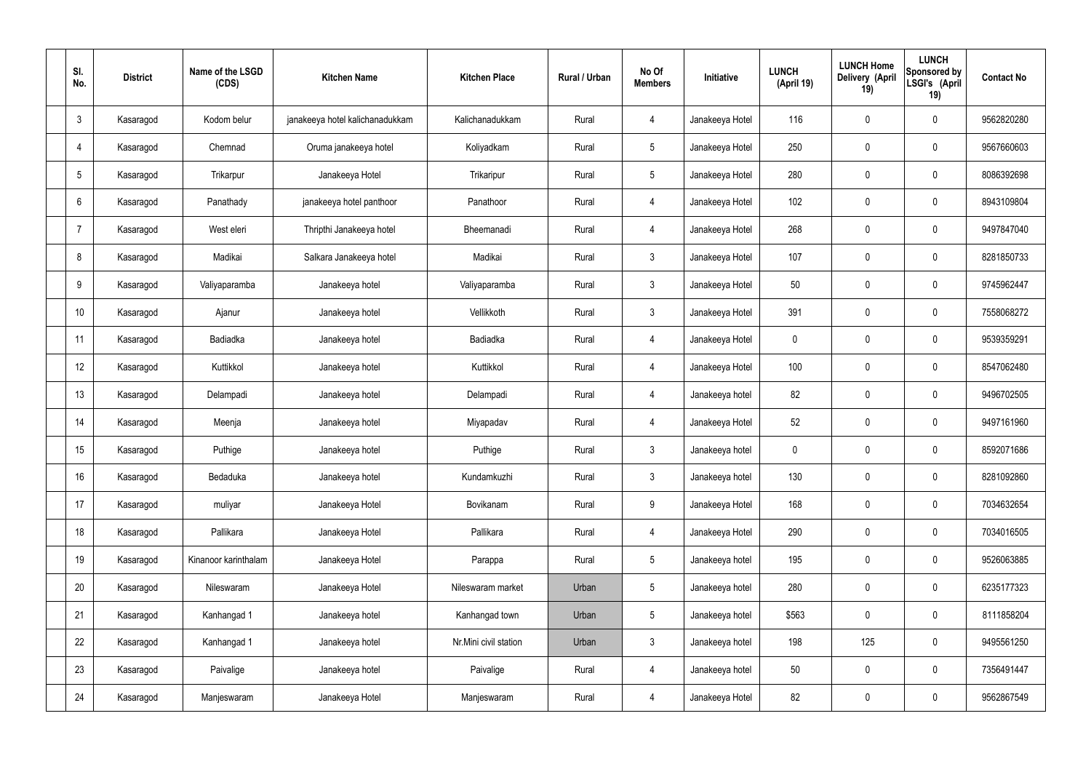| SI.<br>No.      | <b>District</b> | Name of the LSGD<br>(CDS) | <b>Kitchen Name</b>             | <b>Kitchen Place</b>  | <b>Rural / Urban</b> | No Of<br><b>Members</b> | Initiative      | <b>LUNCH</b><br>(April 19) | <b>LUNCH Home</b><br>Delivery (April<br>19) | <b>LUNCH</b><br>Sponsored by<br>LSGI's (April<br>19) | <b>Contact No</b> |
|-----------------|-----------------|---------------------------|---------------------------------|-----------------------|----------------------|-------------------------|-----------------|----------------------------|---------------------------------------------|------------------------------------------------------|-------------------|
| $\mathbf{3}$    | Kasaragod       | Kodom belur               | janakeeya hotel kalichanadukkam | Kalichanadukkam       | Rural                | $\overline{4}$          | Janakeeya Hotel | 116                        | $\mathbf 0$                                 | $\mathbf 0$                                          | 9562820280        |
| $\overline{4}$  | Kasaragod       | Chemnad                   | Oruma janakeeya hotel           | Koliyadkam            | Rural                | 5                       | Janakeeya Hotel | 250                        | $\mathbf 0$                                 | $\mathbf 0$                                          | 9567660603        |
| $5\phantom{.0}$ | Kasaragod       | Trikarpur                 | Janakeeya Hotel                 | Trikaripur            | Rural                | $5\phantom{.0}$         | Janakeeya Hotel | 280                        | $\mathbf 0$                                 | $\mathbf 0$                                          | 8086392698        |
| 6               | Kasaragod       | Panathady                 | janakeeya hotel panthoor        | Panathoor             | Rural                | $\overline{4}$          | Janakeeya Hotel | 102                        | $\mathbf 0$                                 | $\mathbf 0$                                          | 8943109804        |
| 7               | Kasaragod       | West eleri                | Thripthi Janakeeya hotel        | Bheemanadi            | Rural                | $\overline{4}$          | Janakeeya Hotel | 268                        | $\mathbf 0$                                 | $\mathbf 0$                                          | 9497847040        |
| 8               | Kasaragod       | Madikai                   | Salkara Janakeeya hotel         | Madikai               | Rural                | $\mathbf{3}$            | Janakeeya Hotel | 107                        | $\pmb{0}$                                   | $\mathbf 0$                                          | 8281850733        |
| 9               | Kasaragod       | Valiyaparamba             | Janakeeya hotel                 | Valiyaparamba         | Rural                | $\mathbf{3}$            | Janakeeya Hotel | 50                         | $\mathbf 0$                                 | $\mathbf 0$                                          | 9745962447        |
| 10              | Kasaragod       | Ajanur                    | Janakeeya hotel                 | Vellikkoth            | Rural                | $\mathbf{3}$            | Janakeeya Hotel | 391                        | $\mathbf 0$                                 | $\mathbf 0$                                          | 7558068272        |
| 11              | Kasaragod       | Badiadka                  | Janakeeya hotel                 | Badiadka              | Rural                | $\overline{4}$          | Janakeeya Hotel | $\mathbf 0$                | $\mathbf 0$                                 | $\mathbf 0$                                          | 9539359291        |
| 12              | Kasaragod       | Kuttikkol                 | Janakeeya hotel                 | Kuttikkol             | Rural                | $\overline{4}$          | Janakeeya Hotel | 100                        | $\mathbf 0$                                 | $\mathbf 0$                                          | 8547062480        |
| 13              | Kasaragod       | Delampadi                 | Janakeeya hotel                 | Delampadi             | Rural                | $\overline{4}$          | Janakeeya hotel | 82                         | $\pmb{0}$                                   | $\mathbf 0$                                          | 9496702505        |
| 14              | Kasaragod       | Meenja                    | Janakeeya hotel                 | Miyapadav             | Rural                | 4                       | Janakeeya Hotel | 52                         | $\mathbf 0$                                 | $\mathbf 0$                                          | 9497161960        |
| 15              | Kasaragod       | Puthige                   | Janakeeya hotel                 | Puthige               | Rural                | 3 <sup>1</sup>          | Janakeeya hotel | 0                          | $\mathbf 0$                                 | $\mathbf 0$                                          | 8592071686        |
| 16              | Kasaragod       | Bedaduka                  | Janakeeya hotel                 | Kundamkuzhi           | Rural                | $\mathbf{3}$            | Janakeeya hotel | 130                        | $\pmb{0}$                                   | $\mathbf 0$                                          | 8281092860        |
| 17              | Kasaragod       | muliyar                   | Janakeeya Hotel                 | Bovikanam             | Rural                | 9                       | Janakeeya Hotel | 168                        | $\pmb{0}$                                   | $\mathbf 0$                                          | 7034632654        |
| 18              | Kasaragod       | Pallikara                 | Janakeeya Hotel                 | Pallikara             | Rural                | $\overline{4}$          | Janakeeya Hotel | 290                        | $\pmb{0}$                                   | $\mathbf 0$                                          | 7034016505        |
| 19              | Kasaragod       | Kinanoor karinthalam      | Janakeeya Hotel                 | Parappa               | Rural                | $5\phantom{.0}$         | Janakeeya hotel | 195                        | $\pmb{0}$                                   | $\mathbf 0$                                          | 9526063885        |
| 20              | Kasaragod       | Nileswaram                | Janakeeya Hotel                 | Nileswaram market     | Urban                | 5                       | Janakeeya hotel | 280                        | $\pmb{0}$                                   | $\mathbf 0$                                          | 6235177323        |
| 21              | Kasaragod       | Kanhangad 1               | Janakeeya hotel                 | Kanhangad town        | Urban                | 5                       | Janakeeya hotel | \$563                      | $\pmb{0}$                                   | $\mathbf 0$                                          | 8111858204        |
| 22              | Kasaragod       | Kanhangad 1               | Janakeeya hotel                 | Nr.Mini civil station | Urban                | $\mathbf{3}$            | Janakeeya hotel | 198                        | 125                                         | $\mathbf 0$                                          | 9495561250        |
| 23              | Kasaragod       | Paivalige                 | Janakeeya hotel                 | Paivalige             | Rural                | $\overline{4}$          | Janakeeya hotel | 50                         | $\pmb{0}$                                   | $\mathbf 0$                                          | 7356491447        |
| 24              | Kasaragod       | Manjeswaram               | Janakeeya Hotel                 | Manjeswaram           | Rural                | 4                       | Janakeeya Hotel | 82                         | $\pmb{0}$                                   | $\mathbf 0$                                          | 9562867549        |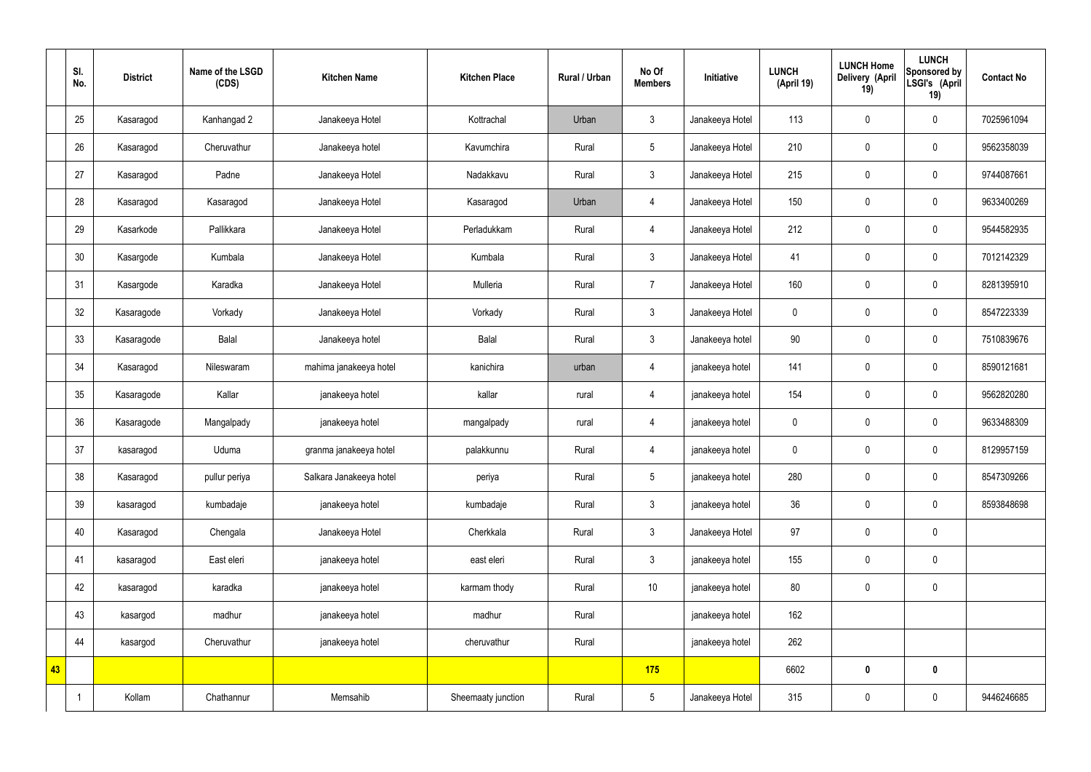|    | SI.<br>No. | <b>District</b> | Name of the LSGD<br>(CDS) | <b>Kitchen Name</b>     | <b>Kitchen Place</b> | <b>Rural / Urban</b> | No Of<br><b>Members</b> | Initiative      | <b>LUNCH</b><br>(April 19) | <b>LUNCH Home</b><br><b>Delivery (April</b><br>19) | <b>LUNCH</b><br>Sponsored by<br>LSGI's (April<br>19) | <b>Contact No</b> |
|----|------------|-----------------|---------------------------|-------------------------|----------------------|----------------------|-------------------------|-----------------|----------------------------|----------------------------------------------------|------------------------------------------------------|-------------------|
|    | 25         | Kasaragod       | Kanhangad 2               | Janakeeya Hotel         | Kottrachal           | Urban                | $\mathbf{3}$            | Janakeeya Hotel | 113                        | $\pmb{0}$                                          | $\mathbf 0$                                          | 7025961094        |
|    | 26         | Kasaragod       | Cheruvathur               | Janakeeya hotel         | Kavumchira           | Rural                | 5                       | Janakeeya Hotel | 210                        | $\mathbf 0$                                        | $\mathbf 0$                                          | 9562358039        |
|    | 27         | Kasaragod       | Padne                     | Janakeeya Hotel         | Nadakkavu            | Rural                | $\mathbf{3}$            | Janakeeya Hotel | 215                        | $\pmb{0}$                                          | $\mathbf 0$                                          | 9744087661        |
|    | 28         | Kasaragod       | Kasaragod                 | Janakeeya Hotel         | Kasaragod            | Urban                | $\overline{4}$          | Janakeeya Hotel | 150                        | $\pmb{0}$                                          | $\pmb{0}$                                            | 9633400269        |
|    | 29         | Kasarkode       | Pallikkara                | Janakeeya Hotel         | Perladukkam          | Rural                | $\overline{4}$          | Janakeeya Hotel | 212                        | $\pmb{0}$                                          | $\mathbf 0$                                          | 9544582935        |
|    | 30         | Kasargode       | Kumbala                   | Janakeeya Hotel         | Kumbala              | Rural                | $\mathfrak{Z}$          | Janakeeya Hotel | 41                         | $\pmb{0}$                                          | $\pmb{0}$                                            | 7012142329        |
|    | 31         | Kasargode       | Karadka                   | Janakeeya Hotel         | Mulleria             | Rural                | $\overline{7}$          | Janakeeya Hotel | 160                        | $\pmb{0}$                                          | $\mathbf 0$                                          | 8281395910        |
|    | 32         | Kasaragode      | Vorkady                   | Janakeeya Hotel         | Vorkady              | Rural                | $\mathbf{3}$            | Janakeeya Hotel | $\mathbf 0$                | $\mathbf 0$                                        | $\mathbf 0$                                          | 8547223339        |
|    | 33         | Kasaragode      | Balal                     | Janakeeya hotel         | Balal                | Rural                | $\mathbf{3}$            | Janakeeya hotel | 90                         | $\pmb{0}$                                          | $\mathbf 0$                                          | 7510839676        |
|    | 34         | Kasaragod       | Nileswaram                | mahima janakeeya hotel  | kanichira            | urban                | $\overline{4}$          | janakeeya hotel | 141                        | $\pmb{0}$                                          | $\pmb{0}$                                            | 8590121681        |
|    | 35         | Kasaragode      | Kallar                    | janakeeya hotel         | kallar               | rural                | $\overline{4}$          | janakeeya hotel | 154                        | $\pmb{0}$                                          | $\pmb{0}$                                            | 9562820280        |
|    | 36         | Kasaragode      | Mangalpady                | janakeeya hotel         | mangalpady           | rural                | $\overline{4}$          | janakeeya hotel | $\mathbf 0$                | $\pmb{0}$                                          | $\pmb{0}$                                            | 9633488309        |
|    | 37         | kasaragod       | Uduma                     | granma janakeeya hotel  | palakkunnu           | Rural                | $\overline{4}$          | janakeeya hotel | $\mathbf 0$                | $\mathbf 0$                                        | $\mathbf 0$                                          | 8129957159        |
|    | 38         | Kasaragod       | pullur periya             | Salkara Janakeeya hotel | periya               | Rural                | 5                       | janakeeya hotel | 280                        | $\pmb{0}$                                          | $\mathbf 0$                                          | 8547309266        |
|    | 39         | kasaragod       | kumbadaje                 | janakeeya hotel         | kumbadaje            | Rural                | $\mathfrak{Z}$          | janakeeya hotel | 36                         | $\pmb{0}$                                          | $\pmb{0}$                                            | 8593848698        |
|    | 40         | Kasaragod       | Chengala                  | Janakeeya Hotel         | Cherkkala            | Rural                | $\mathfrak{Z}$          | Janakeeya Hotel | 97                         | $\pmb{0}$                                          | $\pmb{0}$                                            |                   |
|    | 41         | kasaragod       | East eleri                | janakeeya hotel         | east eleri           | Rural                | $\mathfrak{Z}$          | janakeeya hotel | 155                        | $\pmb{0}$                                          | $\pmb{0}$                                            |                   |
|    | 42         | kasaragod       | karadka                   | janakeeya hotel         | karmam thody         | Rural                | $10$                    | janakeeya hotel | 80                         | $\boldsymbol{0}$                                   | $\pmb{0}$                                            |                   |
|    | 43         | kasargod        | madhur                    | janakeeya hotel         | madhur               | Rural                |                         | janakeeya hotel | 162                        |                                                    |                                                      |                   |
|    | 44         | kasargod        | Cheruvathur               | janakeeya hotel         | cheruvathur          | Rural                |                         | janakeeya hotel | 262                        |                                                    |                                                      |                   |
| 43 |            |                 |                           |                         |                      |                      | 175                     |                 | 6602                       | $\pmb{0}$                                          | $\pmb{0}$                                            |                   |
|    |            | Kollam          | Chathannur                | Memsahib                | Sheemaaty junction   | Rural                | $5\phantom{.0}$         | Janakeeya Hotel | 315                        | $\pmb{0}$                                          | $\pmb{0}$                                            | 9446246685        |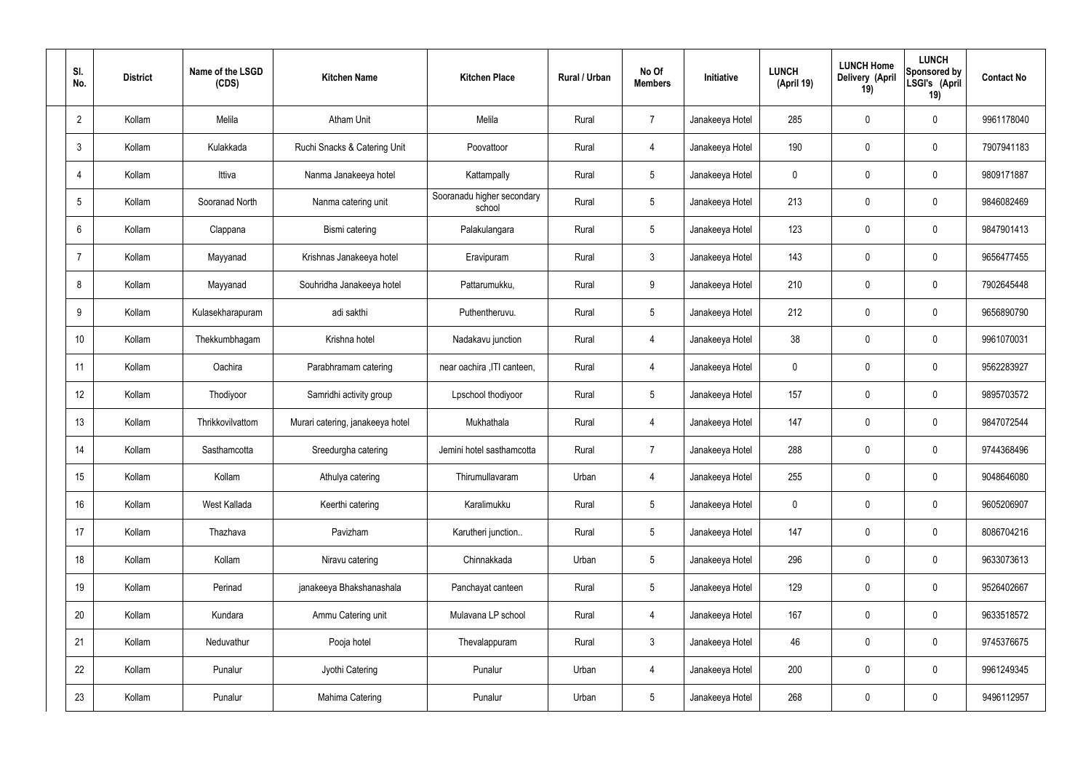| SI.<br>No.     | <b>District</b> | Name of the LSGD<br>(CDS) | <b>Kitchen Name</b>              | <b>Kitchen Place</b>                 | Rural / Urban | No Of<br><b>Members</b> | Initiative      | <b>LUNCH</b><br>(April 19) | <b>LUNCH Home</b><br>Delivery (April<br>19) | <b>LUNCH</b><br>Sponsored by<br>LSGI's (April<br>19) | <b>Contact No</b> |
|----------------|-----------------|---------------------------|----------------------------------|--------------------------------------|---------------|-------------------------|-----------------|----------------------------|---------------------------------------------|------------------------------------------------------|-------------------|
| $\overline{2}$ | Kollam          | Melila                    | <b>Atham Unit</b>                | Melila                               | Rural         | $\overline{7}$          | Janakeeya Hotel | 285                        | $\mathbf 0$                                 | $\mathbf 0$                                          | 9961178040        |
| 3              | Kollam          | Kulakkada                 | Ruchi Snacks & Catering Unit     | Poovattoor                           | Rural         | $\overline{4}$          | Janakeeya Hotel | 190                        | $\mathbf 0$                                 | $\mathbf 0$                                          | 7907941183        |
| $\overline{4}$ | Kollam          | Ittiva                    | Nanma Janakeeya hotel            | Kattampally                          | Rural         | $5\overline{)}$         | Janakeeya Hotel | 0                          | $\mathbf 0$                                 | $\mathbf 0$                                          | 9809171887        |
| 5              | Kollam          | Sooranad North            | Nanma catering unit              | Sooranadu higher secondary<br>school | Rural         | $5\overline{)}$         | Janakeeya Hotel | 213                        | $\mathbf 0$                                 | $\mathbf 0$                                          | 9846082469        |
| 6              | Kollam          | Clappana                  | Bismi catering                   | Palakulangara                        | Rural         | $5\overline{)}$         | Janakeeya Hotel | 123                        | $\mathbf 0$                                 | $\mathbf 0$                                          | 9847901413        |
| $\overline{7}$ | Kollam          | Mayyanad                  | Krishnas Janakeeya hotel         | Eravipuram                           | Rural         | $\mathbf{3}$            | Janakeeya Hotel | 143                        | $\mathbf 0$                                 | $\mathbf 0$                                          | 9656477455        |
| 8              | Kollam          | Mayyanad                  | Souhridha Janakeeya hotel        | Pattarumukku,                        | Rural         | 9                       | Janakeeya Hotel | 210                        | $\mathbf 0$                                 | $\mathbf 0$                                          | 7902645448        |
| 9              | Kollam          | Kulasekharapuram          | adi sakthi                       | Puthentheruvu.                       | Rural         | $5\overline{)}$         | Janakeeya Hotel | 212                        | $\mathbf 0$                                 | $\mathbf 0$                                          | 9656890790        |
| 10             | Kollam          | Thekkumbhagam             | Krishna hotel                    | Nadakavu junction                    | Rural         | $\overline{4}$          | Janakeeya Hotel | 38                         | $\mathbf 0$                                 | $\mathbf 0$                                          | 9961070031        |
| 11             | Kollam          | Oachira                   | Parabhramam catering             | near oachira , ITI canteen,          | Rural         | 4                       | Janakeeya Hotel | 0                          | $\mathbf 0$                                 | $\mathbf 0$                                          | 9562283927        |
| 12             | Kollam          | Thodiyoor                 | Samridhi activity group          | Lpschool thodiyoor                   | Rural         | $5\overline{)}$         | Janakeeya Hotel | 157                        | 0                                           | $\mathbf 0$                                          | 9895703572        |
| 13             | Kollam          | Thrikkovilvattom          | Murari catering, janakeeya hotel | Mukhathala                           | Rural         | 4                       | Janakeeya Hotel | 147                        | $\mathbf 0$                                 | $\mathbf 0$                                          | 9847072544        |
| 14             | Kollam          | Sasthamcotta              | Sreedurgha catering              | Jemini hotel sasthamcotta            | Rural         | $\overline{7}$          | Janakeeya Hotel | 288                        | 0                                           | $\mathbf 0$                                          | 9744368496        |
| 15             | Kollam          | Kollam                    | Athulya catering                 | Thirumullavaram                      | Urban         | $\overline{4}$          | Janakeeya Hotel | 255                        | $\mathbf 0$                                 | $\mathbf 0$                                          | 9048646080        |
| 16             | Kollam          | West Kallada              | Keerthi catering                 | Karalimukku                          | Rural         | $5\phantom{.0}$         | Janakeeya Hotel | $\mathbf 0$                | 0                                           | $\mathbf 0$                                          | 9605206907        |
| 17             | Kollam          | Thazhava                  | Pavizham                         | Karutheri junction                   | Rural         | $5\overline{)}$         | Janakeeya Hotel | 147                        | 0                                           | $\mathbf 0$                                          | 8086704216        |
| 18             | Kollam          | Kollam                    | Niravu catering                  | Chinnakkada                          | Urban         | $5\overline{)}$         | Janakeeya Hotel | 296                        | 0                                           | $\mathbf 0$                                          | 9633073613        |
| 19             | Kollam          | Perinad                   | janakeeya Bhakshanashala         | Panchayat canteen                    | Rural         | $5\overline{)}$         | Janakeeya Hotel | 129                        | 0                                           | $\mathbf 0$                                          | 9526402667        |
| 20             | Kollam          | Kundara                   | Ammu Catering unit               | Mulavana LP school                   | Rural         | $\overline{4}$          | Janakeeya Hotel | 167                        | 0                                           | $\mathbf 0$                                          | 9633518572        |
| 21             | Kollam          | Neduvathur                | Pooja hotel                      | Thevalappuram                        | Rural         | $\mathbf{3}$            | Janakeeya Hotel | 46                         | 0                                           | $\mathbf 0$                                          | 9745376675        |
| 22             | Kollam          | Punalur                   | Jyothi Catering                  | Punalur                              | Urban         | $\overline{4}$          | Janakeeya Hotel | 200                        | 0                                           | $\mathbf 0$                                          | 9961249345        |
| 23             | Kollam          | Punalur                   | Mahima Catering                  | Punalur                              | Urban         | $5\phantom{.0}$         | Janakeeya Hotel | 268                        | 0                                           | $\overline{0}$                                       | 9496112957        |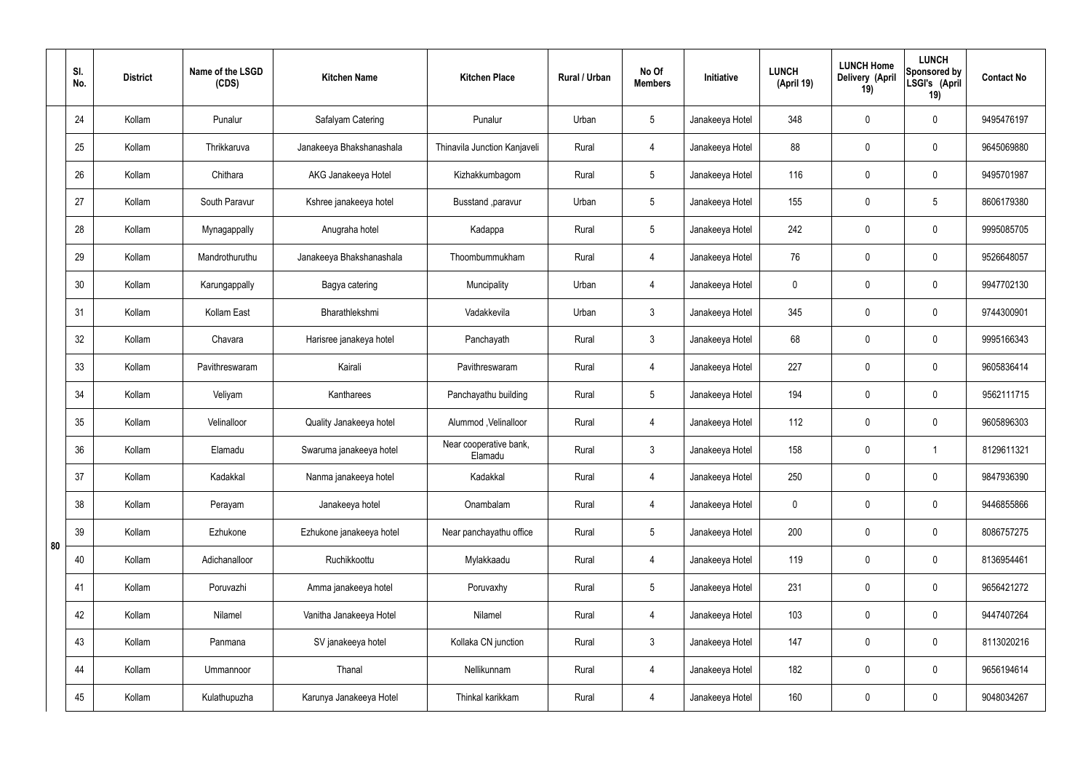|    | SI.<br>No. | <b>District</b> | Name of the LSGD<br>(CDS) | <b>Kitchen Name</b>      | <b>Kitchen Place</b>              | Rural / Urban | No Of<br><b>Members</b> | Initiative      | <b>LUNCH</b><br>(April 19) | <b>LUNCH Home</b><br>Delivery (April<br>19) | <b>LUNCH</b><br>Sponsored by<br>LSGI's (April<br>19) | <b>Contact No</b> |
|----|------------|-----------------|---------------------------|--------------------------|-----------------------------------|---------------|-------------------------|-----------------|----------------------------|---------------------------------------------|------------------------------------------------------|-------------------|
|    | 24         | Kollam          | Punalur                   | Safalyam Catering        | Punalur                           | Urban         | $5\phantom{.0}$         | Janakeeya Hotel | 348                        | $\mathbf 0$                                 | $\mathbf 0$                                          | 9495476197        |
|    | 25         | Kollam          | Thrikkaruva               | Janakeeya Bhakshanashala | Thinavila Junction Kanjaveli      | Rural         | 4                       | Janakeeya Hotel | 88                         | $\mathbf 0$                                 | $\mathbf 0$                                          | 9645069880        |
|    | 26         | Kollam          | Chithara                  | AKG Janakeeya Hotel      | Kizhakkumbagom                    | Rural         | $5\phantom{.0}$         | Janakeeya Hotel | 116                        | $\mathbf 0$                                 | $\mathbf 0$                                          | 9495701987        |
|    | 27         | Kollam          | South Paravur             | Kshree janakeeya hotel   | Busstand , paravur                | Urban         | $5\phantom{.0}$         | Janakeeya Hotel | 155                        | $\mathbf 0$                                 | $5\phantom{.0}$                                      | 8606179380        |
|    | 28         | Kollam          | Mynagappally              | Anugraha hotel           | Kadappa                           | Rural         | $5\overline{)}$         | Janakeeya Hotel | 242                        | $\mathbf 0$                                 | $\mathbf 0$                                          | 9995085705        |
|    | 29         | Kollam          | Mandrothuruthu            | Janakeeya Bhakshanashala | Thoombummukham                    | Rural         | 4                       | Janakeeya Hotel | 76                         | $\mathbf 0$                                 | $\mathbf 0$                                          | 9526648057        |
|    | 30         | Kollam          | Karungappally             | Bagya catering           | Muncipality                       | Urban         | 4                       | Janakeeya Hotel | $\mathbf 0$                | $\mathbf 0$                                 | $\mathbf 0$                                          | 9947702130        |
|    | 31         | Kollam          | Kollam East               | Bharathlekshmi           | Vadakkevila                       | Urban         | $\mathbf{3}$            | Janakeeya Hotel | 345                        | $\mathbf 0$                                 | $\mathbf 0$                                          | 9744300901        |
|    | 32         | Kollam          | Chavara                   | Harisree janakeya hotel  | Panchayath                        | Rural         | $\mathbf{3}$            | Janakeeya Hotel | 68                         | 0                                           | $\mathbf 0$                                          | 9995166343        |
|    | 33         | Kollam          | Pavithreswaram            | Kairali                  | Pavithreswaram                    | Rural         | 4                       | Janakeeya Hotel | 227                        | $\mathbf 0$                                 | $\mathbf 0$                                          | 9605836414        |
|    | 34         | Kollam          | Veliyam                   | Kantharees               | Panchayathu building              | Rural         | $5\overline{)}$         | Janakeeya Hotel | 194                        | 0                                           | $\mathbf 0$                                          | 9562111715        |
|    | 35         | Kollam          | Velinalloor               | Quality Janakeeya hotel  | Alummod, Velinalloor              | Rural         | 4                       | Janakeeya Hotel | 112                        | $\mathbf 0$                                 | $\mathbf 0$                                          | 9605896303        |
|    | 36         | Kollam          | Elamadu                   | Swaruma janakeeya hotel  | Near cooperative bank,<br>Elamadu | Rural         | $\mathbf{3}$            | Janakeeya Hotel | 158                        | 0                                           |                                                      | 8129611321        |
|    | 37         | Kollam          | Kadakkal                  | Nanma janakeeya hotel    | Kadakkal                          | Rural         | $\overline{4}$          | Janakeeya Hotel | 250                        | $\pmb{0}$                                   | $\mathbf 0$                                          | 9847936390        |
|    | 38         | Kollam          | Perayam                   | Janakeeya hotel          | Onambalam                         | Rural         | $\overline{4}$          | Janakeeya Hotel | $\mathbf 0$                | $\pmb{0}$                                   | $\mathbf 0$                                          | 9446855866        |
| 80 | 39         | Kollam          | Ezhukone                  | Ezhukone janakeeya hotel | Near panchayathu office           | Rural         | $5\phantom{.0}$         | Janakeeya Hotel | 200                        | 0                                           | $\mathbf 0$                                          | 8086757275        |
|    | 40         | Kollam          | Adichanalloor             | Ruchikkoottu             | Mylakkaadu                        | Rural         | $\overline{4}$          | Janakeeya Hotel | 119                        | $\pmb{0}$                                   | $\mathbf 0$                                          | 8136954461        |
|    | 41         | Kollam          | Poruvazhi                 | Amma janakeeya hotel     | Poruvaxhy                         | Rural         | $5\phantom{.0}$         | Janakeeya Hotel | 231                        | 0                                           | $\mathbf 0$                                          | 9656421272        |
|    | 42         | Kollam          | Nilamel                   | Vanitha Janakeeya Hotel  | Nilamel                           | Rural         | $\overline{4}$          | Janakeeya Hotel | 103                        | $\pmb{0}$                                   | $\mathbf 0$                                          | 9447407264        |
|    | 43         | Kollam          | Panmana                   | SV janakeeya hotel       | Kollaka CN junction               | Rural         | 3                       | Janakeeya Hotel | 147                        | 0                                           | $\mathbf 0$                                          | 8113020216        |
|    | 44         | Kollam          | Ummannoor                 | Thanal                   | Nellikunnam                       | Rural         | $\overline{4}$          | Janakeeya Hotel | 182                        | 0                                           | $\mathbf 0$                                          | 9656194614        |
|    | 45         | Kollam          | Kulathupuzha              | Karunya Janakeeya Hotel  | Thinkal karikkam                  | Rural         | $\overline{4}$          | Janakeeya Hotel | 160                        | $\pmb{0}$                                   | $\boldsymbol{0}$                                     | 9048034267        |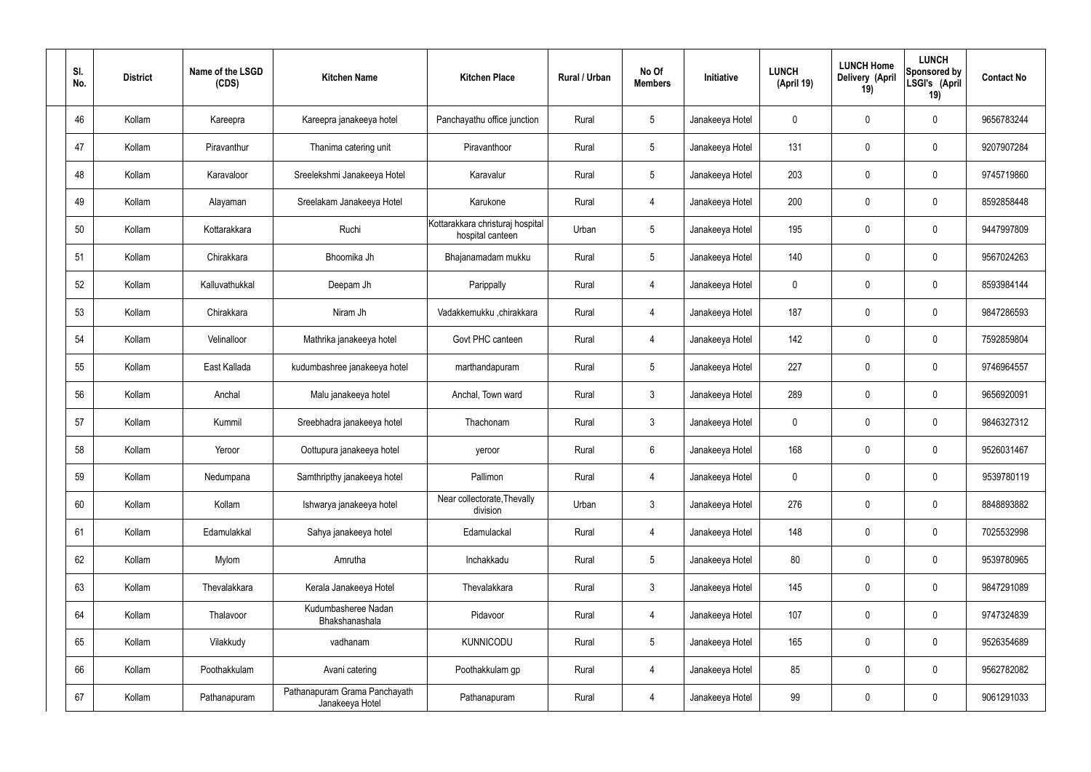| SI.<br>No. | <b>District</b> | Name of the LSGD<br>(CDS) | <b>Kitchen Name</b>                              | <b>Kitchen Place</b>                                 | Rural / Urban | No Of<br><b>Members</b> | Initiative      | <b>LUNCH</b><br>(April 19) | <b>LUNCH Home</b><br>Delivery (April<br>19) | <b>LUNCH</b><br>Sponsored by<br>LSGI's (April<br>19) | <b>Contact No</b> |
|------------|-----------------|---------------------------|--------------------------------------------------|------------------------------------------------------|---------------|-------------------------|-----------------|----------------------------|---------------------------------------------|------------------------------------------------------|-------------------|
| 46         | Kollam          | Kareepra                  | Kareepra janakeeya hotel                         | Panchayathu office junction                          | Rural         | $5\phantom{.0}$         | Janakeeya Hotel | 0                          | 0                                           | $\mathbf 0$                                          | 9656783244        |
| 47         | Kollam          | Piravanthur               | Thanima catering unit                            | Piravanthoor                                         | Rural         | $5\phantom{.0}$         | Janakeeya Hotel | 131                        | 0                                           | $\mathbf 0$                                          | 9207907284        |
| 48         | Kollam          | Karavaloor                | Sreelekshmi Janakeeya Hotel                      | Karavalur                                            | Rural         | $5\phantom{.0}$         | Janakeeya Hotel | 203                        | 0                                           | $\mathbf 0$                                          | 9745719860        |
| 49         | Kollam          | Alayaman                  | Sreelakam Janakeeya Hotel                        | Karukone                                             | Rural         | $\overline{4}$          | Janakeeya Hotel | 200                        | 0                                           | $\mathbf 0$                                          | 8592858448        |
| 50         | Kollam          | Kottarakkara              | Ruchi                                            | Kottarakkara christuraj hospital<br>hospital canteen | Urban         | $5\phantom{.0}$         | Janakeeya Hotel | 195                        | 0                                           | $\mathbf 0$                                          | 9447997809        |
| 51         | Kollam          | Chirakkara                | Bhoomika Jh                                      | Bhajanamadam mukku                                   | Rural         | $5\phantom{.0}$         | Janakeeya Hotel | 140                        | 0                                           | $\mathbf 0$                                          | 9567024263        |
| 52         | Kollam          | Kalluvathukkal            | Deepam Jh                                        | Parippally                                           | Rural         | $\overline{4}$          | Janakeeya Hotel | $\mathbf 0$                | 0                                           | $\mathbf 0$                                          | 8593984144        |
| 53         | Kollam          | Chirakkara                | Niram Jh                                         | Vadakkemukku ,chirakkara                             | Rural         | $\overline{4}$          | Janakeeya Hotel | 187                        | 0                                           | $\mathbf 0$                                          | 9847286593        |
| 54         | Kollam          | Velinalloor               | Mathrika janakeeya hotel                         | Govt PHC canteen                                     | Rural         | $\overline{4}$          | Janakeeya Hotel | 142                        | $\boldsymbol{0}$                            | $\mathbf 0$                                          | 7592859804        |
| 55         | Kollam          | East Kallada              | kudumbashree janakeeya hotel                     | marthandapuram                                       | Rural         | $5\phantom{.0}$         | Janakeeya Hotel | 227                        | 0                                           | $\mathbf 0$                                          | 9746964557        |
| 56         | Kollam          | Anchal                    | Malu janakeeya hotel                             | Anchal, Town ward                                    | Rural         | $\mathbf{3}$            | Janakeeya Hotel | 289                        | 0                                           | $\boldsymbol{0}$                                     | 9656920091        |
| 57         | Kollam          | Kummil                    | Sreebhadra janakeeya hotel                       | Thachonam                                            | Rural         | $\mathfrak{Z}$          | Janakeeya Hotel | $\mathbf 0$                | 0                                           | $\boldsymbol{0}$                                     | 9846327312        |
| 58         | Kollam          | Yeroor                    | Oottupura janakeeya hotel                        | yeroor                                               | Rural         | $6\phantom{.}$          | Janakeeya Hotel | 168                        | 0                                           | 0                                                    | 9526031467        |
| 59         | Kollam          | Nedumpana                 | Samthripthy janakeeya hotel                      | Pallimon                                             | Rural         | $\overline{4}$          | Janakeeya Hotel | $\mathbf 0$                | 0                                           | $\mathbf 0$                                          | 9539780119        |
| 60         | Kollam          | Kollam                    | Ishwarya janakeeya hotel                         | Near collectorate, Thevally<br>division              | Urban         | $\mathbf{3}$            | Janakeeya Hotel | 276                        | $\mathbf 0$                                 | $\mathbf 0$                                          | 8848893882        |
| 61         | Kollam          | Edamulakkal               | Sahya janakeeya hotel                            | Edamulackal                                          | Rural         | $\overline{4}$          | Janakeeya Hotel | 148                        | $\mathbf 0$                                 | $\mathbf 0$                                          | 7025532998        |
| 62         | Kollam          | Mylom                     | Amrutha                                          | Inchakkadu                                           | Rural         | $5\phantom{.0}$         | Janakeeya Hotel | 80                         | $\mathbf 0$                                 | $\mathbf 0$                                          | 9539780965        |
| 63         | Kollam          | Thevalakkara              | Kerala Janakeeya Hotel                           | Thevalakkara                                         | Rural         | $\mathbf{3}$            | Janakeeya Hotel | 145                        | $\mathbf 0$                                 | $\mathbf 0$                                          | 9847291089        |
| 64         | Kollam          | Thalavoor                 | Kudumbasheree Nadan<br>Bhakshanashala            | Pidavoor                                             | Rural         | $\overline{4}$          | Janakeeya Hotel | 107                        | $\mathbf 0$                                 | $\mathbf 0$                                          | 9747324839        |
| 65         | Kollam          | Vilakkudy                 | vadhanam                                         | <b>KUNNICODU</b>                                     | Rural         | $5\phantom{.0}$         | Janakeeya Hotel | 165                        | 0                                           | $\mathbf 0$                                          | 9526354689        |
| 66         | Kollam          | Poothakkulam              | Avani catering                                   | Poothakkulam gp                                      | Rural         | $\overline{4}$          | Janakeeya Hotel | 85                         | 0                                           | $\mathbf 0$                                          | 9562782082        |
| 67         | Kollam          | Pathanapuram              | Pathanapuram Grama Panchayath<br>Janakeeya Hotel | Pathanapuram                                         | Rural         | 4                       | Janakeeya Hotel | 99                         | 0                                           | $\boldsymbol{0}$                                     | 9061291033        |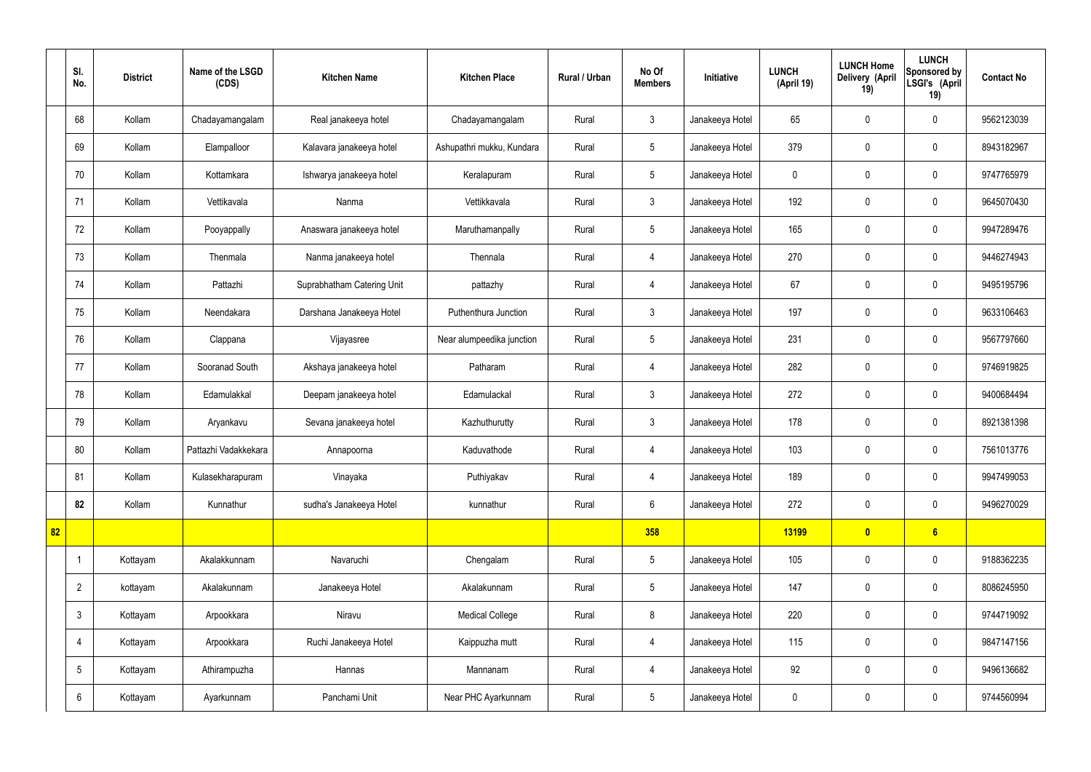|    | SI.<br>No.      | <b>District</b> | Name of the LSGD<br>(CDS) | <b>Kitchen Name</b>        | <b>Kitchen Place</b>      | <b>Rural / Urban</b> | No Of<br><b>Members</b> | Initiative      | <b>LUNCH</b><br>(April 19) | <b>LUNCH Home</b><br>Delivery (April<br>19) | <b>LUNCH</b><br>Sponsored by<br>LSGI's (April<br>19) | <b>Contact No</b> |
|----|-----------------|-----------------|---------------------------|----------------------------|---------------------------|----------------------|-------------------------|-----------------|----------------------------|---------------------------------------------|------------------------------------------------------|-------------------|
|    | 68              | Kollam          | Chadayamangalam           | Real janakeeya hotel       | Chadayamangalam           | Rural                | $\mathbf{3}$            | Janakeeya Hotel | 65                         | $\mathbf 0$                                 | $\mathbf 0$                                          | 9562123039        |
|    | 69              | Kollam          | Elampalloor               | Kalavara janakeeya hotel   | Ashupathri mukku, Kundara | Rural                | $5\overline{)}$         | Janakeeya Hotel | 379                        | $\mathbf 0$                                 | $\mathbf 0$                                          | 8943182967        |
|    | 70              | Kollam          | Kottamkara                | Ishwarya janakeeya hotel   | Keralapuram               | Rural                | $5\phantom{.0}$         | Janakeeya Hotel | $\mathbf 0$                | $\mathbf 0$                                 | $\mathbf 0$                                          | 9747765979        |
|    | 71              | Kollam          | Vettikavala               | Nanma                      | Vettikkavala              | Rural                | $\mathbf{3}$            | Janakeeya Hotel | 192                        | $\mathbf 0$                                 | $\mathbf 0$                                          | 9645070430        |
|    | 72              | Kollam          | Pooyappally               | Anaswara janakeeya hotel   | Maruthamanpally           | Rural                | $5\phantom{.0}$         | Janakeeya Hotel | 165                        | $\mathbf 0$                                 | $\mathbf 0$                                          | 9947289476        |
|    | 73              | Kollam          | Thenmala                  | Nanma janakeeya hotel      | Thennala                  | Rural                | 4                       | Janakeeya Hotel | 270                        | $\mathbf 0$                                 | $\mathbf 0$                                          | 9446274943        |
|    | 74              | Kollam          | Pattazhi                  | Suprabhatham Catering Unit | pattazhy                  | Rural                | $\overline{4}$          | Janakeeya Hotel | 67                         | $\mathbf 0$                                 | $\mathbf 0$                                          | 9495195796        |
|    | 75              | Kollam          | Neendakara                | Darshana Janakeeya Hotel   | Puthenthura Junction      | Rural                | $\mathbf{3}$            | Janakeeya Hotel | 197                        | $\mathbf 0$                                 | $\mathbf 0$                                          | 9633106463        |
|    | 76              | Kollam          | Clappana                  | Vijayasree                 | Near alumpeedika junction | Rural                | $5\overline{)}$         | Janakeeya Hotel | 231                        | $\mathbf 0$                                 | $\mathbf 0$                                          | 9567797660        |
|    | 77              | Kollam          | Sooranad South            | Akshaya janakeeya hotel    | Patharam                  | Rural                | 4                       | Janakeeya Hotel | 282                        | $\mathbf 0$                                 | $\mathbf 0$                                          | 9746919825        |
|    | 78              | Kollam          | Edamulakkal               | Deepam janakeeya hotel     | Edamulackal               | Rural                | $\mathbf{3}$            | Janakeeya Hotel | 272                        | $\mathbf 0$                                 | $\mathbf 0$                                          | 9400684494        |
|    | 79              | Kollam          | Aryankavu                 | Sevana janakeeya hotel     | Kazhuthurutty             | Rural                | $\mathbf{3}$            | Janakeeya Hotel | 178                        | $\mathbf 0$                                 | $\mathbf 0$                                          | 8921381398        |
|    | 80              | Kollam          | Pattazhi Vadakkekara      | Annapoorna                 | Kaduvathode               | Rural                | 4                       | Janakeeya Hotel | 103                        | $\mathbf 0$                                 | $\mathbf 0$                                          | 7561013776        |
|    | 81              | Kollam          | Kulasekharapuram          | Vinayaka                   | Puthiyakav                | Rural                | $\overline{4}$          | Janakeeya Hotel | 189                        | $\mathbf 0$                                 | $\mathbf 0$                                          | 9947499053        |
|    | 82              | Kollam          | Kunnathur                 | sudha's Janakeeya Hotel    | kunnathur                 | Rural                | $6\phantom{.}6$         | Janakeeya Hotel | 272                        | $\mathbf 0$                                 | $\mathbf 0$                                          | 9496270029        |
| 82 |                 |                 |                           |                            |                           |                      | 358                     |                 | 13199                      | $\bullet$                                   | 6                                                    |                   |
|    | -1              | Kottayam        | Akalakkunnam              | Navaruchi                  | Chengalam                 | Rural                | $5\phantom{.0}$         | Janakeeya Hotel | 105                        | $\mathbf 0$                                 | $\mathbf 0$                                          | 9188362235        |
|    | $\overline{2}$  | kottayam        | Akalakunnam               | Janakeeya Hotel            | Akalakunnam               | Rural                | $5\phantom{.0}$         | Janakeeya Hotel | 147                        | $\pmb{0}$                                   | $\mathbf 0$                                          | 8086245950        |
|    | $\mathbf{3}$    | Kottayam        | Arpookkara                | Niravu                     | <b>Medical College</b>    | Rural                | 8                       | Janakeeya Hotel | 220                        | $\pmb{0}$                                   | $\mathbf 0$                                          | 9744719092        |
|    | 4               | Kottayam        | Arpookkara                | Ruchi Janakeeya Hotel      | Kaippuzha mutt            | Rural                | $\overline{4}$          | Janakeeya Hotel | 115                        | $\pmb{0}$                                   | $\mathbf 0$                                          | 9847147156        |
|    | $5\phantom{.0}$ | Kottayam        | Athirampuzha              | Hannas                     | Mannanam                  | Rural                | 4                       | Janakeeya Hotel | 92                         | $\pmb{0}$                                   | $\mathbf 0$                                          | 9496136682        |
|    | 6               | Kottayam        | Ayarkunnam                | Panchami Unit              | Near PHC Ayarkunnam       | Rural                | $5\phantom{.0}$         | Janakeeya Hotel | $\boldsymbol{0}$           | $\pmb{0}$                                   | $\boldsymbol{0}$                                     | 9744560994        |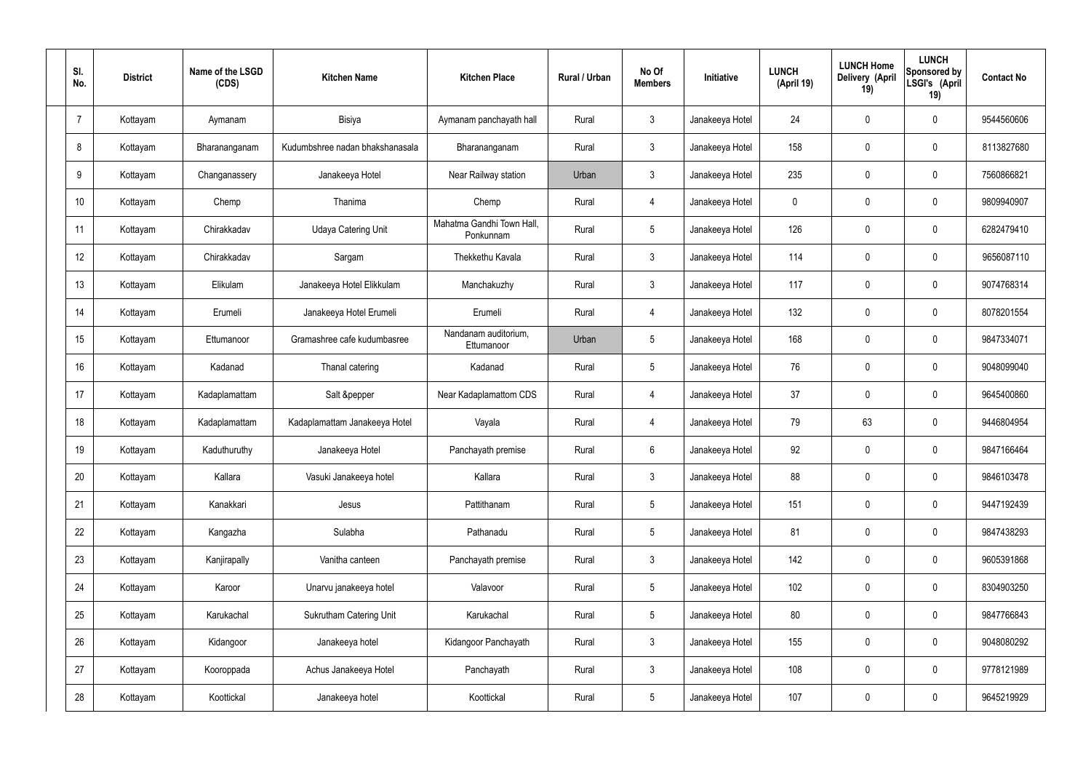| SI.<br>No.     | <b>District</b> | Name of the LSGD<br>(CDS) | <b>Kitchen Name</b>             | <b>Kitchen Place</b>                   | Rural / Urban | No Of<br><b>Members</b> | <b>Initiative</b> | <b>LUNCH</b><br>(April 19) | <b>LUNCH Home</b><br>Delivery (April<br>19) | <b>LUNCH</b><br>Sponsored by<br>LSGI's (April<br>19) | <b>Contact No</b> |
|----------------|-----------------|---------------------------|---------------------------------|----------------------------------------|---------------|-------------------------|-------------------|----------------------------|---------------------------------------------|------------------------------------------------------|-------------------|
| $\overline{7}$ | Kottayam        | Aymanam                   | Bisiya                          | Aymanam panchayath hall                | Rural         | $\mathbf{3}$            | Janakeeya Hotel   | 24                         | $\mathbf 0$                                 | $\mathbf 0$                                          | 9544560606        |
| 8              | Kottayam        | Bharananganam             | Kudumbshree nadan bhakshanasala | Bharananganam                          | Rural         | $\mathbf{3}$            | Janakeeya Hotel   | 158                        | $\mathbf 0$                                 | $\mathbf 0$                                          | 8113827680        |
| 9              | Kottayam        | Changanassery             | Janakeeya Hotel                 | Near Railway station                   | Urban         | $\mathbf{3}$            | Janakeeya Hotel   | 235                        | $\mathbf 0$                                 | $\mathbf 0$                                          | 7560866821        |
| 10             | Kottayam        | Chemp                     | Thanima                         | Chemp                                  | Rural         | $\overline{4}$          | Janakeeya Hotel   | $\mathbf 0$                | 0                                           | $\mathbf 0$                                          | 9809940907        |
| 11             | Kottayam        | Chirakkadav               | <b>Udaya Catering Unit</b>      | Mahatma Gandhi Town Hall,<br>Ponkunnam | Rural         | $5\phantom{.0}$         | Janakeeya Hotel   | 126                        | $\mathbf 0$                                 | $\mathbf 0$                                          | 6282479410        |
| 12             | Kottayam        | Chirakkadav               | Sargam                          | Thekkethu Kavala                       | Rural         | $\mathbf{3}$            | Janakeeya Hotel   | 114                        | $\mathbf 0$                                 | $\mathbf 0$                                          | 9656087110        |
| 13             | Kottayam        | Elikulam                  | Janakeeya Hotel Elikkulam       | Manchakuzhy                            | Rural         | $\mathbf{3}$            | Janakeeya Hotel   | 117                        | $\mathbf 0$                                 | $\mathbf 0$                                          | 9074768314        |
| 14             | Kottayam        | Erumeli                   | Janakeeya Hotel Erumeli         | Erumeli                                | Rural         | $\overline{4}$          | Janakeeya Hotel   | 132                        | 0                                           | $\mathbf 0$                                          | 8078201554        |
| 15             | Kottayam        | Ettumanoor                | Gramashree cafe kudumbasree     | Nandanam auditorium,<br>Ettumanoor     | Urban         | $5\phantom{.0}$         | Janakeeya Hotel   | 168                        | $\mathbf 0$                                 | $\mathbf 0$                                          | 9847334071        |
| 16             | Kottayam        | Kadanad                   | Thanal catering                 | Kadanad                                | Rural         | $5\phantom{.0}$         | Janakeeya Hotel   | 76                         | 0                                           | $\mathbf 0$                                          | 9048099040        |
| 17             | Kottayam        | Kadaplamattam             | Salt &pepper                    | Near Kadaplamattom CDS                 | Rural         | 4                       | Janakeeya Hotel   | 37                         | 0                                           | $\mathbf 0$                                          | 9645400860        |
| 18             | Kottayam        | Kadaplamattam             | Kadaplamattam Janakeeya Hotel   | Vayala                                 | Rural         | 4                       | Janakeeya Hotel   | 79                         | 63                                          | $\mathbf 0$                                          | 9446804954        |
| 19             | Kottayam        | Kaduthuruthy              | Janakeeya Hotel                 | Panchayath premise                     | Rural         | $6\phantom{.}6$         | Janakeeya Hotel   | 92                         | 0                                           | $\mathbf 0$                                          | 9847166464        |
| 20             | Kottayam        | Kallara                   | Vasuki Janakeeya hotel          | Kallara                                | Rural         | $\mathbf{3}$            | Janakeeya Hotel   | 88                         | $\mathbf 0$                                 | $\mathbf 0$                                          | 9846103478        |
| 21             | Kottayam        | Kanakkari                 | Jesus                           | Pattithanam                            | Rural         | $5\overline{)}$         | Janakeeya Hotel   | 151                        | 0                                           | $\mathbf 0$                                          | 9447192439        |
| 22             | Kottayam        | Kangazha                  | Sulabha                         | Pathanadu                              | Rural         | $5\overline{)}$         | Janakeeya Hotel   | 81                         | 0                                           | $\mathbf 0$                                          | 9847438293        |
| 23             | Kottayam        | Kanjirapally              | Vanitha canteen                 | Panchayath premise                     | Rural         | $\mathfrak{Z}$          | Janakeeya Hotel   | 142                        | 0                                           | $\mathbf 0$                                          | 9605391868        |
| 24             | Kottayam        | Karoor                    | Unarvu janakeeya hotel          | Valavoor                               | Rural         | $5\phantom{.0}$         | Janakeeya Hotel   | 102                        | 0                                           | $\mathbf 0$                                          | 8304903250        |
| 25             | Kottayam        | Karukachal                | Sukrutham Catering Unit         | Karukachal                             | Rural         | $5\phantom{.0}$         | Janakeeya Hotel   | 80                         | 0                                           | $\mathbf 0$                                          | 9847766843        |
| 26             | Kottayam        | Kidangoor                 | Janakeeya hotel                 | Kidangoor Panchayath                   | Rural         | $\mathfrak{Z}$          | Janakeeya Hotel   | 155                        | 0                                           | $\mathbf 0$                                          | 9048080292        |
| 27             | Kottayam        | Kooroppada                | Achus Janakeeya Hotel           | Panchayath                             | Rural         | $\mathfrak{Z}$          | Janakeeya Hotel   | 108                        | 0                                           | $\mathbf 0$                                          | 9778121989        |
| 28             | Kottayam        | Koottickal                | Janakeeya hotel                 | Koottickal                             | Rural         | $5\,$                   | Janakeeya Hotel   | 107                        | 0                                           | $\mathbf 0$                                          | 9645219929        |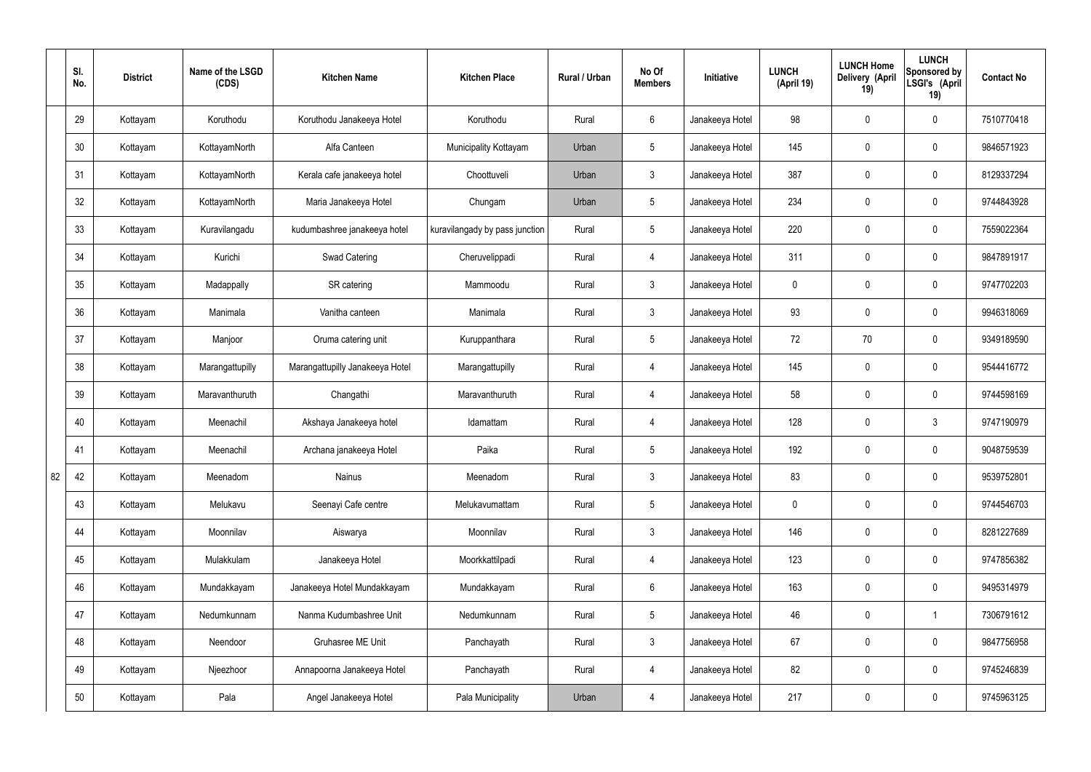|    | SI.<br>No. | <b>District</b> | Name of the LSGD<br>(CDS) | <b>Kitchen Name</b>             | <b>Kitchen Place</b>           | Rural / Urban | No Of<br><b>Members</b> | Initiative      | <b>LUNCH</b><br>(April 19) | <b>LUNCH Home</b><br>Delivery (April<br>19) | <b>LUNCH</b><br>Sponsored by<br>LSGI's (April<br>19) | <b>Contact No</b> |
|----|------------|-----------------|---------------------------|---------------------------------|--------------------------------|---------------|-------------------------|-----------------|----------------------------|---------------------------------------------|------------------------------------------------------|-------------------|
|    | 29         | Kottayam        | Koruthodu                 | Koruthodu Janakeeya Hotel       | Koruthodu                      | Rural         | $6\overline{6}$         | Janakeeya Hotel | 98                         | $\mathbf 0$                                 | $\mathbf 0$                                          | 7510770418        |
|    | 30         | Kottayam        | KottayamNorth             | Alfa Canteen                    | Municipality Kottayam          | Urban         | $5\phantom{.0}$         | Janakeeya Hotel | 145                        | $\mathbf 0$                                 | $\mathbf 0$                                          | 9846571923        |
|    | 31         | Kottayam        | KottayamNorth             | Kerala cafe janakeeya hotel     | Choottuveli                    | Urban         | $\mathbf{3}$            | Janakeeya Hotel | 387                        | $\mathbf 0$                                 | $\mathbf 0$                                          | 8129337294        |
|    | 32         | Kottayam        | KottayamNorth             | Maria Janakeeya Hotel           | Chungam                        | Urban         | $5\phantom{.0}$         | Janakeeya Hotel | 234                        | $\mathbf 0$                                 | $\mathbf 0$                                          | 9744843928        |
|    | 33         | Kottayam        | Kuravilangadu             | kudumbashree janakeeya hotel    | kuravilangady by pass junction | Rural         | $5\phantom{.0}$         | Janakeeya Hotel | 220                        | $\mathbf 0$                                 | $\mathbf 0$                                          | 7559022364        |
|    | 34         | Kottayam        | Kurichi                   | <b>Swad Catering</b>            | Cheruvelippadi                 | Rural         | $\overline{4}$          | Janakeeya Hotel | 311                        | $\mathbf 0$                                 | $\mathbf 0$                                          | 9847891917        |
|    | 35         | Kottayam        | Madappally                | SR catering                     | Mammoodu                       | Rural         | $\mathbf{3}$            | Janakeeya Hotel | $\mathbf 0$                | $\mathbf 0$                                 | $\mathbf 0$                                          | 9747702203        |
|    | 36         | Kottayam        | Manimala                  | Vanitha canteen                 | Manimala                       | Rural         | $\mathbf{3}$            | Janakeeya Hotel | 93                         | $\mathbf 0$                                 | $\mathbf 0$                                          | 9946318069        |
|    | 37         | Kottayam        | Manjoor                   | Oruma catering unit             | Kuruppanthara                  | Rural         | $5\phantom{.0}$         | Janakeeya Hotel | 72                         | 70                                          | $\mathbf 0$                                          | 9349189590        |
|    | 38         | Kottayam        | Marangattupilly           | Marangattupilly Janakeeya Hotel | Marangattupilly                | Rural         | 4                       | Janakeeya Hotel | 145                        | $\mathbf 0$                                 | $\mathbf 0$                                          | 9544416772        |
|    | 39         | Kottayam        | Maravanthuruth            | Changathi                       | Maravanthuruth                 | Rural         | 4                       | Janakeeya Hotel | 58                         | 0                                           | $\mathbf 0$                                          | 9744598169        |
|    | 40         | Kottayam        | Meenachil                 | Akshaya Janakeeya hotel         | Idamattam                      | Rural         | 4                       | Janakeeya Hotel | 128                        | $\mathbf 0$                                 | $\mathbf{3}$                                         | 9747190979        |
|    | 41         | Kottayam        | Meenachil                 | Archana janakeeya Hotel         | Paika                          | Rural         | $5\overline{)}$         | Janakeeya Hotel | 192                        | $\mathbf 0$                                 | $\mathbf 0$                                          | 9048759539        |
| 82 | 42         | Kottayam        | Meenadom                  | Nainus                          | Meenadom                       | Rural         | $\mathbf{3}$            | Janakeeya Hotel | 83                         | $\pmb{0}$                                   | $\mathbf 0$                                          | 9539752801        |
|    | 43         | Kottayam        | Melukavu                  | Seenayi Cafe centre             | Melukavumattam                 | Rural         | $5\overline{)}$         | Janakeeya Hotel | $\mathbf 0$                | $\pmb{0}$                                   | $\mathbf 0$                                          | 9744546703        |
|    | 44         | Kottayam        | Moonnilav                 | Aiswarya                        | Moonnilav                      | Rural         | 3                       | Janakeeya Hotel | 146                        | 0                                           | $\mathbf 0$                                          | 8281227689        |
|    | 45         | Kottayam        | Mulakkulam                | Janakeeya Hotel                 | Moorkkattilpadi                | Rural         | $\overline{4}$          | Janakeeya Hotel | 123                        | 0                                           | $\mathbf 0$                                          | 9747856382        |
|    | 46         | Kottayam        | Mundakkayam               | Janakeeya Hotel Mundakkayam     | Mundakkayam                    | Rural         | $6\overline{6}$         | Janakeeya Hotel | 163                        | 0                                           | $\mathbf 0$                                          | 9495314979        |
|    | 47         | Kottayam        | Nedumkunnam               | Nanma Kudumbashree Unit         | Nedumkunnam                    | Rural         | $5\phantom{.0}$         | Janakeeya Hotel | 46                         | $\pmb{0}$                                   | $\mathbf{1}$                                         | 7306791612        |
|    | 48         | Kottayam        | Neendoor                  | Gruhasree ME Unit               | Panchayath                     | Rural         | $\mathbf{3}$            | Janakeeya Hotel | 67                         | 0                                           | $\mathbf 0$                                          | 9847756958        |
|    | 49         | Kottayam        | Njeezhoor                 | Annapoorna Janakeeya Hotel      | Panchayath                     | Rural         | $\overline{4}$          | Janakeeya Hotel | 82                         | 0                                           | $\mathbf 0$                                          | 9745246839        |
|    | 50         | Kottayam        | Pala                      | Angel Janakeeya Hotel           | Pala Municipality              | Urban         | 4                       | Janakeeya Hotel | 217                        | 0                                           | $\overline{0}$                                       | 9745963125        |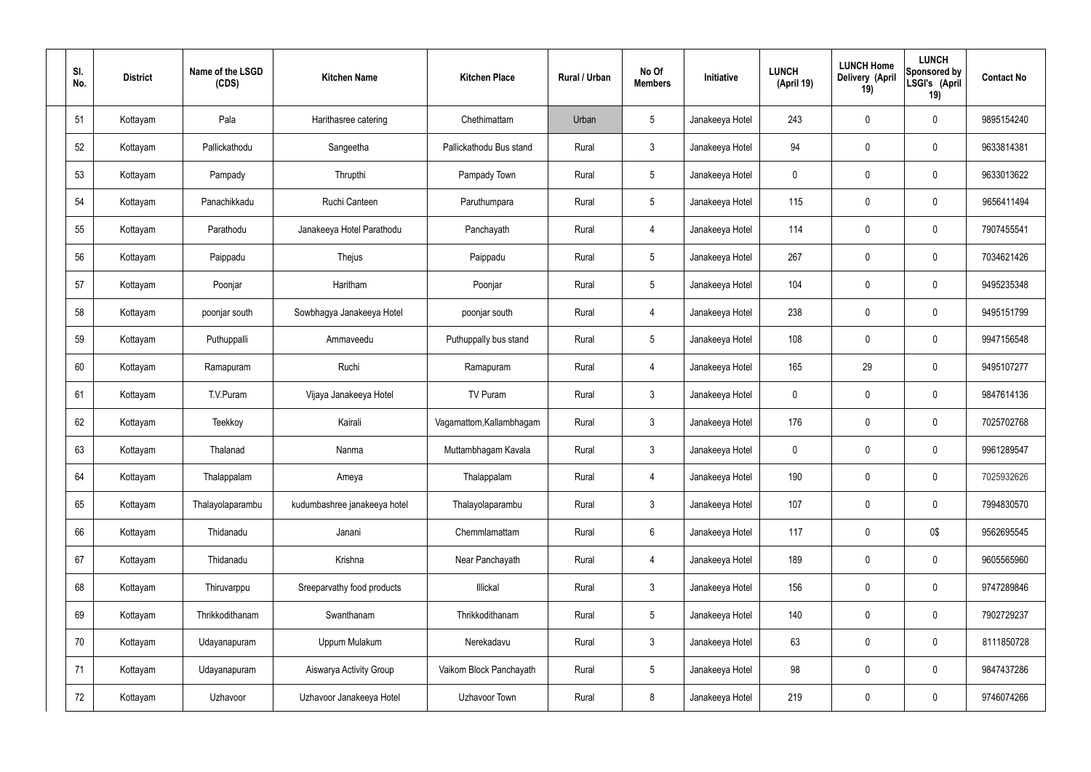| SI.<br>No. | <b>District</b> | Name of the LSGD<br>(CDS) | <b>Kitchen Name</b>          | <b>Kitchen Place</b>     | Rural / Urban | No Of<br><b>Members</b> | Initiative      | <b>LUNCH</b><br>(April 19) | <b>LUNCH Home</b><br>Delivery (April<br>19) | <b>LUNCH</b><br>Sponsored by<br>LSGI's (April<br>19) | <b>Contact No</b> |
|------------|-----------------|---------------------------|------------------------------|--------------------------|---------------|-------------------------|-----------------|----------------------------|---------------------------------------------|------------------------------------------------------|-------------------|
| 51         | Kottayam        | Pala                      | Harithasree catering         | Chethimattam             | Urban         | $5\phantom{.0}$         | Janakeeya Hotel | 243                        | $\mathbf 0$                                 | $\mathbf 0$                                          | 9895154240        |
| 52         | Kottayam        | Pallickathodu             | Sangeetha                    | Pallickathodu Bus stand  | Rural         | $\mathbf{3}$            | Janakeeya Hotel | 94                         | $\mathbf 0$                                 | $\mathbf 0$                                          | 9633814381        |
| 53         | Kottayam        | Pampady                   | Thrupthi                     | Pampady Town             | Rural         | $5\overline{)}$         | Janakeeya Hotel | 0                          | $\mathbf 0$                                 | $\mathbf 0$                                          | 9633013622        |
| 54         | Kottayam        | Panachikkadu              | Ruchi Canteen                | Paruthumpara             | Rural         | $5\phantom{.0}$         | Janakeeya Hotel | 115                        | $\mathbf 0$                                 | $\mathbf 0$                                          | 9656411494        |
| 55         | Kottayam        | Parathodu                 | Janakeeya Hotel Parathodu    | Panchayath               | Rural         | 4                       | Janakeeya Hotel | 114                        | $\boldsymbol{0}$                            | $\mathbf 0$                                          | 7907455541        |
| 56         | Kottayam        | Paippadu                  | Thejus                       | Paippadu                 | Rural         | $5\overline{)}$         | Janakeeya Hotel | 267                        | $\mathbf 0$                                 | $\pmb{0}$                                            | 7034621426        |
| 57         | Kottayam        | Poonjar                   | Haritham                     | Poonjar                  | Rural         | $5\overline{)}$         | Janakeeya Hotel | 104                        | $\boldsymbol{0}$                            | $\mathbf 0$                                          | 9495235348        |
| 58         | Kottayam        | poonjar south             | Sowbhagya Janakeeya Hotel    | poonjar south            | Rural         | $\overline{4}$          | Janakeeya Hotel | 238                        | $\mathbf 0$                                 | $\mathbf 0$                                          | 9495151799        |
| 59         | Kottayam        | Puthuppalli               | Ammaveedu                    | Puthuppally bus stand    | Rural         | $5\phantom{.0}$         | Janakeeya Hotel | 108                        | $\mathbf 0$                                 | $\mathbf 0$                                          | 9947156548        |
| 60         | Kottayam        | Ramapuram                 | Ruchi                        | Ramapuram                | Rural         | $\overline{4}$          | Janakeeya Hotel | 165                        | 29                                          | $\mathbf 0$                                          | 9495107277        |
| 61         | Kottayam        | T.V.Puram                 | Vijaya Janakeeya Hotel       | TV Puram                 | Rural         | $\mathbf{3}$            | Janakeeya Hotel | $\mathbf 0$                | $\boldsymbol{0}$                            | $\mathbf 0$                                          | 9847614136        |
| 62         | Kottayam        | Teekkoy                   | Kairali                      | Vagamattom, Kallambhagam | Rural         | $\mathbf{3}$            | Janakeeya Hotel | 176                        | $\mathbf 0$                                 | $\boldsymbol{0}$                                     | 7025702768        |
| 63         | Kottayam        | Thalanad                  | Nanma                        | Muttambhagam Kavala      | Rural         | $\mathbf{3}$            | Janakeeya Hotel | $\mathbf 0$                | $\mathbf 0$                                 | $\mathbf 0$                                          | 9961289547        |
| 64         | Kottayam        | Thalappalam               | Ameya                        | Thalappalam              | Rural         | $\overline{4}$          | Janakeeya Hotel | 190                        | $\mathbf 0$                                 | $\mathbf 0$                                          | 7025932626        |
| 65         | Kottayam        | Thalayolaparambu          | kudumbashree janakeeya hotel | Thalayolaparambu         | Rural         | $\mathbf{3}$            | Janakeeya Hotel | 107                        | $\mathbf 0$                                 | $\pmb{0}$                                            | 7994830570        |
| 66         | Kottayam        | Thidanadu                 | Janani                       | Chemmlamattam            | Rural         | $6\overline{6}$         | Janakeeya Hotel | 117                        | $\mathbf 0$                                 | 0\$                                                  | 9562695545        |
| 67         | Kottayam        | Thidanadu                 | Krishna                      | Near Panchayath          | Rural         | $\overline{4}$          | Janakeeya Hotel | 189                        | $\mathbf 0$                                 | $\mathsf{0}$                                         | 9605565960        |
| 68         | Kottayam        | Thiruvarppu               | Sreeparvathy food products   | Illickal                 | Rural         | $\mathbf{3}$            | Janakeeya Hotel | 156                        | $\pmb{0}$                                   | $\pmb{0}$                                            | 9747289846        |
| 69         | Kottayam        | Thrikkodithanam           | Swanthanam                   | Thrikkodithanam          | Rural         | $5\overline{)}$         | Janakeeya Hotel | 140                        | $\mathbf 0$                                 | $\pmb{0}$                                            | 7902729237        |
| 70         | Kottayam        | Udayanapuram              | Uppum Mulakum                | Nerekadavu               | Rural         | $\mathbf{3}$            | Janakeeya Hotel | 63                         | $\mathbf 0$                                 | $\mathbf 0$                                          | 8111850728        |
| 71         | Kottayam        | Udayanapuram              | Aiswarya Activity Group      | Vaikom Block Panchayath  | Rural         | $5\phantom{.0}$         | Janakeeya Hotel | 98                         | $\mathbf 0$                                 | $\pmb{0}$                                            | 9847437286        |
| 72         | Kottayam        | Uzhavoor                  | Uzhavoor Janakeeya Hotel     | Uzhavoor Town            | Rural         | $8\,$                   | Janakeeya Hotel | 219                        | $\boldsymbol{0}$                            | $\pmb{0}$                                            | 9746074266        |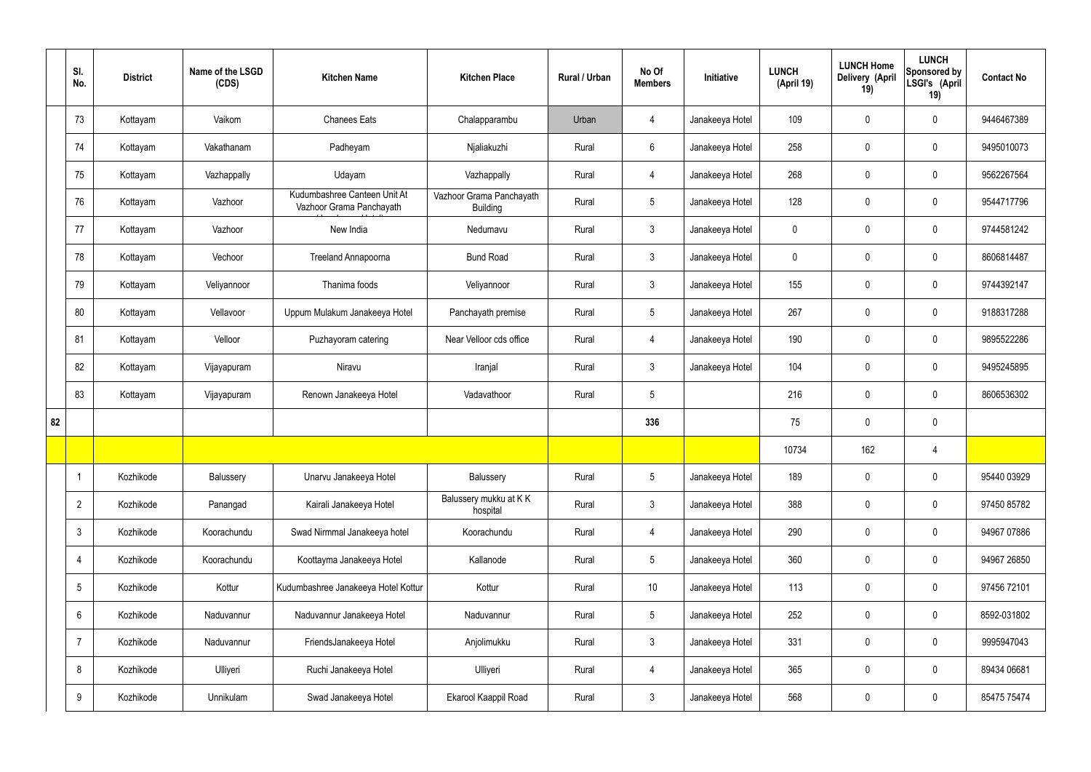|    | SI.<br>No.      | <b>District</b> | Name of the LSGD<br>(CDS) | <b>Kitchen Name</b>                                      | <b>Kitchen Place</b>                        | Rural / Urban | No Of<br><b>Members</b> | Initiative      | <b>LUNCH</b><br>(April 19) | <b>LUNCH Home</b><br><b>Delivery (April</b><br>19) | <b>LUNCH</b><br>Sponsored by<br>LSGI's (April<br>19) | <b>Contact No</b> |
|----|-----------------|-----------------|---------------------------|----------------------------------------------------------|---------------------------------------------|---------------|-------------------------|-----------------|----------------------------|----------------------------------------------------|------------------------------------------------------|-------------------|
|    | 73              | Kottayam        | Vaikom                    | <b>Chanees Eats</b>                                      | Chalapparambu                               | Urban         | 4                       | Janakeeya Hotel | 109                        | $\mathbf 0$                                        | $\mathbf 0$                                          | 9446467389        |
|    | 74              | Kottayam        | Vakathanam                | Padheyam                                                 | Njaliakuzhi                                 | Rural         | $6\overline{6}$         | Janakeeya Hotel | 258                        | $\mathbf 0$                                        | $\mathbf 0$                                          | 9495010073        |
|    | 75              | Kottayam        | Vazhappally               | Udayam                                                   | Vazhappally                                 | Rural         | $\overline{4}$          | Janakeeya Hotel | 268                        | $\mathbf 0$                                        | $\mathbf 0$                                          | 9562267564        |
|    | 76              | Kottayam        | Vazhoor                   | Kudumbashree Canteen Unit At<br>Vazhoor Grama Panchayath | Vazhoor Grama Panchayath<br><b>Building</b> | Rural         | $5\phantom{.0}$         | Janakeeya Hotel | 128                        | $\mathbf 0$                                        | $\mathbf 0$                                          | 9544717796        |
|    | 77              | Kottayam        | Vazhoor                   | New India                                                | Nedumavu                                    | Rural         | $\mathbf{3}$            | Janakeeya Hotel | $\mathbf 0$                | $\mathbf 0$                                        | $\mathbf 0$                                          | 9744581242        |
|    | 78              | Kottayam        | Vechoor                   | Treeland Annapoorna                                      | <b>Bund Road</b>                            | Rural         | $\mathbf{3}$            | Janakeeya Hotel | $\mathbf 0$                | $\mathbf 0$                                        | $\mathbf 0$                                          | 8606814487        |
|    | 79              | Kottayam        | Veliyannoor               | Thanima foods                                            | Veliyannoor                                 | Rural         | $\mathbf{3}$            | Janakeeya Hotel | 155                        | $\mathbf 0$                                        | $\mathbf 0$                                          | 9744392147        |
|    | 80              | Kottayam        | Vellavoor                 | Uppum Mulakum Janakeeya Hotel                            | Panchayath premise                          | Rural         | $5\phantom{.0}$         | Janakeeya Hotel | 267                        | $\mathbf 0$                                        | $\mathbf 0$                                          | 9188317288        |
|    | 81              | Kottayam        | Velloor                   | Puzhayoram catering                                      | Near Velloor cds office                     | Rural         | $\overline{4}$          | Janakeeya Hotel | 190                        | $\mathbf 0$                                        | $\mathbf 0$                                          | 9895522286        |
|    | 82              | Kottayam        | Vijayapuram               | Niravu                                                   | Iranjal                                     | Rural         | $\mathbf{3}$            | Janakeeya Hotel | 104                        | $\mathbf 0$                                        | $\mathbf 0$                                          | 9495245895        |
|    | 83              | Kottayam        | Vijayapuram               | Renown Janakeeya Hotel                                   | Vadavathoor                                 | Rural         | 5                       |                 | 216                        | $\pmb{0}$                                          | $\mathbf 0$                                          | 8606536302        |
| 82 |                 |                 |                           |                                                          |                                             |               | 336                     |                 | 75                         | $\mathbf 0$                                        | $\mathbf 0$                                          |                   |
|    |                 |                 |                           |                                                          |                                             |               |                         |                 | 10734                      | 162                                                | 4                                                    |                   |
|    |                 | Kozhikode       | Balussery                 | Unarvu Janakeeya Hotel                                   | Balussery                                   | Rural         | 5 <sub>5</sub>          | Janakeeya Hotel | 189                        | $\pmb{0}$                                          | $\mathbf 0$                                          | 95440 03929       |
|    | $\overline{2}$  | Kozhikode       | Panangad                  | Kairali Janakeeya Hotel                                  | Balussery mukku at KK<br>hospital           | Rural         | $\mathbf{3}$            | Janakeeya Hotel | 388                        | $\pmb{0}$                                          | $\mathbf 0$                                          | 97450 85782       |
|    | $\mathbf{3}$    | Kozhikode       | Koorachundu               | Swad Nirmmal Janakeeya hotel                             | Koorachundu                                 | Rural         | $\overline{4}$          | Janakeeya Hotel | 290                        | $\pmb{0}$                                          | $\mathbf 0$                                          | 94967 07886       |
|    | 4               | Kozhikode       | Koorachundu               | Koottayma Janakeeya Hotel                                | Kallanode                                   | Rural         | $5\phantom{.0}$         | Janakeeya Hotel | 360                        | $\pmb{0}$                                          | $\mathbf 0$                                          | 94967 26850       |
|    | $5\phantom{.0}$ | Kozhikode       | Kottur                    | Kudumbashree Janakeeya Hotel Kottur                      | Kottur                                      | Rural         | $10$                    | Janakeeya Hotel | 113                        | $\pmb{0}$                                          | $\mathbf 0$                                          | 97456 72101       |
|    | 6               | Kozhikode       | Naduvannur                | Naduvannur Janakeeya Hotel                               | Naduvannur                                  | Rural         | $5\phantom{.0}$         | Janakeeya Hotel | 252                        | $\pmb{0}$                                          | $\mathbf 0$                                          | 8592-031802       |
|    | $\overline{7}$  | Kozhikode       | Naduvannur                | FriendsJanakeeya Hotel                                   | Anjolimukku                                 | Rural         | $\mathbf{3}$            | Janakeeya Hotel | 331                        | $\pmb{0}$                                          | $\mathbf 0$                                          | 9995947043        |
|    | 8               | Kozhikode       | Ulliyeri                  | Ruchi Janakeeya Hotel                                    | Ulliyeri                                    | Rural         | 4                       | Janakeeya Hotel | 365                        | $\pmb{0}$                                          | $\mathbf 0$                                          | 89434 06681       |
|    | 9               | Kozhikode       | Unnikulam                 | Swad Janakeeya Hotel                                     | Ekarool Kaappil Road                        | Rural         | $\mathbf{3}$            | Janakeeya Hotel | 568                        | $\pmb{0}$                                          | $\boldsymbol{0}$                                     | 85475 75474       |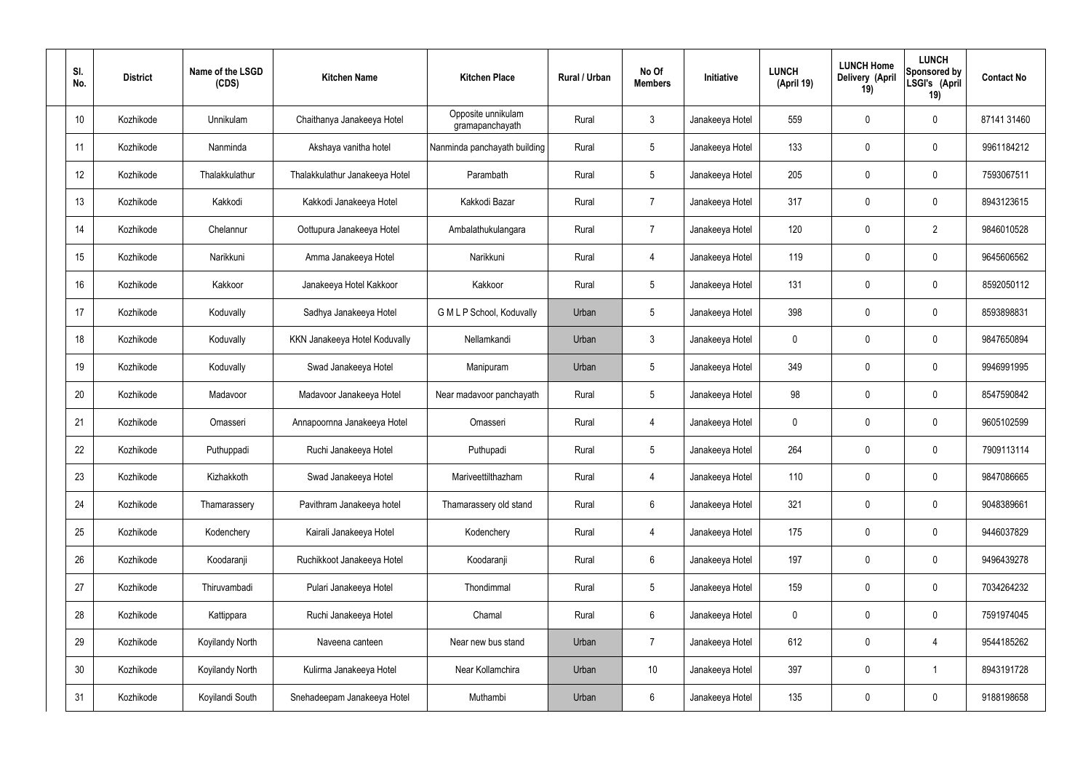| SI.<br>No. | <b>District</b> | Name of the LSGD<br>(CDS) | <b>Kitchen Name</b>            | <b>Kitchen Place</b>                  | Rural / Urban | No Of<br><b>Members</b> | <b>Initiative</b> | <b>LUNCH</b><br>(April 19) | <b>LUNCH Home</b><br>Delivery (April<br>19) | <b>LUNCH</b><br>Sponsored by<br>LSGI's (April<br>19) | <b>Contact No</b> |
|------------|-----------------|---------------------------|--------------------------------|---------------------------------------|---------------|-------------------------|-------------------|----------------------------|---------------------------------------------|------------------------------------------------------|-------------------|
| 10         | Kozhikode       | Unnikulam                 | Chaithanya Janakeeya Hotel     | Opposite unnikulam<br>gramapanchayath | Rural         | $\mathbf{3}$            | Janakeeya Hotel   | 559                        | 0                                           | $\mathbf 0$                                          | 87141 31460       |
| 11         | Kozhikode       | Nanminda                  | Akshaya vanitha hotel          | Nanminda panchayath building          | Rural         | $5\phantom{.0}$         | Janakeeya Hotel   | 133                        | 0                                           | $\mathbf 0$                                          | 9961184212        |
| 12         | Kozhikode       | Thalakkulathur            | Thalakkulathur Janakeeya Hotel | Parambath                             | Rural         | $5\phantom{.0}$         | Janakeeya Hotel   | 205                        | 0                                           | $\mathbf 0$                                          | 7593067511        |
| 13         | Kozhikode       | Kakkodi                   | Kakkodi Janakeeya Hotel        | Kakkodi Bazar                         | Rural         | $\overline{7}$          | Janakeeya Hotel   | 317                        | 0                                           | $\mathbf 0$                                          | 8943123615        |
| 14         | Kozhikode       | Chelannur                 | Oottupura Janakeeya Hotel      | Ambalathukulangara                    | Rural         | $\overline{7}$          | Janakeeya Hotel   | 120                        | 0                                           | $\overline{2}$                                       | 9846010528        |
| 15         | Kozhikode       | Narikkuni                 | Amma Janakeeya Hotel           | Narikkuni                             | Rural         | 4                       | Janakeeya Hotel   | 119                        | 0                                           | $\mathbf 0$                                          | 9645606562        |
| 16         | Kozhikode       | Kakkoor                   | Janakeeya Hotel Kakkoor        | Kakkoor                               | Rural         | $5\phantom{.0}$         | Janakeeya Hotel   | 131                        | $\mathbf 0$                                 | $\mathbf 0$                                          | 8592050112        |
| 17         | Kozhikode       | Koduvally                 | Sadhya Janakeeya Hotel         | G M L P School, Koduvally             | Urban         | $5\phantom{.0}$         | Janakeeya Hotel   | 398                        | 0                                           | $\mathbf 0$                                          | 8593898831        |
| 18         | Kozhikode       | Koduvally                 | KKN Janakeeya Hotel Koduvally  | Nellamkandi                           | Urban         | $\mathbf{3}$            | Janakeeya Hotel   | $\mathbf 0$                | 0                                           | $\mathbf 0$                                          | 9847650894        |
| 19         | Kozhikode       | Koduvally                 | Swad Janakeeya Hotel           | Manipuram                             | Urban         | $5\phantom{.0}$         | Janakeeya Hotel   | 349                        | 0                                           | $\mathbf 0$                                          | 9946991995        |
| 20         | Kozhikode       | Madavoor                  | Madavoor Janakeeya Hotel       | Near madavoor panchayath              | Rural         | $5\phantom{.0}$         | Janakeeya Hotel   | 98                         | 0                                           | $\mathbf 0$                                          | 8547590842        |
| 21         | Kozhikode       | Omasseri                  | Annapoornna Janakeeya Hotel    | Omasseri                              | Rural         | 4                       | Janakeeya Hotel   | $\mathbf 0$                | 0                                           | $\mathbf 0$                                          | 9605102599        |
| 22         | Kozhikode       | Puthuppadi                | Ruchi Janakeeya Hotel          | Puthupadi                             | Rural         | $5\phantom{.0}$         | Janakeeya Hotel   | 264                        | 0                                           | 0                                                    | 7909113114        |
| 23         | Kozhikode       | Kizhakkoth                | Swad Janakeeya Hotel           | Mariveettilthazham                    | Rural         | $\overline{4}$          | Janakeeya Hotel   | 110                        | $\mathbf 0$                                 | $\mathbf 0$                                          | 9847086665        |
| 24         | Kozhikode       | Thamarassery              | Pavithram Janakeeya hotel      | Thamarassery old stand                | Rural         | $6\overline{6}$         | Janakeeya Hotel   | 321                        | $\mathbf 0$                                 | $\mathbf 0$                                          | 9048389661        |
| 25         | Kozhikode       | Kodenchery                | Kairali Janakeeya Hotel        | Kodenchery                            | Rural         | $\overline{4}$          | Janakeeya Hotel   | 175                        | 0                                           | $\mathbf 0$                                          | 9446037829        |
| 26         | Kozhikode       | Koodaranji                | Ruchikkoot Janakeeya Hotel     | Koodaranji                            | Rural         | $6\overline{6}$         | Janakeeya Hotel   | 197                        | 0                                           | $\mathbf 0$                                          | 9496439278        |
| 27         | Kozhikode       | Thiruvambadi              | Pulari Janakeeya Hotel         | Thondimmal                            | Rural         | $5\phantom{.0}$         | Janakeeya Hotel   | 159                        | 0                                           | $\mathbf 0$                                          | 7034264232        |
| 28         | Kozhikode       | Kattippara                | Ruchi Janakeeya Hotel          | Chamal                                | Rural         | $6\,$                   | Janakeeya Hotel   | $\mathbf 0$                | 0                                           | $\mathbf 0$                                          | 7591974045        |
| 29         | Kozhikode       | Koyilandy North           | Naveena canteen                | Near new bus stand                    | Urban         | $\overline{7}$          | Janakeeya Hotel   | 612                        | 0                                           | $\overline{4}$                                       | 9544185262        |
| 30         | Kozhikode       | Koyilandy North           | Kulirma Janakeeya Hotel        | Near Kollamchira                      | Urban         | 10 <sup>°</sup>         | Janakeeya Hotel   | 397                        | 0                                           | $\mathbf 1$                                          | 8943191728        |
| 31         | Kozhikode       | Koyilandi South           | Snehadeepam Janakeeya Hotel    | Muthambi                              | Urban         | $6\,$                   | Janakeeya Hotel   | 135                        | 0                                           | $\mathbf 0$                                          | 9188198658        |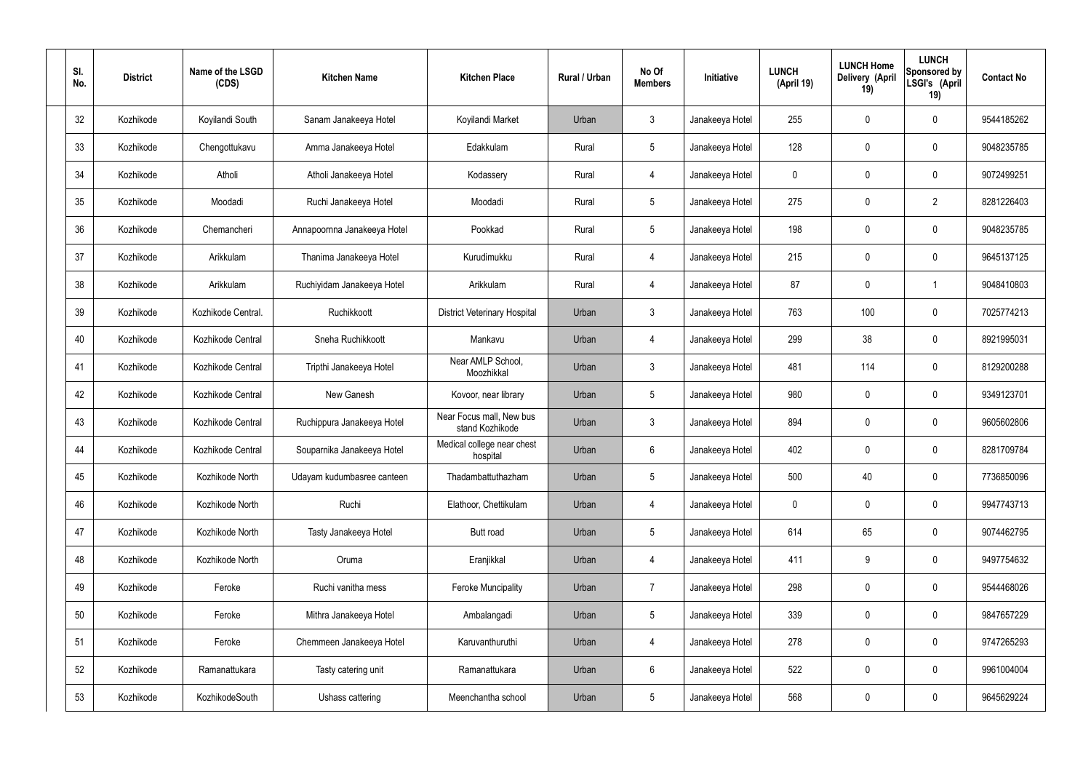| SI.<br>No. | <b>District</b> | Name of the LSGD<br>(CDS) | <b>Kitchen Name</b>         | <b>Kitchen Place</b>                        | <b>Rural / Urban</b> | No Of<br><b>Members</b> | Initiative      | <b>LUNCH</b><br>(April 19) | <b>LUNCH Home</b><br>Delivery (April<br>19) | <b>LUNCH</b><br>Sponsored by<br>LSGI's (April<br>19) | <b>Contact No</b> |
|------------|-----------------|---------------------------|-----------------------------|---------------------------------------------|----------------------|-------------------------|-----------------|----------------------------|---------------------------------------------|------------------------------------------------------|-------------------|
| 32         | Kozhikode       | Koyilandi South           | Sanam Janakeeya Hotel       | Koyilandi Market                            | Urban                | $\mathbf{3}$            | Janakeeya Hotel | 255                        | 0                                           | 0                                                    | 9544185262        |
| 33         | Kozhikode       | Chengottukavu             | Amma Janakeeya Hotel        | Edakkulam                                   | Rural                | $5\phantom{.0}$         | Janakeeya Hotel | 128                        | 0                                           | $\boldsymbol{0}$                                     | 9048235785        |
| 34         | Kozhikode       | Atholi                    | Atholi Janakeeya Hotel      | Kodassery                                   | Rural                | $\overline{4}$          | Janakeeya Hotel | 0                          | 0                                           | $\boldsymbol{0}$                                     | 9072499251        |
| 35         | Kozhikode       | Moodadi                   | Ruchi Janakeeya Hotel       | Moodadi                                     | Rural                | $5\phantom{.0}$         | Janakeeya Hotel | 275                        | 0                                           | $\overline{2}$                                       | 8281226403        |
| 36         | Kozhikode       | Chemancheri               | Annapoornna Janakeeya Hotel | Pookkad                                     | Rural                | $5\phantom{.0}$         | Janakeeya Hotel | 198                        | 0                                           | $\boldsymbol{0}$                                     | 9048235785        |
| 37         | Kozhikode       | Arikkulam                 | Thanima Janakeeya Hotel     | Kurudimukku                                 | Rural                | $\overline{4}$          | Janakeeya Hotel | 215                        | 0                                           | $\boldsymbol{0}$                                     | 9645137125        |
| 38         | Kozhikode       | Arikkulam                 | Ruchiyidam Janakeeya Hotel  | Arikkulam                                   | Rural                | $\overline{4}$          | Janakeeya Hotel | 87                         | 0                                           | -1                                                   | 9048410803        |
| 39         | Kozhikode       | Kozhikode Central.        | Ruchikkoott                 | <b>District Veterinary Hospital</b>         | Urban                | 3                       | Janakeeya Hotel | 763                        | 100                                         | $\boldsymbol{0}$                                     | 7025774213        |
| 40         | Kozhikode       | Kozhikode Central         | Sneha Ruchikkoott           | Mankavu                                     | Urban                | 4                       | Janakeeya Hotel | 299                        | 38                                          | $\boldsymbol{0}$                                     | 8921995031        |
| 41         | Kozhikode       | Kozhikode Central         | Tripthi Janakeeya Hotel     | Near AMLP School,<br>Moozhikkal             | Urban                | $\mathbf{3}$            | Janakeeya Hotel | 481                        | 114                                         | $\boldsymbol{0}$                                     | 8129200288        |
| 42         | Kozhikode       | Kozhikode Central         | New Ganesh                  | Kovoor, near library                        | Urban                | $5\phantom{.0}$         | Janakeeya Hotel | 980                        | $\boldsymbol{0}$                            | $\boldsymbol{0}$                                     | 9349123701        |
| 43         | Kozhikode       | Kozhikode Central         | Ruchippura Janakeeya Hotel  | Near Focus mall, New bus<br>stand Kozhikode | Urban                | 3                       | Janakeeya Hotel | 894                        | 0                                           | $\boldsymbol{0}$                                     | 9605602806        |
| 44         | Kozhikode       | Kozhikode Central         | Souparnika Janakeeya Hotel  | Medical college near chest<br>hospital      | Urban                | $6\phantom{1}$          | Janakeeya Hotel | 402                        | 0                                           | 0                                                    | 8281709784        |
| 45         | Kozhikode       | Kozhikode North           | Udayam kudumbasree canteen  | Thadambattuthazham                          | Urban                | $5\phantom{.0}$         | Janakeeya Hotel | 500                        | 40                                          | $\pmb{0}$                                            | 7736850096        |
| 46         | Kozhikode       | Kozhikode North           | Ruchi                       | Elathoor, Chettikulam                       | Urban                | 4                       | Janakeeya Hotel | $\pmb{0}$                  | 0                                           | $\pmb{0}$                                            | 9947743713        |
| 47         | Kozhikode       | Kozhikode North           | Tasty Janakeeya Hotel       | Butt road                                   | Urban                | $5\phantom{.0}$         | Janakeeya Hotel | 614                        | 65                                          | $\pmb{0}$                                            | 9074462795        |
| 48         | Kozhikode       | Kozhikode North           | Oruma                       | Eranjikkal                                  | Urban                | 4                       | Janakeeya Hotel | 411                        | 9                                           | $\pmb{0}$                                            | 9497754632        |
| 49         | Kozhikode       | Feroke                    | Ruchi vanitha mess          | <b>Feroke Muncipality</b>                   | Urban                | $\overline{7}$          | Janakeeya Hotel | 298                        | $\pmb{0}$                                   | $\pmb{0}$                                            | 9544468026        |
| 50         | Kozhikode       | Feroke                    | Mithra Janakeeya Hotel      | Ambalangadi                                 | Urban                | $5\,$                   | Janakeeya Hotel | 339                        | $\pmb{0}$                                   | $\pmb{0}$                                            | 9847657229        |
| 51         | Kozhikode       | Feroke                    | Chemmeen Janakeeya Hotel    | Karuvanthuruthi                             | Urban                | 4                       | Janakeeya Hotel | 278                        | $\pmb{0}$                                   | $\pmb{0}$                                            | 9747265293        |
| 52         | Kozhikode       | Ramanattukara             | Tasty catering unit         | Ramanattukara                               | Urban                | $6\phantom{.0}$         | Janakeeya Hotel | 522                        | 0                                           | $\pmb{0}$                                            | 9961004004        |
| 53         | Kozhikode       | KozhikodeSouth            | Ushass cattering            | Meenchantha school                          | Urban                | $\sqrt{5}$              | Janakeeya Hotel | 568                        | $\pmb{0}$                                   | $\boldsymbol{0}$                                     | 9645629224        |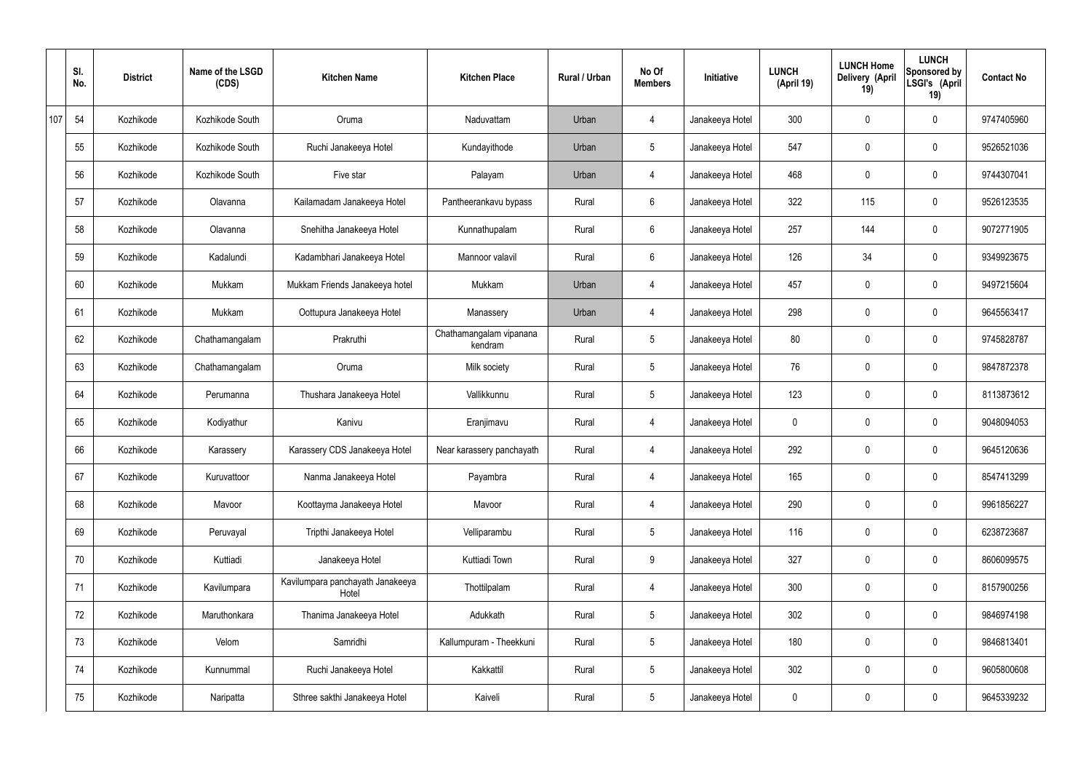|     | SI.<br>No. | <b>District</b> | Name of the LSGD<br>(CDS) | <b>Kitchen Name</b>                       | <b>Kitchen Place</b>               | <b>Rural / Urban</b> | No Of<br><b>Members</b> | Initiative      | <b>LUNCH</b><br>(April 19) | <b>LUNCH Home</b><br>Delivery (April<br>19) | <b>LUNCH</b><br>Sponsored by<br>LSGI's (April<br>19) | <b>Contact No</b> |
|-----|------------|-----------------|---------------------------|-------------------------------------------|------------------------------------|----------------------|-------------------------|-----------------|----------------------------|---------------------------------------------|------------------------------------------------------|-------------------|
| 107 | 54         | Kozhikode       | Kozhikode South           | Oruma                                     | Naduvattam                         | Urban                | 4                       | Janakeeya Hotel | 300                        | $\mathbf 0$                                 | $\mathbf 0$                                          | 9747405960        |
|     | 55         | Kozhikode       | Kozhikode South           | Ruchi Janakeeya Hotel                     | Kundayithode                       | Urban                | $5\phantom{.0}$         | Janakeeya Hotel | 547                        | $\mathbf 0$                                 | $\mathbf 0$                                          | 9526521036        |
|     | 56         | Kozhikode       | Kozhikode South           | Five star                                 | Palayam                            | Urban                | 4                       | Janakeeya Hotel | 468                        | $\mathbf 0$                                 | $\mathbf 0$                                          | 9744307041        |
|     | 57         | Kozhikode       | Olavanna                  | Kailamadam Janakeeya Hotel                | Pantheerankavu bypass              | Rural                | $6\phantom{.}6$         | Janakeeya Hotel | 322                        | 115                                         | $\mathbf 0$                                          | 9526123535        |
|     | 58         | Kozhikode       | Olavanna                  | Snehitha Janakeeya Hotel                  | Kunnathupalam                      | Rural                | $6\overline{6}$         | Janakeeya Hotel | 257                        | 144                                         | $\mathbf 0$                                          | 9072771905        |
|     | 59         | Kozhikode       | Kadalundi                 | Kadambhari Janakeeya Hotel                | Mannoor valavil                    | Rural                | $6\phantom{.}6$         | Janakeeya Hotel | 126                        | 34                                          | $\mathbf 0$                                          | 9349923675        |
|     | 60         | Kozhikode       | Mukkam                    | Mukkam Friends Janakeeya hotel            | Mukkam                             | Urban                | $\overline{4}$          | Janakeeya Hotel | 457                        | $\mathbf 0$                                 | $\mathbf 0$                                          | 9497215604        |
|     | 61         | Kozhikode       | Mukkam                    | Oottupura Janakeeya Hotel                 | Manassery                          | Urban                | 4                       | Janakeeya Hotel | 298                        | $\mathbf 0$                                 | $\mathbf 0$                                          | 9645563417        |
|     | 62         | Kozhikode       | Chathamangalam            | Prakruthi                                 | Chathamangalam vipanana<br>kendram | Rural                | $5\overline{)}$         | Janakeeya Hotel | 80                         | $\mathbf 0$                                 | $\mathbf 0$                                          | 9745828787        |
|     | 63         | Kozhikode       | Chathamangalam            | Oruma                                     | Milk society                       | Rural                | $5\phantom{.0}$         | Janakeeya Hotel | 76                         | 0                                           | $\mathbf 0$                                          | 9847872378        |
|     | 64         | Kozhikode       | Perumanna                 | Thushara Janakeeya Hotel                  | Vallikkunnu                        | Rural                | $5\phantom{.0}$         | Janakeeya Hotel | 123                        | 0                                           | $\mathbf 0$                                          | 8113873612        |
|     | 65         | Kozhikode       | Kodiyathur                | Kanivu                                    | Eranjimavu                         | Rural                | 4                       | Janakeeya Hotel | 0                          | 0                                           | $\mathbf 0$                                          | 9048094053        |
|     | 66         | Kozhikode       | Karassery                 | Karassery CDS Janakeeya Hotel             | Near karassery panchayath          | Rural                | 4                       | Janakeeya Hotel | 292                        | 0                                           | $\mathbf 0$                                          | 9645120636        |
|     | 67         | Kozhikode       | Kuruvattoor               | Nanma Janakeeya Hotel                     | Payambra                           | Rural                | $\overline{4}$          | Janakeeya Hotel | 165                        | $\mathbf 0$                                 | $\mathbf 0$                                          | 8547413299        |
|     | 68         | Kozhikode       | Mavoor                    | Koottayma Janakeeya Hotel                 | Mavoor                             | Rural                | $\overline{4}$          | Janakeeya Hotel | 290                        | $\mathbf 0$                                 | $\mathbf 0$                                          | 9961856227        |
|     | 69         | Kozhikode       | Peruvayal                 | Tripthi Janakeeya Hotel                   | Velliparambu                       | Rural                | $5\overline{)}$         | Janakeeya Hotel | 116                        | 0                                           | $\mathbf 0$                                          | 6238723687        |
|     | 70         | Kozhikode       | Kuttiadi                  | Janakeeya Hotel                           | Kuttiadi Town                      | Rural                | 9                       | Janakeeya Hotel | 327                        | 0                                           | $\mathbf 0$                                          | 8606099575        |
|     | 71         | Kozhikode       | Kavilumpara               | Kavilumpara panchayath Janakeeya<br>Hotel | Thottilpalam                       | Rural                | $\overline{4}$          | Janakeeya Hotel | 300                        | 0                                           | $\mathbf 0$                                          | 8157900256        |
|     | 72         | Kozhikode       | Maruthonkara              | Thanima Janakeeya Hotel                   | Adukkath                           | Rural                | $5\overline{)}$         | Janakeeya Hotel | 302                        | 0                                           | $\mathbf 0$                                          | 9846974198        |
|     | 73         | Kozhikode       | Velom                     | Samridhi                                  | Kallumpuram - Theekkuni            | Rural                | $5\overline{)}$         | Janakeeya Hotel | 180                        | 0                                           | $\mathbf 0$                                          | 9846813401        |
|     | 74         | Kozhikode       | Kunnummal                 | Ruchi Janakeeya Hotel                     | Kakkattil                          | Rural                | $5\phantom{.0}$         | Janakeeya Hotel | 302                        | 0                                           | $\mathbf 0$                                          | 9605800608        |
|     | 75         | Kozhikode       | Naripatta                 | Sthree sakthi Janakeeya Hotel             | Kaiveli                            | Rural                | $5\phantom{.0}$         | Janakeeya Hotel | 0                          | 0                                           | $\overline{0}$                                       | 9645339232        |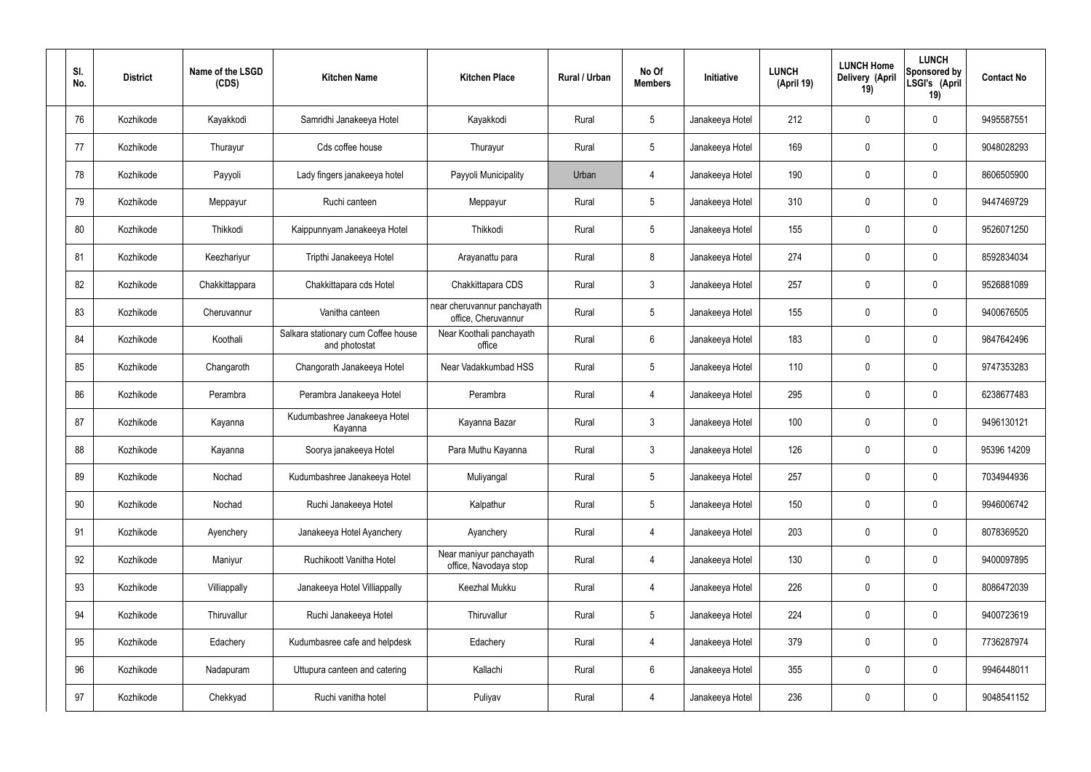| SI.<br>No. | <b>District</b> | Name of the LSGD<br>(CDS) | <b>Kitchen Name</b>                                  | <b>Kitchen Place</b>                               | Rural / Urban | No Of<br><b>Members</b> | Initiative      | <b>LUNCH</b><br>(April 19) | <b>LUNCH Home</b><br>Delivery (April<br>19) | <b>LUNCH</b><br>Sponsored by<br>LSGI's (April<br>19) | <b>Contact No</b> |
|------------|-----------------|---------------------------|------------------------------------------------------|----------------------------------------------------|---------------|-------------------------|-----------------|----------------------------|---------------------------------------------|------------------------------------------------------|-------------------|
| 76         | Kozhikode       | Kayakkodi                 | Samridhi Janakeeya Hotel                             | Kayakkodi                                          | Rural         | $5\phantom{.0}$         | Janakeeya Hotel | 212                        | $\mathbf 0$                                 | $\mathbf 0$                                          | 9495587551        |
| 77         | Kozhikode       | Thurayur                  | Cds coffee house                                     | Thurayur                                           | Rural         | $5\phantom{.0}$         | Janakeeya Hotel | 169                        | $\mathbf 0$                                 | $\mathbf 0$                                          | 9048028293        |
| 78         | Kozhikode       | Payyoli                   | Lady fingers janakeeya hotel                         | Payyoli Municipality                               | Urban         | $\overline{4}$          | Janakeeya Hotel | 190                        | 0                                           | $\mathbf 0$                                          | 8606505900        |
| 79         | Kozhikode       | Meppayur                  | Ruchi canteen                                        | Meppayur                                           | Rural         | $5\phantom{.0}$         | Janakeeya Hotel | 310                        | $\mathbf 0$                                 | $\mathbf 0$                                          | 9447469729        |
| 80         | Kozhikode       | Thikkodi                  | Kaippunnyam Janakeeya Hotel                          | Thikkodi                                           | Rural         | $5\phantom{.0}$         | Janakeeya Hotel | 155                        | 0                                           | $\mathbf 0$                                          | 9526071250        |
| 81         | Kozhikode       | Keezhariyur               | Tripthi Janakeeya Hotel                              | Arayanattu para                                    | Rural         | 8                       | Janakeeya Hotel | 274                        | $\mathbf 0$                                 | $\mathbf 0$                                          | 8592834034        |
| 82         | Kozhikode       | Chakkittappara            | Chakkittapara cds Hotel                              | Chakkittapara CDS                                  | Rural         | $\mathbf{3}$            | Janakeeya Hotel | 257                        | 0                                           | $\mathbf 0$                                          | 9526881089        |
| 83         | Kozhikode       | Cheruvannur               | Vanitha canteen                                      | near cheruvannur panchayath<br>office, Cheruvannur | Rural         | $5\phantom{.0}$         | Janakeeya Hotel | 155                        | 0                                           | $\mathbf 0$                                          | 9400676505        |
| 84         | Kozhikode       | Koothali                  | Salkara stationary cum Coffee house<br>and photostat | Near Koothali panchayath<br>office                 | Rural         | $6\phantom{.}6$         | Janakeeya Hotel | 183                        | $\boldsymbol{0}$                            | $\mathbf 0$                                          | 9847642496        |
| 85         | Kozhikode       | Changaroth                | Changorath Janakeeya Hotel                           | Near Vadakkumbad HSS                               | Rural         | $5\phantom{.0}$         | Janakeeya Hotel | 110                        | 0                                           | $\mathbf 0$                                          | 9747353283        |
| 86         | Kozhikode       | Perambra                  | Perambra Janakeeya Hotel                             | Perambra                                           | Rural         | $\overline{4}$          | Janakeeya Hotel | 295                        | $\mathbf 0$                                 | $\boldsymbol{0}$                                     | 6238677483        |
| 87         | Kozhikode       | Kayanna                   | Kudumbashree Janakeeya Hotel<br>Kayanna              | Kayanna Bazar                                      | Rural         | $\mathfrak{Z}$          | Janakeeya Hotel | 100                        | 0                                           | $\boldsymbol{0}$                                     | 9496130121        |
| 88         | Kozhikode       | Kayanna                   | Soorya janakeeya Hotel                               | Para Muthu Kayanna                                 | Rural         | $\mathbf{3}$            | Janakeeya Hotel | 126                        | 0                                           | 0                                                    | 95396 14209       |
| 89         | Kozhikode       | Nochad                    | Kudumbashree Janakeeya Hotel                         | Muliyangal                                         | Rural         | $5\phantom{.0}$         | Janakeeya Hotel | 257                        | 0                                           | $\mathbf 0$                                          | 7034944936        |
| 90         | Kozhikode       | Nochad                    | Ruchi Janakeeya Hotel                                | Kalpathur                                          | Rural         | $5\phantom{.0}$         | Janakeeya Hotel | 150                        | $\mathsf{0}$                                | $\mathbf 0$                                          | 9946006742        |
| 91         | Kozhikode       | Ayenchery                 | Janakeeya Hotel Ayanchery                            | Ayanchery                                          | Rural         | $\overline{4}$          | Janakeeya Hotel | 203                        | $\mathbf 0$                                 | $\mathbf 0$                                          | 8078369520        |
| 92         | Kozhikode       | Maniyur                   | Ruchikoott Vanitha Hotel                             | Near maniyur panchayath<br>office, Navodaya stop   | Rural         | 4                       | Janakeeya Hotel | 130                        | $\mathsf{0}$                                | $\mathbf 0$                                          | 9400097895        |
| 93         | Kozhikode       | Villiappally              | Janakeeya Hotel Villiappally                         | Keezhal Mukku                                      | Rural         | $\overline{4}$          | Janakeeya Hotel | 226                        | $\mathbf 0$                                 | $\mathbf 0$                                          | 8086472039        |
| 94         | Kozhikode       | Thiruvallur               | Ruchi Janakeeya Hotel                                | Thiruvallur                                        | Rural         | $5\phantom{.0}$         | Janakeeya Hotel | 224                        | $\mathbf 0$                                 | $\mathbf 0$                                          | 9400723619        |
| 95         | Kozhikode       | Edachery                  | Kudumbasree cafe and helpdesk                        | Edachery                                           | Rural         | $\overline{4}$          | Janakeeya Hotel | 379                        | $\mathbf 0$                                 | $\mathbf 0$                                          | 7736287974        |
| 96         | Kozhikode       | Nadapuram                 | Uttupura canteen and catering                        | Kallachi                                           | Rural         | $6\,$                   | Janakeeya Hotel | 355                        | 0                                           | $\mathbf 0$                                          | 9946448011        |
| 97         | Kozhikode       | Chekkyad                  | Ruchi vanitha hotel                                  | Puliyav                                            | Rural         | 4                       | Janakeeya Hotel | 236                        | $\pmb{0}$                                   | $\bf{0}$                                             | 9048541152        |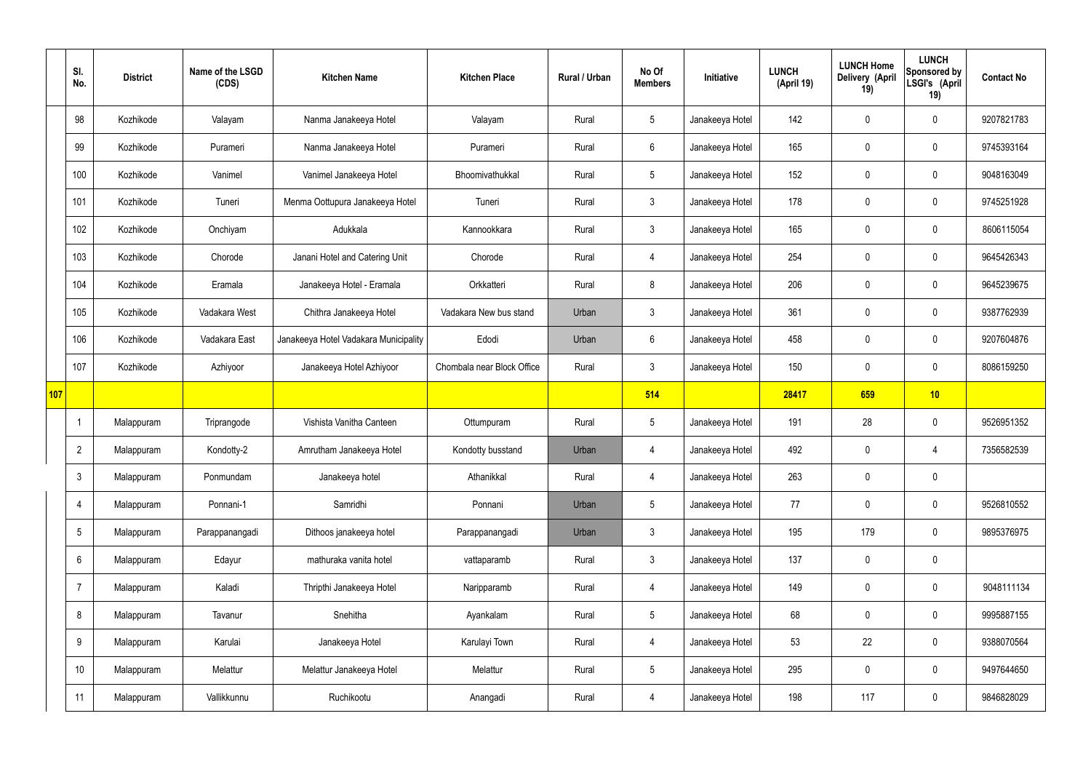|     | SI.<br>No.      | <b>District</b> | Name of the LSGD<br>(CDS) | <b>Kitchen Name</b>                   | <b>Kitchen Place</b>       | Rural / Urban | No Of<br><b>Members</b> | Initiative      | <b>LUNCH</b><br>(April 19) | <b>LUNCH Home</b><br>Delivery (April<br>19) | <b>LUNCH</b><br>Sponsored by<br>LSGI's (April<br>19) | <b>Contact No</b> |
|-----|-----------------|-----------------|---------------------------|---------------------------------------|----------------------------|---------------|-------------------------|-----------------|----------------------------|---------------------------------------------|------------------------------------------------------|-------------------|
|     | 98              | Kozhikode       | Valayam                   | Nanma Janakeeya Hotel                 | Valayam                    | Rural         | $5\phantom{.0}$         | Janakeeya Hotel | 142                        | $\mathbf 0$                                 | $\mathbf 0$                                          | 9207821783        |
|     | 99              | Kozhikode       | Purameri                  | Nanma Janakeeya Hotel                 | Purameri                   | Rural         | $6\overline{6}$         | Janakeeya Hotel | 165                        | $\mathbf 0$                                 | $\mathbf 0$                                          | 9745393164        |
|     | 100             | Kozhikode       | Vanimel                   | Vanimel Janakeeya Hotel               | Bhoomivathukkal            | Rural         | $5\phantom{.0}$         | Janakeeya Hotel | 152                        | $\mathbf 0$                                 | $\mathbf 0$                                          | 9048163049        |
|     | 101             | Kozhikode       | Tuneri                    | Menma Oottupura Janakeeya Hotel       | Tuneri                     | Rural         | $\mathbf{3}$            | Janakeeya Hotel | 178                        | $\mathbf 0$                                 | $\mathbf 0$                                          | 9745251928        |
|     | 102             | Kozhikode       | Onchiyam                  | Adukkala                              | Kannookkara                | Rural         | $\mathbf{3}$            | Janakeeya Hotel | 165                        | $\mathbf 0$                                 | $\mathbf 0$                                          | 8606115054        |
|     | 103             | Kozhikode       | Chorode                   | Janani Hotel and Catering Unit        | Chorode                    | Rural         | 4                       | Janakeeya Hotel | 254                        | $\mathbf 0$                                 | $\mathbf 0$                                          | 9645426343        |
|     | 104             | Kozhikode       | Eramala                   | Janakeeya Hotel - Eramala             | Orkkatteri                 | Rural         | 8                       | Janakeeya Hotel | 206                        | 0                                           | $\mathbf 0$                                          | 9645239675        |
|     | 105             | Kozhikode       | Vadakara West             | Chithra Janakeeya Hotel               | Vadakara New bus stand     | Urban         | $\mathbf{3}$            | Janakeeya Hotel | 361                        | $\mathbf 0$                                 | $\mathbf 0$                                          | 9387762939        |
|     | 106             | Kozhikode       | Vadakara East             | Janakeeya Hotel Vadakara Municipality | Edodi                      | Urban         | $6\overline{6}$         | Janakeeya Hotel | 458                        | 0                                           | $\mathbf 0$                                          | 9207604876        |
|     | 107             | Kozhikode       | Azhiyoor                  | Janakeeya Hotel Azhiyoor              | Chombala near Block Office | Rural         | $\mathbf{3}$            | Janakeeya Hotel | 150                        | $\mathbf 0$                                 | $\mathbf 0$                                          | 8086159250        |
| 107 |                 |                 |                           |                                       |                            |               | 514                     |                 | 28417                      | 659                                         | 10                                                   |                   |
|     | -1              | Malappuram      | Triprangode               | Vishista Vanitha Canteen              | Ottumpuram                 | Rural         | $5\overline{)}$         | Janakeeya Hotel | 191                        | 28                                          | $\mathbf 0$                                          | 9526951352        |
|     | $\overline{2}$  | Malappuram      | Kondotty-2                | Amrutham Janakeeya Hotel              | Kondotty busstand          | Urban         | 4                       | Janakeeya Hotel | 492                        | $\mathbf 0$                                 | 4                                                    | 7356582539        |
|     | $\mathbf{3}$    | Malappuram      | Ponmundam                 | Janakeeya hotel                       | Athanikkal                 | Rural         | $\overline{4}$          | Janakeeya Hotel | 263                        | $\pmb{0}$                                   | $\mathbf 0$                                          |                   |
|     | $\overline{4}$  | Malappuram      | Ponnani-1                 | Samridhi                              | Ponnani                    | Urban         | $5\phantom{.0}$         | Janakeeya Hotel | 77                         | $\pmb{0}$                                   | $\mathbf 0$                                          | 9526810552        |
|     | $5\overline{)}$ | Malappuram      | Parappanangadi            | Dithoos janakeeya hotel               | Parappanangadi             | Urban         | $\mathbf{3}$            | Janakeeya Hotel | 195                        | 179                                         | $\mathbf 0$                                          | 9895376975        |
|     | 6               | Malappuram      | Edayur                    | mathuraka vanita hotel                | vattaparamb                | Rural         | $3\phantom{a}$          | Janakeeya Hotel | 137                        | $\pmb{0}$                                   | $\mathbf 0$                                          |                   |
|     | $\overline{7}$  | Malappuram      | Kaladi                    | Thripthi Janakeeya Hotel              | Naripparamb                | Rural         | $\overline{4}$          | Janakeeya Hotel | 149                        | 0                                           | $\mathbf 0$                                          | 9048111134        |
|     | 8               | Malappuram      | Tavanur                   | Snehitha                              | Ayankalam                  | Rural         | $5\overline{)}$         | Janakeeya Hotel | 68                         | $\pmb{0}$                                   | $\mathbf 0$                                          | 9995887155        |
|     | 9               | Malappuram      | Karulai                   | Janakeeya Hotel                       | Karulayi Town              | Rural         | $\overline{4}$          | Janakeeya Hotel | 53                         | 22                                          | $\mathbf 0$                                          | 9388070564        |
|     | 10              | Malappuram      | Melattur                  | Melattur Janakeeya Hotel              | Melattur                   | Rural         | $5\phantom{.0}$         | Janakeeya Hotel | 295                        | 0                                           | $\mathbf 0$                                          | 9497644650        |
|     | 11              | Malappuram      | Vallikkunnu               | Ruchikootu                            | Anangadi                   | Rural         | 4                       | Janakeeya Hotel | 198                        | 117                                         | $\boldsymbol{0}$                                     | 9846828029        |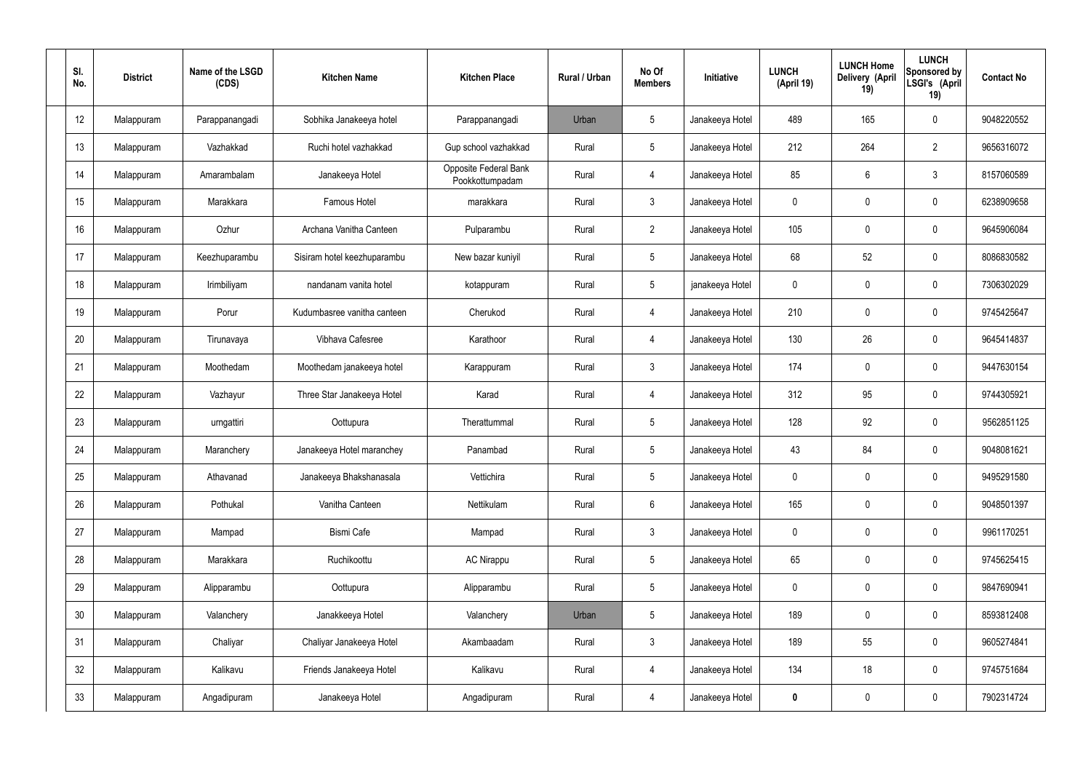| SI.<br>No. | <b>District</b> | Name of the LSGD<br>(CDS) | <b>Kitchen Name</b>         | <b>Kitchen Place</b>                     | Rural / Urban | No Of<br><b>Members</b> | Initiative      | <b>LUNCH</b><br>(April 19) | <b>LUNCH Home</b><br>Delivery (April<br>19) | <b>LUNCH</b><br>Sponsored by<br>LSGI's (April<br>19) | <b>Contact No</b> |
|------------|-----------------|---------------------------|-----------------------------|------------------------------------------|---------------|-------------------------|-----------------|----------------------------|---------------------------------------------|------------------------------------------------------|-------------------|
| 12         | Malappuram      | Parappanangadi            | Sobhika Janakeeya hotel     | Parappanangadi                           | Urban         | 5                       | Janakeeya Hotel | 489                        | 165                                         | $\boldsymbol{0}$                                     | 9048220552        |
| 13         | Malappuram      | Vazhakkad                 | Ruchi hotel vazhakkad       | Gup school vazhakkad                     | Rural         | $5\phantom{.0}$         | Janakeeya Hotel | 212                        | 264                                         | $\overline{2}$                                       | 9656316072        |
| 14         | Malappuram      | Amarambalam               | Janakeeya Hotel             | Opposite Federal Bank<br>Pookkottumpadam | Rural         | 4                       | Janakeeya Hotel | 85                         | $6\phantom{.}$                              | $\mathbf{3}$                                         | 8157060589        |
| 15         | Malappuram      | Marakkara                 | Famous Hotel                | marakkara                                | Rural         | $\mathfrak{Z}$          | Janakeeya Hotel | $\mathbf 0$                | 0                                           | $\mathbf 0$                                          | 6238909658        |
| 16         | Malappuram      | Ozhur                     | Archana Vanitha Canteen     | Pulparambu                               | Rural         | $2\overline{ }$         | Janakeeya Hotel | 105                        | 0                                           | $\mathbf 0$                                          | 9645906084        |
| 17         | Malappuram      | Keezhuparambu             | Sisiram hotel keezhuparambu | New bazar kuniyil                        | Rural         | $5\phantom{.0}$         | Janakeeya Hotel | 68                         | 52                                          | $\mathbf 0$                                          | 8086830582        |
| 18         | Malappuram      | Irimbiliyam               | nandanam vanita hotel       | kotappuram                               | Rural         | $5\phantom{.0}$         | janakeeya Hotel | $\mathbf 0$                | 0                                           | $\mathbf 0$                                          | 7306302029        |
| 19         | Malappuram      | Porur                     | Kudumbasree vanitha canteen | Cherukod                                 | Rural         | 4                       | Janakeeya Hotel | 210                        | 0                                           | $\mathbf 0$                                          | 9745425647        |
| 20         | Malappuram      | Tirunavaya                | Vibhava Cafesree            | Karathoor                                | Rural         | 4                       | Janakeeya Hotel | 130                        | 26                                          | $\mathbf 0$                                          | 9645414837        |
| 21         | Malappuram      | Moothedam                 | Moothedam janakeeya hotel   | Karappuram                               | Rural         | $\mathbf{3}$            | Janakeeya Hotel | 174                        | 0                                           | $\mathbf 0$                                          | 9447630154        |
| 22         | Malappuram      | Vazhayur                  | Three Star Janakeeya Hotel  | Karad                                    | Rural         | 4                       | Janakeeya Hotel | 312                        | 95                                          | $\mathbf 0$                                          | 9744305921        |
| 23         | Malappuram      | urngattiri                | Oottupura                   | Therattummal                             | Rural         | $5\phantom{.0}$         | Janakeeya Hotel | 128                        | 92                                          | $\boldsymbol{0}$                                     | 9562851125        |
| 24         | Malappuram      | Maranchery                | Janakeeya Hotel maranchey   | Panambad                                 | Rural         | $5\phantom{.0}$         | Janakeeya Hotel | 43                         | 84                                          | 0                                                    | 9048081621        |
| 25         | Malappuram      | Athavanad                 | Janakeeya Bhakshanasala     | Vettichira                               | Rural         | $5\,$                   | Janakeeya Hotel | $\mathbf 0$                | 0                                           | $\mathbf 0$                                          | 9495291580        |
| 26         | Malappuram      | Pothukal                  | Vanitha Canteen             | Nettikulam                               | Rural         | $6\overline{6}$         | Janakeeya Hotel | 165                        | 0                                           | $\mathbf 0$                                          | 9048501397        |
| 27         | Malappuram      | Mampad                    | Bismi Cafe                  | Mampad                                   | Rural         | $\mathbf{3}$            | Janakeeya Hotel | $\pmb{0}$                  | 0                                           | $\mathbf 0$                                          | 9961170251        |
| 28         | Malappuram      | Marakkara                 | Ruchikoottu                 | <b>AC Nirappu</b>                        | Rural         | $5\phantom{.0}$         | Janakeeya Hotel | 65                         | 0                                           | $\mathbf 0$                                          | 9745625415        |
| 29         | Malappuram      | Alipparambu               | Oottupura                   | Alipparambu                              | Rural         | $5\phantom{.0}$         | Janakeeya Hotel | 0                          | 0                                           | $\mathbf 0$                                          | 9847690941        |
| 30         | Malappuram      | Valanchery                | Janakkeeya Hotel            | Valanchery                               | Urban         | $5\,$                   | Janakeeya Hotel | 189                        | 0                                           | $\mathbf 0$                                          | 8593812408        |
| 31         | Malappuram      | Chaliyar                  | Chaliyar Janakeeya Hotel    | Akambaadam                               | Rural         | $\mathbf{3}$            | Janakeeya Hotel | 189                        | 55                                          | $\mathbf 0$                                          | 9605274841        |
| 32         | Malappuram      | Kalikavu                  | Friends Janakeeya Hotel     | Kalikavu                                 | Rural         | $\overline{4}$          | Janakeeya Hotel | 134                        | 18                                          | $\pmb{0}$                                            | 9745751684        |
| 33         | Malappuram      | Angadipuram               | Janakeeya Hotel             | Angadipuram                              | Rural         | $\overline{4}$          | Janakeeya Hotel | $\pmb{0}$                  | $\pmb{0}$                                   | $\pmb{0}$                                            | 7902314724        |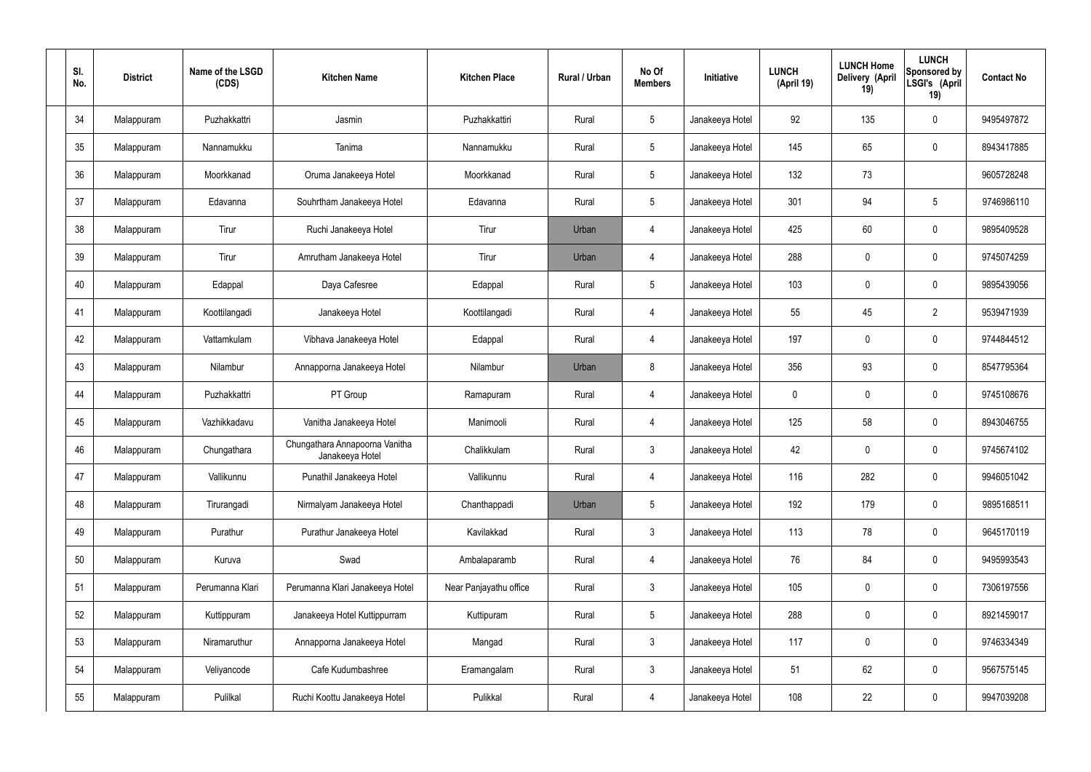| SI.<br>No. | <b>District</b> | Name of the LSGD<br>(CDS) | <b>Kitchen Name</b>                               | <b>Kitchen Place</b>   | Rural / Urban | No Of<br><b>Members</b> | Initiative      | <b>LUNCH</b><br>(April 19) | <b>LUNCH Home</b><br>Delivery (April<br>19) | <b>LUNCH</b><br>Sponsored by<br>LSGI's (April<br>19) | <b>Contact No</b> |
|------------|-----------------|---------------------------|---------------------------------------------------|------------------------|---------------|-------------------------|-----------------|----------------------------|---------------------------------------------|------------------------------------------------------|-------------------|
| 34         | Malappuram      | Puzhakkattri              | Jasmin                                            | Puzhakkattiri          | Rural         | $5\,$                   | Janakeeya Hotel | 92                         | 135                                         | $\mathbf 0$                                          | 9495497872        |
| 35         | Malappuram      | Nannamukku                | Tanima                                            | Nannamukku             | Rural         | $5\phantom{.0}$         | Janakeeya Hotel | 145                        | 65                                          | $\mathbf 0$                                          | 8943417885        |
| 36         | Malappuram      | Moorkkanad                | Oruma Janakeeya Hotel                             | Moorkkanad             | Rural         | $5\phantom{.0}$         | Janakeeya Hotel | 132                        | 73                                          |                                                      | 9605728248        |
| 37         | Malappuram      | Edavanna                  | Souhrtham Janakeeya Hotel                         | Edavanna               | Rural         | $5\phantom{.0}$         | Janakeeya Hotel | 301                        | 94                                          | $5\phantom{.0}$                                      | 9746986110        |
| 38         | Malappuram      | Tirur                     | Ruchi Janakeeya Hotel                             | Tirur                  | Urban         | 4                       | Janakeeya Hotel | 425                        | 60                                          | $\mathbf 0$                                          | 9895409528        |
| 39         | Malappuram      | Tirur                     | Amrutham Janakeeya Hotel                          | Tirur                  | Urban         | 4                       | Janakeeya Hotel | 288                        | $\mathbf 0$                                 | $\mathbf 0$                                          | 9745074259        |
| 40         | Malappuram      | Edappal                   | Daya Cafesree                                     | Edappal                | Rural         | $5\phantom{.0}$         | Janakeeya Hotel | 103                        | $\mathbf 0$                                 | $\mathbf 0$                                          | 9895439056        |
| 41         | Malappuram      | Koottilangadi             | Janakeeya Hotel                                   | Koottilangadi          | Rural         | $\overline{4}$          | Janakeeya Hotel | 55                         | 45                                          | $\overline{2}$                                       | 9539471939        |
| 42         | Malappuram      | Vattamkulam               | Vibhava Janakeeya Hotel                           | Edappal                | Rural         | $\overline{4}$          | Janakeeya Hotel | 197                        | $\mathbf 0$                                 | $\mathbf 0$                                          | 9744844512        |
| 43         | Malappuram      | Nilambur                  | Annapporna Janakeeya Hotel                        | Nilambur               | Urban         | 8                       | Janakeeya Hotel | 356                        | 93                                          | $\mathbf 0$                                          | 8547795364        |
| 44         | Malappuram      | Puzhakkattri              | PT Group                                          | Ramapuram              | Rural         | 4                       | Janakeeya Hotel | $\mathbf 0$                | 0                                           | $\mathbf 0$                                          | 9745108676        |
| 45         | Malappuram      | Vazhikkadavu              | Vanitha Janakeeya Hotel                           | Manimooli              | Rural         | 4                       | Janakeeya Hotel | 125                        | 58                                          | $\mathbf 0$                                          | 8943046755        |
| 46         | Malappuram      | Chungathara               | Chungathara Annapoorna Vanitha<br>Janakeeya Hotel | Chalikkulam            | Rural         | $\mathbf{3}$            | Janakeeya Hotel | 42                         | $\mathbf 0$                                 | 0                                                    | 9745674102        |
| 47         | Malappuram      | Vallikunnu                | Punathil Janakeeya Hotel                          | Vallikunnu             | Rural         | $\overline{4}$          | Janakeeya Hotel | 116                        | 282                                         | $\mathbf 0$                                          | 9946051042        |
| 48         | Malappuram      | Tirurangadi               | Nirmalyam Janakeeya Hotel                         | Chanthappadi           | Urban         | $5\phantom{.0}$         | Janakeeya Hotel | 192                        | 179                                         | $\mathbf 0$                                          | 9895168511        |
| 49         | Malappuram      | Purathur                  | Purathur Janakeeya Hotel                          | Kavilakkad             | Rural         | $\mathbf{3}$            | Janakeeya Hotel | 113                        | 78                                          | $\mathbf 0$                                          | 9645170119        |
| 50         | Malappuram      | Kuruva                    | Swad                                              | Ambalaparamb           | Rural         | $\overline{4}$          | Janakeeya Hotel | 76                         | 84                                          | $\mathbf 0$                                          | 9495993543        |
| 51         | Malappuram      | Perumanna Klari           | Perumanna Klari Janakeeya Hotel                   | Near Panjayathu office | Rural         | $\mathfrak{Z}$          | Janakeeya Hotel | 105                        | 0                                           | $\mathbf 0$                                          | 7306197556        |
| 52         | Malappuram      | Kuttippuram               | Janakeeya Hotel Kuttippurram                      | Kuttipuram             | Rural         | $5\phantom{.0}$         | Janakeeya Hotel | 288                        | 0                                           | $\pmb{0}$                                            | 8921459017        |
| 53         | Malappuram      | Niramaruthur              | Annapporna Janakeeya Hotel                        | Mangad                 | Rural         | $\mathfrak{Z}$          | Janakeeya Hotel | 117                        | 0                                           | $\mathbf 0$                                          | 9746334349        |
| 54         | Malappuram      | Veliyancode               | Cafe Kudumbashree                                 | Eramangalam            | Rural         | $\mathbf{3}$            | Janakeeya Hotel | 51                         | 62                                          | $\mathbf 0$                                          | 9567575145        |
| 55         | Malappuram      | Pulilkal                  | Ruchi Koottu Janakeeya Hotel                      | Pulikkal               | Rural         | $\overline{4}$          | Janakeeya Hotel | 108                        | 22                                          | $\pmb{0}$                                            | 9947039208        |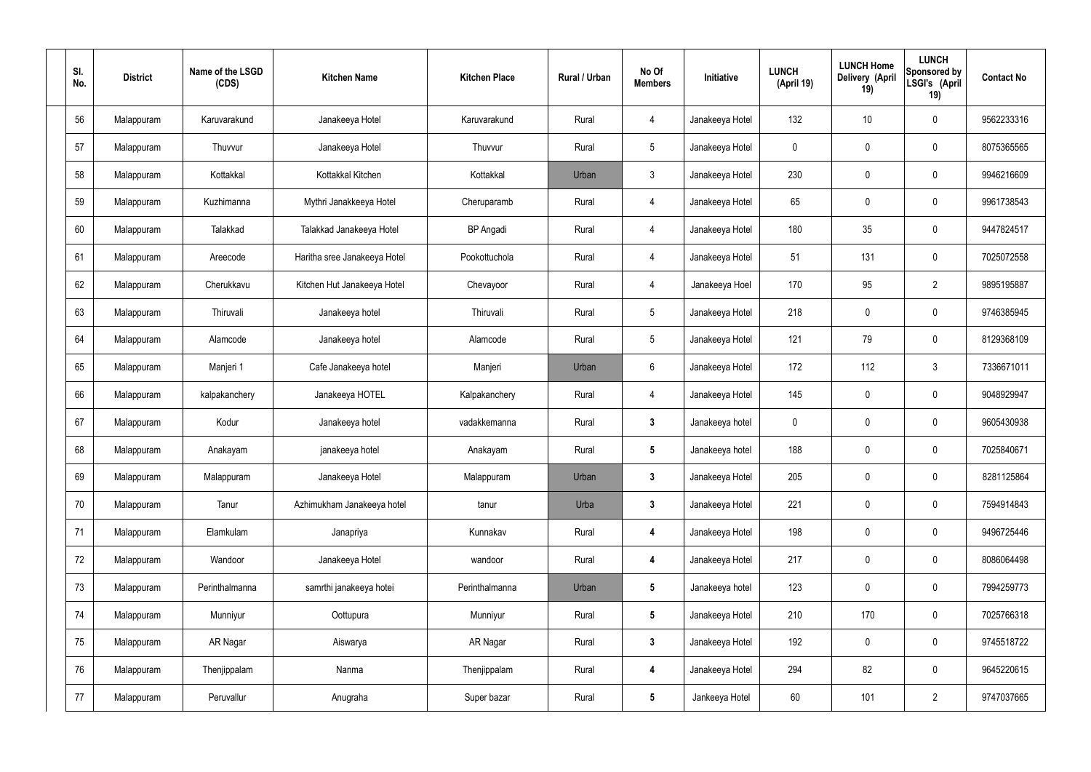| SI.<br>No. | <b>District</b> | Name of the LSGD<br>(CDS) | <b>Kitchen Name</b>          | <b>Kitchen Place</b> | Rural / Urban | No Of<br><b>Members</b> | Initiative      | <b>LUNCH</b><br>(April 19) | <b>LUNCH Home</b><br>Delivery (April<br>19) | <b>LUNCH</b><br>Sponsored by<br>LSGI's (April<br>19) | <b>Contact No</b> |
|------------|-----------------|---------------------------|------------------------------|----------------------|---------------|-------------------------|-----------------|----------------------------|---------------------------------------------|------------------------------------------------------|-------------------|
| 56         | Malappuram      | Karuvarakund              | Janakeeya Hotel              | Karuvarakund         | Rural         | 4                       | Janakeeya Hotel | 132                        | 10                                          | $\mathbf 0$                                          | 9562233316        |
| 57         | Malappuram      | Thuvvur                   | Janakeeya Hotel              | Thuvvur              | Rural         | $5\phantom{.0}$         | Janakeeya Hotel | $\mathbf 0$                | $\mathbf 0$                                 | $\mathbf 0$                                          | 8075365565        |
| 58         | Malappuram      | Kottakkal                 | Kottakkal Kitchen            | Kottakkal            | Urban         | $\mathbf{3}$            | Janakeeya Hotel | 230                        | 0                                           | $\mathbf 0$                                          | 9946216609        |
| 59         | Malappuram      | Kuzhimanna                | Mythri Janakkeeya Hotel      | Cheruparamb          | Rural         | $\overline{4}$          | Janakeeya Hotel | 65                         | $\mathbf 0$                                 | $\mathbf 0$                                          | 9961738543        |
| 60         | Malappuram      | Talakkad                  | Talakkad Janakeeya Hotel     | <b>BP</b> Angadi     | Rural         | $\overline{4}$          | Janakeeya Hotel | 180                        | 35                                          | $\mathbf 0$                                          | 9447824517        |
| 61         | Malappuram      | Areecode                  | Haritha sree Janakeeya Hotel | Pookottuchola        | Rural         | $\overline{4}$          | Janakeeya Hotel | 51                         | 131                                         | $\mathbf 0$                                          | 7025072558        |
| 62         | Malappuram      | Cherukkavu                | Kitchen Hut Janakeeya Hotel  | Chevayoor            | Rural         | $\overline{4}$          | Janakeeya Hoel  | 170                        | 95                                          | $\overline{2}$                                       | 9895195887        |
| 63         | Malappuram      | Thiruvali                 | Janakeeya hotel              | Thiruvali            | Rural         | $5\overline{)}$         | Janakeeya Hotel | 218                        | $\mathbf 0$                                 | $\mathbf 0$                                          | 9746385945        |
| 64         | Malappuram      | Alamcode                  | Janakeeya hotel              | Alamcode             | Rural         | $5\phantom{.0}$         | Janakeeya Hotel | 121                        | 79                                          | $\mathbf 0$                                          | 8129368109        |
| 65         | Malappuram      | Manjeri 1                 | Cafe Janakeeya hotel         | Manjeri              | Urban         | 6                       | Janakeeya Hotel | 172                        | 112                                         | $3\phantom{.0}$                                      | 7336671011        |
| 66         | Malappuram      | kalpakanchery             | Janakeeya HOTEL              | Kalpakanchery        | Rural         | $\overline{4}$          | Janakeeya Hotel | 145                        | 0                                           | $\mathbf 0$                                          | 9048929947        |
| 67         | Malappuram      | Kodur                     | Janakeeya hotel              | vadakkemanna         | Rural         | $\mathbf{3}$            | Janakeeya hotel | $\mathbf 0$                | $\mathbf 0$                                 | $\mathbf 0$                                          | 9605430938        |
| 68         | Malappuram      | Anakayam                  | janakeeya hotel              | Anakayam             | Rural         | $5\phantom{.0}$         | Janakeeya hotel | 188                        | 0                                           | $\boldsymbol{0}$                                     | 7025840671        |
| 69         | Malappuram      | Malappuram                | Janakeeya Hotel              | Malappuram           | Urban         | $\mathbf{3}$            | Janakeeya Hotel | 205                        | $\mathbf 0$                                 | $\mathbf 0$                                          | 8281125864        |
| 70         | Malappuram      | Tanur                     | Azhimukham Janakeeya hotel   | tanur                | Urba          | $3\phantom{a}$          | Janakeeya Hotel | 221                        | $\mathbf 0$                                 | $\mathbf 0$                                          | 7594914843        |
| 71         | Malappuram      | Elamkulam                 | Janapriya                    | Kunnakav             | Rural         | $\overline{\mathbf{4}}$ | Janakeeya Hotel | 198                        | 0                                           | $\mathbf 0$                                          | 9496725446        |
| 72         | Malappuram      | Wandoor                   | Janakeeya Hotel              | wandoor              | Rural         | 4                       | Janakeeya Hotel | 217                        | 0                                           | $\mathbf 0$                                          | 8086064498        |
| 73         | Malappuram      | Perinthalmanna            | samrthi janakeeya hotei      | Perinthalmanna       | Urban         | $5\phantom{.0}$         | Janakeeya hotel | 123                        | 0                                           | $\mathbf 0$                                          | 7994259773        |
| 74         | Malappuram      | Munniyur                  | Oottupura                    | Munniyur             | Rural         | $5\phantom{.0}$         | Janakeeya Hotel | 210                        | 170                                         | $\mathbf 0$                                          | 7025766318        |
| 75         | Malappuram      | AR Nagar                  | Aiswarya                     | AR Nagar             | Rural         | $3\phantom{a}$          | Janakeeya Hotel | 192                        | 0                                           | $\mathbf 0$                                          | 9745518722        |
| 76         | Malappuram      | Thenjippalam              | Nanma                        | Thenjippalam         | Rural         | 4                       | Janakeeya Hotel | 294                        | 82                                          | $\mathbf 0$                                          | 9645220615        |
| 77         | Malappuram      | Peruvallur                | Anugraha                     | Super bazar          | Rural         | $5\phantom{.0}$         | Jankeeya Hotel  | 60                         | 101                                         | $\overline{2}$                                       | 9747037665        |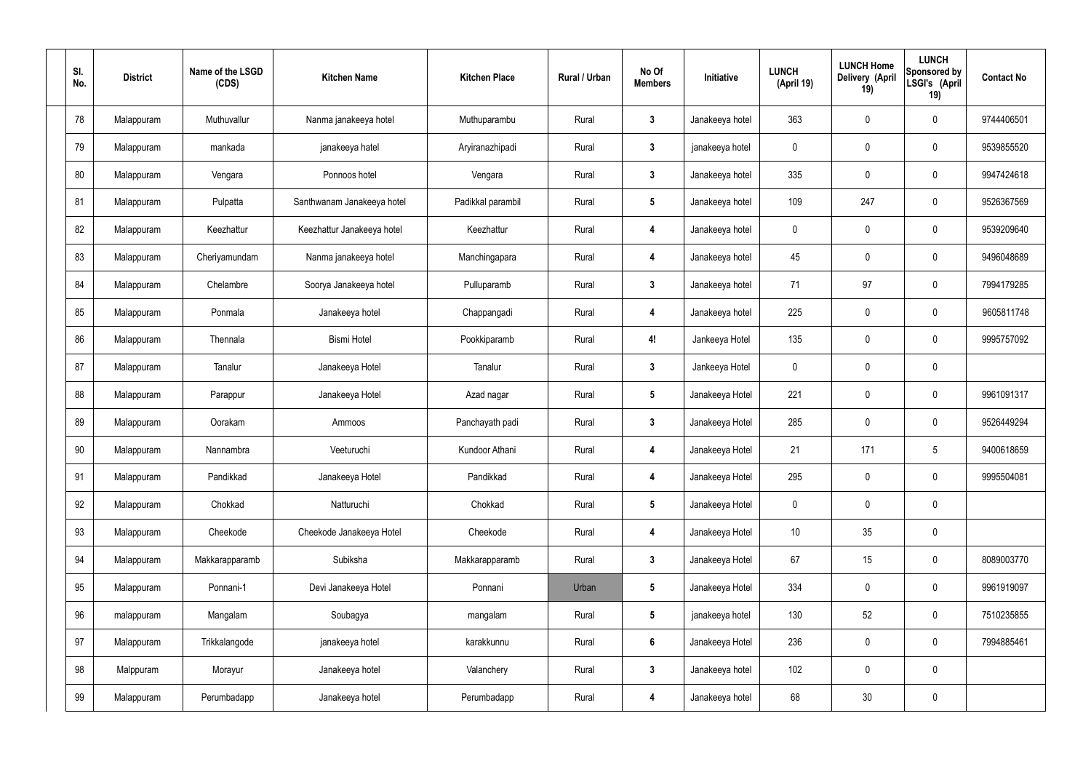| SI.<br>No. | <b>District</b> | Name of the LSGD<br>(CDS) | <b>Kitchen Name</b>        | <b>Kitchen Place</b> | Rural / Urban | No Of<br><b>Members</b> | Initiative      | <b>LUNCH</b><br>(April 19) | <b>LUNCH Home</b><br>Delivery (April<br>19) | <b>LUNCH</b><br>Sponsored by<br>LSGI's (April<br>19) | <b>Contact No</b> |
|------------|-----------------|---------------------------|----------------------------|----------------------|---------------|-------------------------|-----------------|----------------------------|---------------------------------------------|------------------------------------------------------|-------------------|
| 78         | Malappuram      | Muthuvallur               | Nanma janakeeya hotel      | Muthuparambu         | Rural         | $\mathbf{3}$            | Janakeeya hotel | 363                        | $\mathbf 0$                                 | $\pmb{0}$                                            | 9744406501        |
| 79         | Malappuram      | mankada                   | janakeeya hatel            | Aryiranazhipadi      | Rural         | $\mathbf{3}$            | janakeeya hotel | 0                          | $\mathbf 0$                                 | $\pmb{0}$                                            | 9539855520        |
| 80         | Malappuram      | Vengara                   | Ponnoos hotel              | Vengara              | Rural         | $\mathbf{3}$            | Janakeeya hotel | 335                        | $\mathbf 0$                                 | $\pmb{0}$                                            | 9947424618        |
| 81         | Malappuram      | Pulpatta                  | Santhwanam Janakeeya hotel | Padikkal parambil    | Rural         | $5\phantom{.0}$         | Janakeeya hotel | 109                        | 247                                         | $\mathbf 0$                                          | 9526367569        |
| 82         | Malappuram      | Keezhattur                | Keezhattur Janakeeya hotel | Keezhattur           | Rural         | $\overline{\mathbf{4}}$ | Janakeeya hotel | 0                          | $\mathbf 0$                                 | $\pmb{0}$                                            | 9539209640        |
| 83         | Malappuram      | Cheriyamundam             | Nanma janakeeya hotel      | Manchingapara        | Rural         | $\overline{4}$          | Janakeeya hotel | 45                         | $\mathbf 0$                                 | $\mathbf 0$                                          | 9496048689        |
| 84         | Malappuram      | Chelambre                 | Soorya Janakeeya hotel     | Pulluparamb          | Rural         | $\mathbf{3}$            | Janakeeya hotel | 71                         | 97                                          | $\pmb{0}$                                            | 7994179285        |
| 85         | Malappuram      | Ponmala                   | Janakeeya hotel            | Chappangadi          | Rural         | $\overline{\mathbf{4}}$ | Janakeeya hotel | 225                        | $\pmb{0}$                                   | $\mathbf 0$                                          | 9605811748        |
| 86         | Malappuram      | Thennala                  | <b>Bismi Hotel</b>         | Pookkiparamb         | Rural         | 4!                      | Jankeeya Hotel  | 135                        | $\mathbf 0$                                 | $\pmb{0}$                                            | 9995757092        |
| 87         | Malappuram      | Tanalur                   | Janakeeya Hotel            | Tanalur              | Rural         | $\mathbf{3}$            | Jankeeya Hotel  | 0                          | $\pmb{0}$                                   | $\pmb{0}$                                            |                   |
| 88         | Malappuram      | Parappur                  | Janakeeya Hotel            | Azad nagar           | Rural         | $5\phantom{.0}$         | Janakeeya Hotel | 221                        | $\pmb{0}$                                   | $\pmb{0}$                                            | 9961091317        |
| 89         | Malappuram      | Oorakam                   | Ammoos                     | Panchayath padi      | Rural         | $\mathbf{3}$            | Janakeeya Hotel | 285                        | $\mathbf 0$                                 | 0                                                    | 9526449294        |
| 90         | Malappuram      | Nannambra                 | Veeturuchi                 | Kundoor Athani       | Rural         | $\overline{4}$          | Janakeeya Hotel | 21                         | 171                                         | 5                                                    | 9400618659        |
| 91         | Malappuram      | Pandikkad                 | Janakeeya Hotel            | Pandikkad            | Rural         | $\overline{\mathbf{4}}$ | Janakeeya Hotel | 295                        | $\mathbf 0$                                 | $\pmb{0}$                                            | 9995504081        |
| 92         | Malappuram      | Chokkad                   | Natturuchi                 | Chokkad              | Rural         | $5\phantom{.0}$         | Janakeeya Hotel | $\mathbf 0$                | $\mathbf 0$                                 | $\mathbf 0$                                          |                   |
| 93         | Malappuram      | Cheekode                  | Cheekode Janakeeya Hotel   | Cheekode             | Rural         | $\overline{\mathbf{4}}$ | Janakeeya Hotel | $10$                       | 35                                          | $\pmb{0}$                                            |                   |
| 94         | Malappuram      | Makkarapparamb            | Subiksha                   | Makkarapparamb       | Rural         | $\mathbf{3}$            | Janakeeya Hotel | 67                         | 15                                          | $\pmb{0}$                                            | 8089003770        |
| 95         | Malappuram      | Ponnani-1                 | Devi Janakeeya Hotel       | Ponnani              | Urban         | $5\phantom{.0}$         | Janakeeya Hotel | 334                        | $\mathbf 0$                                 | $\mathbf 0$                                          | 9961919097        |
| 96         | malappuram      | Mangalam                  | Soubagya                   | mangalam             | Rural         | $5\phantom{.0}$         | janakeeya hotel | 130                        | 52                                          | $\pmb{0}$                                            | 7510235855        |
| 97         | Malappuram      | Trikkalangode             | janakeeya hotel            | karakkunnu           | Rural         | $6\phantom{.}6$         | Janakeeya Hotel | 236                        | $\mathbf 0$                                 | $\mathbf 0$                                          | 7994885461        |
| 98         | Malppuram       | Morayur                   | Janakeeya hotel            | Valanchery           | Rural         | $\mathbf{3}$            | Janakeeya hotel | 102                        | $\mathbf 0$                                 | $\mathbf 0$                                          |                   |
| 99         | Malappuram      | Perumbadapp               | Janakeeya hotel            | Perumbadapp          | Rural         | $\overline{\mathbf{4}}$ | Janakeeya hotel | 68                         | 30 <sub>o</sub>                             | $\pmb{0}$                                            |                   |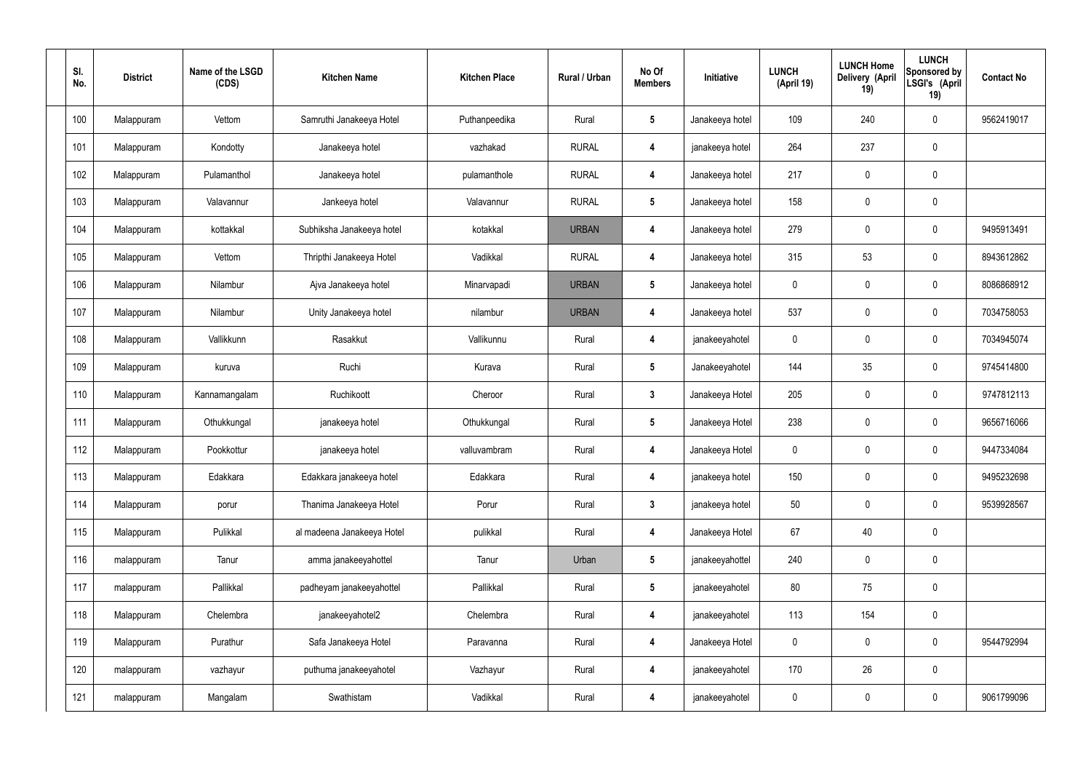| SI.<br>No. | <b>District</b> | Name of the LSGD<br>(CDS) | <b>Kitchen Name</b>        | <b>Kitchen Place</b> | Rural / Urban | No Of<br><b>Members</b> | Initiative      | <b>LUNCH</b><br>(April 19) | <b>LUNCH Home</b><br><b>Delivery (April</b><br>19) | <b>LUNCH</b><br><b>Sponsored by</b><br>LSGI's (April<br>19) | <b>Contact No</b> |
|------------|-----------------|---------------------------|----------------------------|----------------------|---------------|-------------------------|-----------------|----------------------------|----------------------------------------------------|-------------------------------------------------------------|-------------------|
| 100        | Malappuram      | Vettom                    | Samruthi Janakeeya Hotel   | Puthanpeedika        | Rural         | $\sqrt{5}$              | Janakeeya hotel | 109                        | 240                                                | 0                                                           | 9562419017        |
| 101        | Malappuram      | Kondotty                  | Janakeeya hotel            | vazhakad             | <b>RURAL</b>  | $\overline{4}$          | janakeeya hotel | 264                        | 237                                                | 0                                                           |                   |
| 102        | Malappuram      | Pulamanthol               | Janakeeya hotel            | pulamanthole         | <b>RURAL</b>  | $\overline{4}$          | Janakeeya hotel | 217                        | $\mathbf 0$                                        | 0                                                           |                   |
| 103        | Malappuram      | Valavannur                | Jankeeya hotel             | Valavannur           | <b>RURAL</b>  | $\sqrt{5}$              | Janakeeya hotel | 158                        | $\mathbf 0$                                        | 0                                                           |                   |
| 104        | Malappuram      | kottakkal                 | Subhiksha Janakeeya hotel  | kotakkal             | <b>URBAN</b>  | 4                       | Janakeeya hotel | 279                        | $\mathbf 0$                                        | 0                                                           | 9495913491        |
| 105        | Malappuram      | Vettom                    | Thripthi Janakeeya Hotel   | Vadikkal             | <b>RURAL</b>  | $\overline{4}$          | Janakeeya hotel | 315                        | 53                                                 | 0                                                           | 8943612862        |
| 106        | Malappuram      | Nilambur                  | Ajva Janakeeya hotel       | Minarvapadi          | <b>URBAN</b>  | 5                       | Janakeeya hotel | 0                          | $\mathbf 0$                                        | 0                                                           | 8086868912        |
| 107        | Malappuram      | Nilambur                  | Unity Janakeeya hotel      | nilambur             | <b>URBAN</b>  | 4                       | Janakeeya hotel | 537                        | $\mathbf 0$                                        | 0                                                           | 7034758053        |
| 108        | Malappuram      | Vallikkunn                | Rasakkut                   | Vallikunnu           | Rural         | $\overline{4}$          | janakeeyahotel  | 0                          | $\mathbf 0$                                        | 0                                                           | 7034945074        |
| 109        | Malappuram      | kuruva                    | Ruchi                      | Kurava               | Rural         | $\sqrt{5}$              | Janakeeyahotel  | 144                        | 35                                                 | 0                                                           | 9745414800        |
| 110        | Malappuram      | Kannamangalam             | Ruchikoott                 | Cheroor              | Rural         | $\mathbf{3}$            | Janakeeya Hotel | 205                        | $\mathbf 0$                                        | 0                                                           | 9747812113        |
| 111        | Malappuram      | Othukkungal               | janakeeya hotel            | Othukkungal          | Rural         | $\sqrt{5}$              | Janakeeya Hotel | 238                        | $\boldsymbol{0}$                                   | 0                                                           | 9656716066        |
| 112        | Malappuram      | Pookkottur                | janakeeya hotel            | valluvambram         | Rural         | $\overline{4}$          | Janakeeya Hotel | $\mathbf 0$                | $\mathbf 0$                                        | 0                                                           | 9447334084        |
| 113        | Malappuram      | Edakkara                  | Edakkara janakeeya hotel   | Edakkara             | Rural         | $\overline{4}$          | janakeeya hotel | 150                        | $\pmb{0}$                                          | 0                                                           | 9495232698        |
| 114        | Malappuram      | porur                     | Thanima Janakeeya Hotel    | Porur                | Rural         | $\mathbf{3}$            | janakeeya hotel | 50                         | $\pmb{0}$                                          | $\mathbf 0$                                                 | 9539928567        |
| 115        | Malappuram      | Pulikkal                  | al madeena Janakeeya Hotel | pulikkal             | Rural         | $\boldsymbol{4}$        | Janakeeya Hotel | 67                         | 40                                                 | 0                                                           |                   |
| 116        | malappuram      | Tanur                     | amma janakeeyahottel       | Tanur                | Urban         | $5\phantom{.0}$         | janakeeyahottel | 240                        | $\overline{0}$                                     | 0                                                           |                   |
| 117        | malappuram      | Pallikkal                 | padheyam janakeeyahottel   | Pallikkal            | Rural         | $5\phantom{.0}$         | janakeeyahotel  | 80                         | 75                                                 | 0                                                           |                   |
| 118        | Malappuram      | Chelembra                 | janakeeyahotel2            | Chelembra            | Rural         | $\boldsymbol{4}$        | janakeeyahotel  | 113                        | 154                                                | 0                                                           |                   |
| 119        | Malappuram      | Purathur                  | Safa Janakeeya Hotel       | Paravanna            | Rural         | $\boldsymbol{4}$        | Janakeeya Hotel | $\mathbf 0$                | $\pmb{0}$                                          | 0                                                           | 9544792994        |
| 120        | malappuram      | vazhayur                  | puthuma janakeeyahotel     | Vazhayur             | Rural         | $\boldsymbol{4}$        | janakeeyahotel  | 170                        | 26                                                 | 0                                                           |                   |
| 121        | malappuram      | Mangalam                  | Swathistam                 | Vadikkal             | Rural         | $\boldsymbol{4}$        | janakeeyahotel  | 0                          | $\pmb{0}$                                          | 0                                                           | 9061799096        |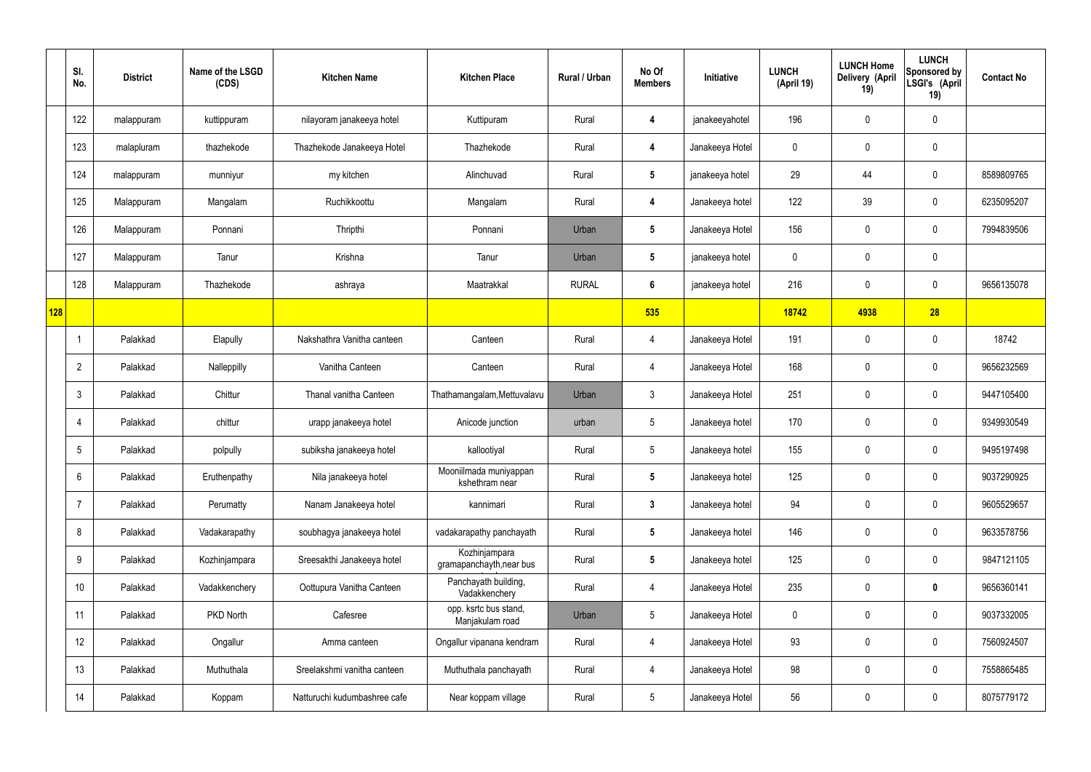|     | SI.<br>No.     | <b>District</b> | Name of the LSGD<br>(CDS) | <b>Kitchen Name</b>          | <b>Kitchen Place</b>                      | Rural / Urban | No Of<br><b>Members</b> | Initiative      | <b>LUNCH</b><br>(April 19) | <b>LUNCH Home</b><br>Delivery (April<br>19) | <b>LUNCH</b><br>Sponsored by<br>LSGI's (April<br>19) | <b>Contact No</b> |
|-----|----------------|-----------------|---------------------------|------------------------------|-------------------------------------------|---------------|-------------------------|-----------------|----------------------------|---------------------------------------------|------------------------------------------------------|-------------------|
|     | 122            | malappuram      | kuttippuram               | nilayoram janakeeya hotel    | Kuttipuram                                | Rural         | $\overline{\mathbf{4}}$ | janakeeyahotel  | 196                        | $\mathbf 0$                                 | $\mathbf 0$                                          |                   |
|     | 123            | malapluram      | thazhekode                | Thazhekode Janakeeya Hotel   | Thazhekode                                | Rural         | $\overline{\mathbf{4}}$ | Janakeeya Hotel | $\mathbf 0$                | $\mathbf 0$                                 | $\mathbf 0$                                          |                   |
|     | 124            | malappuram      | munniyur                  | my kitchen                   | Alinchuvad                                | Rural         | $5\phantom{.0}$         | janakeeya hotel | 29                         | 44                                          | $\mathbf 0$                                          | 8589809765        |
|     | 125            | Malappuram      | Mangalam                  | Ruchikkoottu                 | Mangalam                                  | Rural         | $\boldsymbol{4}$        | Janakeeya hotel | 122                        | 39                                          | $\mathbf 0$                                          | 6235095207        |
|     | 126            | Malappuram      | Ponnani                   | Thripthi                     | Ponnani                                   | Urban         | $5\phantom{.0}$         | Janakeeya Hotel | 156                        | $\mathbf 0$                                 | $\mathbf 0$                                          | 7994839506        |
|     | 127            | Malappuram      | Tanur                     | Krishna                      | Tanur                                     | Urban         | $5\phantom{.0}$         | janakeeya hotel | $\mathbf 0$                | $\mathbf 0$                                 | $\mathbf 0$                                          |                   |
|     | 128            | Malappuram      | Thazhekode                | ashraya                      | Maatrakkal                                | <b>RURAL</b>  | $6\phantom{.}6$         | janakeeya hotel | 216                        | 0                                           | $\mathbf 0$                                          | 9656135078        |
| 128 |                |                 |                           |                              |                                           |               | 535                     |                 | 18742                      | 4938                                        | 28                                                   |                   |
|     |                | Palakkad        | Elapully                  | Nakshathra Vanitha canteen   | Canteen                                   | Rural         | 4                       | Janakeeya Hotel | 191                        | 0                                           | $\mathbf 0$                                          | 18742             |
|     | $\overline{2}$ | Palakkad        | Nalleppilly               | Vanitha Canteen              | Canteen                                   | Rural         | 4                       | Janakeeya Hotel | 168                        | $\mathbf 0$                                 | $\mathbf 0$                                          | 9656232569        |
|     | 3              | Palakkad        | Chittur                   | Thanal vanitha Canteen       | Thathamangalam, Mettuvalavu               | Urban         | $\mathbf{3}$            | Janakeeya Hotel | 251                        | 0                                           | $\mathbf 0$                                          | 9447105400        |
|     | 4              | Palakkad        | chittur                   | urapp janakeeya hotel        | Anicode junction                          | urban         | $5\overline{)}$         | Janakeeya hotel | 170                        | $\mathbf 0$                                 | $\mathbf 0$                                          | 9349930549        |
|     | 5              | Palakkad        | polpully                  | subiksha janakeeya hotel     | kallootiyal                               | Rural         | $5\overline{)}$         | Janakeeya hotel | 155                        | $\mathbf 0$                                 | $\mathbf 0$                                          | 9495197498        |
|     | 6              | Palakkad        | Eruthenpathy              | Nila janakeeya hotel         | Mooniilmada muniyappan<br>kshethram near  | Rural         | $5\overline{)}$         | Janakeeya hotel | 125                        | $\pmb{0}$                                   | $\mathbf 0$                                          | 9037290925        |
|     | 7              | Palakkad        | Perumatty                 | Nanam Janakeeya hotel        | kannimari                                 | Rural         | $3\phantom{a}$          | Janakeeya hotel | 94                         | $\pmb{0}$                                   | $\mathbf 0$                                          | 9605529657        |
|     | 8              | Palakkad        | Vadakarapathy             | soubhagya janakeeya hotel    | vadakarapathy panchayath                  | Rural         | $5\phantom{.0}$         | Janakeeya hotel | 146                        | 0                                           | $\mathbf 0$                                          | 9633578756        |
|     | 9              | Palakkad        | Kozhinjampara             | Sreesakthi Janakeeya hotel   | Kozhinjampara<br>gramapanchayth, near bus | Rural         | $5\phantom{.0}$         | Janakeeya hotel | 125                        | $\pmb{0}$                                   | $\mathbf 0$                                          | 9847121105        |
|     | 10             | Palakkad        | Vadakkenchery             | Oottupura Vanitha Canteen    | Panchayath building,<br>Vadakkenchery     | Rural         | $\overline{4}$          | Janakeeya Hotel | 235                        | 0                                           | $\bf{0}$                                             | 9656360141        |
|     | 11             | Palakkad        | PKD North                 | Cafesree                     | opp. ksrtc bus stand,<br>Manjakulam road  | Urban         | $5\overline{)}$         | Janakeeya Hotel | $\mathbf 0$                | $\pmb{0}$                                   | $\mathbf 0$                                          | 9037332005        |
|     | 12             | Palakkad        | Ongallur                  | Amma canteen                 | Ongallur vipanana kendram                 | Rural         | $\overline{4}$          | Janakeeya Hotel | 93                         | $\mathbf 0$                                 | $\mathbf 0$                                          | 7560924507        |
|     | 13             | Palakkad        | Muthuthala                | Sreelakshmi vanitha canteen  | Muthuthala panchayath                     | Rural         | $\overline{4}$          | Janakeeya Hotel | 98                         | 0                                           | $\mathbf 0$                                          | 7558865485        |
|     | 14             | Palakkad        | Koppam                    | Natturuchi kudumbashree cafe | Near koppam village                       | Rural         | $5\phantom{.0}$         | Janakeeya Hotel | 56                         | 0                                           | $\boldsymbol{0}$                                     | 8075779172        |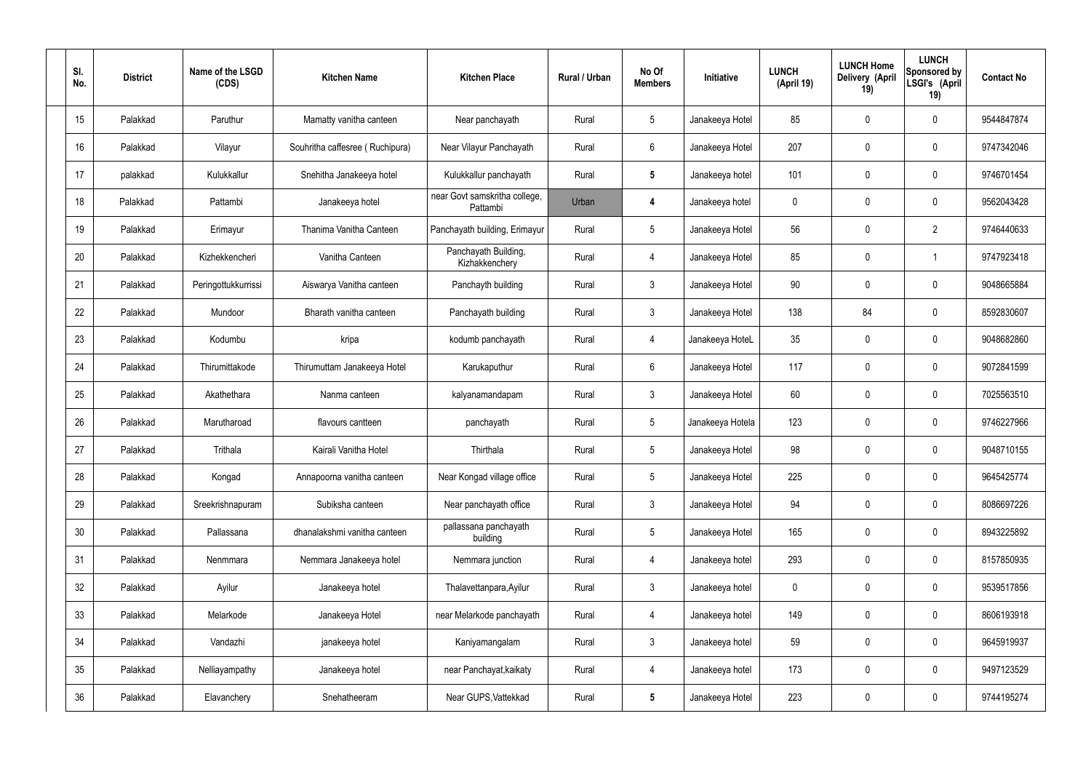| SI.<br>No. | <b>District</b> | Name of the LSGD<br>(CDS) | <b>Kitchen Name</b>             | <b>Kitchen Place</b>                      | Rural / Urban | No Of<br><b>Members</b> | Initiative       | <b>LUNCH</b><br>(April 19) | <b>LUNCH Home</b><br>Delivery (April<br>19) | <b>LUNCH</b><br>Sponsored by<br>LSGI's (April<br>19) | <b>Contact No</b> |
|------------|-----------------|---------------------------|---------------------------------|-------------------------------------------|---------------|-------------------------|------------------|----------------------------|---------------------------------------------|------------------------------------------------------|-------------------|
| 15         | Palakkad        | Paruthur                  | Mamatty vanitha canteen         | Near panchayath                           | Rural         | $5\,$                   | Janakeeya Hotel  | 85                         | 0                                           | 0                                                    | 9544847874        |
| 16         | Palakkad        | Vilayur                   | Souhritha caffesree (Ruchipura) | Near Vilayur Panchayath                   | Rural         | $6\phantom{.}6$         | Janakeeya Hotel  | 207                        | 0                                           | $\boldsymbol{0}$                                     | 9747342046        |
| 17         | palakkad        | Kulukkallur               | Snehitha Janakeeya hotel        | Kulukkallur panchayath                    | Rural         | $5\phantom{.0}$         | Janakeeya hotel  | 101                        | 0                                           | $\mathbf 0$                                          | 9746701454        |
| 18         | Palakkad        | Pattambi                  | Janakeeya hotel                 | near Govt samskritha college,<br>Pattambi | Urban         | 4                       | Janakeeya hotel  | $\mathbf 0$                | 0                                           | $\mathbf 0$                                          | 9562043428        |
| 19         | Palakkad        | Erimayur                  | Thanima Vanitha Canteen         | Panchayath building, Erimayur             | Rural         | $5\phantom{.0}$         | Janakeeya Hotel  | 56                         | 0                                           | $\overline{2}$                                       | 9746440633        |
| 20         | Palakkad        | Kizhekkencheri            | Vanitha Canteen                 | Panchayath Building,<br>Kizhakkenchery    | Rural         | $\overline{4}$          | Janakeeya Hotel  | 85                         | 0                                           | -1                                                   | 9747923418        |
| 21         | Palakkad        | Peringottukkurrissi       | Aiswarya Vanitha canteen        | Panchayth building                        | Rural         | $\mathbf{3}$            | Janakeeya Hotel  | 90                         | 0                                           | $\mathbf 0$                                          | 9048665884        |
| 22         | Palakkad        | Mundoor                   | Bharath vanitha canteen         | Panchayath building                       | Rural         | $\mathbf{3}$            | Janakeeya Hotel  | 138                        | 84                                          | $\mathbf 0$                                          | 8592830607        |
| 23         | Palakkad        | Kodumbu                   | kripa                           | kodumb panchayath                         | Rural         | 4                       | Janakeeya HoteL  | 35                         | 0                                           | $\mathbf 0$                                          | 9048682860        |
| 24         | Palakkad        | Thirumittakode            | Thirumuttam Janakeeya Hotel     | Karukaputhur                              | Rural         | $6\phantom{.}6$         | Janakeeya Hotel  | 117                        | 0                                           | $\mathbf 0$                                          | 9072841599        |
| 25         | Palakkad        | Akathethara               | Nanma canteen                   | kalyanamandapam                           | Rural         | $\mathbf{3}$            | Janakeeya Hotel  | 60                         | 0                                           | $\mathbf 0$                                          | 7025563510        |
| 26         | Palakkad        | Marutharoad               | flavours cantteen               | panchayath                                | Rural         | $5\phantom{.0}$         | Janakeeya Hotela | 123                        | 0                                           | $\mathbf 0$                                          | 9746227966        |
| 27         | Palakkad        | Trithala                  | Kairali Vanitha Hotel           | Thirthala                                 | Rural         | $5\overline{)}$         | Janakeeya Hotel  | 98                         | 0                                           | 0                                                    | 9048710155        |
| 28         | Palakkad        | Kongad                    | Annapoorna vanitha canteen      | Near Kongad village office                | Rural         | $5\,$                   | Janakeeya Hotel  | 225                        | 0                                           | $\mathbf 0$                                          | 9645425774        |
| 29         | Palakkad        | Sreekrishnapuram          | Subiksha canteen                | Near panchayath office                    | Rural         | $\mathfrak{Z}$          | Janakeeya Hotel  | 94                         | 0                                           | $\mathbf 0$                                          | 8086697226        |
| 30         | Palakkad        | Pallassana                | dhanalakshmi vanitha canteen    | pallassana panchayath<br>building         | Rural         | $5\phantom{.0}$         | Janakeeya Hotel  | 165                        | 0                                           | $\mathbf 0$                                          | 8943225892        |
| 31         | Palakkad        | Nenmmara                  | Nemmara Janakeeya hotel         | Nemmara junction                          | Rural         | $\overline{4}$          | Janakeeya hotel  | 293                        | 0                                           | $\mathbf 0$                                          | 8157850935        |
| 32         | Palakkad        | Ayilur                    | Janakeeya hotel                 | Thalavettanpara, Ayilur                   | Rural         | $\mathbf{3}$            | Janakeeya hotel  | 0                          | 0                                           | $\mathbf 0$                                          | 9539517856        |
| 33         | Palakkad        | Melarkode                 | Janakeeya Hotel                 | near Melarkode panchayath                 | Rural         | $\overline{4}$          | Janakeeya hotel  | 149                        | 0                                           | $\mathbf 0$                                          | 8606193918        |
| 34         | Palakkad        | Vandazhi                  | janakeeya hotel                 | Kaniyamangalam                            | Rural         | $\mathbf{3}$            | Janakeeya hotel  | 59                         | 0                                           | $\mathbf 0$                                          | 9645919937        |
| 35         | Palakkad        | Nelliayampathy            | Janakeeya hotel                 | near Panchayat, kaikaty                   | Rural         | 4                       | Janakeeya hotel  | 173                        | 0                                           | $\mathbf 0$                                          | 9497123529        |
| 36         | Palakkad        | Elavanchery               | Snehatheeram                    | Near GUPS, Vattekkad                      | Rural         | $5\phantom{.0}$         | Janakeeya Hotel  | 223                        | 0                                           | $\pmb{0}$                                            | 9744195274        |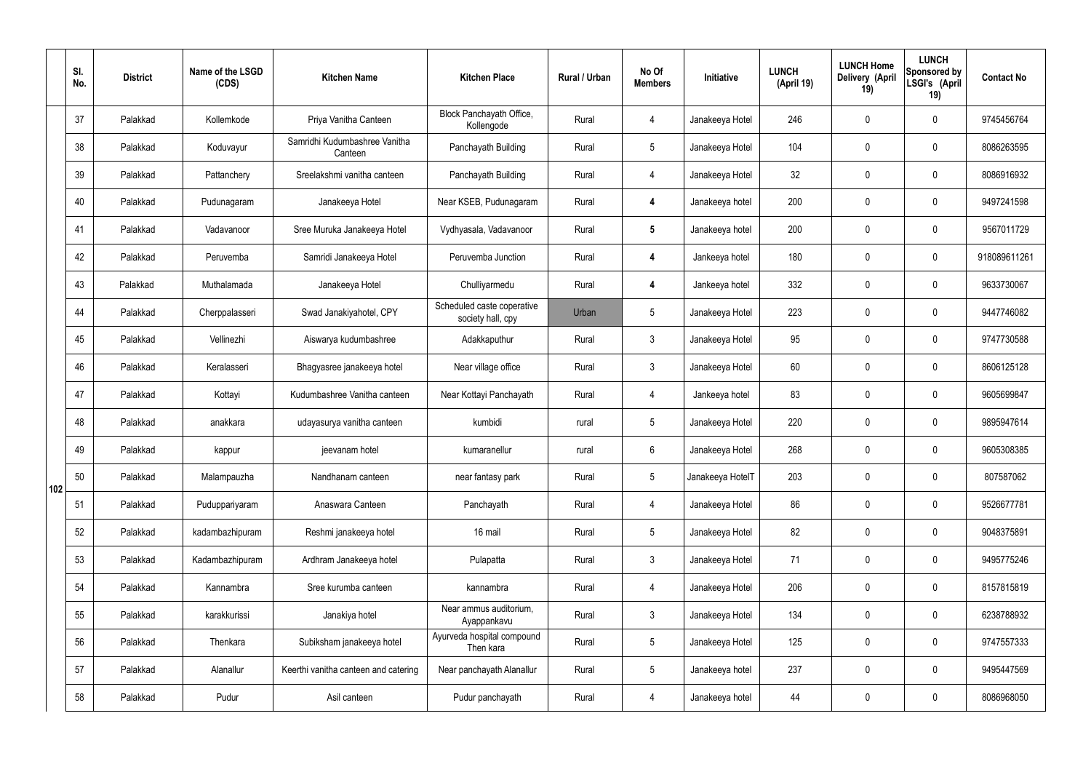|     | SI.<br>No. | <b>District</b> | Name of the LSGD<br>(CDS) | <b>Kitchen Name</b>                      | <b>Kitchen Place</b>                            | <b>Rural / Urban</b> | No Of<br><b>Members</b> | Initiative       | <b>LUNCH</b><br>(April 19) | <b>LUNCH Home</b><br>Delivery (April<br>19) | <b>LUNCH</b><br>Sponsored by<br>LSGI's (April<br>19) | <b>Contact No</b> |
|-----|------------|-----------------|---------------------------|------------------------------------------|-------------------------------------------------|----------------------|-------------------------|------------------|----------------------------|---------------------------------------------|------------------------------------------------------|-------------------|
|     | 37         | Palakkad        | Kollemkode                | Priya Vanitha Canteen                    | Block Panchayath Office,<br>Kollengode          | Rural                | $\overline{4}$          | Janakeeya Hotel  | 246                        | $\mathbf 0$                                 | $\mathbf 0$                                          | 9745456764        |
|     | 38         | Palakkad        | Koduvayur                 | Samridhi Kudumbashree Vanitha<br>Canteen | Panchayath Building                             | Rural                | $5\overline{)}$         | Janakeeya Hotel  | 104                        | $\mathbf 0$                                 | $\mathbf 0$                                          | 8086263595        |
|     | 39         | Palakkad        | Pattanchery               | Sreelakshmi vanitha canteen              | Panchayath Building                             | Rural                | $\overline{4}$          | Janakeeya Hotel  | 32                         | $\mathbf 0$                                 | $\mathbf 0$                                          | 8086916932        |
|     | 40         | Palakkad        | Pudunagaram               | Janakeeya Hotel                          | Near KSEB, Pudunagaram                          | Rural                | 4                       | Janakeeya hotel  | 200                        | $\mathbf 0$                                 | $\mathbf 0$                                          | 9497241598        |
|     | 41         | Palakkad        | Vadavanoor                | Sree Muruka Janakeeya Hotel              | Vydhyasala, Vadavanoor                          | Rural                | $5\phantom{.0}$         | Janakeeya hotel  | 200                        | $\mathbf 0$                                 | $\mathbf 0$                                          | 9567011729        |
|     | 42         | Palakkad        | Peruvemba                 | Samridi Janakeeya Hotel                  | Peruvemba Junction                              | Rural                | 4                       | Jankeeya hotel   | 180                        | $\mathbf 0$                                 | $\mathbf 0$                                          | 918089611261      |
|     | 43         | Palakkad        | Muthalamada               | Janakeeya Hotel                          | Chulliyarmedu                                   | Rural                | 4                       | Jankeeya hotel   | 332                        | $\mathbf 0$                                 | $\mathbf 0$                                          | 9633730067        |
|     | 44         | Palakkad        | Cherppalasseri            | Swad Janakiyahotel, CPY                  | Scheduled caste coperative<br>society hall, cpy | Urban                | 5                       | Janakeeya Hotel  | 223                        | $\mathbf 0$                                 | $\mathbf 0$                                          | 9447746082        |
|     | 45         | Palakkad        | Vellinezhi                | Aiswarya kudumbashree                    | Adakkaputhur                                    | Rural                | $\mathbf{3}$            | Janakeeya Hotel  | 95                         | $\mathbf 0$                                 | $\mathbf 0$                                          | 9747730588        |
|     | 46         | Palakkad        | Keralasseri               | Bhagyasree janakeeya hotel               | Near village office                             | Rural                | $\mathfrak{Z}$          | Janakeeya Hotel  | 60                         | $\mathbf 0$                                 | $\mathbf 0$                                          | 8606125128        |
|     | 47         | Palakkad        | Kottayi                   | Kudumbashree Vanitha canteen             | Near Kottayi Panchayath                         | Rural                | 4                       | Jankeeya hotel   | 83                         | $\mathbf 0$                                 | $\mathbf 0$                                          | 9605699847        |
|     | 48         | Palakkad        | anakkara                  | udayasurya vanitha canteen               | kumbidi                                         | rural                | $5\overline{)}$         | Janakeeya Hotel  | 220                        | $\mathbf 0$                                 | $\mathbf 0$                                          | 9895947614        |
|     | 49         | Palakkad        | kappur                    | jeevanam hotel                           | kumaranellur                                    | rural                | 6                       | Janakeeya Hotel  | 268                        | $\mathbf 0$                                 | $\mathbf 0$                                          | 9605308385        |
| 102 | 50         | Palakkad        | Malampauzha               | Nandhanam canteen                        | near fantasy park                               | Rural                | 5 <sub>5</sub>          | Janakeeya HotelT | 203                        | $\mathbf 0$                                 | $\mathbf 0$                                          | 807587062         |
|     | 51         | Palakkad        | Puduppariyaram            | Anaswara Canteen                         | Panchayath                                      | Rural                | $\overline{4}$          | Janakeeya Hotel  | 86                         | $\pmb{0}$                                   | $\mathbf 0$                                          | 9526677781        |
|     | 52         | Palakkad        | kadambazhipuram           | Reshmi janakeeya hotel                   | 16 mail                                         | Rural                | 5 <sub>5</sub>          | Janakeeya Hotel  | 82                         | $\pmb{0}$                                   | $\mathbf 0$                                          | 9048375891        |
|     | 53         | Palakkad        | Kadambazhipuram           | Ardhram Janakeeya hotel                  | Pulapatta                                       | Rural                | $\mathbf{3}$            | Janakeeya Hotel  | 71                         | $\pmb{0}$                                   | $\mathbf 0$                                          | 9495775246        |
|     | 54         | Palakkad        | Kannambra                 | Sree kurumba canteen                     | kannambra                                       | Rural                | $\overline{4}$          | Janakeeya Hotel  | 206                        | $\mathbf 0$                                 | $\mathbf 0$                                          | 8157815819        |
|     | 55         | Palakkad        | karakkurissi              | Janakiya hotel                           | Near ammus auditorium,<br>Ayappankavu           | Rural                | $\mathbf{3}$            | Janakeeya Hotel  | 134                        | $\mathbf 0$                                 | $\mathbf 0$                                          | 6238788932        |
|     | 56         | Palakkad        | Thenkara                  | Subiksham janakeeya hotel                | Ayurveda hospital compound<br>Then kara         | Rural                | 5 <sub>5</sub>          | Janakeeya Hotel  | 125                        | $\mathbf 0$                                 | $\mathbf 0$                                          | 9747557333        |
|     | 57         | Palakkad        | Alanallur                 | Keerthi vanitha canteen and catering     | Near panchayath Alanallur                       | Rural                | $5\phantom{.0}$         | Janakeeya hotel  | 237                        | $\pmb{0}$                                   | $\mathbf 0$                                          | 9495447569        |
|     | 58         | Palakkad        | Pudur                     | Asil canteen                             | Pudur panchayath                                | Rural                | 4                       | Janakeeya hotel  | 44                         | $\pmb{0}$                                   | $\boldsymbol{0}$                                     | 8086968050        |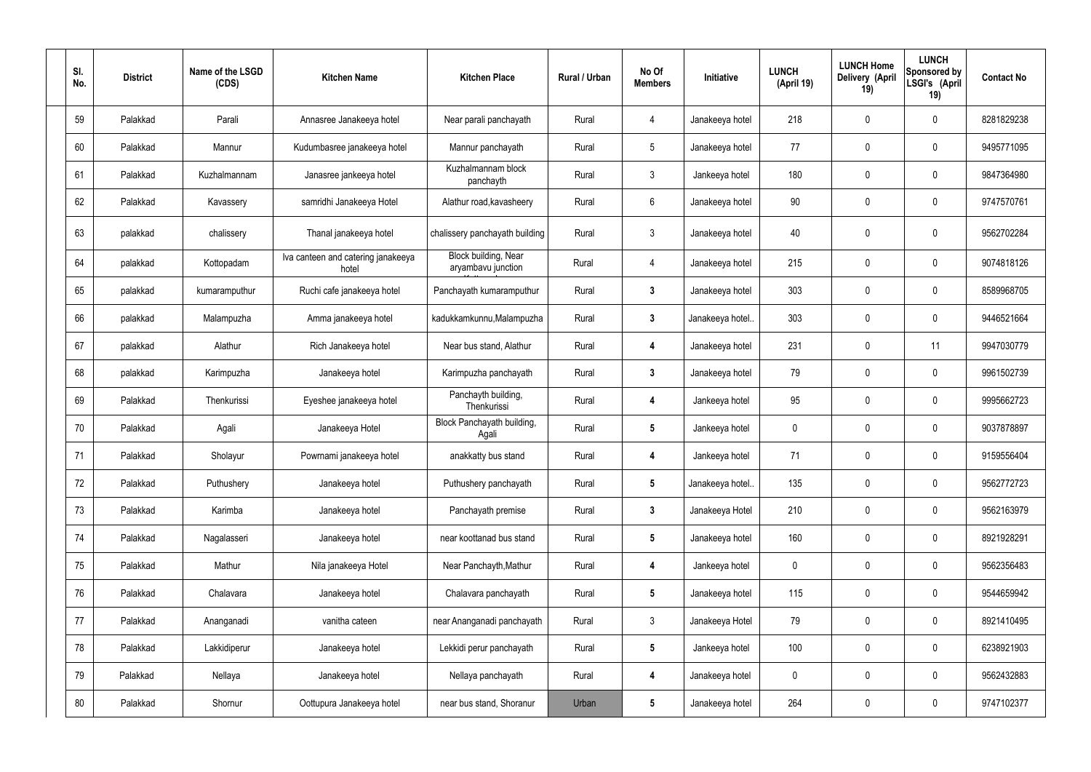| SI.<br>No. | <b>District</b> | Name of the LSGD<br>(CDS) | <b>Kitchen Name</b>                         | <b>Kitchen Place</b>                       | Rural / Urban | No Of<br><b>Members</b> | Initiative       | <b>LUNCH</b><br>(April 19) | <b>LUNCH Home</b><br>Delivery (April<br>19) | <b>LUNCH</b><br>Sponsored by<br>LSGI's (April<br>19) | <b>Contact No</b> |
|------------|-----------------|---------------------------|---------------------------------------------|--------------------------------------------|---------------|-------------------------|------------------|----------------------------|---------------------------------------------|------------------------------------------------------|-------------------|
| 59         | Palakkad        | Parali                    | Annasree Janakeeya hotel                    | Near parali panchayath                     | Rural         | 4                       | Janakeeya hotel  | 218                        | 0                                           | $\pmb{0}$                                            | 8281829238        |
| 60         | Palakkad        | Mannur                    | Kudumbasree janakeeya hotel                 | Mannur panchayath                          | Rural         | $5\overline{)}$         | Janakeeya hotel  | 77                         | 0                                           | $\pmb{0}$                                            | 9495771095        |
| 61         | Palakkad        | Kuzhalmannam              | Janasree jankeeya hotel                     | Kuzhalmannam block<br>panchayth            | Rural         | $\mathbf{3}$            | Jankeeya hotel   | 180                        | 0                                           | $\mathbf 0$                                          | 9847364980        |
| 62         | Palakkad        | Kavassery                 | samridhi Janakeeya Hotel                    | Alathur road, kavasheery                   | Rural         | $6\overline{6}$         | Janakeeya hotel  | 90                         | 0                                           | $\pmb{0}$                                            | 9747570761        |
| 63         | palakkad        | chalissery                | Thanal janakeeya hotel                      | chalissery panchayath building             | Rural         | $\mathbf{3}$            | Janakeeya hotel  | 40                         | 0                                           | $\pmb{0}$                                            | 9562702284        |
| 64         | palakkad        | Kottopadam                | Iva canteen and catering janakeeya<br>hotel | Block building, Near<br>aryambavu junction | Rural         | 4                       | Janakeeya hotel  | 215                        | 0                                           | $\mathbf 0$                                          | 9074818126        |
| 65         | palakkad        | kumaramputhur             | Ruchi cafe janakeeya hotel                  | Panchayath kumaramputhur                   | Rural         | $\mathbf{3}$            | Janakeeya hotel  | 303                        | 0                                           | $\pmb{0}$                                            | 8589968705        |
| 66         | palakkad        | Malampuzha                | Amma janakeeya hotel                        | kadukkamkunnu, Malampuzha                  | Rural         | $3\phantom{a}$          | Janakeeya hotel. | 303                        | 0                                           | $\pmb{0}$                                            | 9446521664        |
| 67         | palakkad        | Alathur                   | Rich Janakeeya hotel                        | Near bus stand, Alathur                    | Rural         | 4                       | Janakeeya hotel  | 231                        | 0                                           | 11                                                   | 9947030779        |
| 68         | palakkad        | Karimpuzha                | Janakeeya hotel                             | Karimpuzha panchayath                      | Rural         | $3\phantom{a}$          | Janakeeya hotel  | 79                         | 0                                           | $\boldsymbol{0}$                                     | 9961502739        |
| 69         | Palakkad        | Thenkurissi               | Eyeshee janakeeya hotel                     | Panchayth building,<br>Thenkurissi         | Rural         | 4                       | Jankeeya hotel   | 95                         | 0                                           | $\boldsymbol{0}$                                     | 9995662723        |
| 70         | Palakkad        | Agali                     | Janakeeya Hotel                             | Block Panchayath building,<br>Agali        | Rural         | $5\phantom{.0}$         | Jankeeya hotel   | $\mathbf 0$                | 0                                           | $\boldsymbol{0}$                                     | 9037878897        |
| 71         | Palakkad        | Sholayur                  | Powrnami janakeeya hotel                    | anakkatty bus stand                        | Rural         | 4                       | Jankeeya hotel   | 71                         | 0                                           | 0                                                    | 9159556404        |
| 72         | Palakkad        | Puthushery                | Janakeeya hotel                             | Puthushery panchayath                      | Rural         | $5\phantom{.0}$         | Janakeeya hotel  | 135                        | 0                                           | $\pmb{0}$                                            | 9562772723        |
| 73         | Palakkad        | Karimba                   | Janakeeya hotel                             | Panchayath premise                         | Rural         | $3\phantom{a}$          | Janakeeya Hotel  | 210                        | 0                                           | $\pmb{0}$                                            | 9562163979        |
| 74         | Palakkad        | Nagalasseri               | Janakeeya hotel                             | near koottanad bus stand                   | Rural         | $5\phantom{.0}$         | Janakeeya hotel  | 160                        | 0                                           | $\pmb{0}$                                            | 8921928291        |
| 75         | Palakkad        | Mathur                    | Nila janakeeya Hotel                        | Near Panchayth, Mathur                     | Rural         | $\overline{\mathbf{4}}$ | Jankeeya hotel   | 0                          | 0                                           | $\pmb{0}$                                            | 9562356483        |
| 76         | Palakkad        | Chalavara                 | Janakeeya hotel                             | Chalavara panchayath                       | Rural         | $5\phantom{.0}$         | Janakeeya hotel  | 115                        | 0                                           | $\pmb{0}$                                            | 9544659942        |
| 77         | Palakkad        | Ananganadi                | vanitha cateen                              | near Ananganadi panchayath                 | Rural         | $\mathbf{3}$            | Janakeeya Hotel  | 79                         | 0                                           | $\pmb{0}$                                            | 8921410495        |
| 78         | Palakkad        | Lakkidiperur              | Janakeeya hotel                             | Lekkidi perur panchayath                   | Rural         | $5\phantom{.0}$         | Jankeeya hotel   | 100                        | 0                                           | $\pmb{0}$                                            | 6238921903        |
| 79         | Palakkad        | Nellaya                   | Janakeeya hotel                             | Nellaya panchayath                         | Rural         | $\overline{\mathbf{4}}$ | Janakeeya hotel  | 0                          | 0                                           | $\pmb{0}$                                            | 9562432883        |
| 80         | Palakkad        | Shornur                   | Oottupura Janakeeya hotel                   | near bus stand, Shoranur                   | Urban         | $\sqrt{5}$              | Janakeeya hotel  | 264                        | 0                                           | $\boldsymbol{0}$                                     | 9747102377        |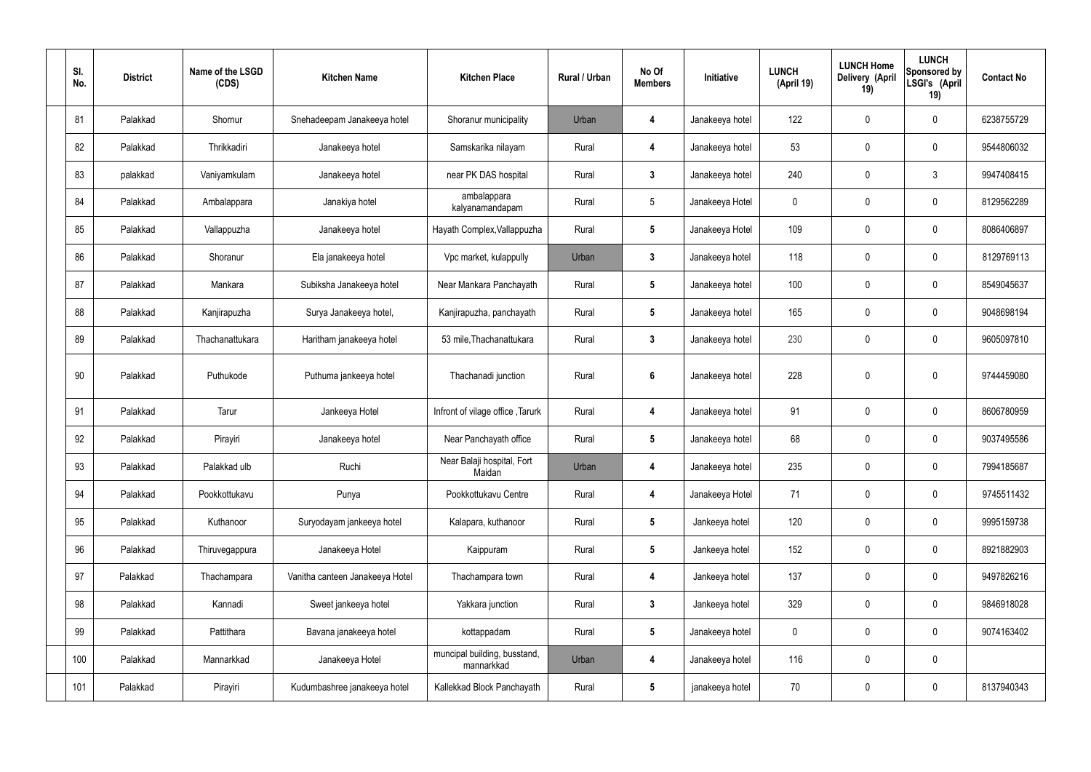| SI.<br>No. | <b>District</b> | Name of the LSGD<br>(CDS) | <b>Kitchen Name</b>             | <b>Kitchen Place</b>                       | Rural / Urban | No Of<br><b>Members</b> | Initiative      | <b>LUNCH</b><br>(April 19) | <b>LUNCH Home</b><br>Delivery (April<br>19) | <b>LUNCH</b><br>Sponsored by<br>LSGI's (April<br>19) | <b>Contact No</b> |
|------------|-----------------|---------------------------|---------------------------------|--------------------------------------------|---------------|-------------------------|-----------------|----------------------------|---------------------------------------------|------------------------------------------------------|-------------------|
| 81         | Palakkad        | Shornur                   | Snehadeepam Janakeeya hotel     | Shoranur municipality                      | Urban         | 4                       | Janakeeya hotel | 122                        | $\mathbf 0$                                 | $\mathbf 0$                                          | 6238755729        |
| 82         | Palakkad        | Thrikkadiri               | Janakeeya hotel                 | Samskarika nilayam                         | Rural         | 4                       | Janakeeya hotel | 53                         | $\mathbf 0$                                 | $\mathbf 0$                                          | 9544806032        |
| 83         | palakkad        | Vaniyamkulam              | Janakeeya hotel                 | near PK DAS hospital                       | Rural         | $3\phantom{a}$          | Janakeeya hotel | 240                        | 0                                           | $\mathfrak{Z}$                                       | 9947408415        |
| 84         | Palakkad        | Ambalappara               | Janakiya hotel                  | ambalappara<br>kalyanamandapam             | Rural         | $5\overline{)}$         | Janakeeya Hotel | $\mathbf 0$                | $\mathbf 0$                                 | $\mathbf 0$                                          | 8129562289        |
| 85         | Palakkad        | Vallappuzha               | Janakeeya hotel                 | Hayath Complex, Vallappuzha                | Rural         | $5\phantom{.0}$         | Janakeeya Hotel | 109                        | $\mathbf 0$                                 | $\mathbf 0$                                          | 8086406897        |
| 86         | Palakkad        | Shoranur                  | Ela janakeeya hotel             | Vpc market, kulappully                     | Urban         | $\mathbf{3}$            | Janakeeya hotel | 118                        | $\mathbf 0$                                 | $\mathbf 0$                                          | 8129769113        |
| 87         | Palakkad        | Mankara                   | Subiksha Janakeeya hotel        | Near Mankara Panchayath                    | Rural         | $5\phantom{.0}$         | Janakeeya hotel | 100                        | $\mathbf 0$                                 | $\mathbf 0$                                          | 8549045637        |
| 88         | Palakkad        | Kanjirapuzha              | Surya Janakeeya hotel,          | Kanjirapuzha, panchayath                   | Rural         | $5\phantom{.0}$         | Janakeeya hotel | 165                        | $\mathbf 0$                                 | $\mathbf 0$                                          | 9048698194        |
| 89         | Palakkad        | Thachanattukara           | Haritham janakeeya hotel        | 53 mile, Thachanattukara                   | Rural         | $3\phantom{a}$          | Janakeeya hotel | 230                        | 0                                           | $\mathbf 0$                                          | 9605097810        |
| 90         | Palakkad        | Puthukode                 | Puthuma jankeeya hotel          | Thachanadi junction                        | Rural         | $6\phantom{1}$          | Janakeeya hotel | 228                        | 0                                           | $\mathbf 0$                                          | 9744459080        |
| 91         | Palakkad        | Tarur                     | Jankeeya Hotel                  | Infront of vilage office, Tarurk           | Rural         | 4                       | Janakeeya hotel | 91                         | $\mathbf 0$                                 | $\mathbf 0$                                          | 8606780959        |
| 92         | Palakkad        | Pirayiri                  | Janakeeya hotel                 | Near Panchayath office                     | Rural         | $5\phantom{.0}$         | Janakeeya hotel | 68                         | 0                                           | $\mathbf 0$                                          | 9037495586        |
| 93         | Palakkad        | Palakkad ulb              | Ruchi                           | Near Balaji hospital, Fort<br>Maidan       | Urban         | 4                       | Janakeeya hotel | 235                        | $\pmb{0}$                                   | $\mathbf 0$                                          | 7994185687        |
| 94         | Palakkad        | Pookkottukavu             | Punya                           | Pookkottukavu Centre                       | Rural         | 4                       | Janakeeya Hotel | 71                         | $\pmb{0}$                                   | $\mathbf 0$                                          | 9745511432        |
| 95         | Palakkad        | Kuthanoor                 | Suryodayam jankeeya hotel       | Kalapara, kuthanoor                        | Rural         | $5\phantom{.0}$         | Jankeeya hotel  | 120                        | $\pmb{0}$                                   | $\mathbf 0$                                          | 9995159738        |
| 96         | Palakkad        | Thiruvegappura            | Janakeeya Hotel                 | Kaippuram                                  | Rural         | $5\phantom{.0}$         | Jankeeya hotel  | 152                        | $\pmb{0}$                                   | $\mathbf 0$                                          | 8921882903        |
| 97         | Palakkad        | Thachampara               | Vanitha canteen Janakeeya Hotel | Thachampara town                           | Rural         | 4                       | Jankeeya hotel  | 137                        | $\pmb{0}$                                   | $\mathbf 0$                                          | 9497826216        |
| 98         | Palakkad        | Kannadi                   | Sweet jankeeya hotel            | Yakkara junction                           | Rural         | $\mathbf{3}$            | Jankeeya hotel  | 329                        | $\pmb{0}$                                   | $\mathbf 0$                                          | 9846918028        |
| 99         | Palakkad        | Pattithara                | Bavana janakeeya hotel          | kottappadam                                | Rural         | $5\phantom{.0}$         | Janakeeya hotel | $\boldsymbol{0}$           | $\pmb{0}$                                   | $\mathbf 0$                                          | 9074163402        |
| 100        | Palakkad        | Mannarkkad                | Janakeeya Hotel                 | muncipal building, busstand,<br>mannarkkad | Urban         | 4                       | Janakeeya hotel | 116                        | $\pmb{0}$                                   | $\mathbf 0$                                          |                   |
| 101        | Palakkad        | Pirayiri                  | Kudumbashree janakeeya hotel    | Kallekkad Block Panchayath                 | Rural         | $5\phantom{.0}$         | janakeeya hotel | 70                         | 0                                           | $\boldsymbol{0}$                                     | 8137940343        |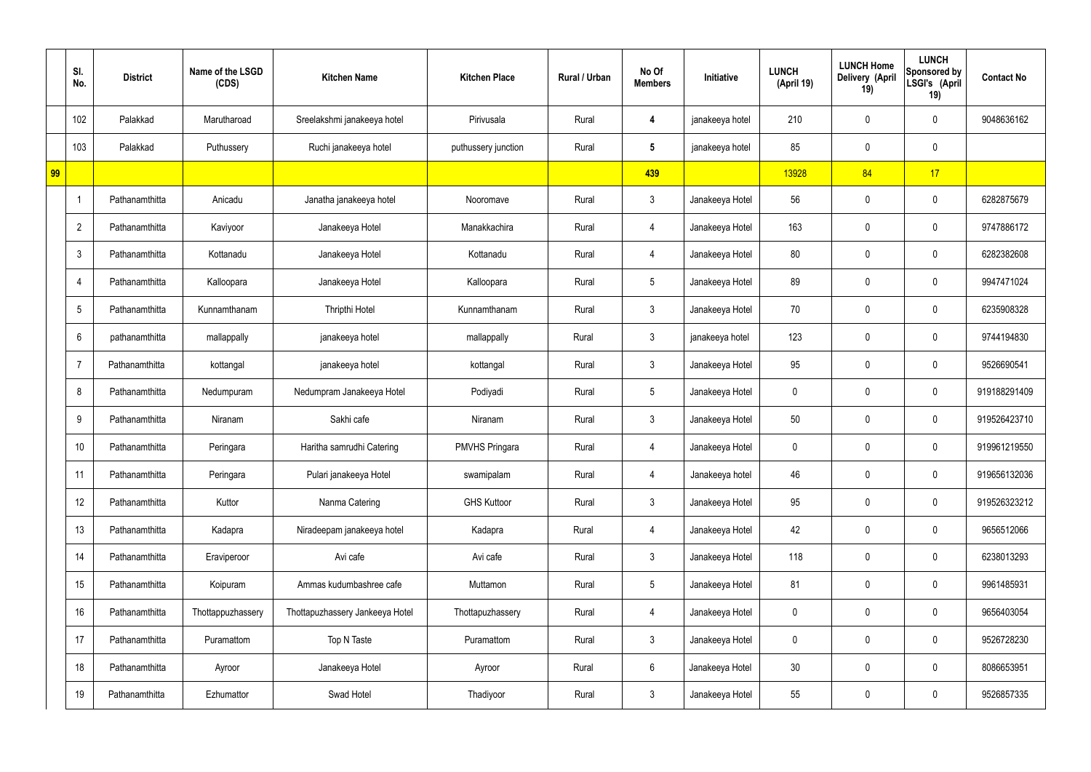|    | SI.<br>No.      | <b>District</b> | Name of the LSGD<br>(CDS) | <b>Kitchen Name</b>             | <b>Kitchen Place</b>  | Rural / Urban | No Of<br><b>Members</b> | Initiative      | <b>LUNCH</b><br>(April 19) | <b>LUNCH Home</b><br>Delivery (April<br>19) | <b>LUNCH</b><br>Sponsored by<br>LSGI's (April<br>19) | <b>Contact No</b> |
|----|-----------------|-----------------|---------------------------|---------------------------------|-----------------------|---------------|-------------------------|-----------------|----------------------------|---------------------------------------------|------------------------------------------------------|-------------------|
|    | 102             | Palakkad        | Marutharoad               | Sreelakshmi janakeeya hotel     | Pirivusala            | Rural         | 4                       | janakeeya hotel | 210                        | 0                                           | $\mathbf 0$                                          | 9048636162        |
|    | 103             | Palakkad        | Puthussery                | Ruchi janakeeya hotel           | puthussery junction   | Rural         | $5\phantom{.0}$         | janakeeya hotel | 85                         | $\mathbf 0$                                 | $\mathbf 0$                                          |                   |
| 99 |                 |                 |                           |                                 |                       |               | 439                     |                 | 13928                      | 84                                          | 17                                                   |                   |
|    |                 | Pathanamthitta  | Anicadu                   | Janatha janakeeya hotel         | Nooromave             | Rural         | $\mathbf{3}$            | Janakeeya Hotel | 56                         | $\mathbf 0$                                 | $\mathbf 0$                                          | 6282875679        |
|    | $\overline{2}$  | Pathanamthitta  | Kaviyoor                  | Janakeeya Hotel                 | Manakkachira          | Rural         | 4                       | Janakeeya Hotel | 163                        | 0                                           | $\mathbf 0$                                          | 9747886172        |
|    | $\mathbf{3}$    | Pathanamthitta  | Kottanadu                 | Janakeeya Hotel                 | Kottanadu             | Rural         | 4                       | Janakeeya Hotel | 80                         | 0                                           | $\overline{0}$                                       | 6282382608        |
|    | $\overline{4}$  | Pathanamthitta  | Kalloopara                | Janakeeya Hotel                 | Kalloopara            | Rural         | $5\overline{)}$         | Janakeeya Hotel | 89                         | 0                                           | $\mathbf 0$                                          | 9947471024        |
|    | $5\phantom{.0}$ | Pathanamthitta  | Kunnamthanam              | Thripthi Hotel                  | Kunnamthanam          | Rural         | $\mathbf{3}$            | Janakeeya Hotel | 70                         | $\mathbf 0$                                 | $\mathbf 0$                                          | 6235908328        |
|    | 6               | pathanamthitta  | mallappally               | janakeeya hotel                 | mallappally           | Rural         | $\mathbf{3}$            | janakeeya hotel | 123                        | 0                                           | $\mathbf 0$                                          | 9744194830        |
|    | 7               | Pathanamthitta  | kottangal                 | janakeeya hotel                 | kottangal             | Rural         | $\mathbf{3}$            | Janakeeya Hotel | 95                         | $\mathbf 0$                                 | $\mathbf 0$                                          | 9526690541        |
|    | 8               | Pathanamthitta  | Nedumpuram                | Nedumpram Janakeeya Hotel       | Podiyadi              | Rural         | $5\overline{)}$         | Janakeeya Hotel | 0                          | 0                                           | $\mathbf 0$                                          | 919188291409      |
|    | 9               | Pathanamthitta  | Niranam                   | Sakhi cafe                      | Niranam               | Rural         | $\mathbf{3}$            | Janakeeya Hotel | 50                         | 0                                           | $\mathbf 0$                                          | 919526423710      |
|    | 10              | Pathanamthitta  | Peringara                 | Haritha samrudhi Catering       | <b>PMVHS Pringara</b> | Rural         | 4                       | Janakeeya Hotel | 0                          | 0                                           | $\mathbf 0$                                          | 919961219550      |
|    | 11              | Pathanamthitta  | Peringara                 | Pulari janakeeya Hotel          | swamipalam            | Rural         | $\overline{4}$          | Janakeeya hotel | 46                         | $\mathbf 0$                                 | $\mathbf 0$                                          | 919656132036      |
|    | 12              | Pathanamthitta  | Kuttor                    | Nanma Catering                  | <b>GHS Kuttoor</b>    | Rural         | 3 <sup>1</sup>          | Janakeeya Hotel | 95                         | 0                                           | $\mathbf 0$                                          | 919526323212      |
|    | 13              | Pathanamthitta  | Kadapra                   | Niradeepam janakeeya hotel      | Kadapra               | Rural         | 4                       | Janakeeya Hotel | 42                         | 0                                           | $\mathbf 0$                                          | 9656512066        |
|    | 14              | Pathanamthitta  | Eraviperoor               | Avi cafe                        | Avi cafe              | Rural         | $\mathbf{3}$            | Janakeeya Hotel | 118                        | 0                                           | $\mathbf 0$                                          | 6238013293        |
|    | 15              | Pathanamthitta  | Koipuram                  | Ammas kudumbashree cafe         | Muttamon              | Rural         | $5\overline{)}$         | Janakeeya Hotel | 81                         | 0                                           | $\mathbf 0$                                          | 9961485931        |
|    | 16              | Pathanamthitta  | Thottappuzhassery         | Thottapuzhassery Jankeeya Hotel | Thottapuzhassery      | Rural         | 4                       | Janakeeya Hotel | $\mathbf 0$                | 0                                           | $\mathbf 0$                                          | 9656403054        |
|    | 17              | Pathanamthitta  | Puramattom                | Top N Taste                     | Puramattom            | Rural         | $\mathbf{3}$            | Janakeeya Hotel | 0                          | 0                                           | $\mathbf 0$                                          | 9526728230        |
|    | 18              | Pathanamthitta  | Ayroor                    | Janakeeya Hotel                 | Ayroor                | Rural         | $6\phantom{.}6$         | Janakeeya Hotel | 30 <sub>o</sub>            | 0                                           | $\mathbf 0$                                          | 8086653951        |
|    | 19              | Pathanamthitta  | Ezhumattor                | Swad Hotel                      | Thadiyoor             | Rural         | $\mathfrak{Z}$          | Janakeeya Hotel | 55                         | 0                                           | $\overline{0}$                                       | 9526857335        |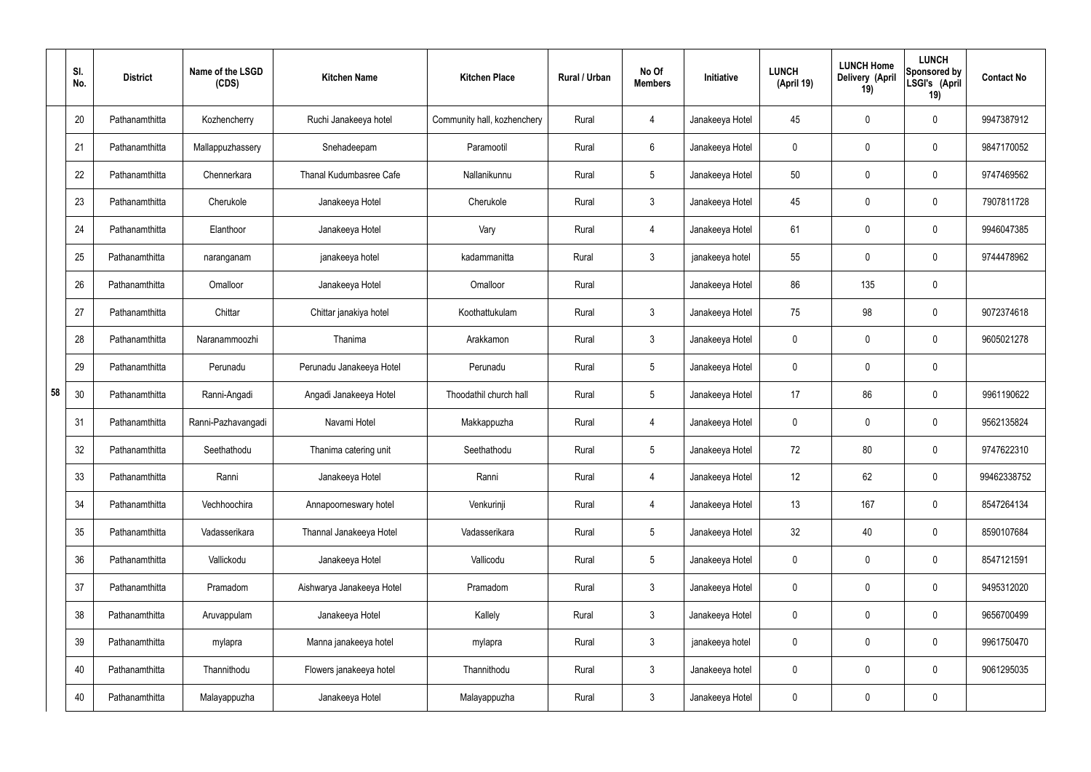|    | SI.<br>No. | <b>District</b> | Name of the LSGD<br>(CDS) | <b>Kitchen Name</b>       | <b>Kitchen Place</b>        | Rural / Urban | No Of<br><b>Members</b> | Initiative      | <b>LUNCH</b><br>(April 19) | <b>LUNCH Home</b><br>Delivery (April<br>19) | <b>LUNCH</b><br>Sponsored by<br>LSGI's (April<br>19) | <b>Contact No</b> |
|----|------------|-----------------|---------------------------|---------------------------|-----------------------------|---------------|-------------------------|-----------------|----------------------------|---------------------------------------------|------------------------------------------------------|-------------------|
|    | 20         | Pathanamthitta  | Kozhencherry              | Ruchi Janakeeya hotel     | Community hall, kozhenchery | Rural         | 4                       | Janakeeya Hotel | 45                         | 0                                           | $\mathbf 0$                                          | 9947387912        |
|    | 21         | Pathanamthitta  | Mallappuzhassery          | Snehadeepam               | Paramootil                  | Rural         | 6                       | Janakeeya Hotel | $\mathbf 0$                | 0                                           | $\pmb{0}$                                            | 9847170052        |
|    | 22         | Pathanamthitta  | Chennerkara               | Thanal Kudumbasree Cafe   | Nallanikunnu                | Rural         | $5\phantom{.0}$         | Janakeeya Hotel | 50                         | 0                                           | $\mathbf 0$                                          | 9747469562        |
|    | 23         | Pathanamthitta  | Cherukole                 | Janakeeya Hotel           | Cherukole                   | Rural         | $\mathbf{3}$            | Janakeeya Hotel | 45                         | 0                                           | $\mathbf 0$                                          | 7907811728        |
|    | 24         | Pathanamthitta  | Elanthoor                 | Janakeeya Hotel           | Vary                        | Rural         | $\overline{4}$          | Janakeeya Hotel | 61                         | 0                                           | $\mathbf 0$                                          | 9946047385        |
|    | 25         | Pathanamthitta  | naranganam                | janakeeya hotel           | kadammanitta                | Rural         | $\mathbf{3}$            | janakeeya hotel | 55                         | 0                                           | $\mathbf 0$                                          | 9744478962        |
|    | 26         | Pathanamthitta  | Omalloor                  | Janakeeya Hotel           | Omalloor                    | Rural         |                         | Janakeeya Hotel | 86                         | 135                                         | $\mathbf 0$                                          |                   |
|    | 27         | Pathanamthitta  | Chittar                   | Chittar janakiya hotel    | Koothattukulam              | Rural         | $\mathbf{3}$            | Janakeeya Hotel | 75                         | 98                                          | $\mathbf 0$                                          | 9072374618        |
|    | 28         | Pathanamthitta  | Naranammoozhi             | Thanima                   | Arakkamon                   | Rural         | $\mathbf{3}$            | Janakeeya Hotel | $\mathbf 0$                | 0                                           | $\mathbf 0$                                          | 9605021278        |
|    | 29         | Pathanamthitta  | Perunadu                  | Perunadu Janakeeya Hotel  | Perunadu                    | Rural         | $5\,$                   | Janakeeya Hotel | $\mathbf 0$                | 0                                           | $\mathbf 0$                                          |                   |
| 58 | 30         | Pathanamthitta  | Ranni-Angadi              | Angadi Janakeeya Hotel    | Thoodathil church hall      | Rural         | $5\phantom{.0}$         | Janakeeya Hotel | 17                         | 86                                          | $\mathbf 0$                                          | 9961190622        |
|    | 31         | Pathanamthitta  | Ranni-Pazhavangadi        | Navami Hotel              | Makkappuzha                 | Rural         | 4                       | Janakeeya Hotel | $\mathbf 0$                | 0                                           | $\boldsymbol{0}$                                     | 9562135824        |
|    | 32         | Pathanamthitta  | Seethathodu               | Thanima catering unit     | Seethathodu                 | Rural         | $5\phantom{.0}$         | Janakeeya Hotel | 72                         | 80                                          | $\boldsymbol{0}$                                     | 9747622310        |
|    | 33         | Pathanamthitta  | Ranni                     | Janakeeya Hotel           | Ranni                       | Rural         | $\overline{4}$          | Janakeeya Hotel | 12 <sup>°</sup>            | 62                                          | $\mathbf 0$                                          | 99462338752       |
|    | 34         | Pathanamthitta  | Vechhoochira              | Annapoorneswary hotel     | Venkurinji                  | Rural         | $\overline{4}$          | Janakeeya Hotel | 13                         | 167                                         | $\mathbf 0$                                          | 8547264134        |
|    | 35         | Pathanamthitta  | Vadasserikara             | Thannal Janakeeya Hotel   | Vadasserikara               | Rural         | $5\phantom{.0}$         | Janakeeya Hotel | 32                         | 40                                          | $\mathbf 0$                                          | 8590107684        |
|    | 36         | Pathanamthitta  | Vallickodu                | Janakeeya Hotel           | Vallicodu                   | Rural         | $5\,$                   | Janakeeya Hotel | $\mathbf 0$                | $\mathbf 0$                                 | $\mathbf 0$                                          | 8547121591        |
|    | 37         | Pathanamthitta  | Pramadom                  | Aishwarya Janakeeya Hotel | Pramadom                    | Rural         | $\mathbf{3}$            | Janakeeya Hotel | $\mathbf 0$                | $\mathbf 0$                                 | $\mathbf 0$                                          | 9495312020        |
|    | 38         | Pathanamthitta  | Aruvappulam               | Janakeeya Hotel           | Kallely                     | Rural         | $\mathfrak{Z}$          | Janakeeya Hotel | $\mathbf 0$                | 0                                           | $\mathbf 0$                                          | 9656700499        |
|    | 39         | Pathanamthitta  | mylapra                   | Manna janakeeya hotel     | mylapra                     | Rural         | $\mathfrak{Z}$          | janakeeya hotel | 0                          | $\boldsymbol{0}$                            | $\mathbf 0$                                          | 9961750470        |
|    | 40         | Pathanamthitta  | Thannithodu               | Flowers janakeeya hotel   | Thannithodu                 | Rural         | $\mathfrak{Z}$          | Janakeeya hotel | $\mathbf 0$                | $\mathbf 0$                                 | $\mathbf 0$                                          | 9061295035        |
|    | 40         | Pathanamthitta  | Malayappuzha              | Janakeeya Hotel           | Malayappuzha                | Rural         | $\mathfrak{Z}$          | Janakeeya Hotel | 0                          | 0                                           | $\pmb{0}$                                            |                   |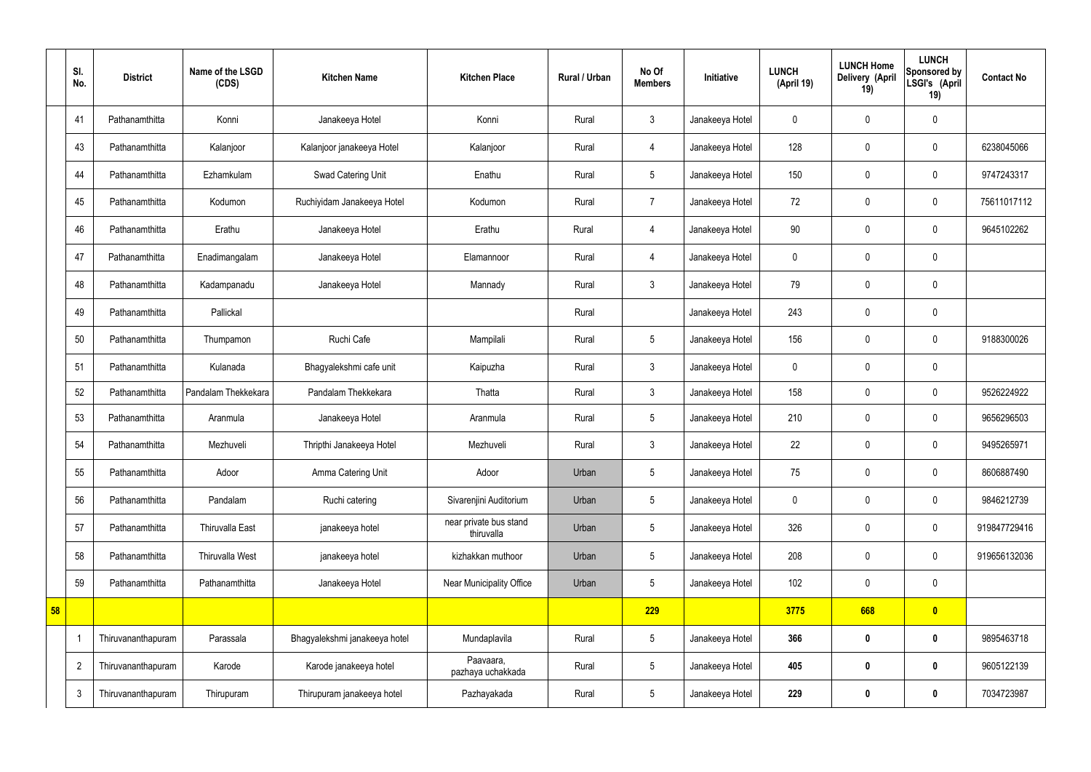|    | SI.<br>No.     | <b>District</b>    | Name of the LSGD<br>(CDS) | <b>Kitchen Name</b>           | <b>Kitchen Place</b>                 | Rural / Urban | No Of<br><b>Members</b> | Initiative      | <b>LUNCH</b><br>(April 19) | <b>LUNCH Home</b><br>Delivery (April<br>19) | <b>LUNCH</b><br>Sponsored by<br>LSGI's (April<br>19) | <b>Contact No</b> |
|----|----------------|--------------------|---------------------------|-------------------------------|--------------------------------------|---------------|-------------------------|-----------------|----------------------------|---------------------------------------------|------------------------------------------------------|-------------------|
|    | 41             | Pathanamthitta     | Konni                     | Janakeeya Hotel               | Konni                                | Rural         | $\mathbf{3}$            | Janakeeya Hotel | $\mathbf 0$                | $\mathbf 0$                                 | $\mathbf 0$                                          |                   |
|    | 43             | Pathanamthitta     | Kalanjoor                 | Kalanjoor janakeeya Hotel     | Kalanjoor                            | Rural         | $\overline{4}$          | Janakeeya Hotel | 128                        | $\mathbf 0$                                 | $\mathbf 0$                                          | 6238045066        |
|    | 44             | Pathanamthitta     | Ezhamkulam                | Swad Catering Unit            | Enathu                               | Rural         | $5\phantom{.0}$         | Janakeeya Hotel | 150                        | $\mathbf 0$                                 | $\mathbf 0$                                          | 9747243317        |
|    | 45             | Pathanamthitta     | Kodumon                   | Ruchiyidam Janakeeya Hotel    | Kodumon                              | Rural         | $\overline{7}$          | Janakeeya Hotel | 72                         | $\mathbf 0$                                 | $\mathbf 0$                                          | 75611017112       |
|    | 46             | Pathanamthitta     | Erathu                    | Janakeeya Hotel               | Erathu                               | Rural         | 4                       | Janakeeya Hotel | 90                         | $\mathbf 0$                                 | $\mathbf 0$                                          | 9645102262        |
|    | 47             | Pathanamthitta     | Enadimangalam             | Janakeeya Hotel               | Elamannoor                           | Rural         | $\overline{4}$          | Janakeeya Hotel | $\mathbf 0$                | $\mathbf 0$                                 | $\mathbf 0$                                          |                   |
|    | 48             | Pathanamthitta     | Kadampanadu               | Janakeeya Hotel               | Mannady                              | Rural         | $\mathbf{3}$            | Janakeeya Hotel | 79                         | $\pmb{0}$                                   | $\mathbf 0$                                          |                   |
|    | 49             | Pathanamthitta     | Pallickal                 |                               |                                      | Rural         |                         | Janakeeya Hotel | 243                        | $\mathbf 0$                                 | $\mathbf 0$                                          |                   |
|    | 50             | Pathanamthitta     | Thumpamon                 | Ruchi Cafe                    | Mampilali                            | Rural         | $5\phantom{.0}$         | Janakeeya Hotel | 156                        | $\mathbf 0$                                 | $\mathbf 0$                                          | 9188300026        |
|    | 51             | Pathanamthitta     | Kulanada                  | Bhagyalekshmi cafe unit       | Kaipuzha                             | Rural         | $\mathbf{3}$            | Janakeeya Hotel | $\mathbf 0$                | $\mathbf 0$                                 | $\mathbf 0$                                          |                   |
|    | 52             | Pathanamthitta     | Pandalam Thekkekara       | Pandalam Thekkekara           | Thatta                               | Rural         | $\mathbf{3}$            | Janakeeya Hotel | 158                        | $\mathbf 0$                                 | $\mathbf 0$                                          | 9526224922        |
|    | 53             | Pathanamthitta     | Aranmula                  | Janakeeya Hotel               | Aranmula                             | Rural         | $5\phantom{.0}$         | Janakeeya Hotel | 210                        | $\pmb{0}$                                   | $\mathbf 0$                                          | 9656296503        |
|    | 54             | Pathanamthitta     | Mezhuveli                 | Thripthi Janakeeya Hotel      | Mezhuveli                            | Rural         | $\mathbf{3}$            | Janakeeya Hotel | 22                         | $\mathbf 0$                                 | $\mathbf 0$                                          | 9495265971        |
|    | 55             | Pathanamthitta     | Adoor                     | Amma Catering Unit            | Adoor                                | Urban         | $5\overline{)}$         | Janakeeya Hotel | 75                         | $\pmb{0}$                                   | $\mathbf 0$                                          | 8606887490        |
|    | 56             | Pathanamthitta     | Pandalam                  | Ruchi catering                | Sivarenjini Auditorium               | Urban         | $5\overline{)}$         | Janakeeya Hotel | $\pmb{0}$                  | $\pmb{0}$                                   | $\mathbf 0$                                          | 9846212739        |
|    | 57             | Pathanamthitta     | Thiruvalla East           | janakeeya hotel               | near private bus stand<br>thiruvalla | Urban         | $5\phantom{.0}$         | Janakeeya Hotel | 326                        | $\pmb{0}$                                   | $\pmb{0}$                                            | 919847729416      |
|    | 58             | Pathanamthitta     | Thiruvalla West           | janakeeya hotel               | kizhakkan muthoor                    | Urban         | $5\phantom{.0}$         | Janakeeya Hotel | 208                        | $\mathbf 0$                                 | $\mathbf 0$                                          | 919656132036      |
|    | 59             | Pathanamthitta     | Pathanamthitta            | Janakeeya Hotel               | Near Municipality Office             | Urban         | $5\phantom{.0}$         | Janakeeya Hotel | 102                        | $\mathbf 0$                                 | $\mathbf 0$                                          |                   |
| 58 |                |                    |                           |                               |                                      |               | 229                     |                 | 3775                       | 668                                         | $\bullet$                                            |                   |
|    |                | Thiruvananthapuram | Parassala                 | Bhagyalekshmi janakeeya hotel | Mundaplavila                         | Rural         | $5\phantom{.0}$         | Janakeeya Hotel | 366                        | $\bm{0}$                                    | $\bf{0}$                                             | 9895463718        |
|    | $\overline{2}$ | Thiruvananthapuram | Karode                    | Karode janakeeya hotel        | Paavaara,<br>pazhaya uchakkada       | Rural         | $5\phantom{.0}$         | Janakeeya Hotel | 405                        | $\bm{0}$                                    | $\bf{0}$                                             | 9605122139        |
|    | $\mathbf{3}$   | Thiruvananthapuram | Thirupuram                | Thirupuram janakeeya hotel    | Pazhayakada                          | Rural         | $5\phantom{.0}$         | Janakeeya Hotel | 229                        | $\pmb{0}$                                   | $\bf{0}$                                             | 7034723987        |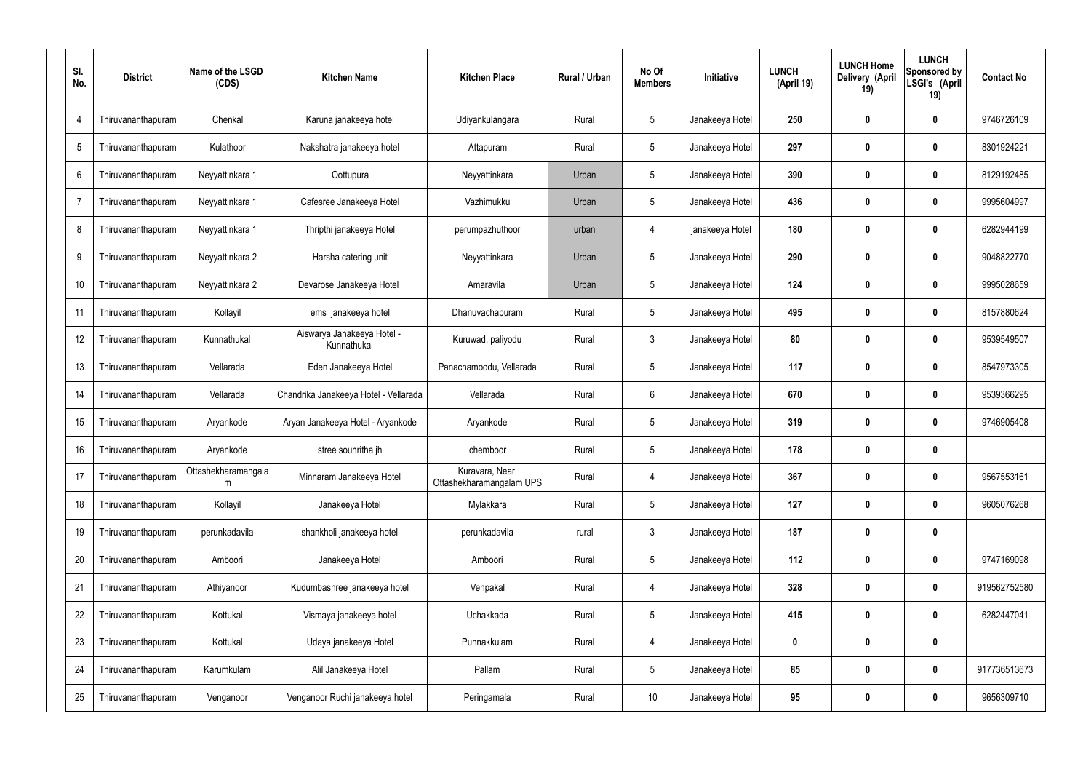| SI.<br>No.     | <b>District</b>    | Name of the LSGD<br>(CDS) | <b>Kitchen Name</b>                       | <b>Kitchen Place</b>                       | Rural / Urban | No Of<br><b>Members</b> | Initiative      | <b>LUNCH</b><br>(April 19) | <b>LUNCH Home</b><br>Delivery (April<br>19) | <b>LUNCH</b><br>Sponsored by<br>LSGI's (April<br>19) | <b>Contact No</b> |
|----------------|--------------------|---------------------------|-------------------------------------------|--------------------------------------------|---------------|-------------------------|-----------------|----------------------------|---------------------------------------------|------------------------------------------------------|-------------------|
| $\overline{4}$ | Thiruvananthapuram | Chenkal                   | Karuna janakeeya hotel                    | Udiyankulangara                            | Rural         | $5\phantom{.0}$         | Janakeeya Hotel | 250                        | 0                                           | $\boldsymbol{0}$                                     | 9746726109        |
| 5              | Thiruvananthapuram | Kulathoor                 | Nakshatra janakeeya hotel                 | Attapuram                                  | Rural         | $5\phantom{.0}$         | Janakeeya Hotel | 297                        | 0                                           | $\boldsymbol{0}$                                     | 8301924221        |
| 6              | Thiruvananthapuram | Neyyattinkara 1           | Oottupura                                 | Neyyattinkara                              | Urban         | $5\phantom{.0}$         | Janakeeya Hotel | 390                        | 0                                           | $\boldsymbol{0}$                                     | 8129192485        |
| $\overline{7}$ | Thiruvananthapuram | Neyyattinkara 1           | Cafesree Janakeeya Hotel                  | Vazhimukku                                 | Urban         | $5\phantom{.0}$         | Janakeeya Hotel | 436                        | 0                                           | $\boldsymbol{0}$                                     | 9995604997        |
| 8              | Thiruvananthapuram | Neyyattinkara 1           | Thripthi janakeeya Hotel                  | perumpazhuthoor                            | urban         | 4                       | janakeeya Hotel | 180                        | 0                                           | $\boldsymbol{0}$                                     | 6282944199        |
| 9              | Thiruvananthapuram | Neyyattinkara 2           | Harsha catering unit                      | Neyyattinkara                              | Urban         | $5\phantom{.0}$         | Janakeeya Hotel | 290                        | 0                                           | $\boldsymbol{0}$                                     | 9048822770        |
| 10             | Thiruvananthapuram | Neyyattinkara 2           | Devarose Janakeeya Hotel                  | Amaravila                                  | Urban         | $5\phantom{.0}$         | Janakeeya Hotel | 124                        | 0                                           | $\boldsymbol{0}$                                     | 9995028659        |
| 11             | Thiruvananthapuram | Kollayil                  | ems janakeeya hotel                       | Dhanuvachapuram                            | Rural         | $5\phantom{.0}$         | Janakeeya Hotel | 495                        | 0                                           | $\boldsymbol{0}$                                     | 8157880624        |
| 12             | Thiruvananthapuram | Kunnathukal               | Aiswarya Janakeeya Hotel -<br>Kunnathukal | Kuruwad, paliyodu                          | Rural         | $\mathfrak{Z}$          | Janakeeya Hotel | 80                         | 0                                           | $\boldsymbol{0}$                                     | 9539549507        |
| 13             | Thiruvananthapuram | Vellarada                 | Eden Janakeeya Hotel                      | Panachamoodu, Vellarada                    | Rural         | $5\phantom{.0}$         | Janakeeya Hotel | 117                        | 0                                           | $\mathbf 0$                                          | 8547973305        |
| 14             | Thiruvananthapuram | Vellarada                 | Chandrika Janakeeya Hotel - Vellarada     | Vellarada                                  | Rural         | $6\phantom{.}$          | Janakeeya Hotel | 670                        | 0                                           | $\mathbf 0$                                          | 9539366295        |
| 15             | Thiruvananthapuram | Aryankode                 | Aryan Janakeeya Hotel - Aryankode         | Aryankode                                  | Rural         | $5\phantom{.0}$         | Janakeeya Hotel | 319                        | 0                                           | $\boldsymbol{0}$                                     | 9746905408        |
| 16             | Thiruvananthapuram | Aryankode                 | stree souhritha jh                        | chemboor                                   | Rural         | $5\phantom{.0}$         | Janakeeya Hotel | 178                        | 0                                           | $\boldsymbol{0}$                                     |                   |
| 17             | Thiruvananthapuram | Ottashekharamangala<br>m  | Minnaram Janakeeya Hotel                  | Kuravara, Near<br>Ottashekharamangalam UPS | Rural         | 4                       | Janakeeya Hotel | 367                        | 0                                           | $\mathbf 0$                                          | 9567553161        |
| 18             | Thiruvananthapuram | Kollayil                  | Janakeeya Hotel                           | Mylakkara                                  | Rural         | $5\phantom{.0}$         | Janakeeya Hotel | 127                        | 0                                           | $\mathbf 0$                                          | 9605076268        |
| 19             | Thiruvananthapuram | perunkadavila             | shankholi janakeeya hotel                 | perunkadavila                              | rural         | $\mathfrak{Z}$          | Janakeeya Hotel | 187                        | $\boldsymbol{0}$                            | $\pmb{0}$                                            |                   |
| 20             | Thiruvananthapuram | Amboori                   | Janakeeya Hotel                           | Amboori                                    | Rural         | $5\phantom{.0}$         | Janakeeya Hotel | 112                        | $\boldsymbol{0}$                            | $\pmb{0}$                                            | 9747169098        |
| 21             | Thiruvananthapuram | Athiyanoor                | Kudumbashree janakeeya hotel              | Venpakal                                   | Rural         | 4                       | Janakeeya Hotel | 328                        | $\boldsymbol{0}$                            | $\mathbf 0$                                          | 919562752580      |
| 22             | Thiruvananthapuram | Kottukal                  | Vismaya janakeeya hotel                   | Uchakkada                                  | Rural         | $5\phantom{.0}$         | Janakeeya Hotel | 415                        | $\boldsymbol{0}$                            | $\mathbf 0$                                          | 6282447041        |
| 23             | Thiruvananthapuram | Kottukal                  | Udaya janakeeya Hotel                     | Punnakkulam                                | Rural         | 4                       | Janakeeya Hotel | 0                          | $\boldsymbol{0}$                            | $\pmb{0}$                                            |                   |
| 24             | Thiruvananthapuram | Karumkulam                | Alil Janakeeya Hotel                      | Pallam                                     | Rural         | $5\phantom{.0}$         | Janakeeya Hotel | 85                         | $\boldsymbol{0}$                            | $\pmb{0}$                                            | 917736513673      |
| 25             | Thiruvananthapuram | Venganoor                 | Venganoor Ruchi janakeeya hotel           | Peringamala                                | Rural         | 10                      | Janakeeya Hotel | 95                         | $\boldsymbol{0}$                            | $\pmb{0}$                                            | 9656309710        |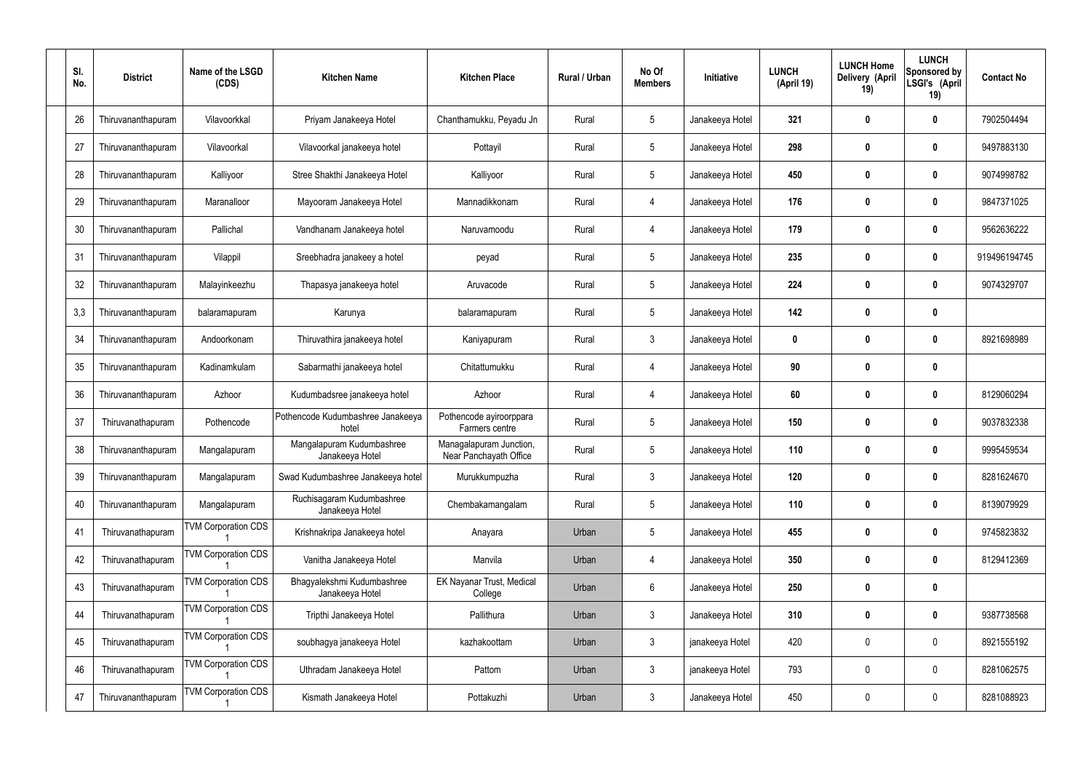| SI.<br>No. | <b>District</b>    | Name of the LSGD<br>(CDS)  | <b>Kitchen Name</b>                           | <b>Kitchen Place</b>                              | Rural / Urban | No Of<br><b>Members</b> | Initiative      | <b>LUNCH</b><br>(April 19) | <b>LUNCH Home</b><br>Delivery (April<br>19) | <b>LUNCH</b><br>Sponsored by<br>LSGI's (April<br>19) | <b>Contact No</b> |
|------------|--------------------|----------------------------|-----------------------------------------------|---------------------------------------------------|---------------|-------------------------|-----------------|----------------------------|---------------------------------------------|------------------------------------------------------|-------------------|
| 26         | Thiruvananthapuram | Vilavoorkkal               | Priyam Janakeeya Hotel                        | Chanthamukku, Peyadu Jn                           | Rural         | $\sqrt{5}$              | Janakeeya Hotel | 321                        | 0                                           | $\mathbf 0$                                          | 7902504494        |
| 27         | Thiruvananthapuram | Vilavoorkal                | Vilavoorkal janakeeya hotel                   | Pottayil                                          | Rural         | $5\phantom{.0}$         | Janakeeya Hotel | 298                        | 0                                           | $\boldsymbol{0}$                                     | 9497883130        |
| 28         | Thiruvananthapuram | Kalliyoor                  | Stree Shakthi Janakeeya Hotel                 | Kalliyoor                                         | Rural         | $5\,$                   | Janakeeya Hotel | 450                        | 0                                           | $\mathbf 0$                                          | 9074998782        |
| 29         | Thiruvananthapuram | Maranalloor                | Mayooram Janakeeya Hotel                      | Mannadikkonam                                     | Rural         | $\overline{4}$          | Janakeeya Hotel | 176                        | 0                                           | $\boldsymbol{0}$                                     | 9847371025        |
| 30         | Thiruvananthapuram | Pallichal                  | Vandhanam Janakeeya hotel                     | Naruvamoodu                                       | Rural         | $\overline{4}$          | Janakeeya Hotel | 179                        | 0                                           | $\boldsymbol{0}$                                     | 9562636222        |
| 31         | Thiruvananthapuram | Vilappil                   | Sreebhadra janakeey a hotel                   | peyad                                             | Rural         | $\sqrt{5}$              | Janakeeya Hotel | 235                        | 0                                           | $\boldsymbol{0}$                                     | 919496194745      |
| 32         | Thiruvananthapuram | Malayinkeezhu              | Thapasya janakeeya hotel                      | Aruvacode                                         | Rural         | $\sqrt{5}$              | Janakeeya Hotel | 224                        | 0                                           | $\boldsymbol{0}$                                     | 9074329707        |
| 3,3        | Thiruvananthapuram | balaramapuram              | Karunya                                       | balaramapuram                                     | Rural         | $\sqrt{5}$              | Janakeeya Hotel | 142                        | 0                                           | $\boldsymbol{0}$                                     |                   |
| 34         | Thiruvananthapuram | Andoorkonam                | Thiruvathira janakeeya hotel                  | Kaniyapuram                                       | Rural         | $\mathbf{3}$            | Janakeeya Hotel | $\mathbf 0$                | 0                                           | $\boldsymbol{0}$                                     | 8921698989        |
| 35         | Thiruvananthapuram | Kadinamkulam               | Sabarmathi janakeeya hotel                    | Chitattumukku                                     | Rural         | $\overline{4}$          | Janakeeya Hotel | 90                         | 0                                           | $\mathbf 0$                                          |                   |
| 36         | Thiruvananthapuram | Azhoor                     | Kudumbadsree janakeeya hotel                  | Azhoor                                            | Rural         | $\overline{4}$          | Janakeeya Hotel | 60                         | 0                                           | 0                                                    | 8129060294        |
| 37         | Thiruvanathapuram  | Pothencode                 | Pothencode Kudumbashree Janakeeya<br>hotel    | Pothencode ayiroorppara<br>Farmers centre         | Rural         | $\sqrt{5}$              | Janakeeya Hotel | 150                        | 0                                           | 0                                                    | 9037832338        |
| 38         | Thiruvananthapuram | Mangalapuram               | Mangalapuram Kudumbashree<br>Janakeeya Hotel  | Managalapuram Junction,<br>Near Panchayath Office | Rural         | 5                       | Janakeeya Hotel | 110                        | 0                                           | 0                                                    | 9995459534        |
| 39         | Thiruvananthapuram | Mangalapuram               | Swad Kudumbashree Janakeeya hotel             | Murukkumpuzha                                     | Rural         | $\mathfrak{Z}$          | Janakeeya Hotel | 120                        | 0                                           | $\pmb{0}$                                            | 8281624670        |
| 40         | Thiruvananthapuram | Mangalapuram               | Ruchisagaram Kudumbashree<br>Janakeeya Hotel  | Chembakamangalam                                  | Rural         | $5\,$                   | Janakeeya Hotel | 110                        | $\boldsymbol{0}$                            | $\mathbf 0$                                          | 8139079929        |
| 41         | Thiruvanathapuram  | <b>TVM Corporation CDS</b> | Krishnakripa Janakeeya hotel                  | Anayara                                           | Urban         | $\sqrt{5}$              | Janakeeya Hotel | 455                        | $\boldsymbol{0}$                            | $\mathbf 0$                                          | 9745823832        |
| 42         | Thiruvanathapuram  | <b>TVM Corporation CDS</b> | Vanitha Janakeeya Hotel                       | Manvila                                           | Urban         | $\overline{4}$          | Janakeeya Hotel | 350                        | $\boldsymbol{0}$                            | $\mathbf 0$                                          | 8129412369        |
| 43         | Thiruvanathapuram  | <b>TVM Corporation CDS</b> | Bhagyalekshmi Kudumbashree<br>Janakeeya Hotel | EK Nayanar Trust, Medical<br>College              | Urban         | $6\,$                   | Janakeeya Hotel | 250                        | $\boldsymbol{0}$                            | $\pmb{0}$                                            |                   |
| 44         | Thiruvanathapuram  | <b>TVM Corporation CDS</b> | Tripthi Janakeeya Hotel                       | Pallithura                                        | Urban         | $\mathfrak{Z}$          | Janakeeya Hotel | 310                        | $\boldsymbol{0}$                            | $\mathbf 0$                                          | 9387738568        |
| 45         | Thiruvanathapuram  | <b>TVM Corporation CDS</b> | soubhagya janakeeya Hotel                     | kazhakoottam                                      | Urban         | $\mathbf{3}$            | janakeeya Hotel | 420                        | $\boldsymbol{0}$                            | $\pmb{0}$                                            | 8921555192        |
| 46         | Thiruvanathapuram  | <b>TVM Corporation CDS</b> | Uthradam Janakeeya Hotel                      | Pattom                                            | Urban         | $\mathfrak{Z}$          | janakeeya Hotel | 793                        | $\boldsymbol{0}$                            | $\mathbf 0$                                          | 8281062575        |
| 47         | Thiruvananthapuram | <b>TVM Corporation CDS</b> | Kismath Janakeeya Hotel                       | Pottakuzhi                                        | Urban         | $\mathfrak{Z}$          | Janakeeya Hotel | 450                        | 0                                           | $\boldsymbol{0}$                                     | 8281088923        |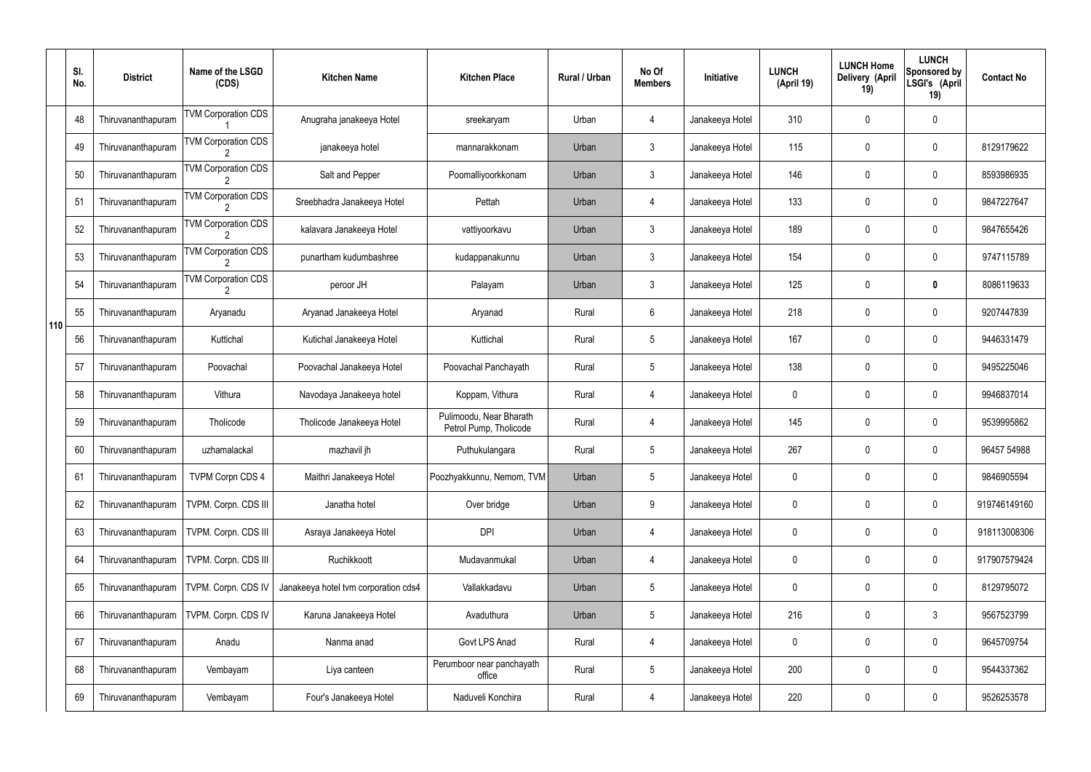|     | SI.<br>No. | <b>District</b>    | Name of the LSGD<br>(CDS)                    | <b>Kitchen Name</b>                  | <b>Kitchen Place</b>                              | Rural / Urban | No Of<br><b>Members</b> | Initiative      | <b>LUNCH</b><br>(April 19) | <b>LUNCH Home</b><br>Delivery (April<br>19) | <b>LUNCH</b><br>Sponsored by<br>LSGI's (April<br>19) | <b>Contact No</b> |
|-----|------------|--------------------|----------------------------------------------|--------------------------------------|---------------------------------------------------|---------------|-------------------------|-----------------|----------------------------|---------------------------------------------|------------------------------------------------------|-------------------|
|     | 48         | Thiruvananthapuram | <b>TVM Corporation CDS</b>                   | Anugraha janakeeya Hotel             | sreekaryam                                        | Urban         | 4                       | Janakeeya Hotel | 310                        | 0                                           | $\mathbf 0$                                          |                   |
|     | 49         | Thiruvananthapuram | <b>TVM Corporation CDS</b>                   | janakeeya hotel                      | mannarakkonam                                     | Urban         | $\mathbf{3}$            | Janakeeya Hotel | 115                        | 0                                           | $\pmb{0}$                                            | 8129179622        |
|     | 50         | Thiruvananthapuram | <b>TVM Corporation CDS</b>                   | Salt and Pepper                      | Poomalliyoorkkonam                                | Urban         | $\mathbf{3}$            | Janakeeya Hotel | 146                        | 0                                           | $\mathbf 0$                                          | 8593986935        |
|     | 51         | Thiruvananthapuram | <b>TVM Corporation CDS</b>                   | Sreebhadra Janakeeya Hotel           | Pettah                                            | Urban         | 4                       | Janakeeya Hotel | 133                        | 0                                           | $\pmb{0}$                                            | 9847227647        |
|     | 52         | Thiruvananthapuram | <b>TVM Corporation CDS</b>                   | kalavara Janakeeya Hotel             | vattiyoorkavu                                     | Urban         | $\mathbf{3}$            | Janakeeya Hotel | 189                        | 0                                           | $\mathbf 0$                                          | 9847655426        |
|     | 53         | Thiruvananthapuram | <b>TVM Corporation CDS</b>                   | punartham kudumbashree               | kudappanakunnu                                    | Urban         | $\mathfrak{Z}$          | Janakeeya Hotel | 154                        | 0                                           | $\pmb{0}$                                            | 9747115789        |
|     | 54         | Thiruvananthapuram | <b>TVM Corporation CDS</b><br>$\overline{2}$ | peroor JH                            | Palayam                                           | Urban         | $\mathbf{3}$            | Janakeeya Hotel | 125                        | 0                                           | 0                                                    | 8086119633        |
| 110 | 55         | Thiruvananthapuram | Aryanadu                                     | Aryanad Janakeeya Hotel              | Aryanad                                           | Rural         | 6                       | Janakeeya Hotel | 218                        | 0                                           | $\pmb{0}$                                            | 9207447839        |
|     | 56         | Thiruvananthapuram | Kuttichal                                    | Kutichal Janakeeya Hotel             | Kuttichal                                         | Rural         | $5\phantom{.0}$         | Janakeeya Hotel | 167                        | 0                                           | $\mathbf 0$                                          | 9446331479        |
|     | 57         | Thiruvananthapuram | Poovachal                                    | Poovachal Janakeeya Hotel            | Poovachal Panchayath                              | Rural         | $5\phantom{.0}$         | Janakeeya Hotel | 138                        | 0                                           | $\boldsymbol{0}$                                     | 9495225046        |
|     | 58         | Thiruvananthapuram | Vithura                                      | Navodaya Janakeeya hotel             | Koppam, Vithura                                   | Rural         | 4                       | Janakeeya Hotel | 0                          | 0                                           | $\mathbf 0$                                          | 9946837014        |
|     | 59         | Thiruvananthapuram | Tholicode                                    | Tholicode Janakeeya Hotel            | Pulimoodu, Near Bharath<br>Petrol Pump, Tholicode | Rural         | 4                       | Janakeeya Hotel | 145                        | 0                                           | $\boldsymbol{0}$                                     | 9539995862        |
|     | 60         | Thiruvananthapuram | uzhamalackal                                 | mazhavil jh                          | Puthukulangara                                    | Rural         | $5\overline{)}$         | Janakeeya Hotel | 267                        | 0                                           | $\mathbf 0$                                          | 96457 54988       |
|     | 61         | Thiruvananthapuram | <b>TVPM Corpn CDS 4</b>                      | Maithri Janakeeya Hotel              | Poozhyakkunnu, Nemom, TVM                         | Urban         | 5                       | Janakeeya Hotel | 0                          | 0                                           | $\mathbf 0$                                          | 9846905594        |
|     | 62         | Thiruvananthapuram | TVPM. Corpn. CDS III                         | Janatha hotel                        | Over bridge                                       | Urban         | 9                       | Janakeeya Hotel | 0                          | 0                                           | $\pmb{0}$                                            | 919746149160      |
|     | 63         | Thiruvananthapuram | TVPM. Corpn. CDS III                         | Asraya Janakeeya Hotel               | <b>DPI</b>                                        | Urban         | 4                       | Janakeeya Hotel | 0                          | 0                                           | $\pmb{0}$                                            | 918113008306      |
|     | 64         | Thiruvananthapuram | TVPM. Corpn. CDS III                         | Ruchikkoott                          | Mudavanmukal                                      | Urban         | 4                       | Janakeeya Hotel | 0                          | 0                                           | $\pmb{0}$                                            | 917907579424      |
|     | 65         | Thiruvananthapuram | TVPM. Corpn. CDS IV                          | Janakeeya hotel tvm corporation cds4 | Vallakkadavu                                      | Urban         | 5                       | Janakeeya Hotel | 0                          | 0                                           | $\pmb{0}$                                            | 8129795072        |
|     | 66         | Thiruvananthapuram | TVPM. Corpn. CDS IV                          | Karuna Janakeeya Hotel               | Avaduthura                                        | Urban         | 5                       | Janakeeya Hotel | 216                        | 0                                           | $\mathfrak{Z}$                                       | 9567523799        |
|     | 67         | Thiruvananthapuram | Anadu                                        | Nanma anad                           | Govt LPS Anad                                     | Rural         | 4                       | Janakeeya Hotel | 0                          | 0                                           | $\pmb{0}$                                            | 9645709754        |
|     | 68         | Thiruvananthapuram | Vembayam                                     | Liya canteen                         | Perumboor near panchayath<br>office               | Rural         | 5                       | Janakeeya Hotel | 200                        | 0                                           | $\mathbf 0$                                          | 9544337362        |
|     | 69         | Thiruvananthapuram | Vembayam                                     | Four's Janakeeya Hotel               | Naduveli Konchira                                 | Rural         | 4                       | Janakeeya Hotel | 220                        | 0                                           | $\pmb{0}$                                            | 9526253578        |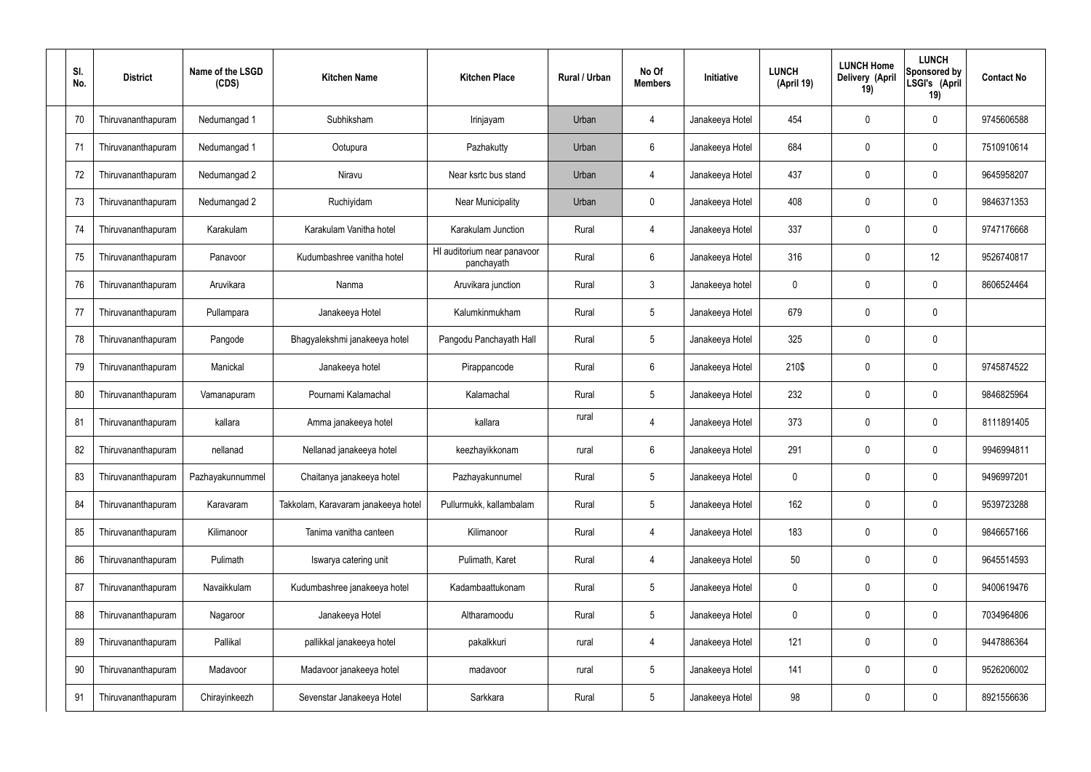| SI.<br>No. | <b>District</b>    | Name of the LSGD<br>(CDS) | <b>Kitchen Name</b>                 | <b>Kitchen Place</b>                      | Rural / Urban | No Of<br><b>Members</b> | Initiative      | <b>LUNCH</b><br>(April 19) | <b>LUNCH Home</b><br>Delivery (April<br>19) | <b>LUNCH</b><br>Sponsored by<br>LSGI's (April<br>19) | <b>Contact No</b> |
|------------|--------------------|---------------------------|-------------------------------------|-------------------------------------------|---------------|-------------------------|-----------------|----------------------------|---------------------------------------------|------------------------------------------------------|-------------------|
| 70         | Thiruvananthapuram | Nedumangad 1              | Subhiksham                          | Irinjayam                                 | Urban         | 4                       | Janakeeya Hotel | 454                        | 0                                           | 0                                                    | 9745606588        |
| 71         | Thiruvananthapuram | Nedumangad 1              | Ootupura                            | Pazhakutty                                | Urban         | 6                       | Janakeeya Hotel | 684                        | 0                                           | $\mathbf 0$                                          | 7510910614        |
| 72         | Thiruvananthapuram | Nedumangad 2              | Niravu                              | Near ksrtc bus stand                      | Urban         | $\overline{4}$          | Janakeeya Hotel | 437                        | 0                                           | $\mathbf 0$                                          | 9645958207        |
| 73         | Thiruvananthapuram | Nedumangad 2              | Ruchiyidam                          | Near Municipality                         | Urban         | $\mathbf 0$             | Janakeeya Hotel | 408                        | 0                                           | $\mathbf 0$                                          | 9846371353        |
| 74         | Thiruvananthapuram | Karakulam                 | Karakulam Vanitha hotel             | Karakulam Junction                        | Rural         | $\overline{4}$          | Janakeeya Hotel | 337                        | 0                                           | $\mathbf 0$                                          | 9747176668        |
| 75         | Thiruvananthapuram | Panavoor                  | Kudumbashree vanitha hotel          | HI auditorium near panavoor<br>panchayath | Rural         | $6\phantom{.}$          | Janakeeya Hotel | 316                        | 0                                           | 12                                                   | 9526740817        |
| 76         | Thiruvananthapuram | Aruvikara                 | Nanma                               | Aruvikara junction                        | Rural         | $\mathbf{3}$            | Janakeeya hotel | 0                          | 0                                           | $\mathbf 0$                                          | 8606524464        |
| 77         | Thiruvananthapuram | Pullampara                | Janakeeya Hotel                     | Kalumkinmukham                            | Rural         | $5\phantom{.0}$         | Janakeeya Hotel | 679                        | 0                                           | $\mathbf 0$                                          |                   |
| 78         | Thiruvananthapuram | Pangode                   | Bhagyalekshmi janakeeya hotel       | Pangodu Panchayath Hall                   | Rural         | $5\phantom{.0}$         | Janakeeya Hotel | 325                        | 0                                           | $\mathbf 0$                                          |                   |
| 79         | Thiruvananthapuram | Manickal                  | Janakeeya hotel                     | Pirappancode                              | Rural         | $6\phantom{.}$          | Janakeeya Hotel | 210\$                      | 0                                           | $\boldsymbol{0}$                                     | 9745874522        |
| 80         | Thiruvananthapuram | Vamanapuram               | Pournami Kalamachal                 | Kalamachal                                | Rural         | $5\phantom{.0}$         | Janakeeya Hotel | 232                        | 0                                           | $\boldsymbol{0}$                                     | 9846825964        |
| 81         | Thiruvananthapuram | kallara                   | Amma janakeeya hotel                | kallara                                   | rural         | 4                       | Janakeeya Hotel | 373                        | 0                                           | $\boldsymbol{0}$                                     | 8111891405        |
| 82         | Thiruvananthapuram | nellanad                  | Nellanad janakeeya hotel            | keezhayikkonam                            | rural         | 6                       | Janakeeya Hotel | 291                        | 0                                           | 0                                                    | 9946994811        |
| 83         | Thiruvananthapuram | Pazhayakunnummel          | Chaitanya janakeeya hotel           | Pazhayakunnumel                           | Rural         | $5\phantom{.0}$         | Janakeeya Hotel | 0                          | 0                                           | $\mathbf 0$                                          | 9496997201        |
| 84         | Thiruvananthapuram | Karavaram                 | Takkolam, Karavaram janakeeya hotel | Pullurmukk, kallambalam                   | Rural         | $5\phantom{.0}$         | Janakeeya Hotel | 162                        | $\mathbf 0$                                 | $\mathbf 0$                                          | 9539723288        |
| 85         | Thiruvananthapuram | Kilimanoor                | Tanima vanitha canteen              | Kilimanoor                                | Rural         | $\overline{4}$          | Janakeeya Hotel | 183                        | 0                                           | $\mathbf 0$                                          | 9846657166        |
| 86         | Thiruvananthapuram | Pulimath                  | Iswarya catering unit               | Pulimath, Karet                           | Rural         | $\overline{4}$          | Janakeeya Hotel | 50                         | 0                                           | $\mathbf 0$                                          | 9645514593        |
| 87         | Thiruvananthapuram | Navaikkulam               | Kudumbashree janakeeya hotel        | Kadambaattukonam                          | Rural         | $5\phantom{.0}$         | Janakeeya Hotel | $\mathbf 0$                | 0                                           | $\boldsymbol{0}$                                     | 9400619476        |
| 88         | Thiruvananthapuram | Nagaroor                  | Janakeeya Hotel                     | Altharamoodu                              | Rural         | $5\phantom{.0}$         | Janakeeya Hotel | $\mathbf 0$                | 0                                           | $\mathbf 0$                                          | 7034964806        |
| 89         | Thiruvananthapuram | Pallikal                  | pallikkal janakeeya hotel           | pakalkkuri                                | rural         | 4                       | Janakeeya Hotel | 121                        | 0                                           | $\mathbf 0$                                          | 9447886364        |
| 90         | Thiruvananthapuram | Madavoor                  | Madavoor janakeeya hotel            | madavoor                                  | rural         | $5\phantom{.0}$         | Janakeeya Hotel | 141                        | $\boldsymbol{0}$                            | $\pmb{0}$                                            | 9526206002        |
| 91         | Thiruvananthapuram | Chirayinkeezh             | Sevenstar Janakeeya Hotel           | Sarkkara                                  | Rural         | $5\,$                   | Janakeeya Hotel | 98                         | 0                                           | $\boldsymbol{0}$                                     | 8921556636        |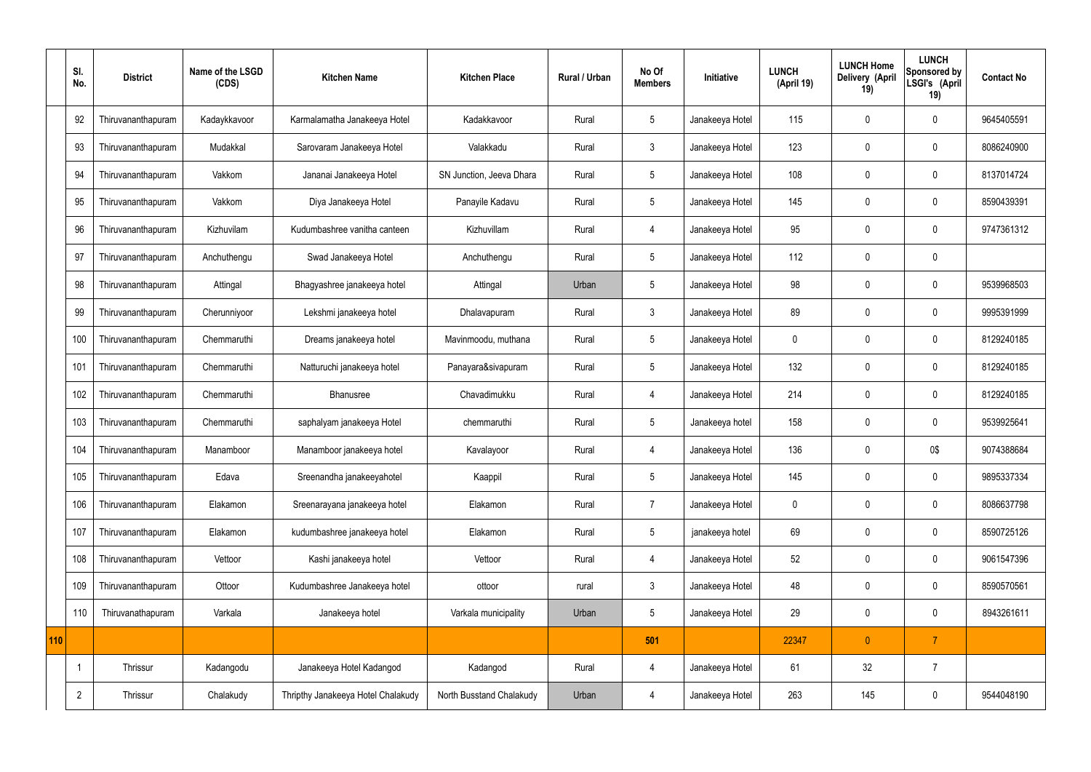|     | SI.<br>No.     | <b>District</b>    | Name of the LSGD<br>(CDS) | <b>Kitchen Name</b>                | <b>Kitchen Place</b>     | Rural / Urban | No Of<br><b>Members</b> | Initiative      | <b>LUNCH</b><br>(April 19) | <b>LUNCH Home</b><br>Delivery (April<br>19) | <b>LUNCH</b><br>Sponsored by<br>LSGI's (April<br>19) | <b>Contact No</b> |
|-----|----------------|--------------------|---------------------------|------------------------------------|--------------------------|---------------|-------------------------|-----------------|----------------------------|---------------------------------------------|------------------------------------------------------|-------------------|
|     | 92             | Thiruvananthapuram | Kadaykkavoor              | Karmalamatha Janakeeya Hotel       | Kadakkavoor              | Rural         | 5                       | Janakeeya Hotel | 115                        | 0                                           | $\mathbf 0$                                          | 9645405591        |
|     | 93             | Thiruvananthapuram | Mudakkal                  | Sarovaram Janakeeya Hotel          | Valakkadu                | Rural         | $\mathbf{3}$            | Janakeeya Hotel | 123                        | $\mathbf 0$                                 | $\mathbf 0$                                          | 8086240900        |
|     | 94             | Thiruvananthapuram | Vakkom                    | Jananai Janakeeya Hotel            | SN Junction, Jeeva Dhara | Rural         | $5\phantom{.0}$         | Janakeeya Hotel | 108                        | $\mathbf 0$                                 | $\mathbf 0$                                          | 8137014724        |
|     | 95             | Thiruvananthapuram | Vakkom                    | Diya Janakeeya Hotel               | Panayile Kadavu          | Rural         | $5\overline{)}$         | Janakeeya Hotel | 145                        | $\mathbf 0$                                 | $\mathbf 0$                                          | 8590439391        |
|     | 96             | Thiruvananthapuram | Kizhuvilam                | Kudumbashree vanitha canteen       | Kizhuvillam              | Rural         | $\overline{4}$          | Janakeeya Hotel | 95                         | $\mathbf 0$                                 | $\mathbf 0$                                          | 9747361312        |
|     | 97             | Thiruvananthapuram | Anchuthengu               | Swad Janakeeya Hotel               | Anchuthengu              | Rural         | $5\phantom{.0}$         | Janakeeya Hotel | 112                        | $\mathbf 0$                                 | $\mathbf 0$                                          |                   |
|     | 98             | Thiruvananthapuram | Attingal                  | Bhagyashree janakeeya hotel        | Attingal                 | Urban         | $5\phantom{.0}$         | Janakeeya Hotel | 98                         | $\mathbf 0$                                 | $\mathbf 0$                                          | 9539968503        |
|     | 99             | Thiruvananthapuram | Cherunniyoor              | Lekshmi janakeeya hotel            | Dhalavapuram             | Rural         | $\mathbf{3}$            | Janakeeya Hotel | 89                         | $\mathbf 0$                                 | $\mathbf 0$                                          | 9995391999        |
|     | 100            | Thiruvananthapuram | Chemmaruthi               | Dreams janakeeya hotel             | Mavinmoodu, muthana      | Rural         | 5                       | Janakeeya Hotel | $\mathbf 0$                | $\mathbf 0$                                 | $\mathbf 0$                                          | 8129240185        |
|     | 101            | Thiruvananthapuram | Chemmaruthi               | Natturuchi janakeeya hotel         | Panayara&sivapuram       | Rural         | $5\phantom{.0}$         | Janakeeya Hotel | 132                        | $\mathbf 0$                                 | $\mathbf 0$                                          | 8129240185        |
|     | 102            | Thiruvananthapuram | Chemmaruthi               | Bhanusree                          | Chavadimukku             | Rural         | 4                       | Janakeeya Hotel | 214                        | $\mathbf 0$                                 | $\mathbf 0$                                          | 8129240185        |
|     | 103            | Thiruvananthapuram | Chemmaruthi               | saphalyam janakeeya Hotel          | chemmaruthi              | Rural         | 5                       | Janakeeya hotel | 158                        | $\mathbf 0$                                 | $\mathbf 0$                                          | 9539925641        |
|     | 104            | Thiruvananthapuram | Manamboor                 | Manamboor janakeeya hotel          | Kavalayoor               | Rural         | 4                       | Janakeeya Hotel | 136                        | 0                                           | 0\$                                                  | 9074388684        |
|     | 105            | Thiruvananthapuram | Edava                     | Sreenandha janakeeyahotel          | Kaappil                  | Rural         | $5\phantom{.0}$         | Janakeeya Hotel | 145                        | $\mathbf 0$                                 | $\mathbf 0$                                          | 9895337334        |
|     | 106            | Thiruvananthapuram | Elakamon                  | Sreenarayana janakeeya hotel       | Elakamon                 | Rural         | $\overline{7}$          | Janakeeya Hotel | $\pmb{0}$                  | $\mathbf 0$                                 | $\mathbf 0$                                          | 8086637798        |
|     | 107            | Thiruvananthapuram | Elakamon                  | kudumbashree janakeeya hotel       | Elakamon                 | Rural         | $5\phantom{.0}$         | janakeeya hotel | 69                         | $\mathbf 0$                                 | $\mathbf 0$                                          | 8590725126        |
|     | 108            | Thiruvananthapuram | Vettoor                   | Kashi janakeeya hotel              | Vettoor                  | Rural         | $\overline{4}$          | Janakeeya Hotel | 52                         | $\mathbf 0$                                 | $\mathbf 0$                                          | 9061547396        |
|     | 109            | Thiruvananthapuram | Ottoor                    | Kudumbashree Janakeeya hotel       | ottoor                   | rural         | $\mathbf{3}$            | Janakeeya Hotel | 48                         | $\pmb{0}$                                   | $\mathbf 0$                                          | 8590570561        |
|     | 110            | Thiruvanathapuram  | Varkala                   | Janakeeya hotel                    | Varkala municipality     | Urban         | $5\phantom{.0}$         | Janakeeya Hotel | 29                         | $\pmb{0}$                                   | $\mathbf 0$                                          | 8943261611        |
| 110 |                |                    |                           |                                    |                          |               | 501                     |                 | 22347                      | $\mathbf{0}$                                | $\overline{7}$                                       |                   |
|     | -1             | Thrissur           | Kadangodu                 | Janakeeya Hotel Kadangod           | Kadangod                 | Rural         | 4                       | Janakeeya Hotel | 61                         | 32                                          | $\overline{7}$                                       |                   |
|     | $\overline{2}$ | Thrissur           | Chalakudy                 | Thripthy Janakeeya Hotel Chalakudy | North Busstand Chalakudy | Urban         | 4                       | Janakeeya Hotel | 263                        | 145                                         | $\mathbf 0$                                          | 9544048190        |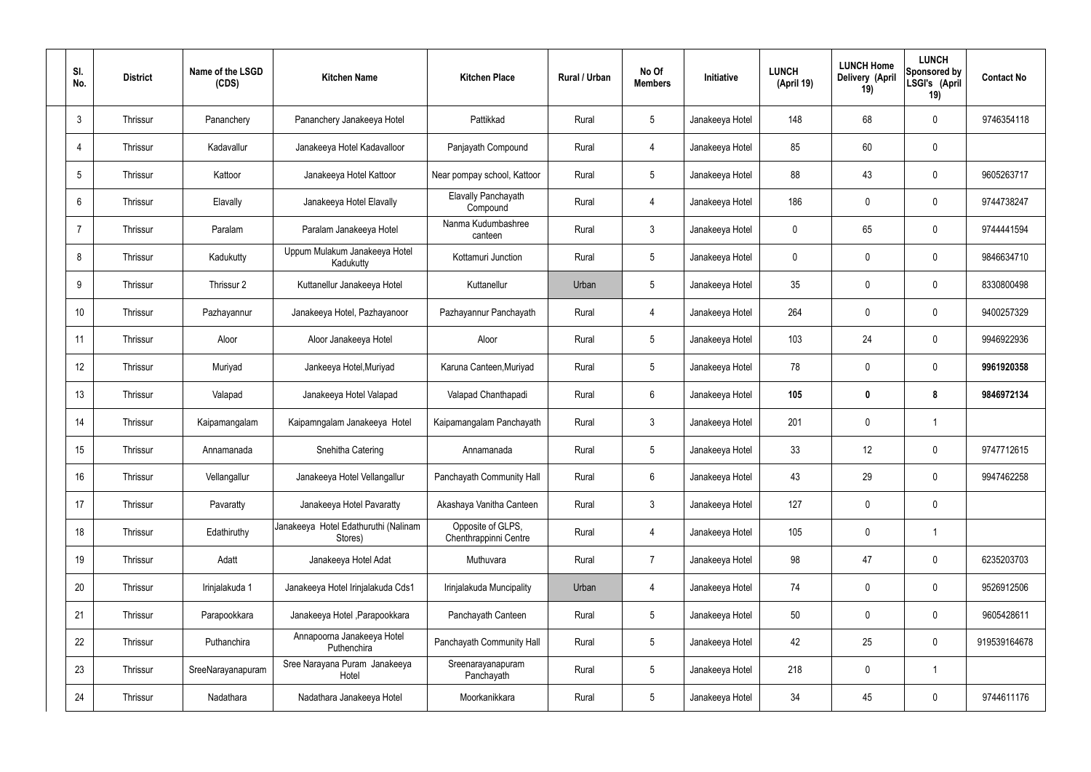| SI.<br>No.      | <b>District</b> | Name of the LSGD<br>(CDS) | <b>Kitchen Name</b>                             | <b>Kitchen Place</b>                       | Rural / Urban | No Of<br><b>Members</b> | <b>Initiative</b> | <b>LUNCH</b><br>(April 19) | <b>LUNCH Home</b><br>Delivery (April<br>19) | <b>LUNCH</b><br>Sponsored by<br>LSGI's (April<br>19) | <b>Contact No</b> |
|-----------------|-----------------|---------------------------|-------------------------------------------------|--------------------------------------------|---------------|-------------------------|-------------------|----------------------------|---------------------------------------------|------------------------------------------------------|-------------------|
| $\mathbf{3}$    | Thrissur        | Pananchery                | Pananchery Janakeeya Hotel                      | Pattikkad                                  | Rural         | $5\phantom{.0}$         | Janakeeya Hotel   | 148                        | 68                                          | $\mathbf 0$                                          | 9746354118        |
| $\overline{4}$  | Thrissur        | Kadavallur                | Janakeeya Hotel Kadavalloor                     | Panjayath Compound                         | Rural         | $\overline{4}$          | Janakeeya Hotel   | 85                         | 60                                          | $\mathbf 0$                                          |                   |
| $5\phantom{.0}$ | Thrissur        | Kattoor                   | Janakeeya Hotel Kattoor                         | Near pompay school, Kattoor                | Rural         | $5\phantom{.0}$         | Janakeeya Hotel   | 88                         | 43                                          | $\mathbf 0$                                          | 9605263717        |
| 6               | Thrissur        | Elavally                  | Janakeeya Hotel Elavally                        | Elavally Panchayath<br>Compound            | Rural         | $\overline{4}$          | Janakeeya Hotel   | 186                        | 0                                           | $\mathbf 0$                                          | 9744738247        |
| $\overline{7}$  | Thrissur        | Paralam                   | Paralam Janakeeya Hotel                         | Nanma Kudumbashree<br>canteen              | Rural         | $\mathbf{3}$            | Janakeeya Hotel   | $\mathbf 0$                | 65                                          | $\mathbf 0$                                          | 9744441594        |
| 8               | Thrissur        | Kadukutty                 | Uppum Mulakum Janakeeya Hotel<br>Kadukutty      | Kottamuri Junction                         | Rural         | $5\phantom{.0}$         | Janakeeya Hotel   | $\mathbf 0$                | 0                                           | $\mathbf 0$                                          | 9846634710        |
| 9               | Thrissur        | Thrissur 2                | Kuttanellur Janakeeya Hotel                     | Kuttanellur                                | Urban         | $5\phantom{.0}$         | Janakeeya Hotel   | 35                         | 0                                           | $\mathbf 0$                                          | 8330800498        |
| 10              | Thrissur        | Pazhayannur               | Janakeeya Hotel, Pazhayanoor                    | Pazhayannur Panchayath                     | Rural         | $\overline{4}$          | Janakeeya Hotel   | 264                        | 0                                           | $\mathbf 0$                                          | 9400257329        |
| 11              | Thrissur        | Aloor                     | Aloor Janakeeya Hotel                           | Aloor                                      | Rural         | $5\phantom{.0}$         | Janakeeya Hotel   | 103                        | 24                                          | $\mathbf 0$                                          | 9946922936        |
| 12              | Thrissur        | Muriyad                   | Jankeeya Hotel, Muriyad                         | Karuna Canteen, Muriyad                    | Rural         | $5\phantom{.0}$         | Janakeeya Hotel   | 78                         | 0                                           | $\mathbf 0$                                          | 9961920358        |
| 13              | Thrissur        | Valapad                   | Janakeeya Hotel Valapad                         | Valapad Chanthapadi                        | Rural         | $6\phantom{.}6$         | Janakeeya Hotel   | 105                        | $\boldsymbol{0}$                            | 8                                                    | 9846972134        |
| 14              | Thrissur        | Kaipamangalam             | Kaipamngalam Janakeeya Hotel                    | Kaipamangalam Panchayath                   | Rural         | $\mathbf{3}$            | Janakeeya Hotel   | 201                        | $\mathbf 0$                                 | -1                                                   |                   |
| 15              | Thrissur        | Annamanada                | Snehitha Catering                               | Annamanada                                 | Rural         | $5\phantom{.0}$         | Janakeeya Hotel   | 33                         | 12                                          | 0                                                    | 9747712615        |
| 16              | Thrissur        | Vellangallur              | Janakeeya Hotel Vellangallur                    | Panchayath Community Hall                  | Rural         | $6\phantom{.}6$         | Janakeeya Hotel   | 43                         | 29                                          | $\mathbf 0$                                          | 9947462258        |
| 17              | Thrissur        | Pavaratty                 | Janakeeya Hotel Pavaratty                       | Akashaya Vanitha Canteen                   | Rural         | $\mathbf{3}$            | Janakeeya Hotel   | 127                        | $\mathbf 0$                                 | $\mathbf 0$                                          |                   |
| 18              | Thrissur        | Edathiruthy               | Janakeeya Hotel Edathuruthi (Nalinam<br>Stores) | Opposite of GLPS,<br>Chenthrappinni Centre | Rural         | $\overline{4}$          | Janakeeya Hotel   | 105                        | $\mathbf 0$                                 | $\mathbf 1$                                          |                   |
| 19              | Thrissur        | Adatt                     | Janakeeya Hotel Adat                            | Muthuvara                                  | Rural         | $\overline{7}$          | Janakeeya Hotel   | 98                         | 47                                          | $\mathbf 0$                                          | 6235203703        |
| 20              | Thrissur        | Irinjalakuda 1            | Janakeeya Hotel Irinjalakuda Cds1               | Irinjalakuda Muncipality                   | Urban         | 4                       | Janakeeya Hotel   | 74                         | 0                                           | $\mathbf 0$                                          | 9526912506        |
| 21              | Thrissur        | Parapookkara              | Janakeeya Hotel, Parapookkara                   | Panchayath Canteen                         | Rural         | $5\phantom{.0}$         | Janakeeya Hotel   | 50                         | 0                                           | $\mathbf 0$                                          | 9605428611        |
| 22              | Thrissur        | Puthanchira               | Annapoorna Janakeeya Hotel<br>Puthenchira       | Panchayath Community Hall                  | Rural         | $5\phantom{.0}$         | Janakeeya Hotel   | 42                         | 25                                          | $\mathbf 0$                                          | 919539164678      |
| 23              | Thrissur        | SreeNarayanapuram         | Sree Narayana Puram Janakeeya<br>Hotel          | Sreenarayanapuram<br>Panchayath            | Rural         | $5\phantom{.0}$         | Janakeeya Hotel   | 218                        | 0                                           | $\overline{1}$                                       |                   |
| 24              | Thrissur        | Nadathara                 | Nadathara Janakeeya Hotel                       | Moorkanikkara                              | Rural         | $5\,$                   | Janakeeya Hotel   | 34                         | 45                                          | $\mathbf 0$                                          | 9744611176        |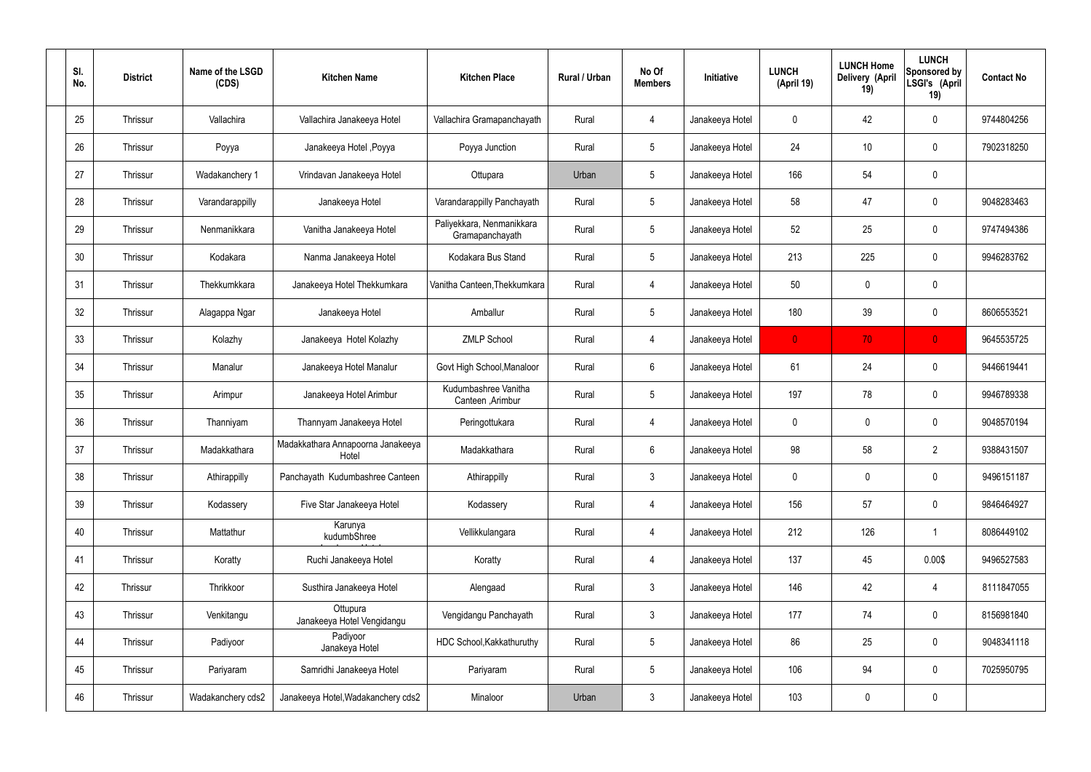| SI.<br>No. | <b>District</b> | Name of the LSGD<br>(CDS) | <b>Kitchen Name</b>                        | <b>Kitchen Place</b>                         | Rural / Urban | No Of<br><b>Members</b> | Initiative      | <b>LUNCH</b><br>(April 19) | <b>LUNCH Home</b><br>Delivery (April<br>19) | <b>LUNCH</b><br>Sponsored by<br>LSGI's (April<br>19) | <b>Contact No</b> |
|------------|-----------------|---------------------------|--------------------------------------------|----------------------------------------------|---------------|-------------------------|-----------------|----------------------------|---------------------------------------------|------------------------------------------------------|-------------------|
| 25         | Thrissur        | Vallachira                | Vallachira Janakeeya Hotel                 | Vallachira Gramapanchayath                   | Rural         | 4                       | Janakeeya Hotel | $\mathbf 0$                | 42                                          | $\mathbf 0$                                          | 9744804256        |
| 26         | Thrissur        | Poyya                     | Janakeeya Hotel , Poyya                    | Poyya Junction                               | Rural         | $5\phantom{.0}$         | Janakeeya Hotel | 24                         | 10                                          | $\mathbf 0$                                          | 7902318250        |
| 27         | Thrissur        | Wadakanchery 1            | Vrindavan Janakeeya Hotel                  | Ottupara                                     | Urban         | $5\phantom{.0}$         | Janakeeya Hotel | 166                        | 54                                          | $\mathbf 0$                                          |                   |
| 28         | Thrissur        | Varandarappilly           | Janakeeya Hotel                            | Varandarappilly Panchayath                   | Rural         | $5\phantom{.0}$         | Janakeeya Hotel | 58                         | 47                                          | $\mathbf 0$                                          | 9048283463        |
| 29         | Thrissur        | Nenmanikkara              | Vanitha Janakeeya Hotel                    | Paliyekkara, Nenmanikkara<br>Gramapanchayath | Rural         | $5\phantom{.0}$         | Janakeeya Hotel | 52                         | 25                                          | $\mathbf 0$                                          | 9747494386        |
| 30         | Thrissur        | Kodakara                  | Nanma Janakeeya Hotel                      | Kodakara Bus Stand                           | Rural         | $5\,$                   | Janakeeya Hotel | 213                        | 225                                         | $\mathbf 0$                                          | 9946283762        |
| 31         | Thrissur        | Thekkumkkara              | Janakeeya Hotel Thekkumkara                | Vanitha Canteen, Thekkumkara                 | Rural         | $\overline{4}$          | Janakeeya Hotel | 50                         | $\mathbf 0$                                 | $\mathbf 0$                                          |                   |
| 32         | Thrissur        | Alagappa Ngar             | Janakeeya Hotel                            | Amballur                                     | Rural         | $5\phantom{.0}$         | Janakeeya Hotel | 180                        | 39                                          | $\mathbf 0$                                          | 8606553521        |
| 33         | Thrissur        | Kolazhy                   | Janakeeya Hotel Kolazhy                    | <b>ZMLP School</b>                           | Rural         | $\overline{4}$          | Janakeeya Hotel | $\mathbf{0}$               | 70                                          | $\overline{0}$                                       | 9645535725        |
| 34         | Thrissur        | Manalur                   | Janakeeya Hotel Manalur                    | Govt High School, Manaloor                   | Rural         | 6                       | Janakeeya Hotel | 61                         | 24                                          | $\mathbf 0$                                          | 9446619441        |
| 35         | Thrissur        | Arimpur                   | Janakeeya Hotel Arimbur                    | Kudumbashree Vanitha<br>Canteen, Arimbur     | Rural         | $5\,$                   | Janakeeya Hotel | 197                        | 78                                          | $\mathbf 0$                                          | 9946789338        |
| 36         | Thrissur        | Thanniyam                 | Thannyam Janakeeya Hotel                   | Peringottukara                               | Rural         | 4                       | Janakeeya Hotel | $\mathbf 0$                | 0                                           | $\boldsymbol{0}$                                     | 9048570194        |
| 37         | Thrissur        | Madakkathara              | Madakkathara Annapoorna Janakeeya<br>Hotel | Madakkathara                                 | Rural         | 6                       | Janakeeya Hotel | 98                         | 58                                          | $\overline{2}$                                       | 9388431507        |
| 38         | Thrissur        | Athirappilly              | Panchayath Kudumbashree Canteen            | Athirappilly                                 | Rural         | $\mathbf{3}$            | Janakeeya Hotel | $\mathbf 0$                | $\mathbf 0$                                 | $\mathbf 0$                                          | 9496151187        |
| 39         | Thrissur        | Kodassery                 | Five Star Janakeeya Hotel                  | Kodassery                                    | Rural         | $\overline{4}$          | Janakeeya Hotel | 156                        | 57                                          | $\mathbf 0$                                          | 9846464927        |
| 40         | Thrissur        | Mattathur                 | Karunya<br>kudumbShree                     | Vellikkulangara                              | Rural         | $\overline{4}$          | Janakeeya Hotel | 212                        | 126                                         | $\mathbf{1}$                                         | 8086449102        |
| 41         | Thrissur        | Koratty                   | Ruchi Janakeeya Hotel                      | Koratty                                      | Rural         | $\overline{4}$          | Janakeeya Hotel | 137                        | 45                                          | 0.00\$                                               | 9496527583        |
| 42         | Thrissur        | Thrikkoor                 | Susthira Janakeeya Hotel                   | Alengaad                                     | Rural         | $\mathfrak{Z}$          | Janakeeya Hotel | 146                        | 42                                          | $\overline{4}$                                       | 8111847055        |
| 43         | Thrissur        | Venkitangu                | Ottupura<br>Janakeeya Hotel Vengidangu     | Vengidangu Panchayath                        | Rural         | $\mathfrak{Z}$          | Janakeeya Hotel | 177                        | 74                                          | $\mathbf 0$                                          | 8156981840        |
| 44         | Thrissur        | Padiyoor                  | Padiyoor<br>Janakeya Hotel                 | HDC School, Kakkathuruthy                    | Rural         | $5\phantom{.0}$         | Janakeeya Hotel | 86                         | 25                                          | $\mathbf 0$                                          | 9048341118        |
| 45         | Thrissur        | Pariyaram                 | Samridhi Janakeeya Hotel                   | Pariyaram                                    | Rural         | $5\phantom{.0}$         | Janakeeya Hotel | 106                        | 94                                          | $\mathbf 0$                                          | 7025950795        |
| 46         | Thrissur        | Wadakanchery cds2         | Janakeeya Hotel, Wadakanchery cds2         | Minaloor                                     | Urban         | $\mathfrak{Z}$          | Janakeeya Hotel | 103                        | 0                                           | $\pmb{0}$                                            |                   |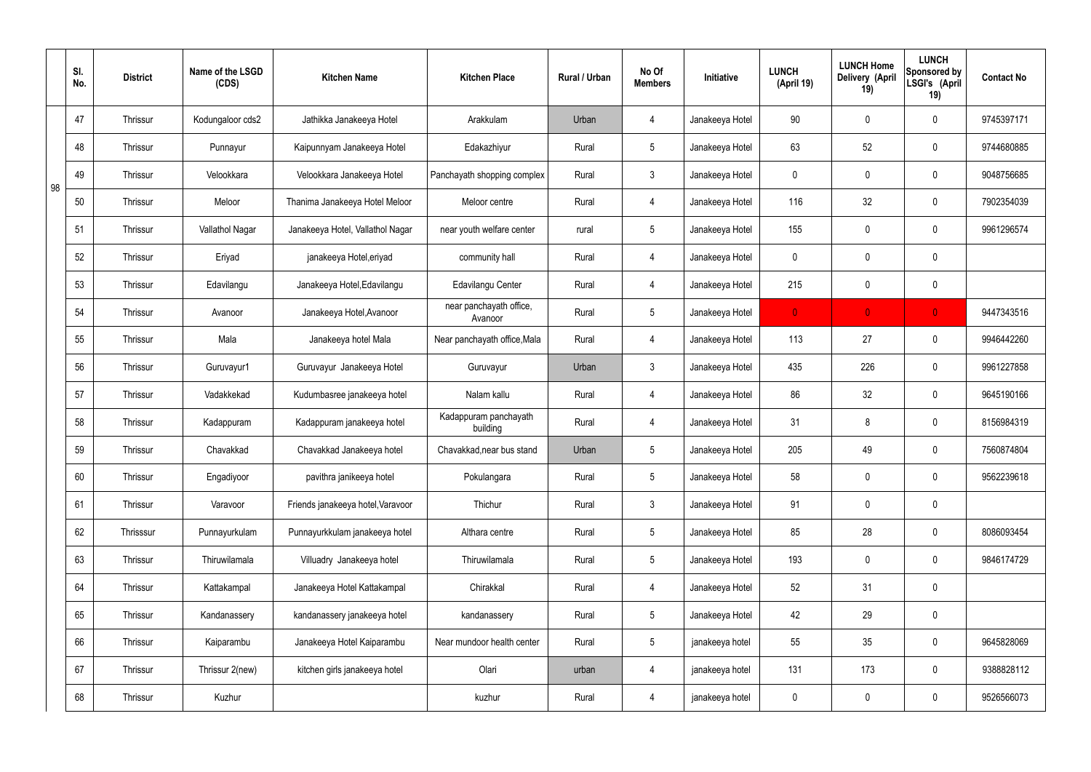|    | SI.<br>No. | <b>District</b> | Name of the LSGD<br>(CDS) | <b>Kitchen Name</b>               | <b>Kitchen Place</b>               | Rural / Urban | No Of<br><b>Members</b> | Initiative      | <b>LUNCH</b><br>(April 19) | <b>LUNCH Home</b><br>Delivery (April<br>19) | <b>LUNCH</b><br>Sponsored by<br>LSGI's (April<br>19) | <b>Contact No</b> |
|----|------------|-----------------|---------------------------|-----------------------------------|------------------------------------|---------------|-------------------------|-----------------|----------------------------|---------------------------------------------|------------------------------------------------------|-------------------|
|    | 47         | <b>Thrissur</b> | Kodungaloor cds2          | Jathikka Janakeeya Hotel          | Arakkulam                          | Urban         | 4                       | Janakeeya Hotel | 90                         | $\mathbf 0$                                 | $\mathbf 0$                                          | 9745397171        |
|    | 48         | <b>Thrissur</b> | Punnayur                  | Kaipunnyam Janakeeya Hotel        | Edakazhiyur                        | Rural         | $5\overline{)}$         | Janakeeya Hotel | 63                         | 52                                          | $\mathbf 0$                                          | 9744680885        |
| 98 | 49         | <b>Thrissur</b> | Velookkara                | Velookkara Janakeeya Hotel        | Panchayath shopping complex        | Rural         | $\mathbf{3}$            | Janakeeya Hotel | $\mathbf 0$                | $\mathbf 0$                                 | $\mathbf 0$                                          | 9048756685        |
|    | 50         | <b>Thrissur</b> | Meloor                    | Thanima Janakeeya Hotel Meloor    | Meloor centre                      | Rural         | $\overline{4}$          | Janakeeya Hotel | 116                        | 32                                          | $\mathbf 0$                                          | 7902354039        |
|    | 51         | <b>Thrissur</b> | Vallathol Nagar           | Janakeeya Hotel, Vallathol Nagar  | near youth welfare center          | rural         | $5\overline{)}$         | Janakeeya Hotel | 155                        | $\mathbf 0$                                 | $\mathbf 0$                                          | 9961296574        |
|    | 52         | Thrissur        | Eriyad                    | janakeeya Hotel, eriyad           | community hall                     | Rural         | $\overline{4}$          | Janakeeya Hotel | $\mathbf 0$                | $\mathbf 0$                                 | $\mathbf 0$                                          |                   |
|    | 53         | <b>Thrissur</b> | Edavilangu                | Janakeeya Hotel, Edavilangu       | <b>Edavilangu Center</b>           | Rural         | $\overline{4}$          | Janakeeya Hotel | 215                        | $\mathbf 0$                                 | $\mathbf 0$                                          |                   |
|    | 54         | Thrissur        | Avanoor                   | Janakeeya Hotel, Avanoor          | near panchayath office,<br>Avanoor | Rural         | $5\overline{)}$         | Janakeeya Hotel | $\mathbf{0}$               | $\mathbf{0}$                                | $\overline{0}$                                       | 9447343516        |
|    | 55         | <b>Thrissur</b> | Mala                      | Janakeeya hotel Mala              | Near panchayath office, Mala       | Rural         | $\overline{4}$          | Janakeeya Hotel | 113                        | 27                                          | $\mathbf 0$                                          | 9946442260        |
|    | 56         | Thrissur        | Guruvayur1                | Guruvayur Janakeeya Hotel         | Guruvayur                          | Urban         | $\mathbf{3}$            | Janakeeya Hotel | 435                        | 226                                         | $\mathbf 0$                                          | 9961227858        |
|    | 57         | <b>Thrissur</b> | Vadakkekad                | Kudumbasree janakeeya hotel       | Nalam kallu                        | Rural         | $\overline{4}$          | Janakeeya Hotel | 86                         | 32                                          | $\mathbf 0$                                          | 9645190166        |
|    | 58         | Thrissur        | Kadappuram                | Kadappuram janakeeya hotel        | Kadappuram panchayath<br>building  | Rural         | 4                       | Janakeeya Hotel | 31                         | 8                                           | $\mathbf 0$                                          | 8156984319        |
|    | 59         | <b>Thrissur</b> | Chavakkad                 | Chavakkad Janakeeya hotel         | Chavakkad, near bus stand          | Urban         | $5\overline{)}$         | Janakeeya Hotel | 205                        | 49                                          | $\mathbf 0$                                          | 7560874804        |
|    | 60         | Thrissur        | Engadiyoor                | pavithra janikeeya hotel          | Pokulangara                        | Rural         | 5 <sup>5</sup>          | Janakeeya Hotel | 58                         | $\pmb{0}$                                   | $\mathbf 0$                                          | 9562239618        |
|    | 61         | Thrissur        | Varavoor                  | Friends janakeeya hotel, Varavoor | Thichur                            | Rural         | $3\phantom{a}$          | Janakeeya Hotel | 91                         | $\pmb{0}$                                   | $\mathbf 0$                                          |                   |
|    | 62         | Thrisssur       | Punnayurkulam             | Punnayurkkulam janakeeya hotel    | Althara centre                     | Rural         | $5\overline{)}$         | Janakeeya Hotel | 85                         | 28                                          | $\mathbf 0$                                          | 8086093454        |
|    | 63         | Thrissur        | Thiruwilamala             | Villuadry Janakeeya hotel         | Thiruwilamala                      | Rural         | $5\overline{)}$         | Janakeeya Hotel | 193                        | 0                                           | $\mathbf 0$                                          | 9846174729        |
|    | 64         | Thrissur        | Kattakampal               | Janakeeya Hotel Kattakampal       | Chirakkal                          | Rural         | $\overline{4}$          | Janakeeya Hotel | 52                         | 31                                          | $\mathbf 0$                                          |                   |
|    | 65         | Thrissur        | Kandanassery              | kandanassery janakeeya hotel      | kandanassery                       | Rural         | $5\overline{)}$         | Janakeeya Hotel | 42                         | 29                                          | $\mathbf 0$                                          |                   |
|    | 66         | Thrissur        | Kaiparambu                | Janakeeya Hotel Kaiparambu        | Near mundoor health center         | Rural         | $5\overline{)}$         | janakeeya hotel | 55                         | 35                                          | $\mathbf 0$                                          | 9645828069        |
|    | 67         | Thrissur        | Thrissur 2(new)           | kitchen girls janakeeya hotel     | Olari                              | urban         | 4                       | janakeeya hotel | 131                        | 173                                         | $\mathbf 0$                                          | 9388828112        |
|    | 68         | Thrissur        | Kuzhur                    |                                   | kuzhur                             | Rural         | 4                       | janakeeya hotel | $\pmb{0}$                  | $\pmb{0}$                                   | $\boldsymbol{0}$                                     | 9526566073        |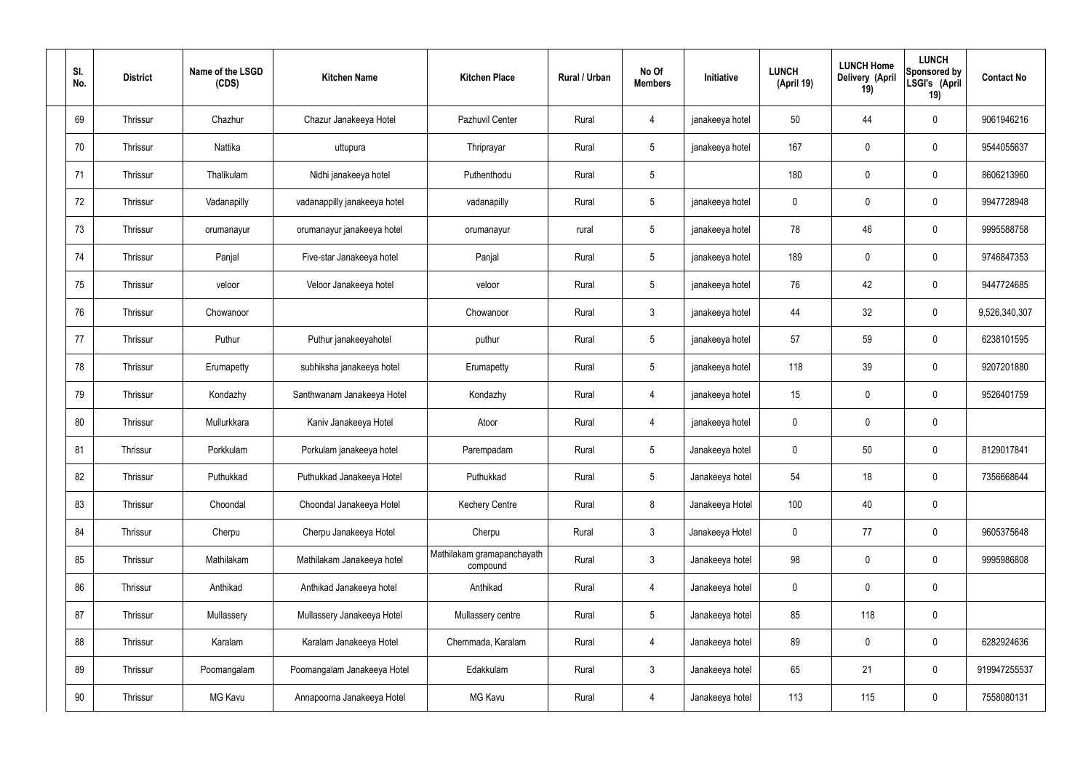| SI.<br>No. | <b>District</b> | Name of the LSGD<br>(CDS) | <b>Kitchen Name</b>          | <b>Kitchen Place</b>                   | Rural / Urban | No Of<br><b>Members</b> | Initiative      | <b>LUNCH</b><br>(April 19) | <b>LUNCH Home</b><br>Delivery (April<br>19) | <b>LUNCH</b><br>Sponsored by<br>LSGI's (April<br>19) | <b>Contact No</b> |
|------------|-----------------|---------------------------|------------------------------|----------------------------------------|---------------|-------------------------|-----------------|----------------------------|---------------------------------------------|------------------------------------------------------|-------------------|
| 69         | Thrissur        | Chazhur                   | Chazur Janakeeya Hotel       | Pazhuvil Center                        | Rural         | 4                       | janakeeya hotel | 50                         | 44                                          | $\mathbf 0$                                          | 9061946216        |
| 70         | Thrissur        | Nattika                   | uttupura                     | Thriprayar                             | Rural         | $5\phantom{.0}$         | janakeeya hotel | 167                        | $\mathbf 0$                                 | $\mathbf 0$                                          | 9544055637        |
| 71         | Thrissur        | Thalikulam                | Nidhi janakeeya hotel        | Puthenthodu                            | Rural         | $5\phantom{.0}$         |                 | 180                        | $\mathbf 0$                                 | $\mathbf 0$                                          | 8606213960        |
| 72         | Thrissur        | Vadanapilly               | vadanappilly janakeeya hotel | vadanapilly                            | Rural         | $5\phantom{.0}$         | janakeeya hotel | $\mathbf 0$                | $\mathbf 0$                                 | $\mathbf 0$                                          | 9947728948        |
| 73         | Thrissur        | orumanayur                | orumanayur janakeeya hotel   | orumanayur                             | rural         | $5\phantom{.0}$         | janakeeya hotel | 78                         | 46                                          | $\mathbf 0$                                          | 9995588758        |
| 74         | Thrissur        | Panjal                    | Five-star Janakeeya hotel    | Panjal                                 | Rural         | $5\overline{)}$         | janakeeya hotel | 189                        | $\mathbf 0$                                 | $\mathbf 0$                                          | 9746847353        |
| 75         | Thrissur        | veloor                    | Veloor Janakeeya hotel       | veloor                                 | Rural         | $5\phantom{.0}$         | janakeeya hotel | 76                         | 42                                          | $\mathbf 0$                                          | 9447724685        |
| 76         | Thrissur        | Chowanoor                 |                              | Chowanoor                              | Rural         | $\mathbf{3}$            | janakeeya hotel | 44                         | 32                                          | $\mathbf 0$                                          | 9,526,340,307     |
| 77         | Thrissur        | Puthur                    | Puthur janakeeyahotel        | puthur                                 | Rural         | $5\overline{)}$         | janakeeya hotel | 57                         | 59                                          | $\mathbf 0$                                          | 6238101595        |
| 78         | Thrissur        | Erumapetty                | subhiksha janakeeya hotel    | Erumapetty                             | Rural         | $5\phantom{.0}$         | janakeeya hotel | 118                        | 39                                          | $\mathbf 0$                                          | 9207201880        |
| 79         | Thrissur        | Kondazhy                  | Santhwanam Janakeeya Hotel   | Kondazhy                               | Rural         | 4                       | janakeeya hotel | 15                         | $\mathbf 0$                                 | $\mathbf 0$                                          | 9526401759        |
| 80         | Thrissur        | Mullurkkara               | Kaniv Janakeeya Hotel        | Atoor                                  | Rural         | 4                       | janakeeya hotel | $\mathbf 0$                | $\mathbf 0$                                 | $\mathbf 0$                                          |                   |
| 81         | Thrissur        | Porkkulam                 | Porkulam janakeeya hotel     | Parempadam                             | Rural         | 5                       | Janakeeya hotel | $\mathbf 0$                | 50                                          | $\mathbf 0$                                          | 8129017841        |
| 82         | Thrissur        | Puthukkad                 | Puthukkad Janakeeya Hotel    | Puthukkad                              | Rural         | 5 <sup>5</sup>          | Janakeeya hotel | 54                         | 18                                          | $\mathbf 0$                                          | 7356668644        |
| 83         | Thrissur        | Choondal                  | Choondal Janakeeya Hotel     | <b>Kechery Centre</b>                  | Rural         | 8                       | Janakeeya Hotel | 100                        | 40                                          | $\mathbf 0$                                          |                   |
| 84         | Thrissur        | Cherpu                    | Cherpu Janakeeya Hotel       | Cherpu                                 | Rural         | $3\phantom{a}$          | Janakeeya Hotel | $\mathbf 0$                | 77                                          | $\mathbf 0$                                          | 9605375648        |
| 85         | Thrissur        | Mathilakam                | Mathilakam Janakeeya hotel   | Mathilakam gramapanchayath<br>compound | Rural         | $3\phantom{a}$          | Janakeeya hotel | 98                         | $\pmb{0}$                                   | $\mathbf 0$                                          | 9995986808        |
| 86         | Thrissur        | Anthikad                  | Anthikad Janakeeya hotel     | Anthikad                               | Rural         | $\overline{4}$          | Janakeeya hotel | $\mathbf 0$                | $\pmb{0}$                                   | $\mathbf 0$                                          |                   |
| 87         | Thrissur        | Mullassery                | Mullassery Janakeeya Hotel   | Mullassery centre                      | Rural         | 5 <sup>5</sup>          | Janakeeya hotel | 85                         | 118                                         | $\mathbf 0$                                          |                   |
| 88         | Thrissur        | Karalam                   | Karalam Janakeeya Hotel      | Chemmada, Karalam                      | Rural         | $\overline{4}$          | Janakeeya hotel | 89                         | $\pmb{0}$                                   | $\mathbf 0$                                          | 6282924636        |
| 89         | Thrissur        | Poomangalam               | Poomangalam Janakeeya Hotel  | Edakkulam                              | Rural         | $3\phantom{a}$          | Janakeeya hotel | 65                         | 21                                          | $\mathbf 0$                                          | 919947255537      |
| 90         | Thrissur        | MG Kavu                   | Annapoorna Janakeeya Hotel   | MG Kavu                                | Rural         | 4                       | Janakeeya hotel | 113                        | 115                                         | $\mathbf 0$                                          | 7558080131        |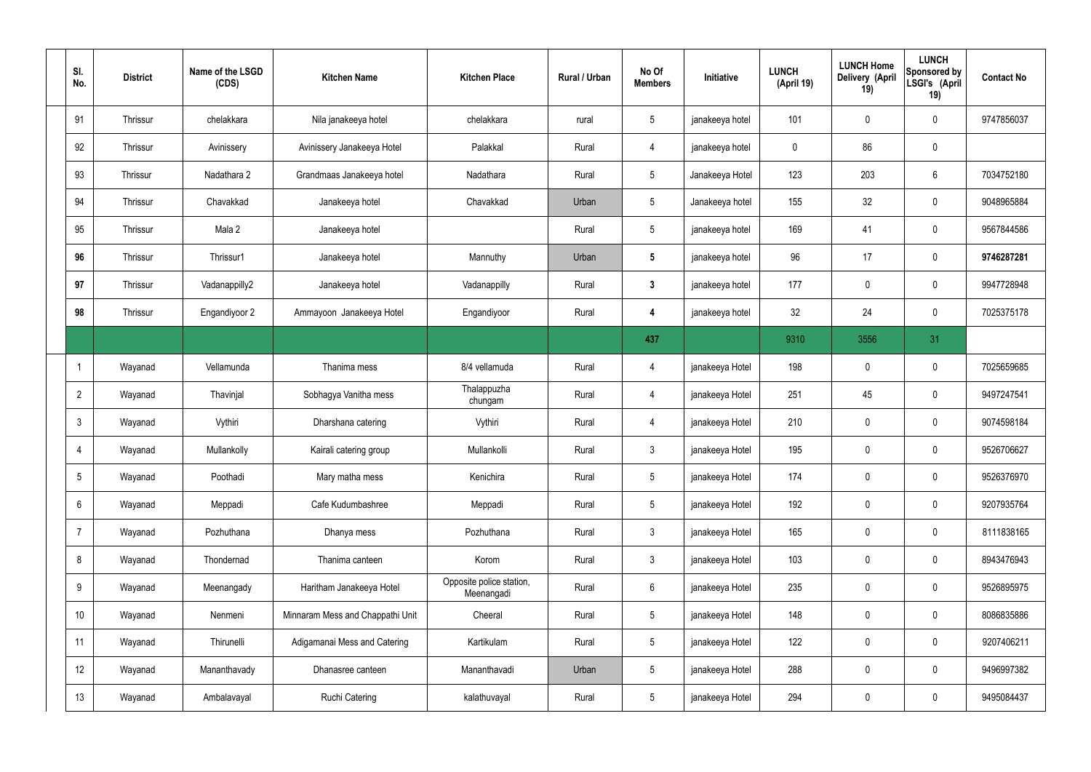| SI.<br>No.     | <b>District</b> | Name of the LSGD<br>(CDS) | <b>Kitchen Name</b>              | <b>Kitchen Place</b>                   | Rural / Urban | No Of<br><b>Members</b> | Initiative      | <b>LUNCH</b><br>(April 19) | <b>LUNCH Home</b><br>Delivery (April<br>19) | <b>LUNCH</b><br>Sponsored by<br>LSGI's (April<br>19) | <b>Contact No</b> |
|----------------|-----------------|---------------------------|----------------------------------|----------------------------------------|---------------|-------------------------|-----------------|----------------------------|---------------------------------------------|------------------------------------------------------|-------------------|
| 91             | Thrissur        | chelakkara                | Nila janakeeya hotel             | chelakkara                             | rural         | $5\overline{)}$         | janakeeya hotel | 101                        | $\mathbf 0$                                 | $\mathbf 0$                                          | 9747856037        |
| 92             | Thrissur        | Avinissery                | Avinissery Janakeeya Hotel       | Palakkal                               | Rural         | $\overline{4}$          | janakeeya hotel | $\mathbf 0$                | 86                                          | $\mathbf 0$                                          |                   |
| 93             | Thrissur        | Nadathara 2               | Grandmaas Janakeeya hotel        | Nadathara                              | Rural         | $5\overline{)}$         | Janakeeya Hotel | 123                        | 203                                         | $6\phantom{.}6$                                      | 7034752180        |
| 94             | Thrissur        | Chavakkad                 | Janakeeya hotel                  | Chavakkad                              | Urban         | $5\phantom{.0}$         | Janakeeya hotel | 155                        | 32                                          | $\mathbf 0$                                          | 9048965884        |
| 95             | Thrissur        | Mala 2                    | Janakeeya hotel                  |                                        | Rural         | $5\overline{)}$         | janakeeya hotel | 169                        | 41                                          | $\mathbf 0$                                          | 9567844586        |
| 96             | Thrissur        | Thrissur1                 | Janakeeya hotel                  | Mannuthy                               | Urban         | $5\phantom{.0}$         | janakeeya hotel | 96                         | 17                                          | $\mathbf 0$                                          | 9746287281        |
| 97             | Thrissur        | Vadanappilly2             | Janakeeya hotel                  | Vadanappilly                           | Rural         | $\mathbf{3}$            | janakeeya hotel | 177                        | 0                                           | $\mathbf 0$                                          | 9947728948        |
| 98             | Thrissur        | Engandiyoor 2             | Ammayoon Janakeeya Hotel         | Engandiyoor                            | Rural         | 4                       | janakeeya hotel | 32                         | 24                                          | $\mathbf 0$                                          | 7025375178        |
|                |                 |                           |                                  |                                        |               | 437                     |                 | 9310                       | 3556                                        | 31                                                   |                   |
|                | Wayanad         | Vellamunda                | Thanima mess                     | 8/4 vellamuda                          | Rural         | 4                       | janakeeya Hotel | 198                        | $\mathbf 0$                                 | $\mathbf 0$                                          | 7025659685        |
| $\overline{2}$ | Wayanad         | Thavinjal                 | Sobhagya Vanitha mess            | Thalappuzha<br>chungam                 | Rural         | 4                       | janakeeya Hotel | 251                        | 45                                          | $\mathbf 0$                                          | 9497247541        |
| $\mathbf{3}$   | Wayanad         | Vythiri                   | Dharshana catering               | Vythiri                                | Rural         | 4                       | janakeeya Hotel | 210                        | 0                                           | $\mathbf 0$                                          | 9074598184        |
| $\overline{4}$ | Wayanad         | Mullankolly               | Kairali catering group           | Mullankolli                            | Rural         | $\mathbf{3}$            | janakeeya Hotel | 195                        | $\mathbf 0$                                 | $\mathbf 0$                                          | 9526706627        |
| 5              | Wayanad         | Poothadi                  | Mary matha mess                  | Kenichira                              | Rural         | $5\phantom{.0}$         | janakeeya Hotel | 174                        | $\pmb{0}$                                   | $\mathbf 0$                                          | 9526376970        |
| 6              | Wayanad         | Meppadi                   | Cafe Kudumbashree                | Meppadi                                | Rural         | $5\phantom{.0}$         | janakeeya Hotel | 192                        | 0                                           | $\mathbf 0$                                          | 9207935764        |
| $\overline{7}$ | Wayanad         | Pozhuthana                | Dhanya mess                      | Pozhuthana                             | Rural         | $3\phantom{a}$          | janakeeya Hotel | 165                        | 0                                           | $\mathbf 0$                                          | 8111838165        |
| 8              | Wayanad         | Thondernad                | Thanima canteen                  | Korom                                  | Rural         | $3\phantom{a}$          | janakeeya Hotel | 103                        | 0                                           | $\mathbf 0$                                          | 8943476943        |
| 9              | Wayanad         | Meenangady                | Haritham Janakeeya Hotel         | Opposite police station,<br>Meenangadi | Rural         | $6\phantom{.}6$         | janakeeya Hotel | 235                        | 0                                           | $\mathbf 0$                                          | 9526895975        |
| 10             | Wayanad         | Nenmeni                   | Minnaram Mess and Chappathi Unit | Cheeral                                | Rural         | $5\phantom{.0}$         | janakeeya Hotel | 148                        | 0                                           | $\mathbf 0$                                          | 8086835886        |
| 11             | Wayanad         | Thirunelli                | Adigamanai Mess and Catering     | Kartikulam                             | Rural         | $5\phantom{.0}$         | janakeeya Hotel | 122                        | 0                                           | $\mathbf 0$                                          | 9207406211        |
| 12             | Wayanad         | Mananthavady              | Dhanasree canteen                | Mananthavadi                           | Urban         | $5\phantom{.0}$         | janakeeya Hotel | 288                        | $\pmb{0}$                                   | $\mathbf 0$                                          | 9496997382        |
| 13             | Wayanad         | Ambalavayal               | <b>Ruchi Catering</b>            | kalathuvayal                           | Rural         | 5 <sub>5</sub>          | janakeeya Hotel | 294                        | $\pmb{0}$                                   | $\pmb{0}$                                            | 9495084437        |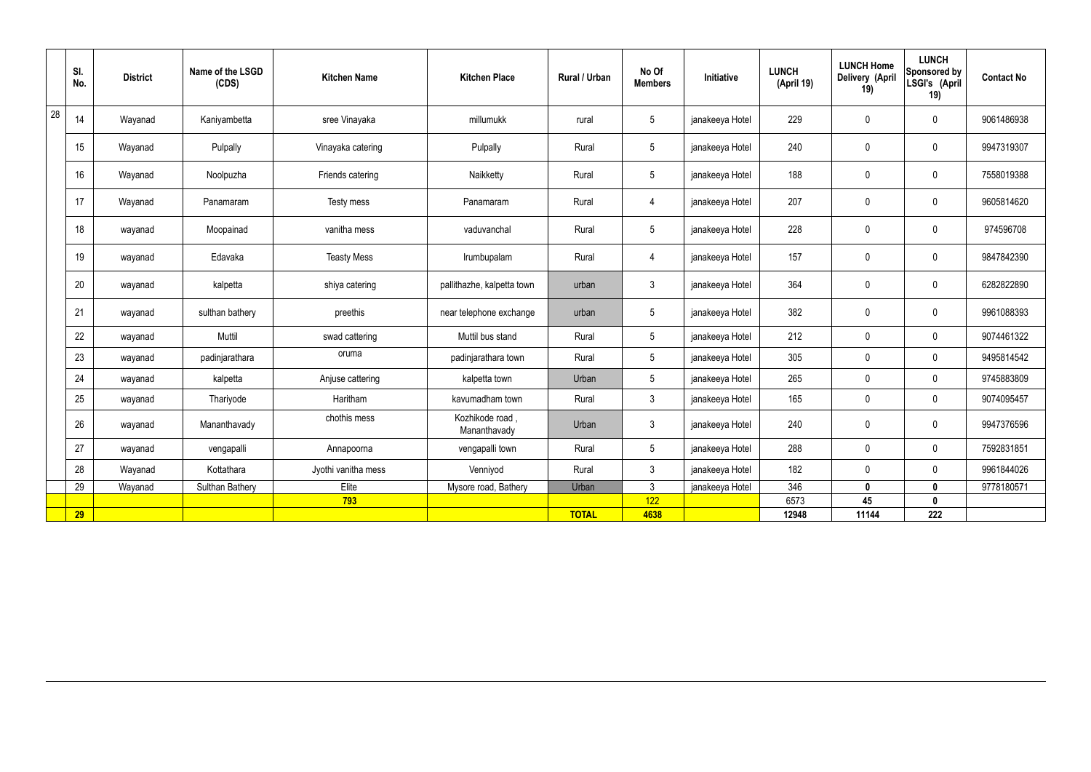|    | SI.<br>No. | <b>District</b> | Name of the LSGD<br>(CDS) | <b>Kitchen Name</b> | <b>Kitchen Place</b>           | <b>Rural / Urban</b> | No Of<br><b>Members</b> | <b>Initiative</b> | <b>LUNCH</b><br>(April 19) | <b>LUNCH Home</b><br>Delivery (April<br>19) | <b>LUNCH</b><br>Sponsored by<br>LSGI's (April<br>19) | <b>Contact No</b> |
|----|------------|-----------------|---------------------------|---------------------|--------------------------------|----------------------|-------------------------|-------------------|----------------------------|---------------------------------------------|------------------------------------------------------|-------------------|
| 28 | 14         | Wayanad         | Kaniyambetta              | sree Vinayaka       | millumukk                      | rural                | $5\phantom{.0}$         | janakeeya Hotel   | 229                        | $\pmb{0}$                                   | $\mathbf 0$                                          | 9061486938        |
|    | 15         | Wayanad         | Pulpally                  | Vinayaka catering   | Pulpally                       | Rural                | $5\overline{)}$         | janakeeya Hotel   | 240                        | $\mathbf 0$                                 | $\mathbf 0$                                          | 9947319307        |
|    | 16         | Wayanad         | Noolpuzha                 | Friends catering    | Naikketty                      | Rural                | $5\overline{)}$         | janakeeya Hotel   | 188                        | $\pmb{0}$                                   | $\mathbf 0$                                          | 7558019388        |
|    | 17         | Wayanad         | Panamaram                 | Testy mess          | Panamaram                      | Rural                | $\overline{4}$          | janakeeya Hotel   | 207                        | $\mathbf 0$                                 | $\mathbf 0$                                          | 9605814620        |
|    | 18         | wayanad         | Moopainad                 | vanitha mess        | vaduvanchal                    | Rural                | $5\overline{)}$         | janakeeya Hotel   | 228                        | $\pmb{0}$                                   | $\mathbf 0$                                          | 974596708         |
|    | 19         | wayanad         | Edavaka                   | <b>Teasty Mess</b>  | Irumbupalam                    | Rural                | $\overline{4}$          | janakeeya Hotel   | 157                        | $\pmb{0}$                                   | $\mathbf 0$                                          | 9847842390        |
|    | 20         | wayanad         | kalpetta                  | shiya catering      | pallithazhe, kalpetta town     | urban                | $\mathbf{3}$            | janakeeya Hotel   | 364                        | $\pmb{0}$                                   | $\mathbf 0$                                          | 6282822890        |
|    | 21         | wayanad         | sulthan bathery           | preethis            | near telephone exchange        | urban                | $5\phantom{.0}$         | janakeeya Hotel   | 382                        | $\pmb{0}$                                   | $\mathbf 0$                                          | 9961088393        |
|    | 22         | wayanad         | Muttil                    | swad cattering      | Muttil bus stand               | Rural                | $5\overline{)}$         | janakeeya Hotel   | 212                        | $\pmb{0}$                                   | $\mathbf 0$                                          | 9074461322        |
|    | 23         | wayanad         | padinjarathara            | oruma               | padinjarathara town            | Rural                | $5\overline{)}$         | janakeeya Hotel   | 305                        | $\mathbf 0$                                 | $\mathbf 0$                                          | 9495814542        |
|    | 24         | wayanad         | kalpetta                  | Anjuse cattering    | kalpetta town                  | Urban                | $5\overline{)}$         | janakeeya Hotel   | 265                        | $\mathbf 0$                                 | $\mathbf 0$                                          | 9745883809        |
|    | 25         | wayanad         | Thariyode                 | Haritham            | kavumadham town                | Rural                | $\mathbf{3}$            | janakeeya Hotel   | 165                        | $\mathbf 0$                                 | $\mathbf 0$                                          | 9074095457        |
|    | 26         | wayanad         | Mananthavady              | chothis mess        | Kozhikode road<br>Mananthavady | Urban                | $\mathbf{3}$            | janakeeya Hotel   | 240                        | $\mathbf 0$                                 | $\mathbf 0$                                          | 9947376596        |
|    | 27         | wayanad         | vengapalli                | Annapoorna          | vengapalli town                | Rural                | $5\overline{)}$         | janakeeya Hotel   | 288                        | $\pmb{0}$                                   | $\mathbf 0$                                          | 7592831851        |
|    | 28         | Wayanad         | Kottathara                | Jyothi vanitha mess | Venniyod                       | Rural                | $\mathbf{3}$            | janakeeya Hotel   | 182                        | $\mathbf 0$                                 | $\mathbf 0$                                          | 9961844026        |
|    | 29         | Wayanad         | <b>Sulthan Bathery</b>    | Elite               | Mysore road, Bathery           | Urban                | $\mathbf{3}$            | janakeeya Hotel   | 346                        | $\mathbf 0$                                 | $\mathbf 0$                                          | 9778180571        |
|    |            |                 |                           | 793                 |                                |                      | 122                     |                   | 6573                       | 45                                          | $\mathbf 0$                                          |                   |
|    | 29         |                 |                           |                     |                                | <b>TOTAL</b>         | 4638                    |                   | 12948                      | 11144                                       | 222                                                  |                   |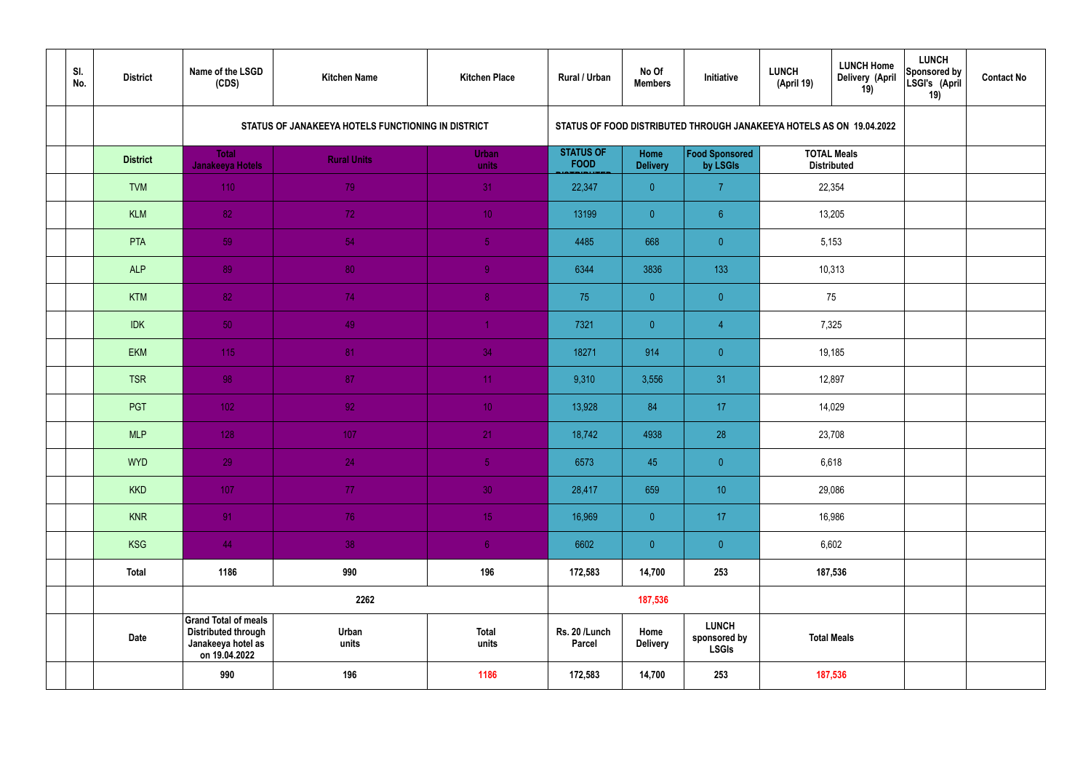| SI.<br>No. | <b>District</b> | Name of the LSGD<br>(CDS)                                                                        | <b>Kitchen Name</b>                                | <b>Kitchen Place</b>  | Rural / Urban                   | No Of<br><b>Members</b>        | Initiative                                                           | <b>LUNCH</b><br>(April 19) | <b>LUNCH Home</b><br>Delivery (April<br>19) | <b>LUNCH</b><br>Sponsored by<br>LSGI's (April<br>19) | <b>Contact No</b> |
|------------|-----------------|--------------------------------------------------------------------------------------------------|----------------------------------------------------|-----------------------|---------------------------------|--------------------------------|----------------------------------------------------------------------|----------------------------|---------------------------------------------|------------------------------------------------------|-------------------|
|            |                 |                                                                                                  | STATUS OF JANAKEEYA HOTELS FUNCTIONING IN DISTRICT |                       |                                 |                                | STATUS OF FOOD DISTRIBUTED THROUGH JANAKEEYA HOTELS AS ON 19.04.2022 |                            |                                             |                                                      |                   |
|            | <b>District</b> | <b>Total</b><br><b>Janakeeya Hotels</b>                                                          | <b>Rural Units</b>                                 | <b>Urban</b><br>units | <b>STATUS OF</b><br><b>FOOD</b> | <b>Home</b><br><b>Delivery</b> | Food Sponsored<br>by LSGIs                                           |                            | <b>TOTAL Meals</b><br><b>Distributed</b>    |                                                      |                   |
|            | <b>TVM</b>      | 110                                                                                              | 79                                                 | 31                    | 22,347                          | $\overline{0}$                 | $\overline{7}$                                                       | 22,354                     |                                             |                                                      |                   |
|            | <b>KLM</b>      | 82                                                                                               | 72                                                 | 10 <sup>°</sup>       | 13199                           | $\overline{0}$                 | $6^{\circ}$                                                          | 13,205                     |                                             |                                                      |                   |
|            | PTA             | 59                                                                                               | 54                                                 | 5 <sub>5</sub>        | 4485                            | 668                            | $\overline{0}$                                                       | 5,153                      |                                             |                                                      |                   |
|            | <b>ALP</b>      | 89                                                                                               | 80                                                 | $\overline{9}$        | 6344                            | 3836                           | 133                                                                  |                            | 10,313                                      |                                                      |                   |
|            | <b>KTM</b>      | 82                                                                                               | 74                                                 | 8 <sup>°</sup>        | 75                              | $\overline{0}$                 | $\overline{0}$                                                       |                            | 75                                          |                                                      |                   |
|            | <b>IDK</b>      | 50                                                                                               | 49                                                 | $\blacktriangleleft$  | 7321                            | $\overline{0}$                 | $\overline{4}$                                                       |                            | 7,325                                       |                                                      |                   |
|            | <b>EKM</b>      | 115                                                                                              | 81                                                 | 34                    | 18271                           | 914                            | $\overline{0}$                                                       |                            | 19,185                                      |                                                      |                   |
|            | <b>TSR</b>      | 98                                                                                               | 87                                                 | 11                    | 9,310                           | 3,556                          | 31                                                                   |                            | 12,897                                      |                                                      |                   |
|            | PGT             | $102$                                                                                            | 92                                                 | 10 <sup>°</sup>       | 13,928                          | 84                             | 17                                                                   |                            | 14,029                                      |                                                      |                   |
|            | <b>MLP</b>      | 128                                                                                              | 107                                                | 21                    | 18,742                          | 4938                           | 28                                                                   |                            | 23,708                                      |                                                      |                   |
|            | <b>WYD</b>      | 29                                                                                               | 24                                                 | 5 <sub>1</sub>        | 6573                            | 45                             | $\overline{0}$                                                       |                            | 6,618                                       |                                                      |                   |
|            | <b>KKD</b>      | 107                                                                                              | 77 <sub>1</sub>                                    | 30                    | 28,417                          | 659                            | 10                                                                   |                            | 29,086                                      |                                                      |                   |
|            | <b>KNR</b>      | 91                                                                                               | 76                                                 | 15 <sub>1</sub>       | 16,969                          | $\overline{0}$                 | 17                                                                   |                            | 16,986                                      |                                                      |                   |
|            | <b>KSG</b>      | 44                                                                                               | 38                                                 | 6 <sup>1</sup>        | 6602                            | $\overline{0}$                 | $\pmb{0}$                                                            |                            | 6,602                                       |                                                      |                   |
|            | <b>Total</b>    | 1186                                                                                             | 990                                                | 196                   | 172,583                         | 14,700                         | 253                                                                  |                            | 187,536                                     |                                                      |                   |
|            |                 |                                                                                                  | 2262                                               |                       |                                 | 187,536                        |                                                                      |                            |                                             |                                                      |                   |
|            | <b>Date</b>     | <b>Grand Total of meals</b><br><b>Distributed through</b><br>Janakeeya hotel as<br>on 19.04.2022 | Urban<br>units                                     | <b>Total</b><br>units | Rs. 20 /Lunch<br><b>Parcel</b>  | Home<br><b>Delivery</b>        | <b>LUNCH</b><br>sponsored by<br><b>LSGIs</b>                         | <b>Total Meals</b>         |                                             |                                                      |                   |
|            |                 | 990                                                                                              | 196                                                | 1186                  | 172,583                         | 14,700                         | 253                                                                  |                            | 187,536                                     |                                                      |                   |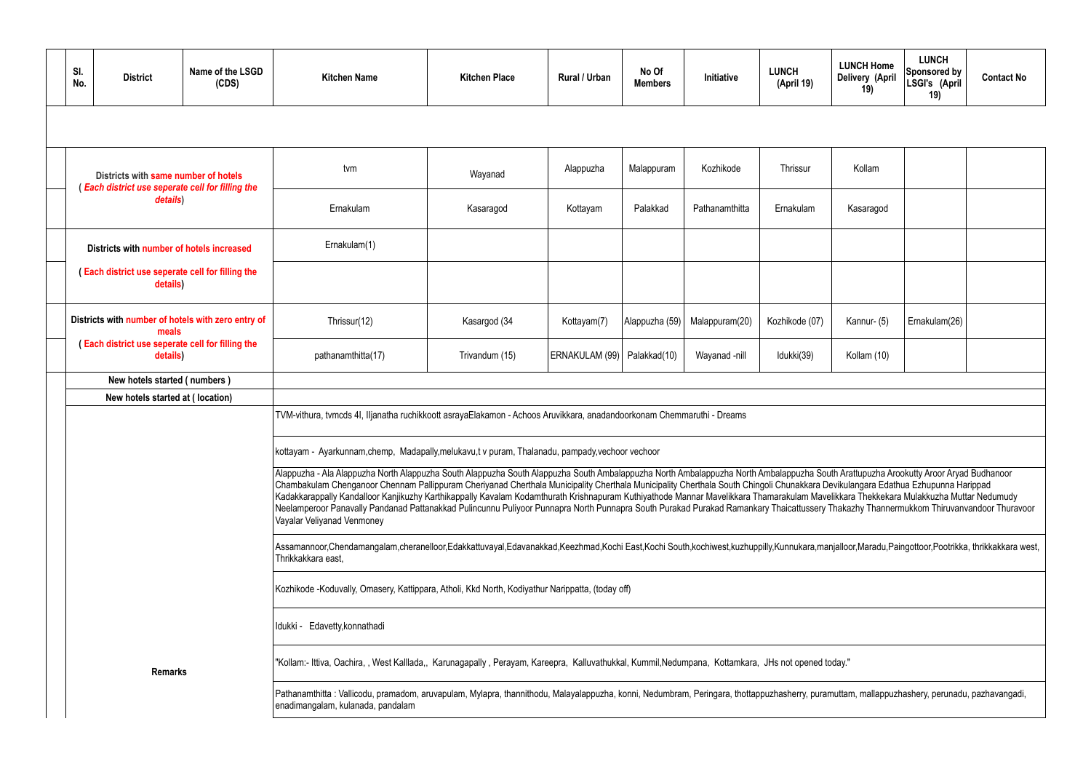| SI.<br>No.                                                   | <b>District</b>                                                                          | Name of the LSGD<br>(CDS)                                                                                                                           | <b>Kitchen Name</b>                                                                                                                                                                                                                                                                                                                                                                                                                                                                                                                                                                                                                                                                                                                                                     | <b>Kitchen Place</b> | Rural / Urban                 | No Of<br><b>Members</b> | Initiative     | <b>LUNCH</b><br>(April 19) | <b>LUNCH Home</b><br>Delivery (April<br>19) | <b>LUNCH</b><br><b>Sponsored by</b><br>LSGI's (April<br>19) | <b>Contact No</b> |  |  |  |
|--------------------------------------------------------------|------------------------------------------------------------------------------------------|-----------------------------------------------------------------------------------------------------------------------------------------------------|-------------------------------------------------------------------------------------------------------------------------------------------------------------------------------------------------------------------------------------------------------------------------------------------------------------------------------------------------------------------------------------------------------------------------------------------------------------------------------------------------------------------------------------------------------------------------------------------------------------------------------------------------------------------------------------------------------------------------------------------------------------------------|----------------------|-------------------------------|-------------------------|----------------|----------------------------|---------------------------------------------|-------------------------------------------------------------|-------------------|--|--|--|
|                                                              |                                                                                          |                                                                                                                                                     |                                                                                                                                                                                                                                                                                                                                                                                                                                                                                                                                                                                                                                                                                                                                                                         |                      |                               |                         |                |                            |                                             |                                                             |                   |  |  |  |
|                                                              | Districts with same number of hotels<br>(Each district use seperate cell for filling the |                                                                                                                                                     | tvm                                                                                                                                                                                                                                                                                                                                                                                                                                                                                                                                                                                                                                                                                                                                                                     | Wayanad              | Alappuzha                     | Malappuram              | Kozhikode      | Thrissur                   | Kollam                                      |                                                             |                   |  |  |  |
|                                                              | details)                                                                                 |                                                                                                                                                     | Ernakulam                                                                                                                                                                                                                                                                                                                                                                                                                                                                                                                                                                                                                                                                                                                                                               | Kasaragod            | Kottayam                      | Palakkad                | Pathanamthitta | Ernakulam                  | Kasaragod                                   |                                                             |                   |  |  |  |
|                                                              | Districts with number of hotels increased                                                |                                                                                                                                                     | Ernakulam(1)                                                                                                                                                                                                                                                                                                                                                                                                                                                                                                                                                                                                                                                                                                                                                            |                      |                               |                         |                |                            |                                             |                                                             |                   |  |  |  |
|                                                              | <b>Each district use seperate cell for filling the</b><br>details)                       |                                                                                                                                                     |                                                                                                                                                                                                                                                                                                                                                                                                                                                                                                                                                                                                                                                                                                                                                                         |                      |                               |                         |                |                            |                                             |                                                             |                   |  |  |  |
|                                                              | Districts with number of hotels with zero entry of<br>meals                              |                                                                                                                                                     | Thrissur(12)                                                                                                                                                                                                                                                                                                                                                                                                                                                                                                                                                                                                                                                                                                                                                            | Kasargod (34         | Kottayam(7)                   | Alappuzha (59)          | Malappuram(20) | Kozhikode (07)             | Kannur- (5)                                 | Ernakulam(26)                                               |                   |  |  |  |
| (Each district use seperate cell for filling the<br>details) |                                                                                          |                                                                                                                                                     | pathanamthitta(17)                                                                                                                                                                                                                                                                                                                                                                                                                                                                                                                                                                                                                                                                                                                                                      | Trivandum (15)       | ERNAKULAM (99)   Palakkad(10) |                         | Wayanad -nill  | Idukki(39)                 | Kollam (10)                                 |                                                             |                   |  |  |  |
| New hotels started (numbers)                                 |                                                                                          |                                                                                                                                                     |                                                                                                                                                                                                                                                                                                                                                                                                                                                                                                                                                                                                                                                                                                                                                                         |                      |                               |                         |                |                            |                                             |                                                             |                   |  |  |  |
|                                                              | New hotels started at (location)                                                         |                                                                                                                                                     | TVM-vithura, tvmcds 4I, Iljanatha ruchikkoott asrayaElakamon - Achoos Aruvikkara, anadandoorkonam Chemmaruthi - Dreams                                                                                                                                                                                                                                                                                                                                                                                                                                                                                                                                                                                                                                                  |                      |                               |                         |                |                            |                                             |                                                             |                   |  |  |  |
|                                                              |                                                                                          |                                                                                                                                                     |                                                                                                                                                                                                                                                                                                                                                                                                                                                                                                                                                                                                                                                                                                                                                                         |                      |                               |                         |                |                            |                                             |                                                             |                   |  |  |  |
|                                                              |                                                                                          |                                                                                                                                                     | kottayam - Ayarkunnam,chemp, Madapally,melukavu,t v puram, Thalanadu, pampady,vechoor vechoor                                                                                                                                                                                                                                                                                                                                                                                                                                                                                                                                                                                                                                                                           |                      |                               |                         |                |                            |                                             |                                                             |                   |  |  |  |
|                                                              |                                                                                          |                                                                                                                                                     | Alappuzha - Ala Alappuzha North Alappuzha South Alappuzha South Alappuzha South Ambalappuzha North Ambalappuzha South Arattupuzha Arookutty Aroor Aryad Budhanoor<br>Chambakulam Chenganoor Chennam Pallippuram Cheriyanad Cherthala Municipality Cherthala Municipality Cherthala South Chingoli Chunakkara Devikulangara Edathua Ezhupunna Harippad<br>Kadakkarappally Kandalloor Kanjikuzhy Karthikappally Kavalam Kodamthurath Krishnapuram Kuthiyathode Mannar Mavelikkara Thamarakulam Mavelikkara Thekkekara Mulakkuzha Muttar Nedumudy<br>Neelamperoor Panavally Pandanad Pattanakkad Pulincunnu Puliyoor Punnapra North Punnapra South Purakad Purakad Ramankary Thaicattussery Thakazhy Thannermukkom Thiruvanvandoor Thuravoor<br>Vayalar Veliyanad Venmoney |                      |                               |                         |                |                            |                                             |                                                             |                   |  |  |  |
|                                                              |                                                                                          |                                                                                                                                                     | Assamannoor,Chendamangalam,cheranelloor,Edakkattuvayal,Edavanakkad,Keezhmad,Kochi East,Kochi South,kochiwest,kuzhuppilly,Kunnukara,manjalloor,Maradu,Paingottoor,Pootrikka, thrikkakkara west,<br>Thrikkakkara east,                                                                                                                                                                                                                                                                                                                                                                                                                                                                                                                                                    |                      |                               |                         |                |                            |                                             |                                                             |                   |  |  |  |
|                                                              |                                                                                          | Kozhikode - Koduvally, Omasery, Kattippara, Atholi, Kkd North, Kodiyathur Narippatta, (today off)                                                   |                                                                                                                                                                                                                                                                                                                                                                                                                                                                                                                                                                                                                                                                                                                                                                         |                      |                               |                         |                |                            |                                             |                                                             |                   |  |  |  |
|                                                              |                                                                                          | Idukki - Edavetty, konnathadi                                                                                                                       |                                                                                                                                                                                                                                                                                                                                                                                                                                                                                                                                                                                                                                                                                                                                                                         |                      |                               |                         |                |                            |                                             |                                                             |                   |  |  |  |
| <b>Remarks</b>                                               |                                                                                          | "Kollam:- Ittiva, Oachira, , West Kalllada,, Karunagapally, Perayam, Kareepra, Kalluvathukkal, Kummil,Nedumpana, Kottamkara, JHs not opened today." |                                                                                                                                                                                                                                                                                                                                                                                                                                                                                                                                                                                                                                                                                                                                                                         |                      |                               |                         |                |                            |                                             |                                                             |                   |  |  |  |
|                                                              |                                                                                          |                                                                                                                                                     | Pathanamthitta: Vallicodu, pramadom, aruvapulam, Mylapra, thannithodu, Malayalappuzha, konni, Nedumbram, Peringara, thottappuzhasherry, puramuttam, mallappuzhashery, perunadu, pazhavangadi,<br>enadimangalam, kulanada, pandalam                                                                                                                                                                                                                                                                                                                                                                                                                                                                                                                                      |                      |                               |                         |                |                            |                                             |                                                             |                   |  |  |  |